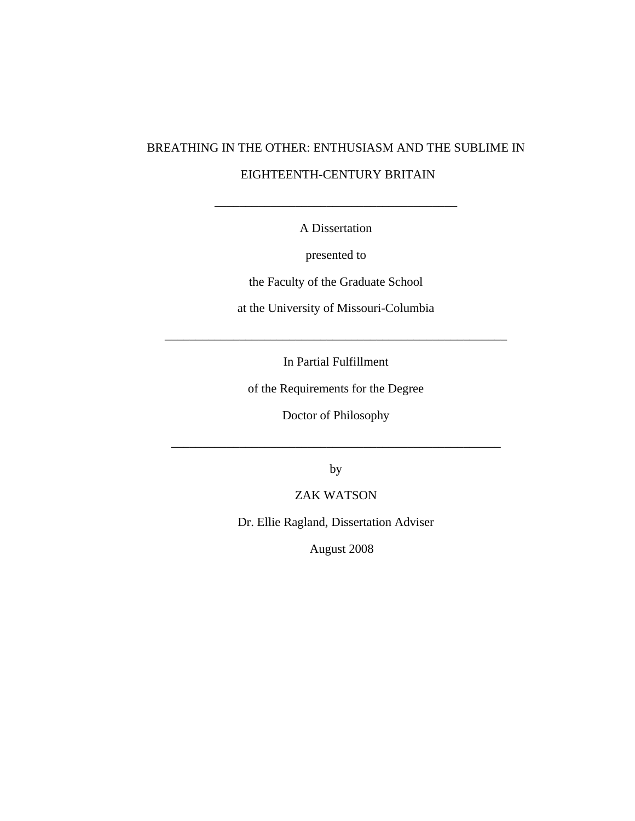# BREATHING IN THE OTHER: ENTHUSIASM AND THE SUBLIME IN EIGHTEENTH-CENTURY BRITAIN

A Dissertation

\_\_\_\_\_\_\_\_\_\_\_\_\_\_\_\_\_\_\_\_\_\_\_\_\_\_\_\_\_\_\_\_\_\_\_\_\_\_\_

presented to

the Faculty of the Graduate School

at the University of Missouri-Columbia

In Partial Fulfillment

\_\_\_\_\_\_\_\_\_\_\_\_\_\_\_\_\_\_\_\_\_\_\_\_\_\_\_\_\_\_\_\_\_\_\_\_\_\_\_\_\_\_\_\_\_\_\_\_\_\_\_\_\_\_\_

of the Requirements for the Degree

Doctor of Philosophy

\_\_\_\_\_\_\_\_\_\_\_\_\_\_\_\_\_\_\_\_\_\_\_\_\_\_\_\_\_\_\_\_\_\_\_\_\_\_\_\_\_\_\_\_\_\_\_\_\_\_\_\_\_

by

ZAK WATSON

Dr. Ellie Ragland, Dissertation Adviser

August 2008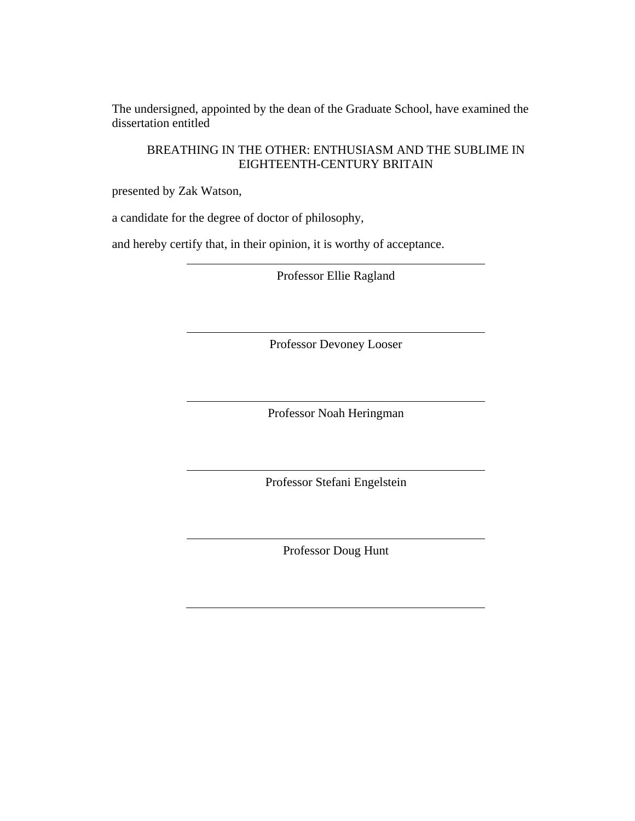The undersigned, appointed by the dean of the Graduate School, have examined the dissertation entitled

BREATHING IN THE OTHER: ENTHUSIASM AND THE SUBLIME IN EIGHTEENTH-CENTURY BRITAIN

presented by Zak Watson,

a candidate for the degree of doctor of philosophy,

and hereby certify that, in their opinion, it is worthy of acceptance.

Professor Ellie Ragland

Professor Devoney Looser

Professor Noah Heringman

Professor Stefani Engelstein

Professor Doug Hunt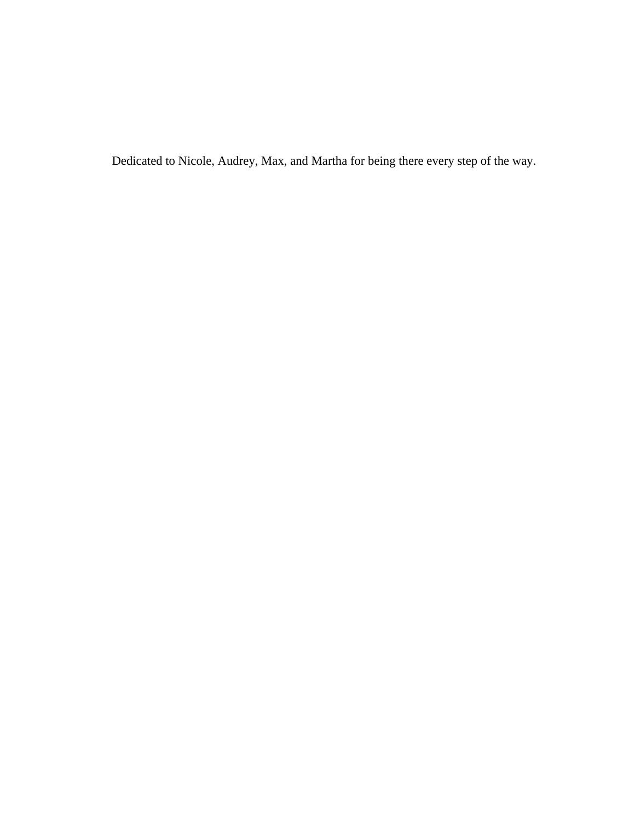Dedicated to Nicole, Audrey, Max, and Martha for being there every step of the way.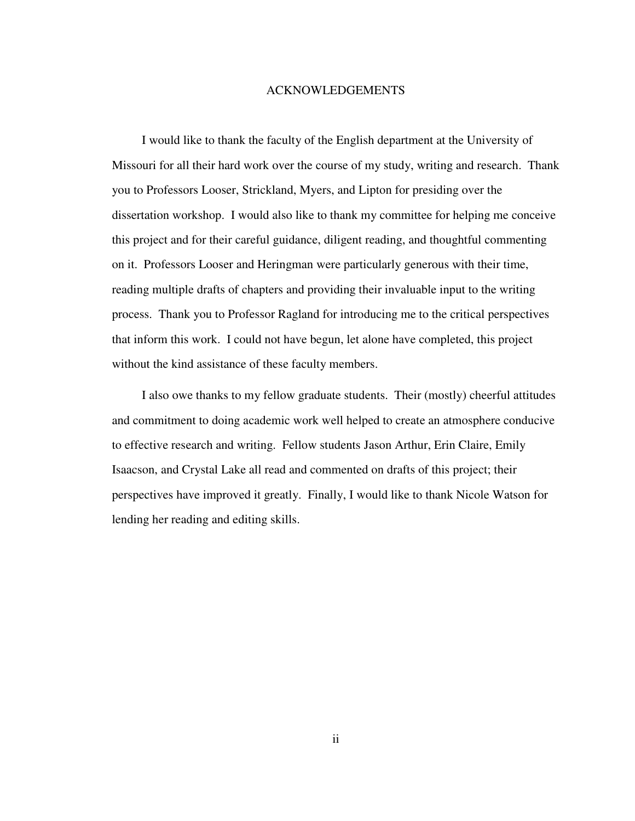### ACKNOWLEDGEMENTS

I would like to thank the faculty of the English department at the University of Missouri for all their hard work over the course of my study, writing and research. Thank you to Professors Looser, Strickland, Myers, and Lipton for presiding over the dissertation workshop. I would also like to thank my committee for helping me conceive this project and for their careful guidance, diligent reading, and thoughtful commenting on it. Professors Looser and Heringman were particularly generous with their time, reading multiple drafts of chapters and providing their invaluable input to the writing process. Thank you to Professor Ragland for introducing me to the critical perspectives that inform this work. I could not have begun, let alone have completed, this project without the kind assistance of these faculty members.

I also owe thanks to my fellow graduate students. Their (mostly) cheerful attitudes and commitment to doing academic work well helped to create an atmosphere conducive to effective research and writing. Fellow students Jason Arthur, Erin Claire, Emily Isaacson, and Crystal Lake all read and commented on drafts of this project; their perspectives have improved it greatly. Finally, I would like to thank Nicole Watson for lending her reading and editing skills.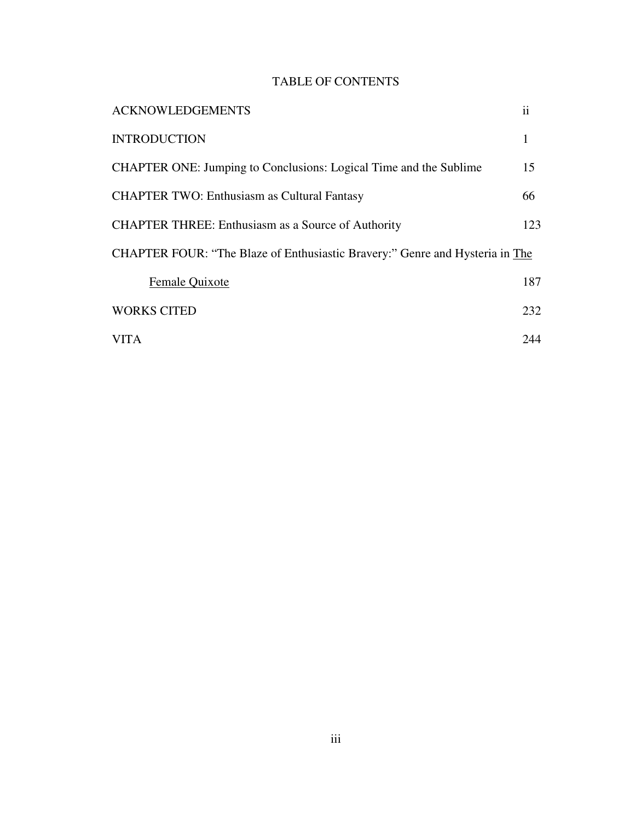## TABLE OF CONTENTS

| <b>ACKNOWLEDGEMENTS</b>                                                      | ii  |
|------------------------------------------------------------------------------|-----|
| <b>INTRODUCTION</b>                                                          | 1   |
| <b>CHAPTER ONE: Jumping to Conclusions: Logical Time and the Sublime</b>     | 15  |
| <b>CHAPTER TWO: Enthusiasm as Cultural Fantasy</b>                           | 66  |
| <b>CHAPTER THREE: Enthusiasm as a Source of Authority</b>                    | 123 |
| CHAPTER FOUR: "The Blaze of Enthusiastic Bravery:" Genre and Hysteria in The |     |
| Female Quixote                                                               | 187 |
| <b>WORKS CITED</b>                                                           | 232 |
| <b>VITA</b>                                                                  | 244 |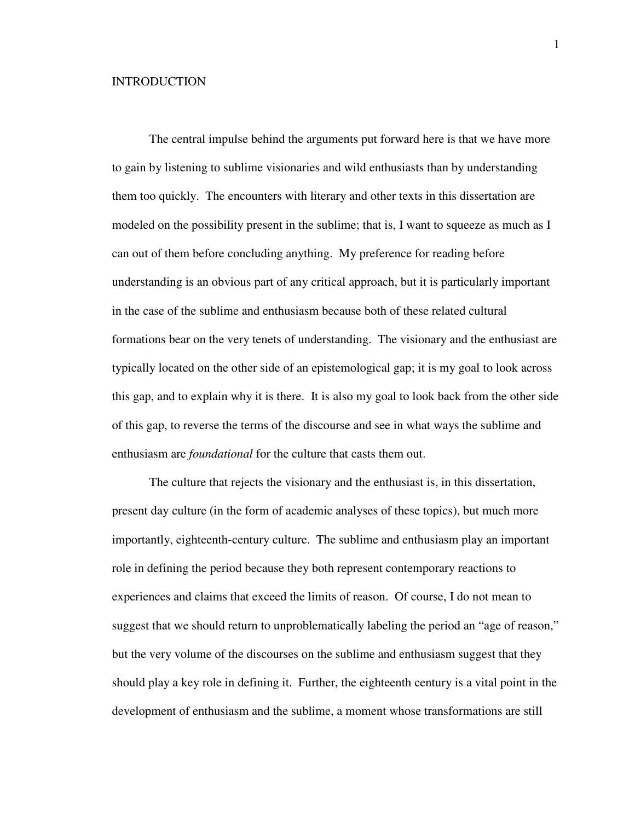### **INTRODUCTION**

 The central impulse behind the arguments put forward here is that we have more to gain by listening to sublime visionaries and wild enthusiasts than by understanding them too quickly. The encounters with literary and other texts in this dissertation are modeled on the possibility present in the sublime; that is, I want to squeeze as much as I can out of them before concluding anything. My preference for reading before understanding is an obvious part of any critical approach, but it is particularly important in the case of the sublime and enthusiasm because both of these related cultural formations bear on the very tenets of understanding. The visionary and the enthusiast are typically located on the other side of an epistemological gap; it is my goal to look across this gap, and to explain why it is there. It is also my goal to look back from the other side of this gap, to reverse the terms of the discourse and see in what ways the sublime and enthusiasm are *foundational* for the culture that casts them out.

 The culture that rejects the visionary and the enthusiast is, in this dissertation, present day culture (in the form of academic analyses of these topics), but much more importantly, eighteenth-century culture. The sublime and enthusiasm play an important role in defining the period because they both represent contemporary reactions to experiences and claims that exceed the limits of reason. Of course, I do not mean to suggest that we should return to unproblematically labeling the period an "age of reason," but the very volume of the discourses on the sublime and enthusiasm suggest that they should play a key role in defining it. Further, the eighteenth century is a vital point in the development of enthusiasm and the sublime, a moment whose transformations are still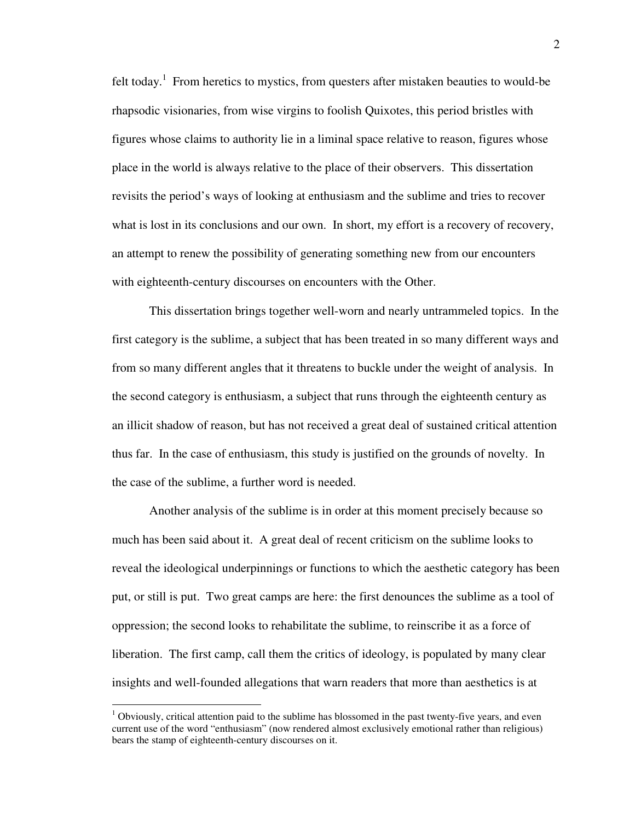felt today.<sup>1</sup> From heretics to mystics, from questers after mistaken beauties to would-be rhapsodic visionaries, from wise virgins to foolish Quixotes, this period bristles with figures whose claims to authority lie in a liminal space relative to reason, figures whose place in the world is always relative to the place of their observers. This dissertation revisits the period's ways of looking at enthusiasm and the sublime and tries to recover what is lost in its conclusions and our own. In short, my effort is a recovery of recovery, an attempt to renew the possibility of generating something new from our encounters with eighteenth-century discourses on encounters with the Other.

 This dissertation brings together well-worn and nearly untrammeled topics. In the first category is the sublime, a subject that has been treated in so many different ways and from so many different angles that it threatens to buckle under the weight of analysis. In the second category is enthusiasm, a subject that runs through the eighteenth century as an illicit shadow of reason, but has not received a great deal of sustained critical attention thus far. In the case of enthusiasm, this study is justified on the grounds of novelty. In the case of the sublime, a further word is needed.

 Another analysis of the sublime is in order at this moment precisely because so much has been said about it. A great deal of recent criticism on the sublime looks to reveal the ideological underpinnings or functions to which the aesthetic category has been put, or still is put. Two great camps are here: the first denounces the sublime as a tool of oppression; the second looks to rehabilitate the sublime, to reinscribe it as a force of liberation. The first camp, call them the critics of ideology, is populated by many clear insights and well-founded allegations that warn readers that more than aesthetics is at

 $1$  Obviously, critical attention paid to the sublime has blossomed in the past twenty-five years, and even current use of the word "enthusiasm" (now rendered almost exclusively emotional rather than religious) bears the stamp of eighteenth-century discourses on it.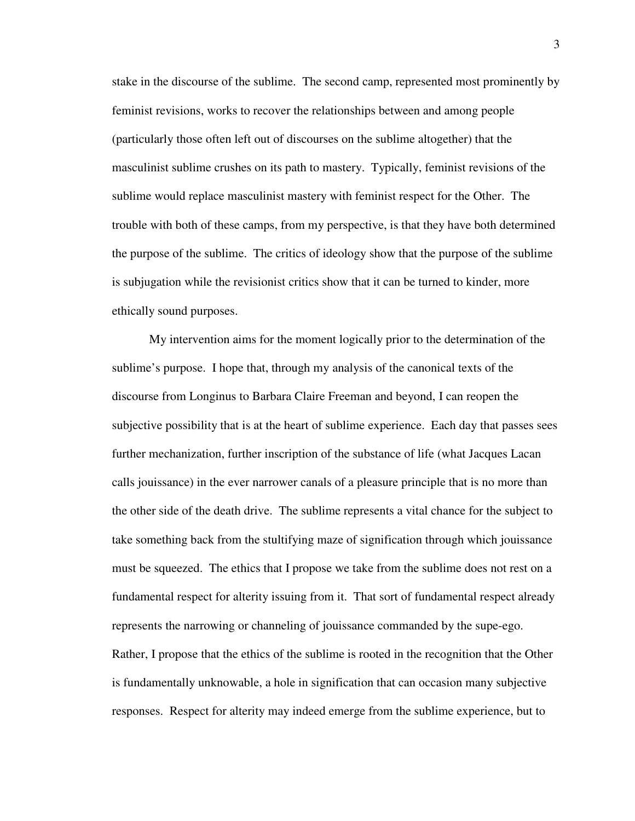stake in the discourse of the sublime. The second camp, represented most prominently by feminist revisions, works to recover the relationships between and among people (particularly those often left out of discourses on the sublime altogether) that the masculinist sublime crushes on its path to mastery. Typically, feminist revisions of the sublime would replace masculinist mastery with feminist respect for the Other. The trouble with both of these camps, from my perspective, is that they have both determined the purpose of the sublime. The critics of ideology show that the purpose of the sublime is subjugation while the revisionist critics show that it can be turned to kinder, more ethically sound purposes.

 My intervention aims for the moment logically prior to the determination of the sublime's purpose. I hope that, through my analysis of the canonical texts of the discourse from Longinus to Barbara Claire Freeman and beyond, I can reopen the subjective possibility that is at the heart of sublime experience. Each day that passes sees further mechanization, further inscription of the substance of life (what Jacques Lacan calls jouissance) in the ever narrower canals of a pleasure principle that is no more than the other side of the death drive. The sublime represents a vital chance for the subject to take something back from the stultifying maze of signification through which jouissance must be squeezed. The ethics that I propose we take from the sublime does not rest on a fundamental respect for alterity issuing from it. That sort of fundamental respect already represents the narrowing or channeling of jouissance commanded by the supe-ego. Rather, I propose that the ethics of the sublime is rooted in the recognition that the Other is fundamentally unknowable, a hole in signification that can occasion many subjective

responses. Respect for alterity may indeed emerge from the sublime experience, but to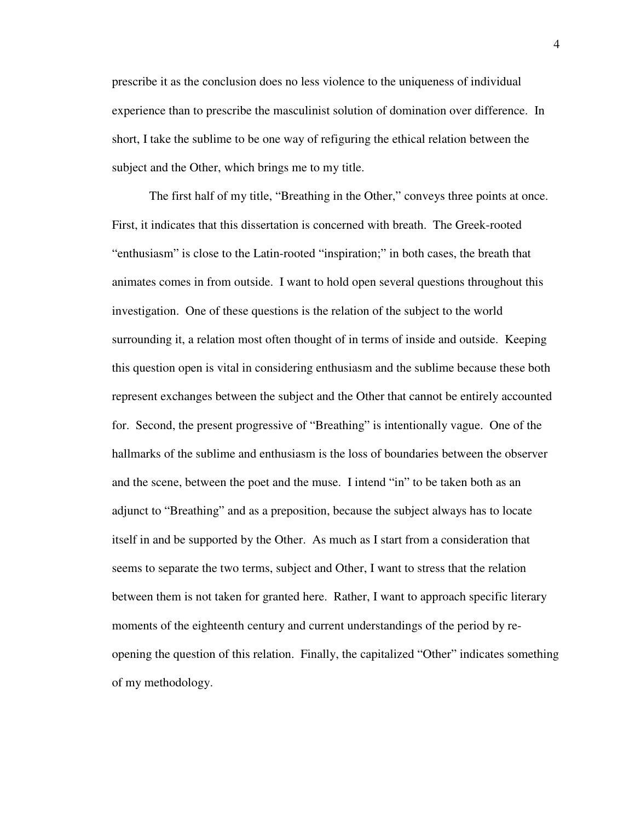prescribe it as the conclusion does no less violence to the uniqueness of individual experience than to prescribe the masculinist solution of domination over difference. In short, I take the sublime to be one way of refiguring the ethical relation between the subject and the Other, which brings me to my title.

 The first half of my title, "Breathing in the Other," conveys three points at once. First, it indicates that this dissertation is concerned with breath. The Greek-rooted "enthusiasm" is close to the Latin-rooted "inspiration;" in both cases, the breath that animates comes in from outside. I want to hold open several questions throughout this investigation. One of these questions is the relation of the subject to the world surrounding it, a relation most often thought of in terms of inside and outside. Keeping this question open is vital in considering enthusiasm and the sublime because these both represent exchanges between the subject and the Other that cannot be entirely accounted for. Second, the present progressive of "Breathing" is intentionally vague. One of the hallmarks of the sublime and enthusiasm is the loss of boundaries between the observer and the scene, between the poet and the muse. I intend "in" to be taken both as an adjunct to "Breathing" and as a preposition, because the subject always has to locate itself in and be supported by the Other. As much as I start from a consideration that seems to separate the two terms, subject and Other, I want to stress that the relation between them is not taken for granted here. Rather, I want to approach specific literary moments of the eighteenth century and current understandings of the period by reopening the question of this relation. Finally, the capitalized "Other" indicates something of my methodology.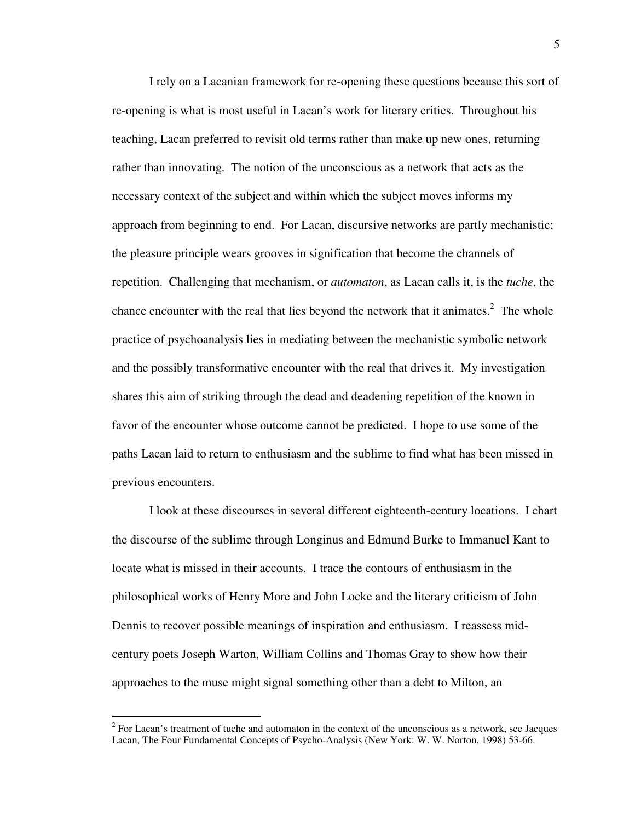I rely on a Lacanian framework for re-opening these questions because this sort of re-opening is what is most useful in Lacan's work for literary critics. Throughout his teaching, Lacan preferred to revisit old terms rather than make up new ones, returning rather than innovating. The notion of the unconscious as a network that acts as the necessary context of the subject and within which the subject moves informs my approach from beginning to end. For Lacan, discursive networks are partly mechanistic; the pleasure principle wears grooves in signification that become the channels of repetition. Challenging that mechanism, or *automaton*, as Lacan calls it, is the *tuche*, the chance encounter with the real that lies beyond the network that it animates.<sup>2</sup> The whole practice of psychoanalysis lies in mediating between the mechanistic symbolic network and the possibly transformative encounter with the real that drives it. My investigation shares this aim of striking through the dead and deadening repetition of the known in favor of the encounter whose outcome cannot be predicted. I hope to use some of the paths Lacan laid to return to enthusiasm and the sublime to find what has been missed in previous encounters.

 I look at these discourses in several different eighteenth-century locations. I chart the discourse of the sublime through Longinus and Edmund Burke to Immanuel Kant to locate what is missed in their accounts. I trace the contours of enthusiasm in the philosophical works of Henry More and John Locke and the literary criticism of John Dennis to recover possible meanings of inspiration and enthusiasm. I reassess midcentury poets Joseph Warton, William Collins and Thomas Gray to show how their approaches to the muse might signal something other than a debt to Milton, an

<sup>&</sup>lt;sup>2</sup> For Lacan's treatment of tuche and automaton in the context of the unconscious as a network, see Jacques Lacan, The Four Fundamental Concepts of Psycho-Analysis (New York: W. W. Norton, 1998) 53-66.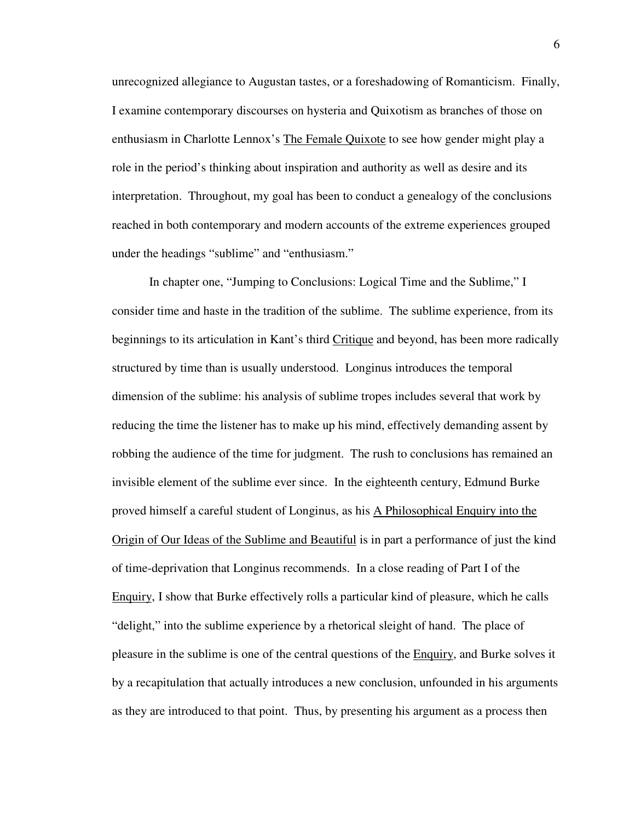unrecognized allegiance to Augustan tastes, or a foreshadowing of Romanticism. Finally, I examine contemporary discourses on hysteria and Quixotism as branches of those on enthusiasm in Charlotte Lennox's The Female Quixote to see how gender might play a role in the period's thinking about inspiration and authority as well as desire and its interpretation. Throughout, my goal has been to conduct a genealogy of the conclusions reached in both contemporary and modern accounts of the extreme experiences grouped under the headings "sublime" and "enthusiasm."

 In chapter one, "Jumping to Conclusions: Logical Time and the Sublime," I consider time and haste in the tradition of the sublime. The sublime experience, from its beginnings to its articulation in Kant's third Critique and beyond, has been more radically structured by time than is usually understood. Longinus introduces the temporal dimension of the sublime: his analysis of sublime tropes includes several that work by reducing the time the listener has to make up his mind, effectively demanding assent by robbing the audience of the time for judgment. The rush to conclusions has remained an invisible element of the sublime ever since. In the eighteenth century, Edmund Burke proved himself a careful student of Longinus, as his A Philosophical Enquiry into the Origin of Our Ideas of the Sublime and Beautiful is in part a performance of just the kind of time-deprivation that Longinus recommends. In a close reading of Part I of the Enquiry, I show that Burke effectively rolls a particular kind of pleasure, which he calls "delight," into the sublime experience by a rhetorical sleight of hand. The place of pleasure in the sublime is one of the central questions of the Enquiry, and Burke solves it by a recapitulation that actually introduces a new conclusion, unfounded in his arguments as they are introduced to that point. Thus, by presenting his argument as a process then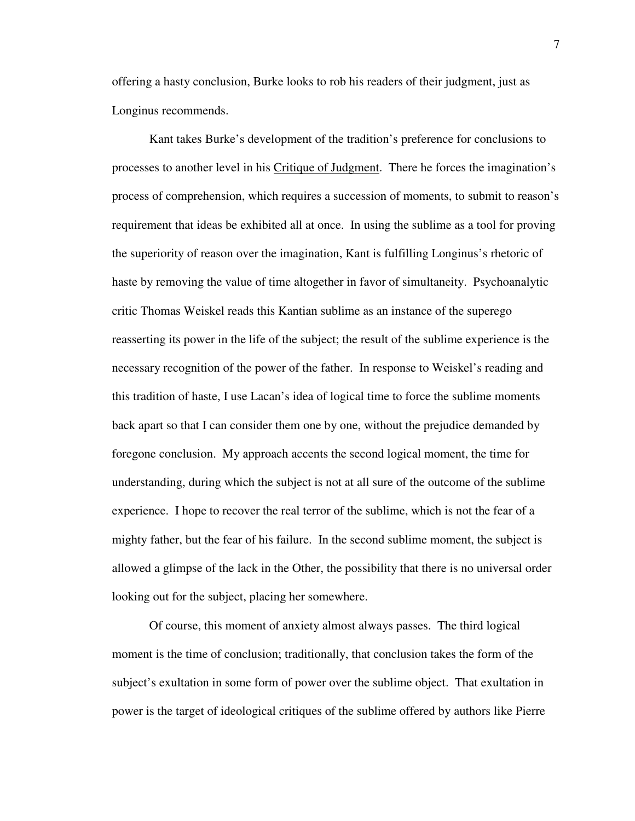offering a hasty conclusion, Burke looks to rob his readers of their judgment, just as Longinus recommends.

 Kant takes Burke's development of the tradition's preference for conclusions to processes to another level in his Critique of Judgment. There he forces the imagination's process of comprehension, which requires a succession of moments, to submit to reason's requirement that ideas be exhibited all at once. In using the sublime as a tool for proving the superiority of reason over the imagination, Kant is fulfilling Longinus's rhetoric of haste by removing the value of time altogether in favor of simultaneity. Psychoanalytic critic Thomas Weiskel reads this Kantian sublime as an instance of the superego reasserting its power in the life of the subject; the result of the sublime experience is the necessary recognition of the power of the father. In response to Weiskel's reading and this tradition of haste, I use Lacan's idea of logical time to force the sublime moments back apart so that I can consider them one by one, without the prejudice demanded by foregone conclusion. My approach accents the second logical moment, the time for understanding, during which the subject is not at all sure of the outcome of the sublime experience. I hope to recover the real terror of the sublime, which is not the fear of a mighty father, but the fear of his failure. In the second sublime moment, the subject is allowed a glimpse of the lack in the Other, the possibility that there is no universal order looking out for the subject, placing her somewhere.

 Of course, this moment of anxiety almost always passes. The third logical moment is the time of conclusion; traditionally, that conclusion takes the form of the subject's exultation in some form of power over the sublime object. That exultation in power is the target of ideological critiques of the sublime offered by authors like Pierre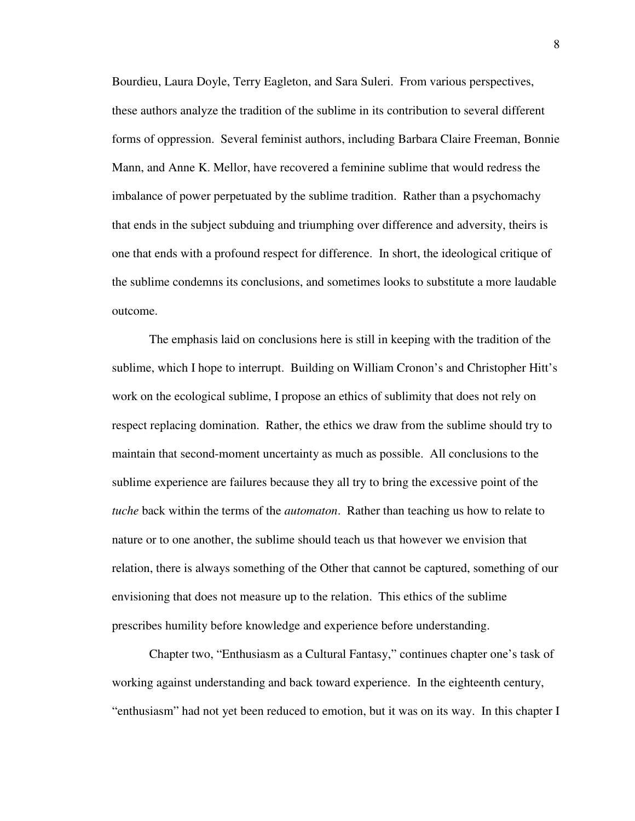Bourdieu, Laura Doyle, Terry Eagleton, and Sara Suleri. From various perspectives, these authors analyze the tradition of the sublime in its contribution to several different forms of oppression. Several feminist authors, including Barbara Claire Freeman, Bonnie Mann, and Anne K. Mellor, have recovered a feminine sublime that would redress the imbalance of power perpetuated by the sublime tradition. Rather than a psychomachy that ends in the subject subduing and triumphing over difference and adversity, theirs is one that ends with a profound respect for difference. In short, the ideological critique of the sublime condemns its conclusions, and sometimes looks to substitute a more laudable outcome.

 The emphasis laid on conclusions here is still in keeping with the tradition of the sublime, which I hope to interrupt. Building on William Cronon's and Christopher Hitt's work on the ecological sublime, I propose an ethics of sublimity that does not rely on respect replacing domination. Rather, the ethics we draw from the sublime should try to maintain that second-moment uncertainty as much as possible. All conclusions to the sublime experience are failures because they all try to bring the excessive point of the *tuche* back within the terms of the *automaton*. Rather than teaching us how to relate to nature or to one another, the sublime should teach us that however we envision that relation, there is always something of the Other that cannot be captured, something of our envisioning that does not measure up to the relation. This ethics of the sublime prescribes humility before knowledge and experience before understanding.

 Chapter two, "Enthusiasm as a Cultural Fantasy," continues chapter one's task of working against understanding and back toward experience. In the eighteenth century, "enthusiasm" had not yet been reduced to emotion, but it was on its way. In this chapter I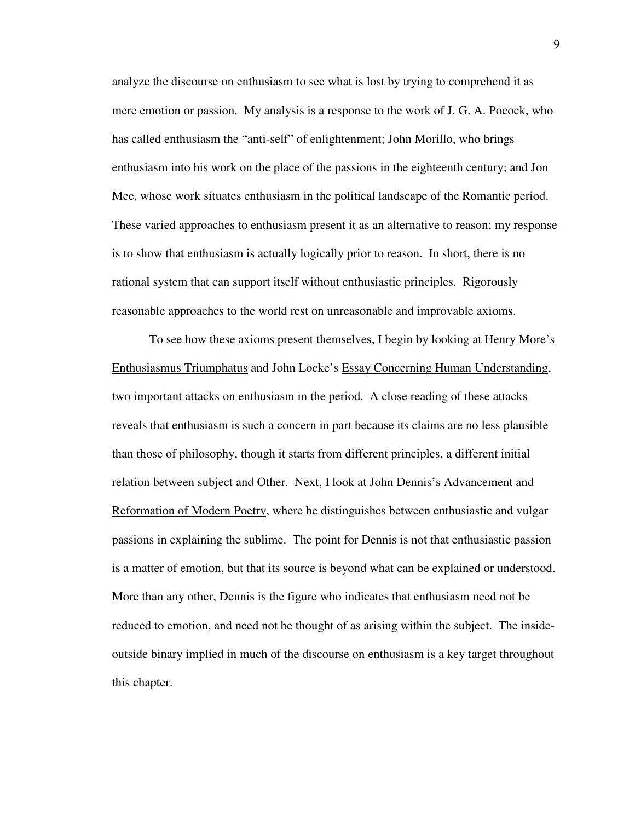analyze the discourse on enthusiasm to see what is lost by trying to comprehend it as mere emotion or passion. My analysis is a response to the work of J. G. A. Pocock, who has called enthusiasm the "anti-self" of enlightenment; John Morillo, who brings enthusiasm into his work on the place of the passions in the eighteenth century; and Jon Mee, whose work situates enthusiasm in the political landscape of the Romantic period. These varied approaches to enthusiasm present it as an alternative to reason; my response is to show that enthusiasm is actually logically prior to reason. In short, there is no rational system that can support itself without enthusiastic principles. Rigorously reasonable approaches to the world rest on unreasonable and improvable axioms.

 To see how these axioms present themselves, I begin by looking at Henry More's Enthusiasmus Triumphatus and John Locke's Essay Concerning Human Understanding, two important attacks on enthusiasm in the period. A close reading of these attacks reveals that enthusiasm is such a concern in part because its claims are no less plausible than those of philosophy, though it starts from different principles, a different initial relation between subject and Other. Next, I look at John Dennis's Advancement and Reformation of Modern Poetry, where he distinguishes between enthusiastic and vulgar passions in explaining the sublime. The point for Dennis is not that enthusiastic passion is a matter of emotion, but that its source is beyond what can be explained or understood. More than any other, Dennis is the figure who indicates that enthusiasm need not be reduced to emotion, and need not be thought of as arising within the subject. The insideoutside binary implied in much of the discourse on enthusiasm is a key target throughout this chapter.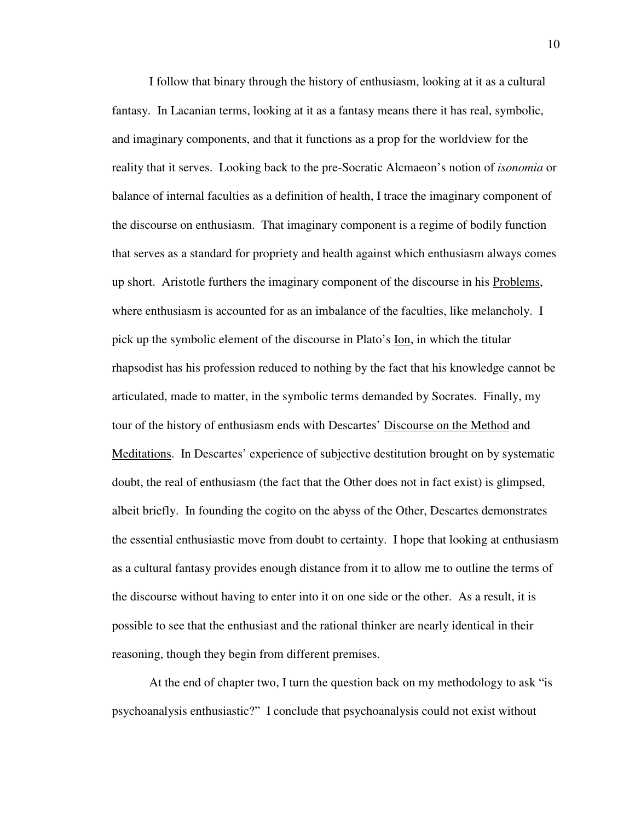I follow that binary through the history of enthusiasm, looking at it as a cultural fantasy. In Lacanian terms, looking at it as a fantasy means there it has real, symbolic, and imaginary components, and that it functions as a prop for the worldview for the reality that it serves. Looking back to the pre-Socratic Alcmaeon's notion of *isonomia* or balance of internal faculties as a definition of health, I trace the imaginary component of the discourse on enthusiasm. That imaginary component is a regime of bodily function that serves as a standard for propriety and health against which enthusiasm always comes up short. Aristotle furthers the imaginary component of the discourse in his Problems, where enthusiasm is accounted for as an imbalance of the faculties, like melancholy. I pick up the symbolic element of the discourse in Plato's Ion, in which the titular rhapsodist has his profession reduced to nothing by the fact that his knowledge cannot be articulated, made to matter, in the symbolic terms demanded by Socrates. Finally, my tour of the history of enthusiasm ends with Descartes' Discourse on the Method and Meditations. In Descartes' experience of subjective destitution brought on by systematic doubt, the real of enthusiasm (the fact that the Other does not in fact exist) is glimpsed, albeit briefly. In founding the cogito on the abyss of the Other, Descartes demonstrates the essential enthusiastic move from doubt to certainty. I hope that looking at enthusiasm as a cultural fantasy provides enough distance from it to allow me to outline the terms of the discourse without having to enter into it on one side or the other. As a result, it is possible to see that the enthusiast and the rational thinker are nearly identical in their reasoning, though they begin from different premises.

 At the end of chapter two, I turn the question back on my methodology to ask "is psychoanalysis enthusiastic?" I conclude that psychoanalysis could not exist without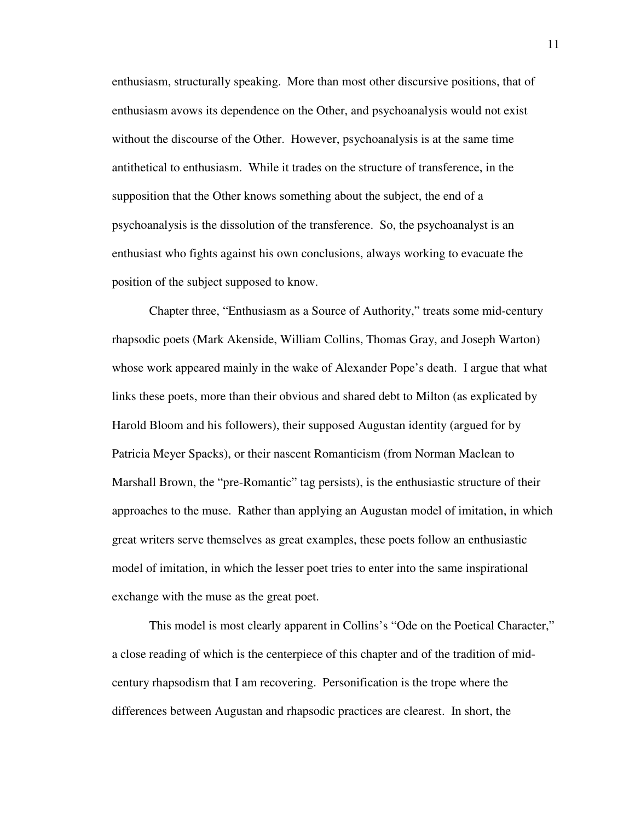enthusiasm, structurally speaking. More than most other discursive positions, that of enthusiasm avows its dependence on the Other, and psychoanalysis would not exist without the discourse of the Other. However, psychoanalysis is at the same time antithetical to enthusiasm. While it trades on the structure of transference, in the supposition that the Other knows something about the subject, the end of a psychoanalysis is the dissolution of the transference. So, the psychoanalyst is an enthusiast who fights against his own conclusions, always working to evacuate the position of the subject supposed to know.

 Chapter three, "Enthusiasm as a Source of Authority," treats some mid-century rhapsodic poets (Mark Akenside, William Collins, Thomas Gray, and Joseph Warton) whose work appeared mainly in the wake of Alexander Pope's death. I argue that what links these poets, more than their obvious and shared debt to Milton (as explicated by Harold Bloom and his followers), their supposed Augustan identity (argued for by Patricia Meyer Spacks), or their nascent Romanticism (from Norman Maclean to Marshall Brown, the "pre-Romantic" tag persists), is the enthusiastic structure of their approaches to the muse. Rather than applying an Augustan model of imitation, in which great writers serve themselves as great examples, these poets follow an enthusiastic model of imitation, in which the lesser poet tries to enter into the same inspirational exchange with the muse as the great poet.

 This model is most clearly apparent in Collins's "Ode on the Poetical Character," a close reading of which is the centerpiece of this chapter and of the tradition of midcentury rhapsodism that I am recovering. Personification is the trope where the differences between Augustan and rhapsodic practices are clearest. In short, the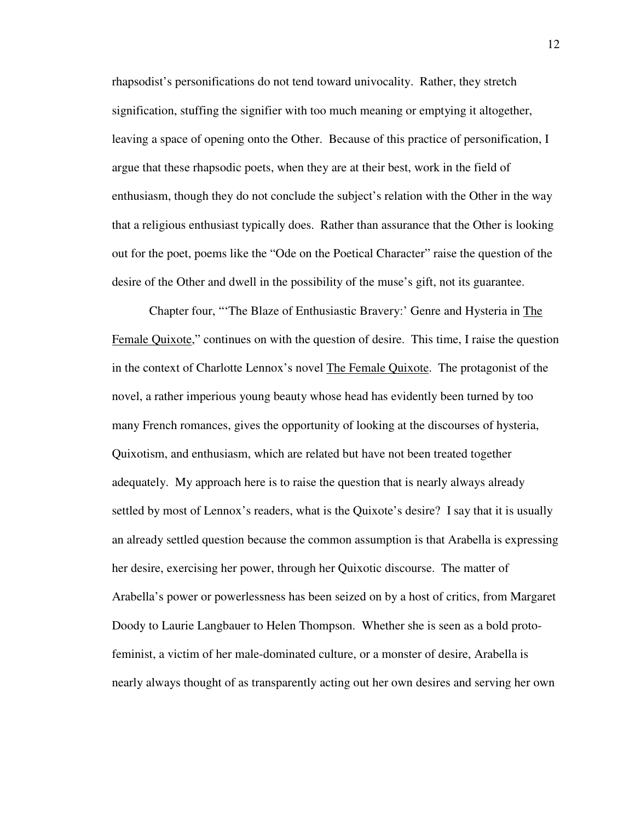rhapsodist's personifications do not tend toward univocality. Rather, they stretch signification, stuffing the signifier with too much meaning or emptying it altogether, leaving a space of opening onto the Other. Because of this practice of personification, I argue that these rhapsodic poets, when they are at their best, work in the field of enthusiasm, though they do not conclude the subject's relation with the Other in the way that a religious enthusiast typically does. Rather than assurance that the Other is looking out for the poet, poems like the "Ode on the Poetical Character" raise the question of the desire of the Other and dwell in the possibility of the muse's gift, not its guarantee.

 Chapter four, "'The Blaze of Enthusiastic Bravery:' Genre and Hysteria in The Female Quixote," continues on with the question of desire. This time, I raise the question in the context of Charlotte Lennox's novel The Female Quixote. The protagonist of the novel, a rather imperious young beauty whose head has evidently been turned by too many French romances, gives the opportunity of looking at the discourses of hysteria, Quixotism, and enthusiasm, which are related but have not been treated together adequately. My approach here is to raise the question that is nearly always already settled by most of Lennox's readers, what is the Quixote's desire? I say that it is usually an already settled question because the common assumption is that Arabella is expressing her desire, exercising her power, through her Quixotic discourse. The matter of Arabella's power or powerlessness has been seized on by a host of critics, from Margaret Doody to Laurie Langbauer to Helen Thompson. Whether she is seen as a bold protofeminist, a victim of her male-dominated culture, or a monster of desire, Arabella is nearly always thought of as transparently acting out her own desires and serving her own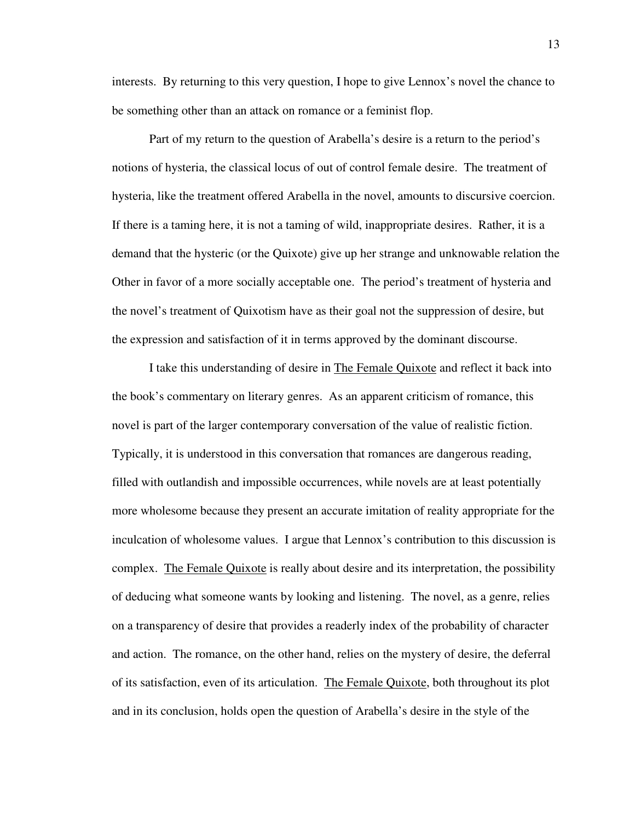interests. By returning to this very question, I hope to give Lennox's novel the chance to be something other than an attack on romance or a feminist flop.

 Part of my return to the question of Arabella's desire is a return to the period's notions of hysteria, the classical locus of out of control female desire. The treatment of hysteria, like the treatment offered Arabella in the novel, amounts to discursive coercion. If there is a taming here, it is not a taming of wild, inappropriate desires. Rather, it is a demand that the hysteric (or the Quixote) give up her strange and unknowable relation the Other in favor of a more socially acceptable one. The period's treatment of hysteria and the novel's treatment of Quixotism have as their goal not the suppression of desire, but the expression and satisfaction of it in terms approved by the dominant discourse.

 I take this understanding of desire in The Female Quixote and reflect it back into the book's commentary on literary genres. As an apparent criticism of romance, this novel is part of the larger contemporary conversation of the value of realistic fiction. Typically, it is understood in this conversation that romances are dangerous reading, filled with outlandish and impossible occurrences, while novels are at least potentially more wholesome because they present an accurate imitation of reality appropriate for the inculcation of wholesome values. I argue that Lennox's contribution to this discussion is complex. The Female Quixote is really about desire and its interpretation, the possibility of deducing what someone wants by looking and listening. The novel, as a genre, relies on a transparency of desire that provides a readerly index of the probability of character and action. The romance, on the other hand, relies on the mystery of desire, the deferral of its satisfaction, even of its articulation. The Female Quixote, both throughout its plot and in its conclusion, holds open the question of Arabella's desire in the style of the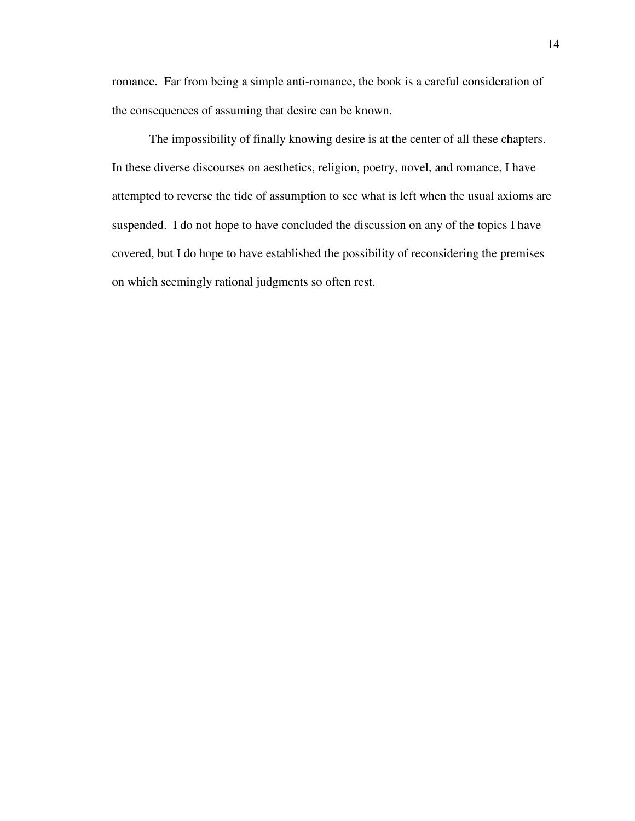romance. Far from being a simple anti-romance, the book is a careful consideration of the consequences of assuming that desire can be known.

 The impossibility of finally knowing desire is at the center of all these chapters. In these diverse discourses on aesthetics, religion, poetry, novel, and romance, I have attempted to reverse the tide of assumption to see what is left when the usual axioms are suspended. I do not hope to have concluded the discussion on any of the topics I have covered, but I do hope to have established the possibility of reconsidering the premises on which seemingly rational judgments so often rest.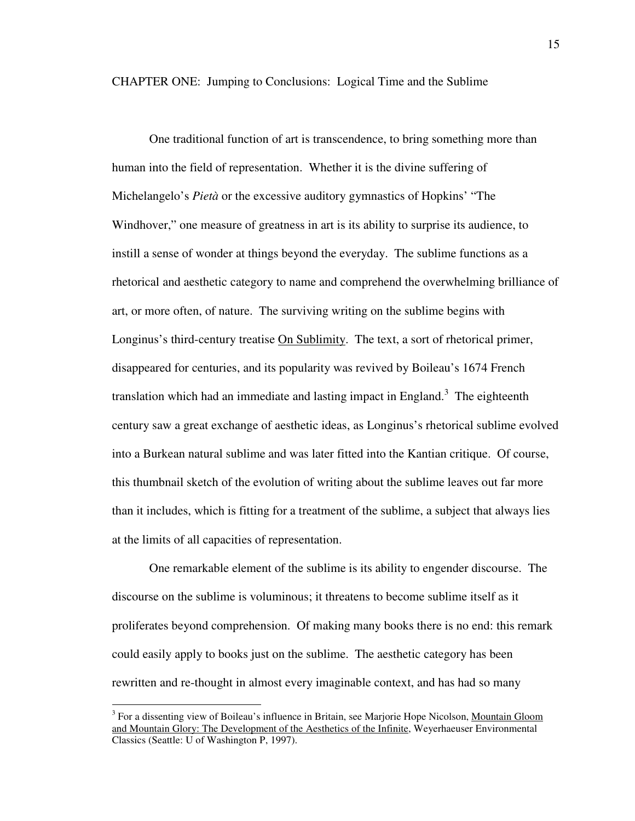CHAPTER ONE: Jumping to Conclusions: Logical Time and the Sublime

One traditional function of art is transcendence, to bring something more than human into the field of representation. Whether it is the divine suffering of Michelangelo's *Pietà* or the excessive auditory gymnastics of Hopkins' "The Windhover," one measure of greatness in art is its ability to surprise its audience, to instill a sense of wonder at things beyond the everyday. The sublime functions as a rhetorical and aesthetic category to name and comprehend the overwhelming brilliance of art, or more often, of nature. The surviving writing on the sublime begins with Longinus's third-century treatise On Sublimity. The text, a sort of rhetorical primer, disappeared for centuries, and its popularity was revived by Boileau's 1674 French translation which had an immediate and lasting impact in England.<sup>3</sup> The eighteenth century saw a great exchange of aesthetic ideas, as Longinus's rhetorical sublime evolved into a Burkean natural sublime and was later fitted into the Kantian critique. Of course, this thumbnail sketch of the evolution of writing about the sublime leaves out far more than it includes, which is fitting for a treatment of the sublime, a subject that always lies at the limits of all capacities of representation.

One remarkable element of the sublime is its ability to engender discourse. The discourse on the sublime is voluminous; it threatens to become sublime itself as it proliferates beyond comprehension. Of making many books there is no end: this remark could easily apply to books just on the sublime. The aesthetic category has been rewritten and re-thought in almost every imaginable context, and has had so many

<sup>&</sup>lt;sup>3</sup> For a dissenting view of Boileau's influence in Britain, see Marjorie Hope Nicolson, Mountain Gloom and Mountain Glory: The Development of the Aesthetics of the Infinite, Weyerhaeuser Environmental Classics (Seattle: U of Washington P, 1997).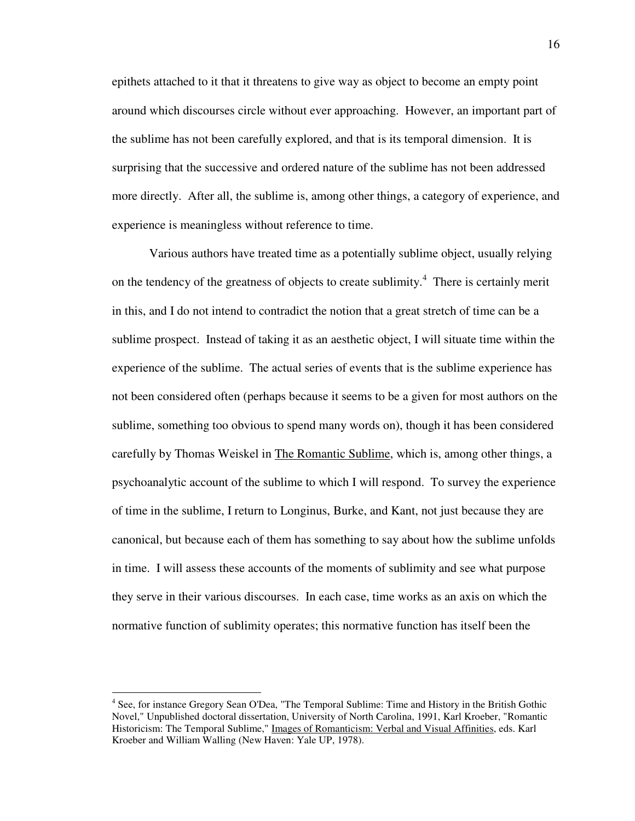epithets attached to it that it threatens to give way as object to become an empty point around which discourses circle without ever approaching. However, an important part of the sublime has not been carefully explored, and that is its temporal dimension. It is surprising that the successive and ordered nature of the sublime has not been addressed more directly. After all, the sublime is, among other things, a category of experience, and experience is meaningless without reference to time.

Various authors have treated time as a potentially sublime object, usually relying on the tendency of the greatness of objects to create sublimity. $4$  There is certainly merit in this, and I do not intend to contradict the notion that a great stretch of time can be a sublime prospect. Instead of taking it as an aesthetic object, I will situate time within the experience of the sublime. The actual series of events that is the sublime experience has not been considered often (perhaps because it seems to be a given for most authors on the sublime, something too obvious to spend many words on), though it has been considered carefully by Thomas Weiskel in The Romantic Sublime, which is, among other things, a psychoanalytic account of the sublime to which I will respond. To survey the experience of time in the sublime, I return to Longinus, Burke, and Kant, not just because they are canonical, but because each of them has something to say about how the sublime unfolds in time. I will assess these accounts of the moments of sublimity and see what purpose they serve in their various discourses. In each case, time works as an axis on which the normative function of sublimity operates; this normative function has itself been the

<sup>&</sup>lt;sup>4</sup> See, for instance Gregory Sean O'Dea, "The Temporal Sublime: Time and History in the British Gothic Novel," Unpublished doctoral dissertation, University of North Carolina, 1991, Karl Kroeber, "Romantic Historicism: The Temporal Sublime," Images of Romanticism: Verbal and Visual Affinities, eds. Karl Kroeber and William Walling (New Haven: Yale UP, 1978).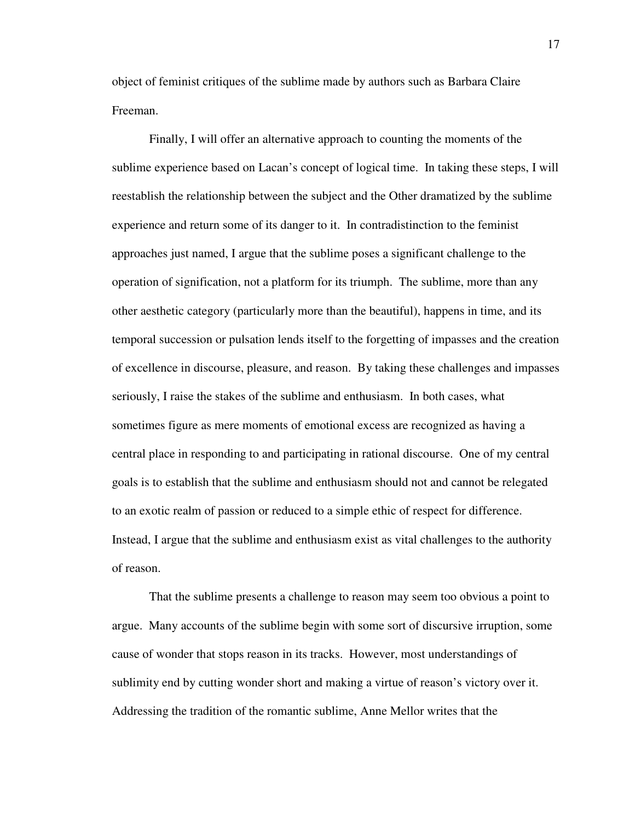object of feminist critiques of the sublime made by authors such as Barbara Claire Freeman.

 Finally, I will offer an alternative approach to counting the moments of the sublime experience based on Lacan's concept of logical time. In taking these steps, I will reestablish the relationship between the subject and the Other dramatized by the sublime experience and return some of its danger to it. In contradistinction to the feminist approaches just named, I argue that the sublime poses a significant challenge to the operation of signification, not a platform for its triumph. The sublime, more than any other aesthetic category (particularly more than the beautiful), happens in time, and its temporal succession or pulsation lends itself to the forgetting of impasses and the creation of excellence in discourse, pleasure, and reason. By taking these challenges and impasses seriously, I raise the stakes of the sublime and enthusiasm. In both cases, what sometimes figure as mere moments of emotional excess are recognized as having a central place in responding to and participating in rational discourse. One of my central goals is to establish that the sublime and enthusiasm should not and cannot be relegated to an exotic realm of passion or reduced to a simple ethic of respect for difference. Instead, I argue that the sublime and enthusiasm exist as vital challenges to the authority of reason.

 That the sublime presents a challenge to reason may seem too obvious a point to argue. Many accounts of the sublime begin with some sort of discursive irruption, some cause of wonder that stops reason in its tracks. However, most understandings of sublimity end by cutting wonder short and making a virtue of reason's victory over it. Addressing the tradition of the romantic sublime, Anne Mellor writes that the

17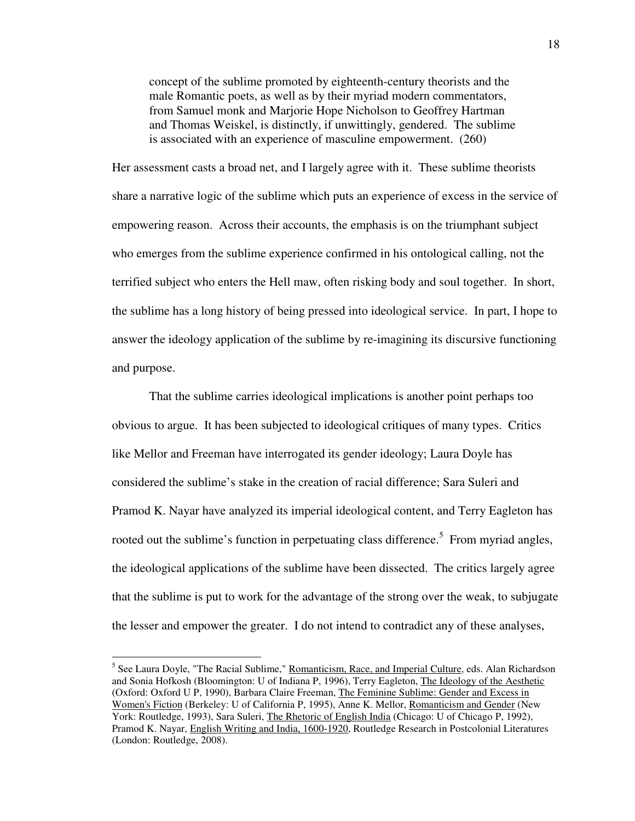concept of the sublime promoted by eighteenth-century theorists and the male Romantic poets, as well as by their myriad modern commentators, from Samuel monk and Marjorie Hope Nicholson to Geoffrey Hartman and Thomas Weiskel, is distinctly, if unwittingly, gendered. The sublime is associated with an experience of masculine empowerment. (260)

Her assessment casts a broad net, and I largely agree with it. These sublime theorists share a narrative logic of the sublime which puts an experience of excess in the service of empowering reason. Across their accounts, the emphasis is on the triumphant subject who emerges from the sublime experience confirmed in his ontological calling, not the terrified subject who enters the Hell maw, often risking body and soul together. In short, the sublime has a long history of being pressed into ideological service. In part, I hope to answer the ideology application of the sublime by re-imagining its discursive functioning and purpose.

 That the sublime carries ideological implications is another point perhaps too obvious to argue. It has been subjected to ideological critiques of many types. Critics like Mellor and Freeman have interrogated its gender ideology; Laura Doyle has considered the sublime's stake in the creation of racial difference; Sara Suleri and Pramod K. Nayar have analyzed its imperial ideological content, and Terry Eagleton has rooted out the sublime's function in perpetuating class difference.<sup>5</sup> From myriad angles, the ideological applications of the sublime have been dissected. The critics largely agree that the sublime is put to work for the advantage of the strong over the weak, to subjugate the lesser and empower the greater. I do not intend to contradict any of these analyses,

<sup>&</sup>lt;sup>5</sup> See Laura Doyle, "The Racial Sublime," Romanticism, Race, and Imperial Culture, eds. Alan Richardson and Sonia Hofkosh (Bloomington: U of Indiana P, 1996), Terry Eagleton, The Ideology of the Aesthetic (Oxford: Oxford U P, 1990), Barbara Claire Freeman, The Feminine Sublime: Gender and Excess in Women's Fiction (Berkeley: U of California P, 1995), Anne K. Mellor, Romanticism and Gender (New York: Routledge, 1993), Sara Suleri, *The Rhetoric of English India* (Chicago: U of Chicago P, 1992), Pramod K. Nayar, English Writing and India, 1600-1920, Routledge Research in Postcolonial Literatures (London: Routledge, 2008).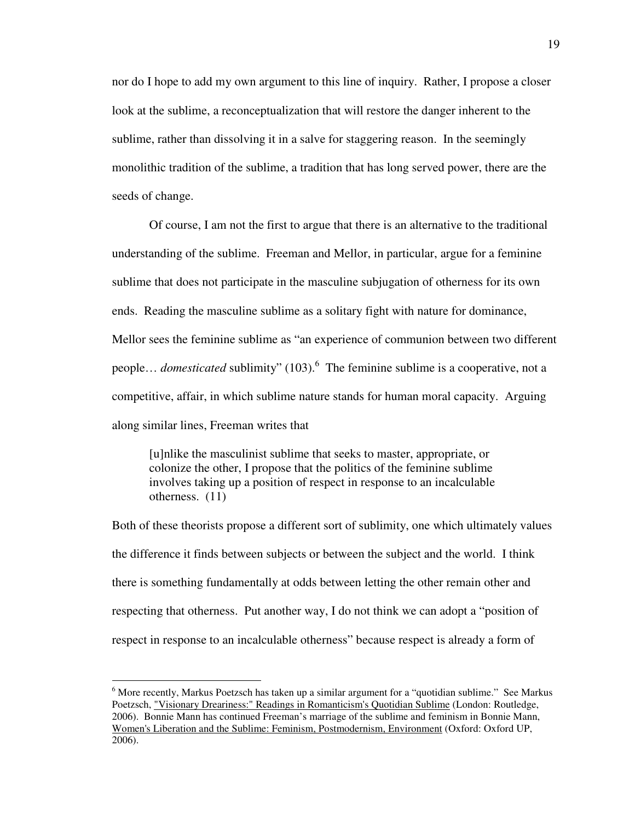nor do I hope to add my own argument to this line of inquiry. Rather, I propose a closer look at the sublime, a reconceptualization that will restore the danger inherent to the sublime, rather than dissolving it in a salve for staggering reason. In the seemingly monolithic tradition of the sublime, a tradition that has long served power, there are the seeds of change.

 Of course, I am not the first to argue that there is an alternative to the traditional understanding of the sublime. Freeman and Mellor, in particular, argue for a feminine sublime that does not participate in the masculine subjugation of otherness for its own ends. Reading the masculine sublime as a solitary fight with nature for dominance, Mellor sees the feminine sublime as "an experience of communion between two different people... *domesticated* sublimity" (103).<sup>6</sup> The feminine sublime is a cooperative, not a competitive, affair, in which sublime nature stands for human moral capacity. Arguing along similar lines, Freeman writes that

 [u]nlike the masculinist sublime that seeks to master, appropriate, or colonize the other, I propose that the politics of the feminine sublime involves taking up a position of respect in response to an incalculable otherness. (11)

Both of these theorists propose a different sort of sublimity, one which ultimately values the difference it finds between subjects or between the subject and the world. I think there is something fundamentally at odds between letting the other remain other and respecting that otherness. Put another way, I do not think we can adopt a "position of respect in response to an incalculable otherness" because respect is already a form of

<sup>&</sup>lt;sup>6</sup> More recently, Markus Poetzsch has taken up a similar argument for a "quotidian sublime." See Markus Poetzsch, "Visionary Dreariness:" Readings in Romanticism's Quotidian Sublime (London: Routledge, 2006). Bonnie Mann has continued Freeman's marriage of the sublime and feminism in Bonnie Mann, Women's Liberation and the Sublime: Feminism, Postmodernism, Environment (Oxford: Oxford UP, 2006).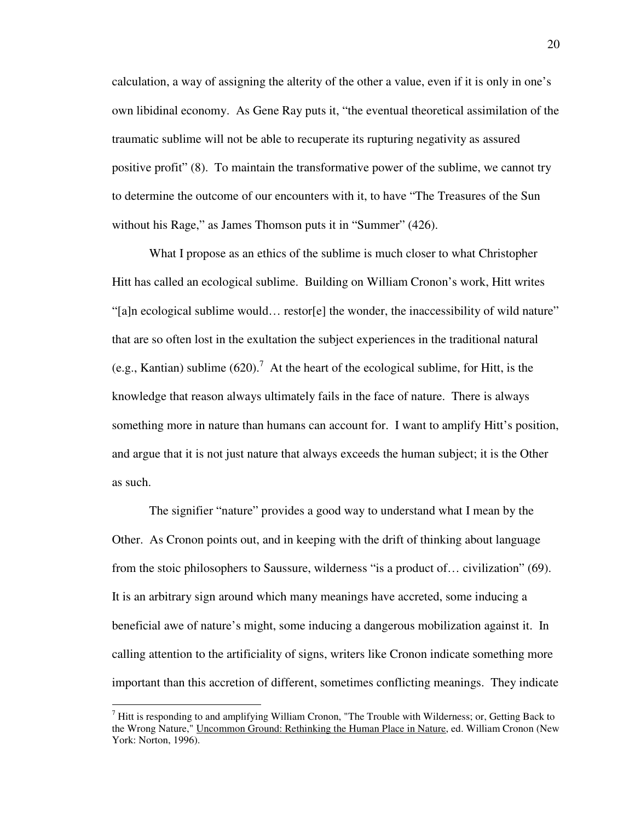calculation, a way of assigning the alterity of the other a value, even if it is only in one's own libidinal economy. As Gene Ray puts it, "the eventual theoretical assimilation of the traumatic sublime will not be able to recuperate its rupturing negativity as assured positive profit" (8). To maintain the transformative power of the sublime, we cannot try to determine the outcome of our encounters with it, to have "The Treasures of the Sun without his Rage," as James Thomson puts it in "Summer" (426).

 What I propose as an ethics of the sublime is much closer to what Christopher Hitt has called an ecological sublime. Building on William Cronon's work, Hitt writes "[a]n ecological sublime would… restor[e] the wonder, the inaccessibility of wild nature" that are so often lost in the exultation the subject experiences in the traditional natural (e.g., Kantian) sublime  $(620)$ .<sup>7</sup> At the heart of the ecological sublime, for Hitt, is the knowledge that reason always ultimately fails in the face of nature. There is always something more in nature than humans can account for. I want to amplify Hitt's position, and argue that it is not just nature that always exceeds the human subject; it is the Other as such.

 The signifier "nature" provides a good way to understand what I mean by the Other. As Cronon points out, and in keeping with the drift of thinking about language from the stoic philosophers to Saussure, wilderness "is a product of… civilization" (69). It is an arbitrary sign around which many meanings have accreted, some inducing a beneficial awe of nature's might, some inducing a dangerous mobilization against it. In calling attention to the artificiality of signs, writers like Cronon indicate something more important than this accretion of different, sometimes conflicting meanings. They indicate

 $<sup>7</sup>$  Hitt is responding to and amplifying William Cronon, "The Trouble with Wilderness; or, Getting Back to</sup> the Wrong Nature," Uncommon Ground: Rethinking the Human Place in Nature, ed. William Cronon (New York: Norton, 1996).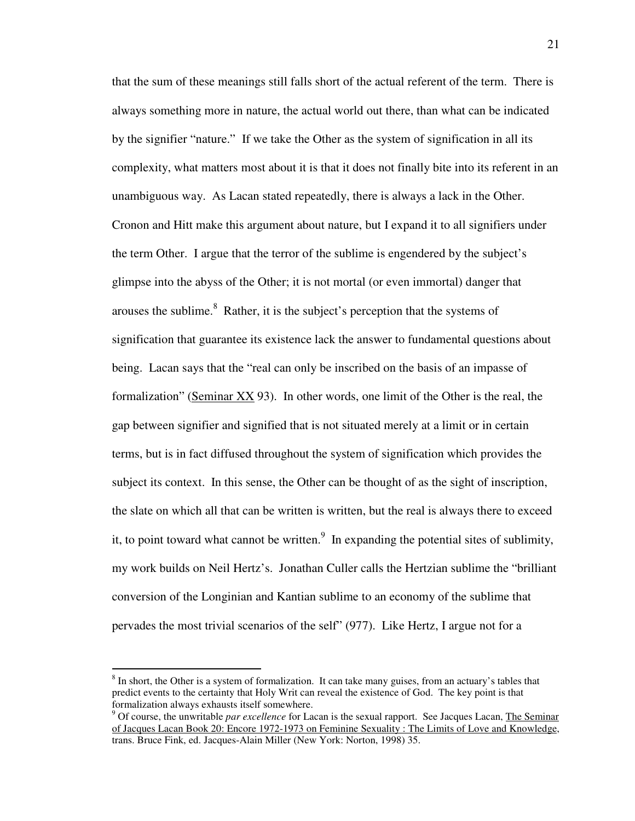that the sum of these meanings still falls short of the actual referent of the term. There is always something more in nature, the actual world out there, than what can be indicated by the signifier "nature." If we take the Other as the system of signification in all its complexity, what matters most about it is that it does not finally bite into its referent in an unambiguous way. As Lacan stated repeatedly, there is always a lack in the Other. Cronon and Hitt make this argument about nature, but I expand it to all signifiers under the term Other. I argue that the terror of the sublime is engendered by the subject's glimpse into the abyss of the Other; it is not mortal (or even immortal) danger that arouses the sublime. $8$  Rather, it is the subject's perception that the systems of signification that guarantee its existence lack the answer to fundamental questions about being. Lacan says that the "real can only be inscribed on the basis of an impasse of formalization" (Seminar XX 93). In other words, one limit of the Other is the real, the gap between signifier and signified that is not situated merely at a limit or in certain terms, but is in fact diffused throughout the system of signification which provides the subject its context. In this sense, the Other can be thought of as the sight of inscription, the slate on which all that can be written is written, but the real is always there to exceed it, to point toward what cannot be written. $9\text{ In expanding the potential sites of sublimity,}$ my work builds on Neil Hertz's. Jonathan Culler calls the Hertzian sublime the "brilliant conversion of the Longinian and Kantian sublime to an economy of the sublime that pervades the most trivial scenarios of the self" (977). Like Hertz, I argue not for a

<sup>&</sup>lt;sup>8</sup> In short, the Other is a system of formalization. It can take many guises, from an actuary's tables that predict events to the certainty that Holy Writ can reveal the existence of God. The key point is that formalization always exhausts itself somewhere.

<sup>&</sup>lt;sup>9</sup> Of course, the unwritable *par excellence* for Lacan is the sexual rapport. See Jacques Lacan, The Seminar of Jacques Lacan Book 20: Encore 1972-1973 on Feminine Sexuality : The Limits of Love and Knowledge, trans. Bruce Fink, ed. Jacques-Alain Miller (New York: Norton, 1998) 35.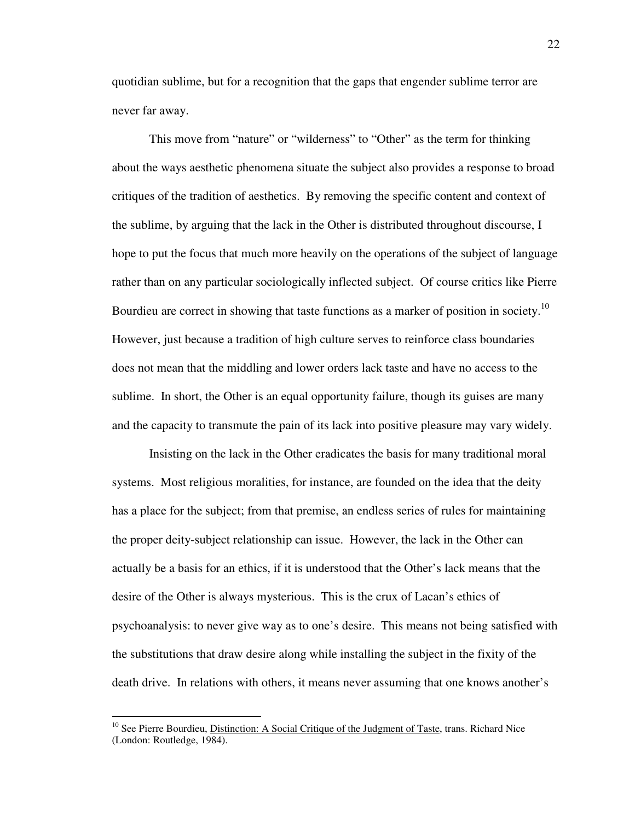quotidian sublime, but for a recognition that the gaps that engender sublime terror are never far away.

 This move from "nature" or "wilderness" to "Other" as the term for thinking about the ways aesthetic phenomena situate the subject also provides a response to broad critiques of the tradition of aesthetics. By removing the specific content and context of the sublime, by arguing that the lack in the Other is distributed throughout discourse, I hope to put the focus that much more heavily on the operations of the subject of language rather than on any particular sociologically inflected subject. Of course critics like Pierre Bourdieu are correct in showing that taste functions as a marker of position in society.<sup>10</sup> However, just because a tradition of high culture serves to reinforce class boundaries does not mean that the middling and lower orders lack taste and have no access to the sublime. In short, the Other is an equal opportunity failure, though its guises are many and the capacity to transmute the pain of its lack into positive pleasure may vary widely.

 Insisting on the lack in the Other eradicates the basis for many traditional moral systems. Most religious moralities, for instance, are founded on the idea that the deity has a place for the subject; from that premise, an endless series of rules for maintaining the proper deity-subject relationship can issue. However, the lack in the Other can actually be a basis for an ethics, if it is understood that the Other's lack means that the desire of the Other is always mysterious. This is the crux of Lacan's ethics of psychoanalysis: to never give way as to one's desire. This means not being satisfied with the substitutions that draw desire along while installing the subject in the fixity of the death drive. In relations with others, it means never assuming that one knows another's

<sup>&</sup>lt;sup>10</sup> See Pierre Bourdieu, Distinction: A Social Critique of the Judgment of Taste, trans. Richard Nice (London: Routledge, 1984).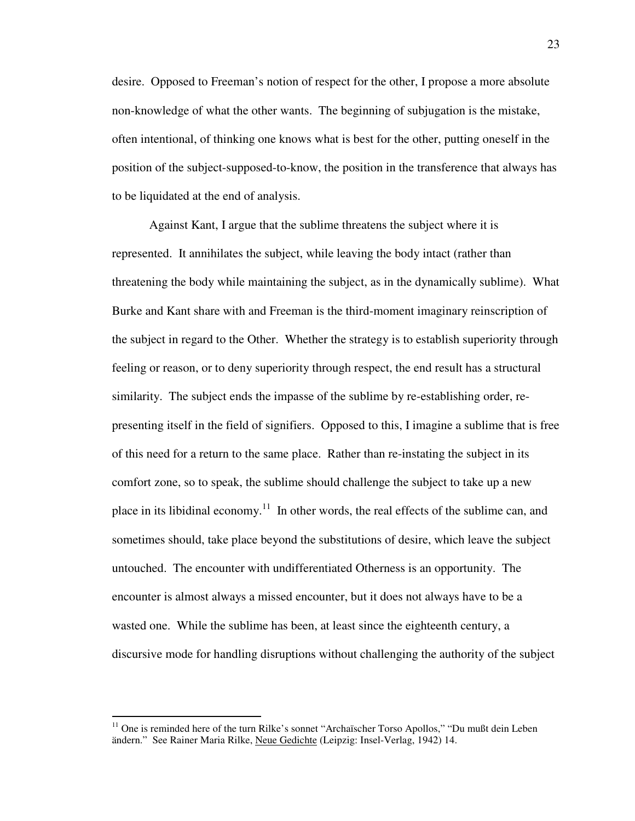desire. Opposed to Freeman's notion of respect for the other, I propose a more absolute non-knowledge of what the other wants. The beginning of subjugation is the mistake, often intentional, of thinking one knows what is best for the other, putting oneself in the position of the subject-supposed-to-know, the position in the transference that always has to be liquidated at the end of analysis.

 Against Kant, I argue that the sublime threatens the subject where it is represented. It annihilates the subject, while leaving the body intact (rather than threatening the body while maintaining the subject, as in the dynamically sublime). What Burke and Kant share with and Freeman is the third-moment imaginary reinscription of the subject in regard to the Other. Whether the strategy is to establish superiority through feeling or reason, or to deny superiority through respect, the end result has a structural similarity. The subject ends the impasse of the sublime by re-establishing order, representing itself in the field of signifiers. Opposed to this, I imagine a sublime that is free of this need for a return to the same place. Rather than re-instating the subject in its comfort zone, so to speak, the sublime should challenge the subject to take up a new place in its libidinal economy.<sup>11</sup> In other words, the real effects of the sublime can, and sometimes should, take place beyond the substitutions of desire, which leave the subject untouched. The encounter with undifferentiated Otherness is an opportunity. The encounter is almost always a missed encounter, but it does not always have to be a wasted one. While the sublime has been, at least since the eighteenth century, a discursive mode for handling disruptions without challenging the authority of the subject

 $11$  One is reminded here of the turn Rilke's sonnet "Archaïscher Torso Apollos," "Du mußt dein Leben ändern." See Rainer Maria Rilke, Neue Gedichte (Leipzig: Insel-Verlag, 1942) 14.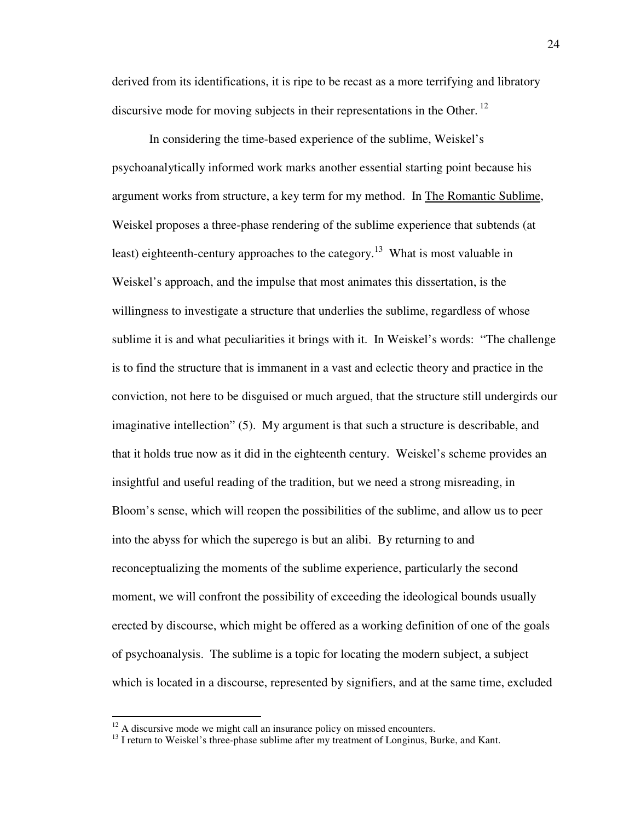derived from its identifications, it is ripe to be recast as a more terrifying and libratory discursive mode for moving subjects in their representations in the Other.<sup>12</sup>

 In considering the time-based experience of the sublime, Weiskel's psychoanalytically informed work marks another essential starting point because his argument works from structure, a key term for my method. In The Romantic Sublime, Weiskel proposes a three-phase rendering of the sublime experience that subtends (at least) eighteenth-century approaches to the category.<sup>13</sup> What is most valuable in Weiskel's approach, and the impulse that most animates this dissertation, is the willingness to investigate a structure that underlies the sublime, regardless of whose sublime it is and what peculiarities it brings with it. In Weiskel's words: "The challenge is to find the structure that is immanent in a vast and eclectic theory and practice in the conviction, not here to be disguised or much argued, that the structure still undergirds our imaginative intellection" (5). My argument is that such a structure is describable, and that it holds true now as it did in the eighteenth century. Weiskel's scheme provides an insightful and useful reading of the tradition, but we need a strong misreading, in Bloom's sense, which will reopen the possibilities of the sublime, and allow us to peer into the abyss for which the superego is but an alibi. By returning to and reconceptualizing the moments of the sublime experience, particularly the second moment, we will confront the possibility of exceeding the ideological bounds usually erected by discourse, which might be offered as a working definition of one of the goals of psychoanalysis. The sublime is a topic for locating the modern subject, a subject which is located in a discourse, represented by signifiers, and at the same time, excluded

 $12$  A discursive mode we might call an insurance policy on missed encounters.

 $<sup>13</sup>$  I return to Weiskel's three-phase sublime after my treatment of Longinus, Burke, and Kant.</sup>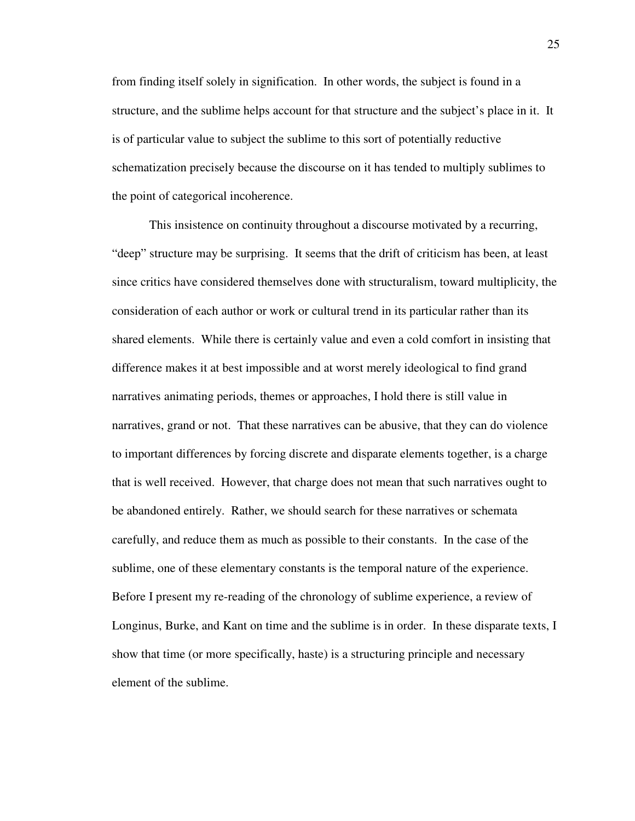from finding itself solely in signification. In other words, the subject is found in a structure, and the sublime helps account for that structure and the subject's place in it. It is of particular value to subject the sublime to this sort of potentially reductive schematization precisely because the discourse on it has tended to multiply sublimes to the point of categorical incoherence.

This insistence on continuity throughout a discourse motivated by a recurring, "deep" structure may be surprising. It seems that the drift of criticism has been, at least since critics have considered themselves done with structuralism, toward multiplicity, the consideration of each author or work or cultural trend in its particular rather than its shared elements. While there is certainly value and even a cold comfort in insisting that difference makes it at best impossible and at worst merely ideological to find grand narratives animating periods, themes or approaches, I hold there is still value in narratives, grand or not. That these narratives can be abusive, that they can do violence to important differences by forcing discrete and disparate elements together, is a charge that is well received. However, that charge does not mean that such narratives ought to be abandoned entirely. Rather, we should search for these narratives or schemata carefully, and reduce them as much as possible to their constants. In the case of the sublime, one of these elementary constants is the temporal nature of the experience. Before I present my re-reading of the chronology of sublime experience, a review of Longinus, Burke, and Kant on time and the sublime is in order. In these disparate texts, I show that time (or more specifically, haste) is a structuring principle and necessary element of the sublime.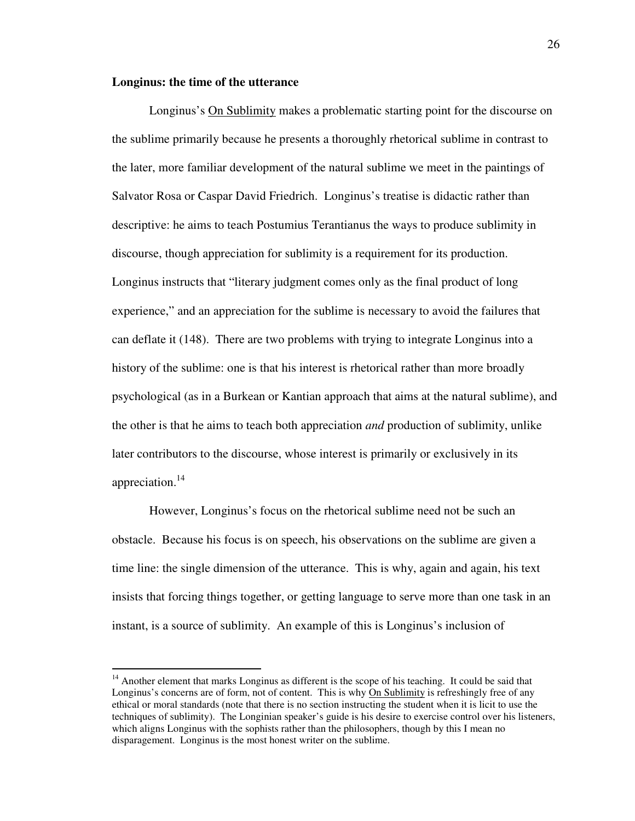### **Longinus: the time of the utterance**

 $\overline{a}$ 

 Longinus's On Sublimity makes a problematic starting point for the discourse on the sublime primarily because he presents a thoroughly rhetorical sublime in contrast to the later, more familiar development of the natural sublime we meet in the paintings of Salvator Rosa or Caspar David Friedrich. Longinus's treatise is didactic rather than descriptive: he aims to teach Postumius Terantianus the ways to produce sublimity in discourse, though appreciation for sublimity is a requirement for its production. Longinus instructs that "literary judgment comes only as the final product of long experience," and an appreciation for the sublime is necessary to avoid the failures that can deflate it (148). There are two problems with trying to integrate Longinus into a history of the sublime: one is that his interest is rhetorical rather than more broadly psychological (as in a Burkean or Kantian approach that aims at the natural sublime), and the other is that he aims to teach both appreciation *and* production of sublimity, unlike later contributors to the discourse, whose interest is primarily or exclusively in its appreciation.<sup>14</sup>

 However, Longinus's focus on the rhetorical sublime need not be such an obstacle. Because his focus is on speech, his observations on the sublime are given a time line: the single dimension of the utterance. This is why, again and again, his text insists that forcing things together, or getting language to serve more than one task in an instant, is a source of sublimity. An example of this is Longinus's inclusion of

<sup>&</sup>lt;sup>14</sup> Another element that marks Longinus as different is the scope of his teaching. It could be said that Longinus's concerns are of form, not of content. This is why On Sublimity is refreshingly free of any ethical or moral standards (note that there is no section instructing the student when it is licit to use the techniques of sublimity). The Longinian speaker's guide is his desire to exercise control over his listeners, which aligns Longinus with the sophists rather than the philosophers, though by this I mean no disparagement. Longinus is the most honest writer on the sublime.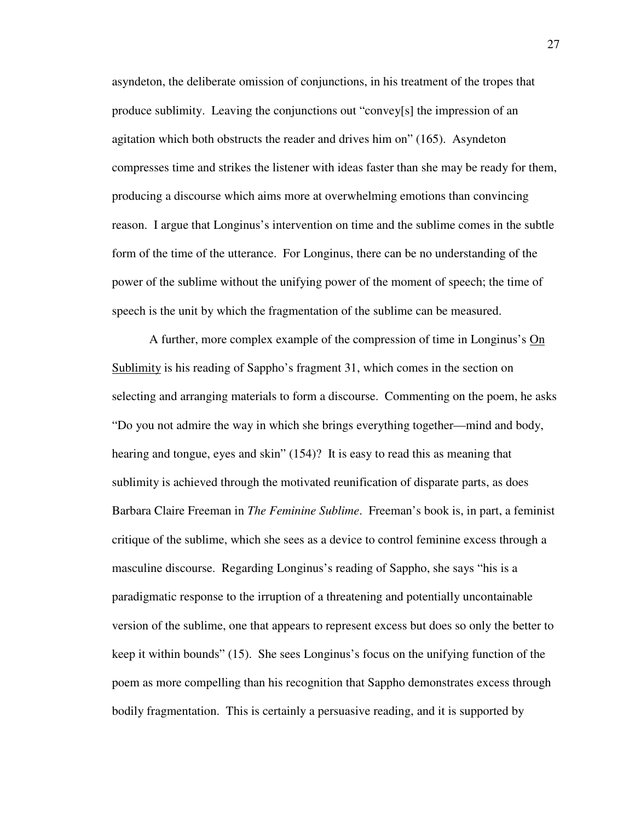asyndeton, the deliberate omission of conjunctions, in his treatment of the tropes that produce sublimity. Leaving the conjunctions out "convey[s] the impression of an agitation which both obstructs the reader and drives him on" (165). Asyndeton compresses time and strikes the listener with ideas faster than she may be ready for them, producing a discourse which aims more at overwhelming emotions than convincing reason. I argue that Longinus's intervention on time and the sublime comes in the subtle form of the time of the utterance. For Longinus, there can be no understanding of the power of the sublime without the unifying power of the moment of speech; the time of speech is the unit by which the fragmentation of the sublime can be measured.

 A further, more complex example of the compression of time in Longinus's On Sublimity is his reading of Sappho's fragment 31, which comes in the section on selecting and arranging materials to form a discourse. Commenting on the poem, he asks "Do you not admire the way in which she brings everything together—mind and body, hearing and tongue, eyes and skin" (154)? It is easy to read this as meaning that sublimity is achieved through the motivated reunification of disparate parts, as does Barbara Claire Freeman in *The Feminine Sublime*. Freeman's book is, in part, a feminist critique of the sublime, which she sees as a device to control feminine excess through a masculine discourse. Regarding Longinus's reading of Sappho, she says "his is a paradigmatic response to the irruption of a threatening and potentially uncontainable version of the sublime, one that appears to represent excess but does so only the better to keep it within bounds" (15). She sees Longinus's focus on the unifying function of the poem as more compelling than his recognition that Sappho demonstrates excess through bodily fragmentation. This is certainly a persuasive reading, and it is supported by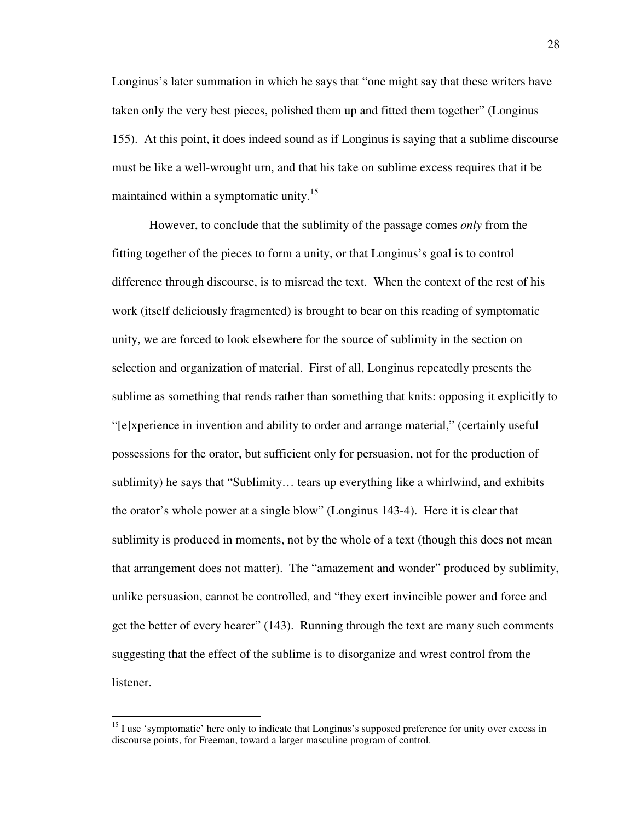Longinus's later summation in which he says that "one might say that these writers have taken only the very best pieces, polished them up and fitted them together" (Longinus 155). At this point, it does indeed sound as if Longinus is saying that a sublime discourse must be like a well-wrought urn, and that his take on sublime excess requires that it be maintained within a symptomatic unity.<sup>15</sup>

 However, to conclude that the sublimity of the passage comes *only* from the fitting together of the pieces to form a unity, or that Longinus's goal is to control difference through discourse, is to misread the text. When the context of the rest of his work (itself deliciously fragmented) is brought to bear on this reading of symptomatic unity, we are forced to look elsewhere for the source of sublimity in the section on selection and organization of material. First of all, Longinus repeatedly presents the sublime as something that rends rather than something that knits: opposing it explicitly to "[e]xperience in invention and ability to order and arrange material," (certainly useful possessions for the orator, but sufficient only for persuasion, not for the production of sublimity) he says that "Sublimity… tears up everything like a whirlwind, and exhibits the orator's whole power at a single blow" (Longinus 143-4). Here it is clear that sublimity is produced in moments, not by the whole of a text (though this does not mean that arrangement does not matter). The "amazement and wonder" produced by sublimity, unlike persuasion, cannot be controlled, and "they exert invincible power and force and get the better of every hearer" (143). Running through the text are many such comments suggesting that the effect of the sublime is to disorganize and wrest control from the listener.

 $15$  I use 'symptomatic' here only to indicate that Longinus's supposed preference for unity over excess in discourse points, for Freeman, toward a larger masculine program of control.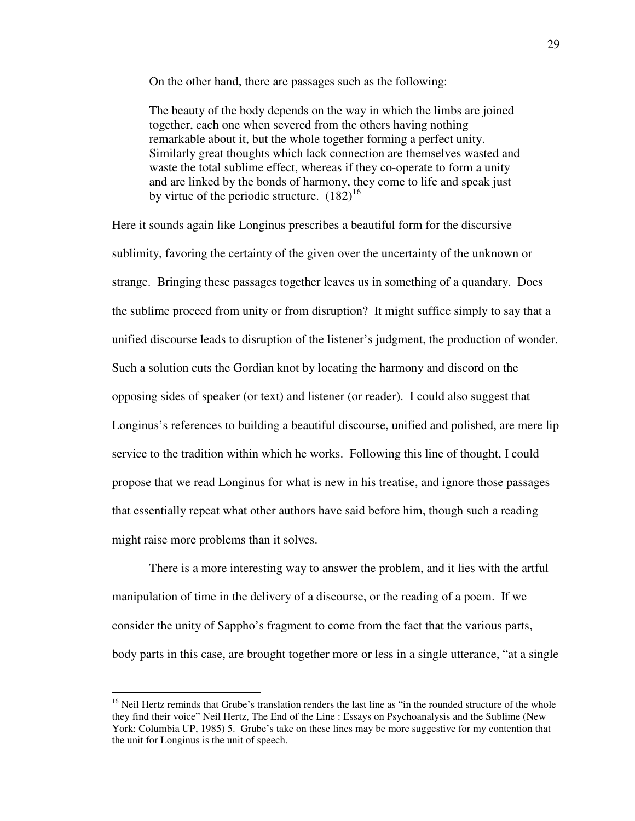On the other hand, there are passages such as the following:

The beauty of the body depends on the way in which the limbs are joined together, each one when severed from the others having nothing remarkable about it, but the whole together forming a perfect unity. Similarly great thoughts which lack connection are themselves wasted and waste the total sublime effect, whereas if they co-operate to form a unity and are linked by the bonds of harmony, they come to life and speak just by virtue of the periodic structure.  $(182)^{16}$ 

Here it sounds again like Longinus prescribes a beautiful form for the discursive sublimity, favoring the certainty of the given over the uncertainty of the unknown or strange. Bringing these passages together leaves us in something of a quandary. Does the sublime proceed from unity or from disruption? It might suffice simply to say that a unified discourse leads to disruption of the listener's judgment, the production of wonder. Such a solution cuts the Gordian knot by locating the harmony and discord on the opposing sides of speaker (or text) and listener (or reader). I could also suggest that Longinus's references to building a beautiful discourse, unified and polished, are mere lip service to the tradition within which he works. Following this line of thought, I could propose that we read Longinus for what is new in his treatise, and ignore those passages that essentially repeat what other authors have said before him, though such a reading might raise more problems than it solves.

 There is a more interesting way to answer the problem, and it lies with the artful manipulation of time in the delivery of a discourse, or the reading of a poem. If we consider the unity of Sappho's fragment to come from the fact that the various parts, body parts in this case, are brought together more or less in a single utterance, "at a single

<sup>&</sup>lt;sup>16</sup> Neil Hertz reminds that Grube's translation renders the last line as "in the rounded structure of the whole they find their voice" Neil Hertz, The End of the Line : Essays on Psychoanalysis and the Sublime (New York: Columbia UP, 1985) 5. Grube's take on these lines may be more suggestive for my contention that the unit for Longinus is the unit of speech.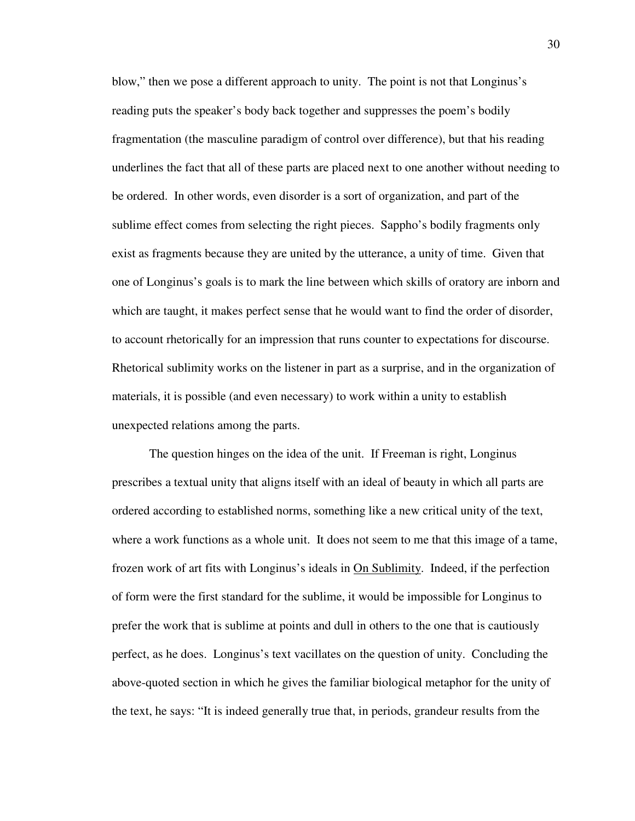blow," then we pose a different approach to unity. The point is not that Longinus's reading puts the speaker's body back together and suppresses the poem's bodily fragmentation (the masculine paradigm of control over difference), but that his reading underlines the fact that all of these parts are placed next to one another without needing to be ordered. In other words, even disorder is a sort of organization, and part of the sublime effect comes from selecting the right pieces. Sappho's bodily fragments only exist as fragments because they are united by the utterance, a unity of time. Given that one of Longinus's goals is to mark the line between which skills of oratory are inborn and which are taught, it makes perfect sense that he would want to find the order of disorder, to account rhetorically for an impression that runs counter to expectations for discourse. Rhetorical sublimity works on the listener in part as a surprise, and in the organization of materials, it is possible (and even necessary) to work within a unity to establish unexpected relations among the parts.

 The question hinges on the idea of the unit. If Freeman is right, Longinus prescribes a textual unity that aligns itself with an ideal of beauty in which all parts are ordered according to established norms, something like a new critical unity of the text, where a work functions as a whole unit. It does not seem to me that this image of a tame, frozen work of art fits with Longinus's ideals in On Sublimity. Indeed, if the perfection of form were the first standard for the sublime, it would be impossible for Longinus to prefer the work that is sublime at points and dull in others to the one that is cautiously perfect, as he does. Longinus's text vacillates on the question of unity. Concluding the above-quoted section in which he gives the familiar biological metaphor for the unity of the text, he says: "It is indeed generally true that, in periods, grandeur results from the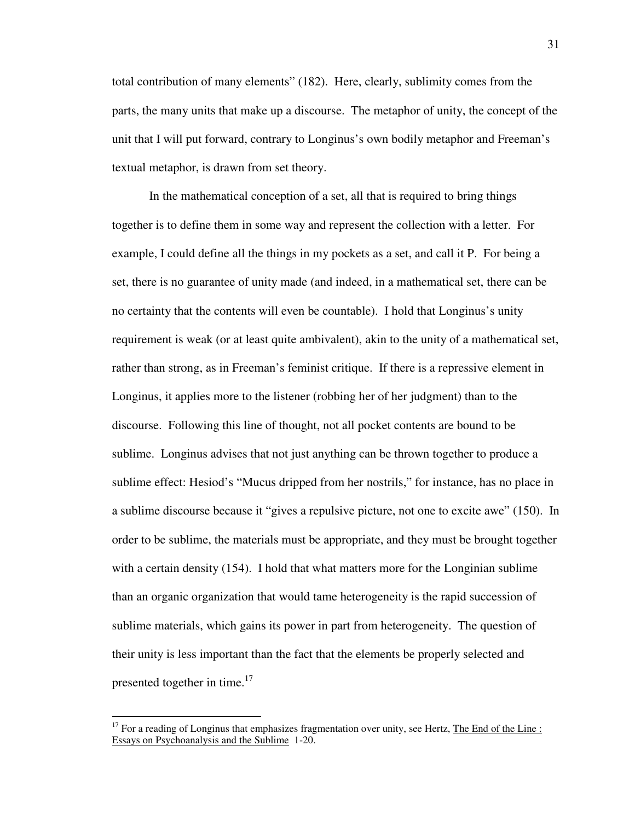total contribution of many elements" (182). Here, clearly, sublimity comes from the parts, the many units that make up a discourse. The metaphor of unity, the concept of the unit that I will put forward, contrary to Longinus's own bodily metaphor and Freeman's textual metaphor, is drawn from set theory.

 In the mathematical conception of a set, all that is required to bring things together is to define them in some way and represent the collection with a letter. For example, I could define all the things in my pockets as a set, and call it P. For being a set, there is no guarantee of unity made (and indeed, in a mathematical set, there can be no certainty that the contents will even be countable). I hold that Longinus's unity requirement is weak (or at least quite ambivalent), akin to the unity of a mathematical set, rather than strong, as in Freeman's feminist critique. If there is a repressive element in Longinus, it applies more to the listener (robbing her of her judgment) than to the discourse. Following this line of thought, not all pocket contents are bound to be sublime. Longinus advises that not just anything can be thrown together to produce a sublime effect: Hesiod's "Mucus dripped from her nostrils," for instance, has no place in a sublime discourse because it "gives a repulsive picture, not one to excite awe" (150). In order to be sublime, the materials must be appropriate, and they must be brought together with a certain density (154). I hold that what matters more for the Longinian sublime than an organic organization that would tame heterogeneity is the rapid succession of sublime materials, which gains its power in part from heterogeneity. The question of their unity is less important than the fact that the elements be properly selected and presented together in time.<sup>17</sup>

<sup>&</sup>lt;sup>17</sup> For a reading of Longinus that emphasizes fragmentation over unity, see Hertz, The End of the Line : Essays on Psychoanalysis and the Sublime 1-20.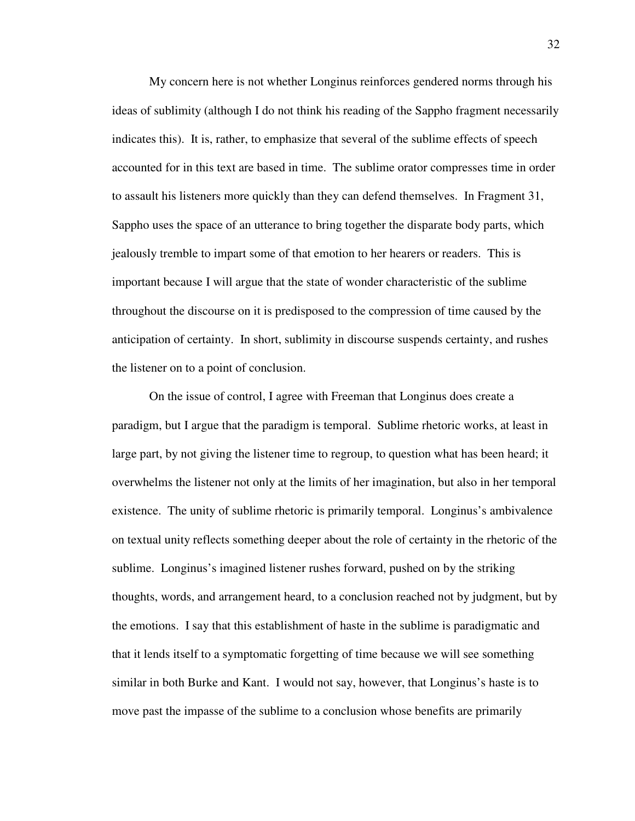My concern here is not whether Longinus reinforces gendered norms through his ideas of sublimity (although I do not think his reading of the Sappho fragment necessarily indicates this). It is, rather, to emphasize that several of the sublime effects of speech accounted for in this text are based in time. The sublime orator compresses time in order to assault his listeners more quickly than they can defend themselves. In Fragment 31, Sappho uses the space of an utterance to bring together the disparate body parts, which jealously tremble to impart some of that emotion to her hearers or readers. This is important because I will argue that the state of wonder characteristic of the sublime throughout the discourse on it is predisposed to the compression of time caused by the anticipation of certainty. In short, sublimity in discourse suspends certainty, and rushes the listener on to a point of conclusion.

 On the issue of control, I agree with Freeman that Longinus does create a paradigm, but I argue that the paradigm is temporal. Sublime rhetoric works, at least in large part, by not giving the listener time to regroup, to question what has been heard; it overwhelms the listener not only at the limits of her imagination, but also in her temporal existence. The unity of sublime rhetoric is primarily temporal. Longinus's ambivalence on textual unity reflects something deeper about the role of certainty in the rhetoric of the sublime. Longinus's imagined listener rushes forward, pushed on by the striking thoughts, words, and arrangement heard, to a conclusion reached not by judgment, but by the emotions. I say that this establishment of haste in the sublime is paradigmatic and that it lends itself to a symptomatic forgetting of time because we will see something similar in both Burke and Kant. I would not say, however, that Longinus's haste is to move past the impasse of the sublime to a conclusion whose benefits are primarily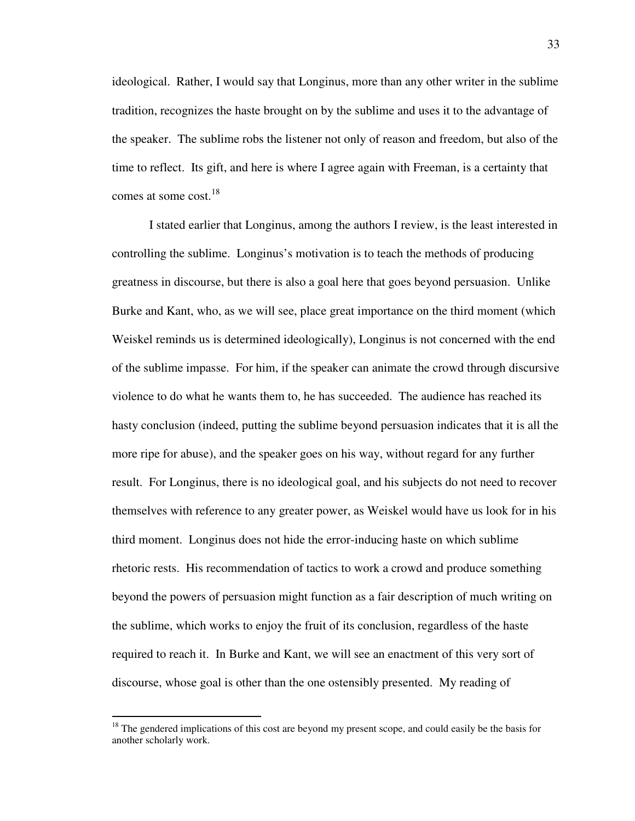ideological. Rather, I would say that Longinus, more than any other writer in the sublime tradition, recognizes the haste brought on by the sublime and uses it to the advantage of the speaker. The sublime robs the listener not only of reason and freedom, but also of the time to reflect. Its gift, and here is where I agree again with Freeman, is a certainty that comes at some cost.<sup>18</sup>

 I stated earlier that Longinus, among the authors I review, is the least interested in controlling the sublime. Longinus's motivation is to teach the methods of producing greatness in discourse, but there is also a goal here that goes beyond persuasion. Unlike Burke and Kant, who, as we will see, place great importance on the third moment (which Weiskel reminds us is determined ideologically), Longinus is not concerned with the end of the sublime impasse. For him, if the speaker can animate the crowd through discursive violence to do what he wants them to, he has succeeded. The audience has reached its hasty conclusion (indeed, putting the sublime beyond persuasion indicates that it is all the more ripe for abuse), and the speaker goes on his way, without regard for any further result. For Longinus, there is no ideological goal, and his subjects do not need to recover themselves with reference to any greater power, as Weiskel would have us look for in his third moment. Longinus does not hide the error-inducing haste on which sublime rhetoric rests. His recommendation of tactics to work a crowd and produce something beyond the powers of persuasion might function as a fair description of much writing on the sublime, which works to enjoy the fruit of its conclusion, regardless of the haste required to reach it. In Burke and Kant, we will see an enactment of this very sort of discourse, whose goal is other than the one ostensibly presented. My reading of

 $18$  The gendered implications of this cost are beyond my present scope, and could easily be the basis for another scholarly work.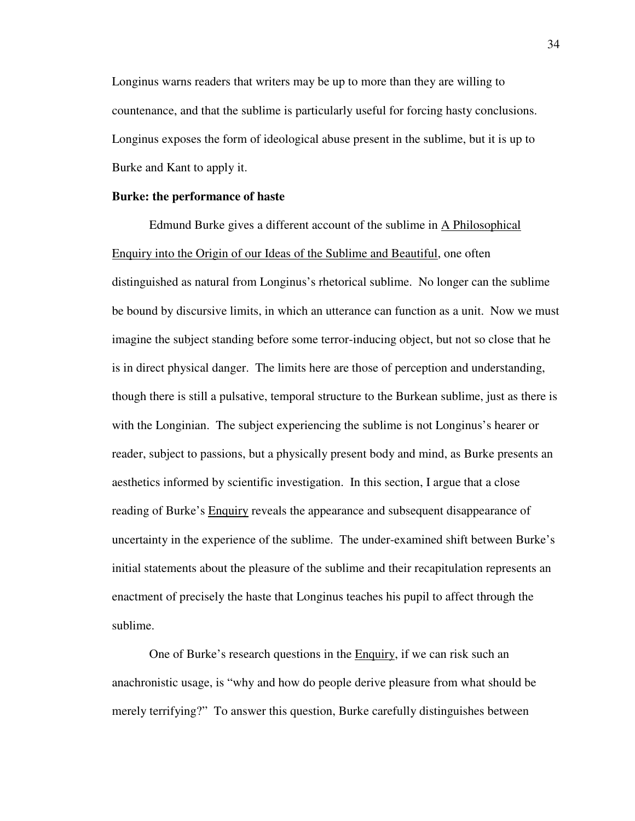Longinus warns readers that writers may be up to more than they are willing to countenance, and that the sublime is particularly useful for forcing hasty conclusions. Longinus exposes the form of ideological abuse present in the sublime, but it is up to Burke and Kant to apply it.

## **Burke: the performance of haste**

 Edmund Burke gives a different account of the sublime in A Philosophical Enquiry into the Origin of our Ideas of the Sublime and Beautiful, one often distinguished as natural from Longinus's rhetorical sublime. No longer can the sublime be bound by discursive limits, in which an utterance can function as a unit. Now we must imagine the subject standing before some terror-inducing object, but not so close that he is in direct physical danger. The limits here are those of perception and understanding, though there is still a pulsative, temporal structure to the Burkean sublime, just as there is with the Longinian. The subject experiencing the sublime is not Longinus's hearer or reader, subject to passions, but a physically present body and mind, as Burke presents an aesthetics informed by scientific investigation. In this section, I argue that a close reading of Burke's Enquiry reveals the appearance and subsequent disappearance of uncertainty in the experience of the sublime. The under-examined shift between Burke's initial statements about the pleasure of the sublime and their recapitulation represents an enactment of precisely the haste that Longinus teaches his pupil to affect through the sublime.

 One of Burke's research questions in the Enquiry, if we can risk such an anachronistic usage, is "why and how do people derive pleasure from what should be merely terrifying?" To answer this question, Burke carefully distinguishes between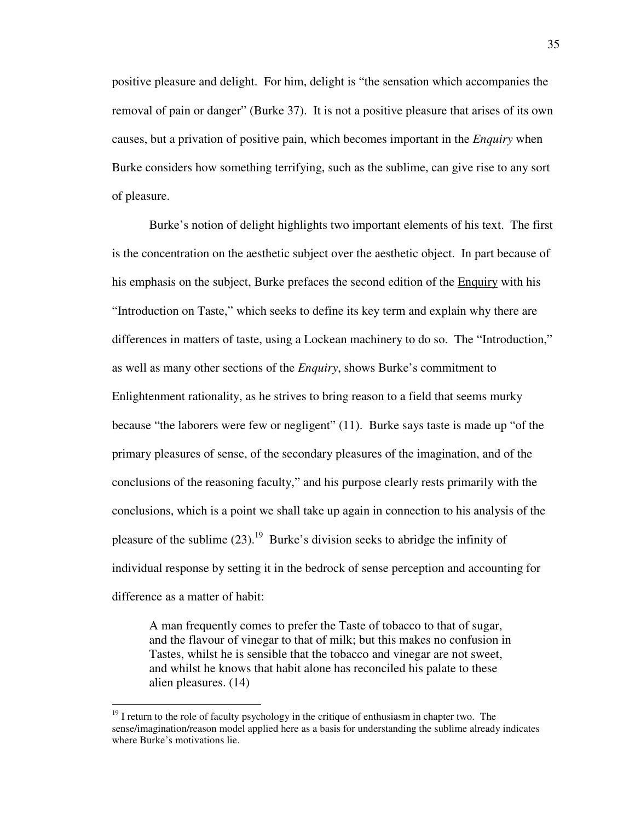positive pleasure and delight. For him, delight is "the sensation which accompanies the removal of pain or danger" (Burke 37). It is not a positive pleasure that arises of its own causes, but a privation of positive pain, which becomes important in the *Enquiry* when Burke considers how something terrifying, such as the sublime, can give rise to any sort of pleasure.

Burke's notion of delight highlights two important elements of his text. The first is the concentration on the aesthetic subject over the aesthetic object. In part because of his emphasis on the subject, Burke prefaces the second edition of the Enquiry with his "Introduction on Taste," which seeks to define its key term and explain why there are differences in matters of taste, using a Lockean machinery to do so. The "Introduction," as well as many other sections of the *Enquiry*, shows Burke's commitment to Enlightenment rationality, as he strives to bring reason to a field that seems murky because "the laborers were few or negligent" (11). Burke says taste is made up "of the primary pleasures of sense, of the secondary pleasures of the imagination, and of the conclusions of the reasoning faculty," and his purpose clearly rests primarily with the conclusions, which is a point we shall take up again in connection to his analysis of the pleasure of the sublime  $(23)$ .<sup>19</sup> Burke's division seeks to abridge the infinity of individual response by setting it in the bedrock of sense perception and accounting for difference as a matter of habit:

A man frequently comes to prefer the Taste of tobacco to that of sugar, and the flavour of vinegar to that of milk; but this makes no confusion in Tastes, whilst he is sensible that the tobacco and vinegar are not sweet, and whilst he knows that habit alone has reconciled his palate to these alien pleasures. (14)

 $19$  I return to the role of faculty psychology in the critique of enthusiasm in chapter two. The sense/imagination/reason model applied here as a basis for understanding the sublime already indicates where Burke's motivations lie.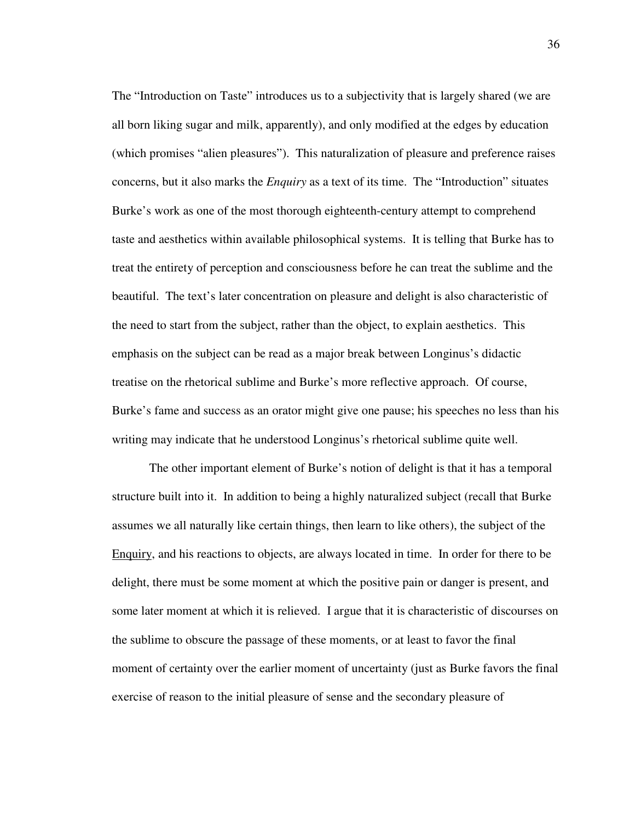The "Introduction on Taste" introduces us to a subjectivity that is largely shared (we are all born liking sugar and milk, apparently), and only modified at the edges by education (which promises "alien pleasures"). This naturalization of pleasure and preference raises concerns, but it also marks the *Enquiry* as a text of its time. The "Introduction" situates Burke's work as one of the most thorough eighteenth-century attempt to comprehend taste and aesthetics within available philosophical systems. It is telling that Burke has to treat the entirety of perception and consciousness before he can treat the sublime and the beautiful. The text's later concentration on pleasure and delight is also characteristic of the need to start from the subject, rather than the object, to explain aesthetics. This emphasis on the subject can be read as a major break between Longinus's didactic treatise on the rhetorical sublime and Burke's more reflective approach. Of course, Burke's fame and success as an orator might give one pause; his speeches no less than his writing may indicate that he understood Longinus's rhetorical sublime quite well.

The other important element of Burke's notion of delight is that it has a temporal structure built into it. In addition to being a highly naturalized subject (recall that Burke assumes we all naturally like certain things, then learn to like others), the subject of the Enquiry, and his reactions to objects, are always located in time. In order for there to be delight, there must be some moment at which the positive pain or danger is present, and some later moment at which it is relieved. I argue that it is characteristic of discourses on the sublime to obscure the passage of these moments, or at least to favor the final moment of certainty over the earlier moment of uncertainty (just as Burke favors the final exercise of reason to the initial pleasure of sense and the secondary pleasure of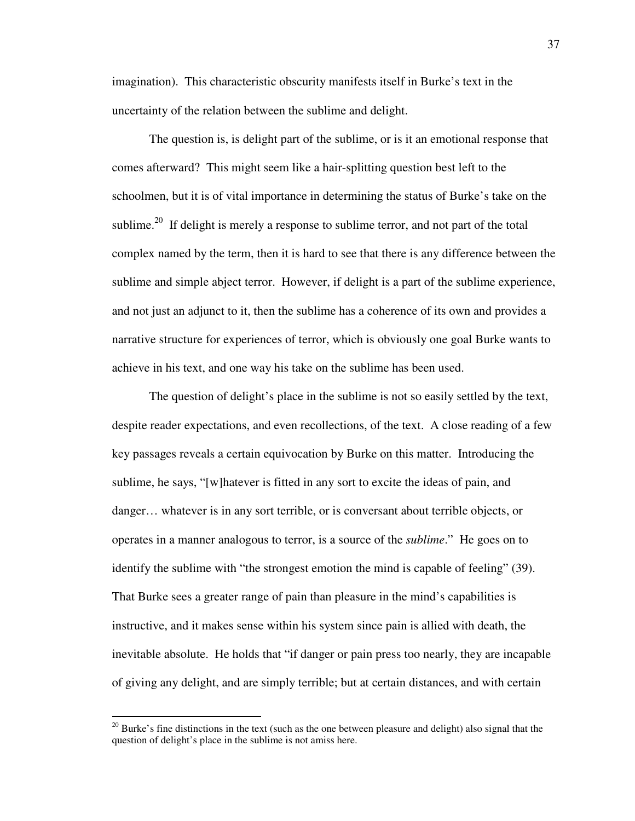imagination). This characteristic obscurity manifests itself in Burke's text in the uncertainty of the relation between the sublime and delight.

 The question is, is delight part of the sublime, or is it an emotional response that comes afterward? This might seem like a hair-splitting question best left to the schoolmen, but it is of vital importance in determining the status of Burke's take on the sublime.<sup>20</sup> If delight is merely a response to sublime terror, and not part of the total complex named by the term, then it is hard to see that there is any difference between the sublime and simple abject terror. However, if delight is a part of the sublime experience, and not just an adjunct to it, then the sublime has a coherence of its own and provides a narrative structure for experiences of terror, which is obviously one goal Burke wants to achieve in his text, and one way his take on the sublime has been used.

 The question of delight's place in the sublime is not so easily settled by the text, despite reader expectations, and even recollections, of the text. A close reading of a few key passages reveals a certain equivocation by Burke on this matter. Introducing the sublime, he says, "[w]hatever is fitted in any sort to excite the ideas of pain, and danger… whatever is in any sort terrible, or is conversant about terrible objects, or operates in a manner analogous to terror, is a source of the *sublime*." He goes on to identify the sublime with "the strongest emotion the mind is capable of feeling" (39). That Burke sees a greater range of pain than pleasure in the mind's capabilities is instructive, and it makes sense within his system since pain is allied with death, the inevitable absolute. He holds that "if danger or pain press too nearly, they are incapable of giving any delight, and are simply terrible; but at certain distances, and with certain

 $20$  Burke's fine distinctions in the text (such as the one between pleasure and delight) also signal that the question of delight's place in the sublime is not amiss here.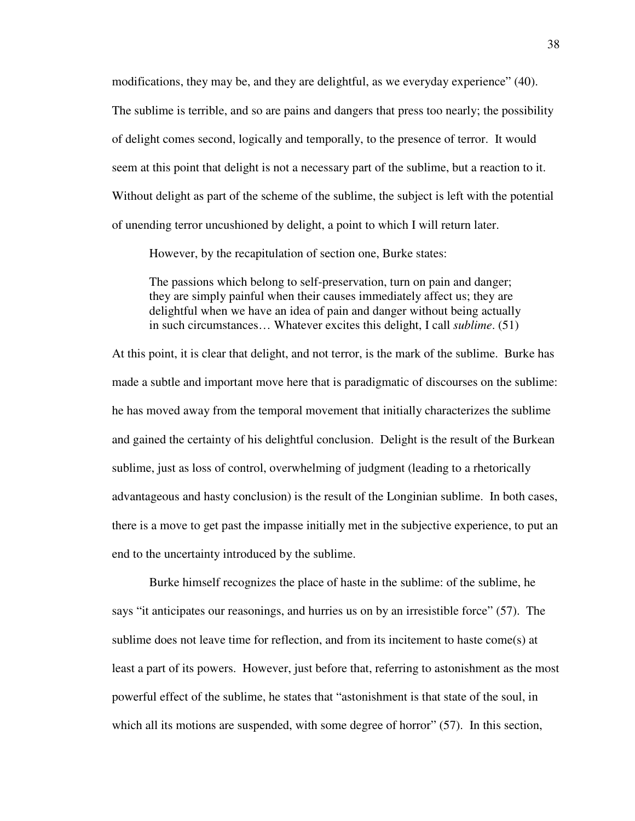modifications, they may be, and they are delightful, as we everyday experience" (40). The sublime is terrible, and so are pains and dangers that press too nearly; the possibility of delight comes second, logically and temporally, to the presence of terror. It would seem at this point that delight is not a necessary part of the sublime, but a reaction to it. Without delight as part of the scheme of the sublime, the subject is left with the potential of unending terror uncushioned by delight, a point to which I will return later.

However, by the recapitulation of section one, Burke states:

The passions which belong to self-preservation, turn on pain and danger; they are simply painful when their causes immediately affect us; they are delightful when we have an idea of pain and danger without being actually in such circumstances… Whatever excites this delight, I call *sublime*. (51)

At this point, it is clear that delight, and not terror, is the mark of the sublime. Burke has made a subtle and important move here that is paradigmatic of discourses on the sublime: he has moved away from the temporal movement that initially characterizes the sublime and gained the certainty of his delightful conclusion. Delight is the result of the Burkean sublime, just as loss of control, overwhelming of judgment (leading to a rhetorically advantageous and hasty conclusion) is the result of the Longinian sublime. In both cases, there is a move to get past the impasse initially met in the subjective experience, to put an end to the uncertainty introduced by the sublime.

Burke himself recognizes the place of haste in the sublime: of the sublime, he says "it anticipates our reasonings, and hurries us on by an irresistible force" (57). The sublime does not leave time for reflection, and from its incitement to haste come(s) at least a part of its powers. However, just before that, referring to astonishment as the most powerful effect of the sublime, he states that "astonishment is that state of the soul, in which all its motions are suspended, with some degree of horror" (57). In this section,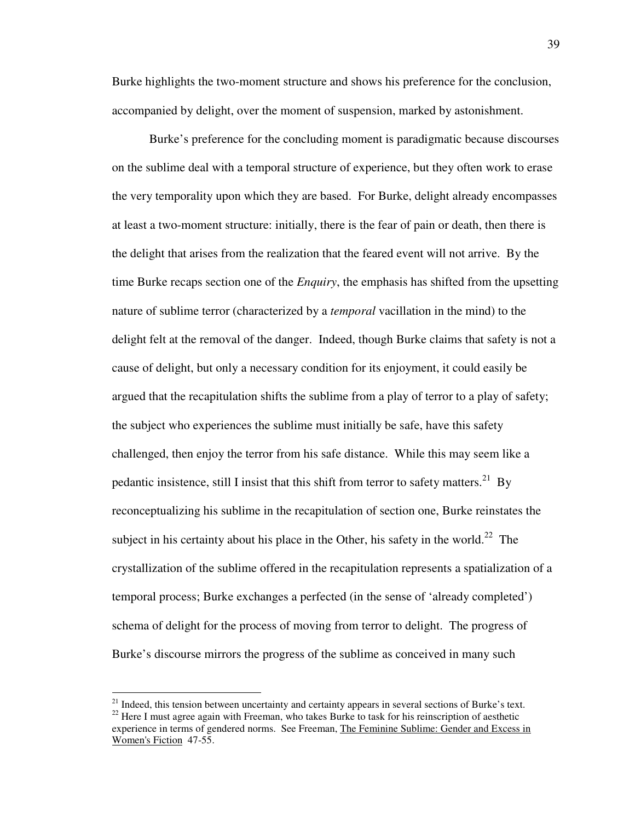Burke highlights the two-moment structure and shows his preference for the conclusion, accompanied by delight, over the moment of suspension, marked by astonishment.

 Burke's preference for the concluding moment is paradigmatic because discourses on the sublime deal with a temporal structure of experience, but they often work to erase the very temporality upon which they are based. For Burke, delight already encompasses at least a two-moment structure: initially, there is the fear of pain or death, then there is the delight that arises from the realization that the feared event will not arrive. By the time Burke recaps section one of the *Enquiry*, the emphasis has shifted from the upsetting nature of sublime terror (characterized by a *temporal* vacillation in the mind) to the delight felt at the removal of the danger. Indeed, though Burke claims that safety is not a cause of delight, but only a necessary condition for its enjoyment, it could easily be argued that the recapitulation shifts the sublime from a play of terror to a play of safety; the subject who experiences the sublime must initially be safe, have this safety challenged, then enjoy the terror from his safe distance. While this may seem like a pedantic insistence, still I insist that this shift from terror to safety matters.<sup>21</sup> By reconceptualizing his sublime in the recapitulation of section one, Burke reinstates the subject in his certainty about his place in the Other, his safety in the world.<sup>22</sup> The crystallization of the sublime offered in the recapitulation represents a spatialization of a temporal process; Burke exchanges a perfected (in the sense of 'already completed') schema of delight for the process of moving from terror to delight. The progress of Burke's discourse mirrors the progress of the sublime as conceived in many such

 $21$  Indeed, this tension between uncertainty and certainty appears in several sections of Burke's text.

 $22$  Here I must agree again with Freeman, who takes Burke to task for his reinscription of aesthetic experience in terms of gendered norms. See Freeman, The Feminine Sublime: Gender and Excess in Women's Fiction 47-55.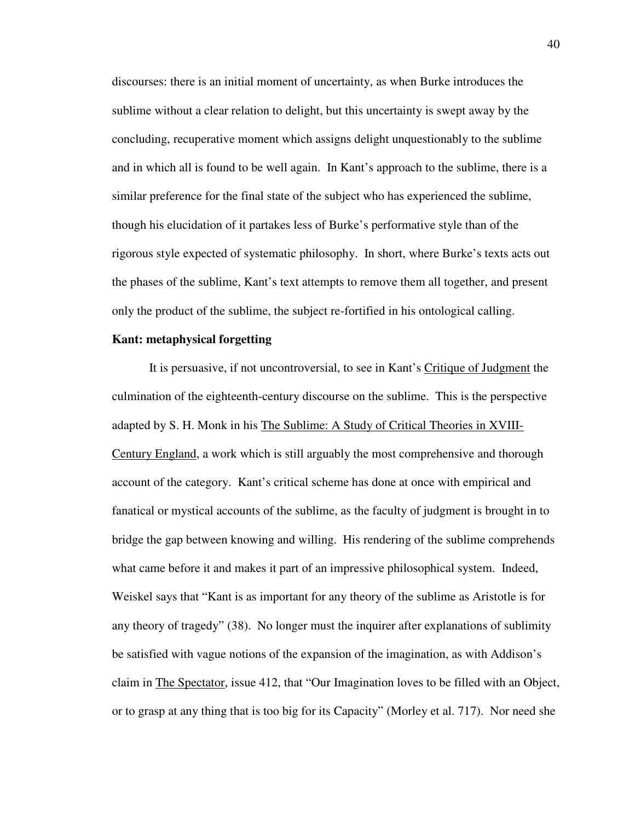discourses: there is an initial moment of uncertainty, as when Burke introduces the sublime without a clear relation to delight, but this uncertainty is swept away by the concluding, recuperative moment which assigns delight unquestionably to the sublime and in which all is found to be well again. In Kant's approach to the sublime, there is a similar preference for the final state of the subject who has experienced the sublime, though his elucidation of it partakes less of Burke's performative style than of the rigorous style expected of systematic philosophy. In short, where Burke's texts acts out the phases of the sublime, Kant's text attempts to remove them all together, and present only the product of the sublime, the subject re-fortified in his ontological calling.

## **Kant: metaphysical forgetting**

It is persuasive, if not uncontroversial, to see in Kant's Critique of Judgment the culmination of the eighteenth-century discourse on the sublime. This is the perspective adapted by S. H. Monk in his The Sublime: A Study of Critical Theories in XVIII-Century England, a work which is still arguably the most comprehensive and thorough account of the category. Kant's critical scheme has done at once with empirical and fanatical or mystical accounts of the sublime, as the faculty of judgment is brought in to bridge the gap between knowing and willing. His rendering of the sublime comprehends what came before it and makes it part of an impressive philosophical system. Indeed, Weiskel says that "Kant is as important for any theory of the sublime as Aristotle is for any theory of tragedy" (38). No longer must the inquirer after explanations of sublimity be satisfied with vague notions of the expansion of the imagination, as with Addison's claim in The Spectator, issue 412, that "Our Imagination loves to be filled with an Object, or to grasp at any thing that is too big for its Capacity" (Morley et al. 717). Nor need she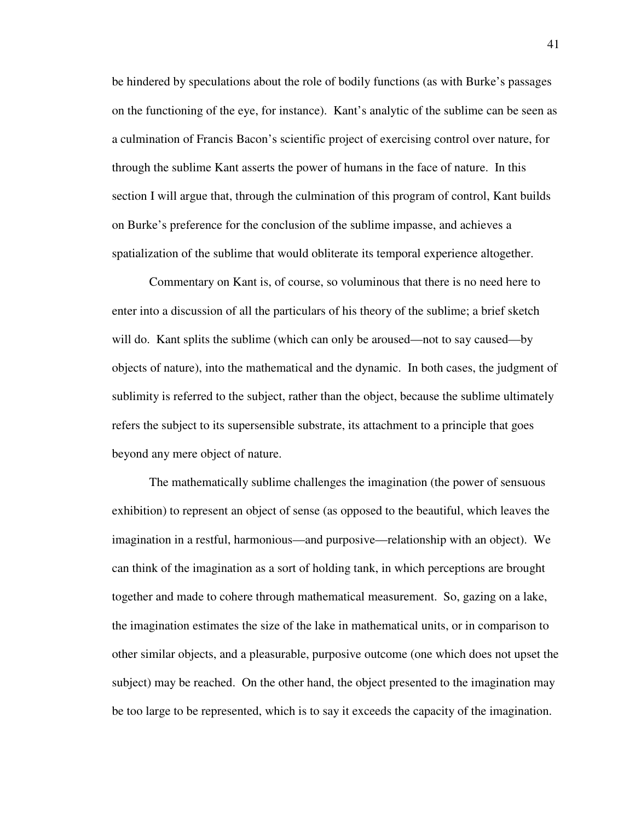be hindered by speculations about the role of bodily functions (as with Burke's passages on the functioning of the eye, for instance). Kant's analytic of the sublime can be seen as a culmination of Francis Bacon's scientific project of exercising control over nature, for through the sublime Kant asserts the power of humans in the face of nature. In this section I will argue that, through the culmination of this program of control, Kant builds on Burke's preference for the conclusion of the sublime impasse, and achieves a spatialization of the sublime that would obliterate its temporal experience altogether.

 Commentary on Kant is, of course, so voluminous that there is no need here to enter into a discussion of all the particulars of his theory of the sublime; a brief sketch will do. Kant splits the sublime (which can only be aroused—not to say caused—by objects of nature), into the mathematical and the dynamic. In both cases, the judgment of sublimity is referred to the subject, rather than the object, because the sublime ultimately refers the subject to its supersensible substrate, its attachment to a principle that goes beyond any mere object of nature.

 The mathematically sublime challenges the imagination (the power of sensuous exhibition) to represent an object of sense (as opposed to the beautiful, which leaves the imagination in a restful, harmonious—and purposive—relationship with an object). We can think of the imagination as a sort of holding tank, in which perceptions are brought together and made to cohere through mathematical measurement. So, gazing on a lake, the imagination estimates the size of the lake in mathematical units, or in comparison to other similar objects, and a pleasurable, purposive outcome (one which does not upset the subject) may be reached. On the other hand, the object presented to the imagination may be too large to be represented, which is to say it exceeds the capacity of the imagination.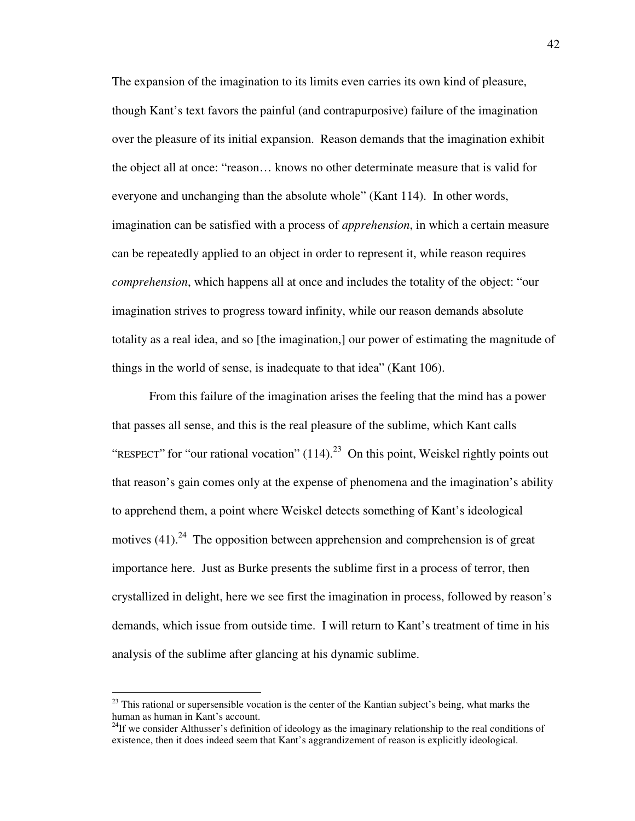The expansion of the imagination to its limits even carries its own kind of pleasure, though Kant's text favors the painful (and contrapurposive) failure of the imagination over the pleasure of its initial expansion. Reason demands that the imagination exhibit the object all at once: "reason… knows no other determinate measure that is valid for everyone and unchanging than the absolute whole" (Kant 114). In other words, imagination can be satisfied with a process of *apprehension*, in which a certain measure can be repeatedly applied to an object in order to represent it, while reason requires *comprehension*, which happens all at once and includes the totality of the object: "our imagination strives to progress toward infinity, while our reason demands absolute totality as a real idea, and so [the imagination,] our power of estimating the magnitude of things in the world of sense, is inadequate to that idea" (Kant 106).

 From this failure of the imagination arises the feeling that the mind has a power that passes all sense, and this is the real pleasure of the sublime, which Kant calls "RESPECT" for "our rational vocation"  $(114)$ <sup>23</sup> On this point, Weiskel rightly points out that reason's gain comes only at the expense of phenomena and the imagination's ability to apprehend them, a point where Weiskel detects something of Kant's ideological motives  $(41)$ <sup>24</sup>. The opposition between apprehension and comprehension is of great importance here. Just as Burke presents the sublime first in a process of terror, then crystallized in delight, here we see first the imagination in process, followed by reason's demands, which issue from outside time. I will return to Kant's treatment of time in his analysis of the sublime after glancing at his dynamic sublime.

 $^{23}$  This rational or supersensible vocation is the center of the Kantian subject's being, what marks the human as human in Kant's account.

<sup>&</sup>lt;sup>24</sup>If we consider Althusser's definition of ideology as the imaginary relationship to the real conditions of existence, then it does indeed seem that Kant's aggrandizement of reason is explicitly ideological.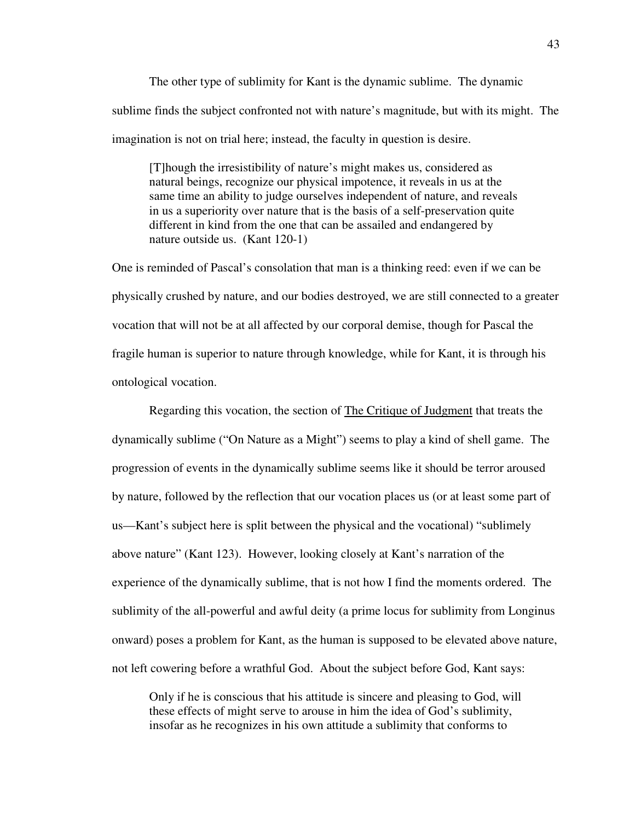The other type of sublimity for Kant is the dynamic sublime. The dynamic sublime finds the subject confronted not with nature's magnitude, but with its might. The imagination is not on trial here; instead, the faculty in question is desire.

[T]hough the irresistibility of nature's might makes us, considered as natural beings, recognize our physical impotence, it reveals in us at the same time an ability to judge ourselves independent of nature, and reveals in us a superiority over nature that is the basis of a self-preservation quite different in kind from the one that can be assailed and endangered by nature outside us. (Kant 120-1)

One is reminded of Pascal's consolation that man is a thinking reed: even if we can be physically crushed by nature, and our bodies destroyed, we are still connected to a greater vocation that will not be at all affected by our corporal demise, though for Pascal the fragile human is superior to nature through knowledge, while for Kant, it is through his ontological vocation.

 Regarding this vocation, the section of The Critique of Judgment that treats the dynamically sublime ("On Nature as a Might") seems to play a kind of shell game. The progression of events in the dynamically sublime seems like it should be terror aroused by nature, followed by the reflection that our vocation places us (or at least some part of us—Kant's subject here is split between the physical and the vocational) "sublimely above nature" (Kant 123). However, looking closely at Kant's narration of the experience of the dynamically sublime, that is not how I find the moments ordered. The sublimity of the all-powerful and awful deity (a prime locus for sublimity from Longinus onward) poses a problem for Kant, as the human is supposed to be elevated above nature, not left cowering before a wrathful God. About the subject before God, Kant says:

Only if he is conscious that his attitude is sincere and pleasing to God, will these effects of might serve to arouse in him the idea of God's sublimity, insofar as he recognizes in his own attitude a sublimity that conforms to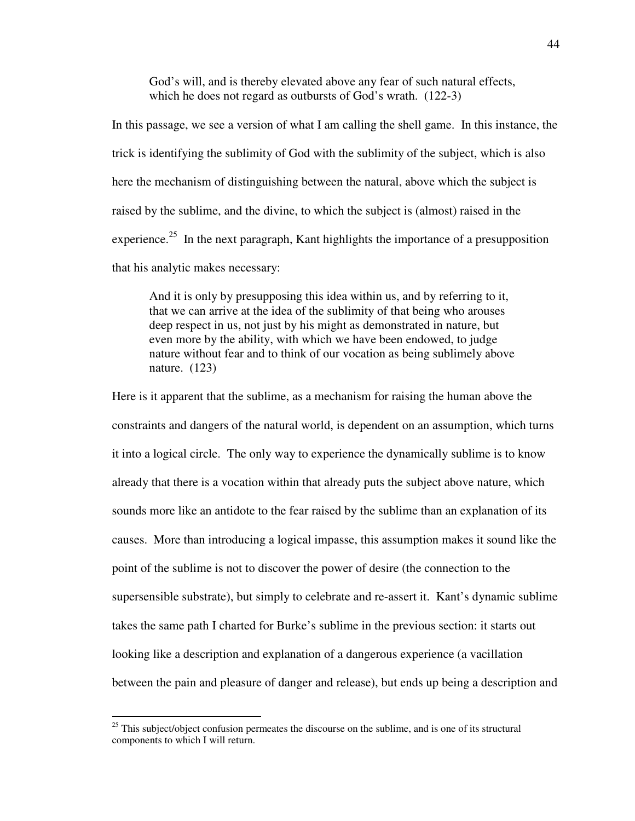God's will, and is thereby elevated above any fear of such natural effects, which he does not regard as outbursts of God's wrath. (122-3)

In this passage, we see a version of what I am calling the shell game. In this instance, the trick is identifying the sublimity of God with the sublimity of the subject, which is also here the mechanism of distinguishing between the natural, above which the subject is raised by the sublime, and the divine, to which the subject is (almost) raised in the experience.<sup>25</sup> In the next paragraph, Kant highlights the importance of a presupposition that his analytic makes necessary:

And it is only by presupposing this idea within us, and by referring to it, that we can arrive at the idea of the sublimity of that being who arouses deep respect in us, not just by his might as demonstrated in nature, but even more by the ability, with which we have been endowed, to judge nature without fear and to think of our vocation as being sublimely above nature. (123)

Here is it apparent that the sublime, as a mechanism for raising the human above the constraints and dangers of the natural world, is dependent on an assumption, which turns it into a logical circle. The only way to experience the dynamically sublime is to know already that there is a vocation within that already puts the subject above nature, which sounds more like an antidote to the fear raised by the sublime than an explanation of its causes. More than introducing a logical impasse, this assumption makes it sound like the point of the sublime is not to discover the power of desire (the connection to the supersensible substrate), but simply to celebrate and re-assert it. Kant's dynamic sublime takes the same path I charted for Burke's sublime in the previous section: it starts out looking like a description and explanation of a dangerous experience (a vacillation between the pain and pleasure of danger and release), but ends up being a description and

 $25$  This subject/object confusion permeates the discourse on the sublime, and is one of its structural components to which I will return.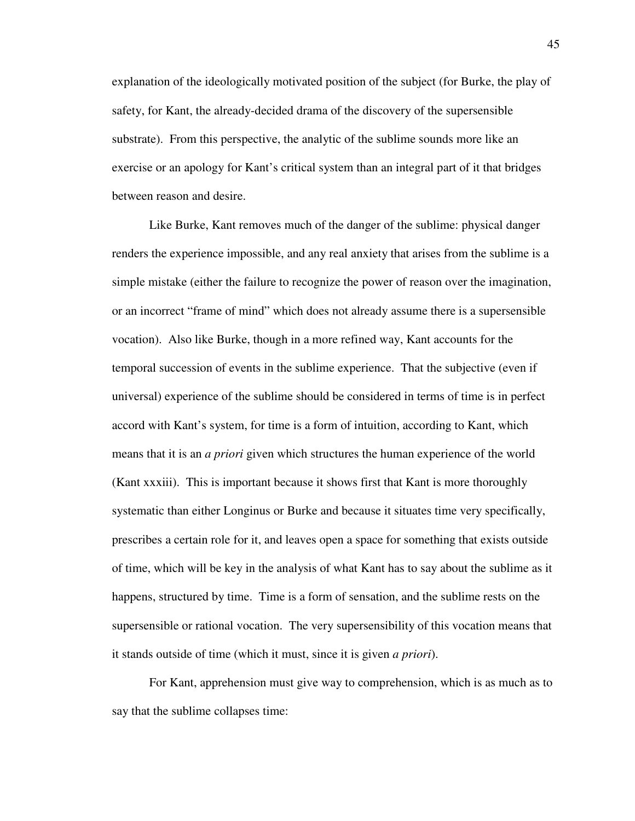explanation of the ideologically motivated position of the subject (for Burke, the play of safety, for Kant, the already-decided drama of the discovery of the supersensible substrate). From this perspective, the analytic of the sublime sounds more like an exercise or an apology for Kant's critical system than an integral part of it that bridges between reason and desire.

 Like Burke, Kant removes much of the danger of the sublime: physical danger renders the experience impossible, and any real anxiety that arises from the sublime is a simple mistake (either the failure to recognize the power of reason over the imagination, or an incorrect "frame of mind" which does not already assume there is a supersensible vocation). Also like Burke, though in a more refined way, Kant accounts for the temporal succession of events in the sublime experience. That the subjective (even if universal) experience of the sublime should be considered in terms of time is in perfect accord with Kant's system, for time is a form of intuition, according to Kant, which means that it is an *a priori* given which structures the human experience of the world (Kant xxxiii). This is important because it shows first that Kant is more thoroughly systematic than either Longinus or Burke and because it situates time very specifically, prescribes a certain role for it, and leaves open a space for something that exists outside of time, which will be key in the analysis of what Kant has to say about the sublime as it happens, structured by time. Time is a form of sensation, and the sublime rests on the supersensible or rational vocation. The very supersensibility of this vocation means that it stands outside of time (which it must, since it is given *a priori*).

 For Kant, apprehension must give way to comprehension, which is as much as to say that the sublime collapses time: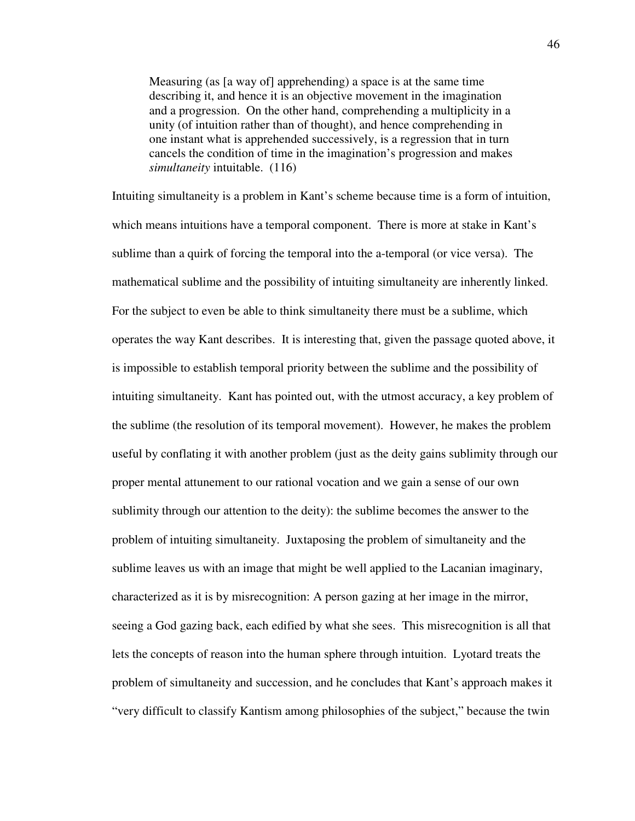Measuring (as [a way of] apprehending) a space is at the same time describing it, and hence it is an objective movement in the imagination and a progression. On the other hand, comprehending a multiplicity in a unity (of intuition rather than of thought), and hence comprehending in one instant what is apprehended successively, is a regression that in turn cancels the condition of time in the imagination's progression and makes *simultaneity* intuitable. (116)

Intuiting simultaneity is a problem in Kant's scheme because time is a form of intuition, which means intuitions have a temporal component. There is more at stake in Kant's sublime than a quirk of forcing the temporal into the a-temporal (or vice versa). The mathematical sublime and the possibility of intuiting simultaneity are inherently linked. For the subject to even be able to think simultaneity there must be a sublime, which operates the way Kant describes. It is interesting that, given the passage quoted above, it is impossible to establish temporal priority between the sublime and the possibility of intuiting simultaneity. Kant has pointed out, with the utmost accuracy, a key problem of the sublime (the resolution of its temporal movement). However, he makes the problem useful by conflating it with another problem (just as the deity gains sublimity through our proper mental attunement to our rational vocation and we gain a sense of our own sublimity through our attention to the deity): the sublime becomes the answer to the problem of intuiting simultaneity. Juxtaposing the problem of simultaneity and the sublime leaves us with an image that might be well applied to the Lacanian imaginary, characterized as it is by misrecognition: A person gazing at her image in the mirror, seeing a God gazing back, each edified by what she sees. This misrecognition is all that lets the concepts of reason into the human sphere through intuition. Lyotard treats the problem of simultaneity and succession, and he concludes that Kant's approach makes it "very difficult to classify Kantism among philosophies of the subject," because the twin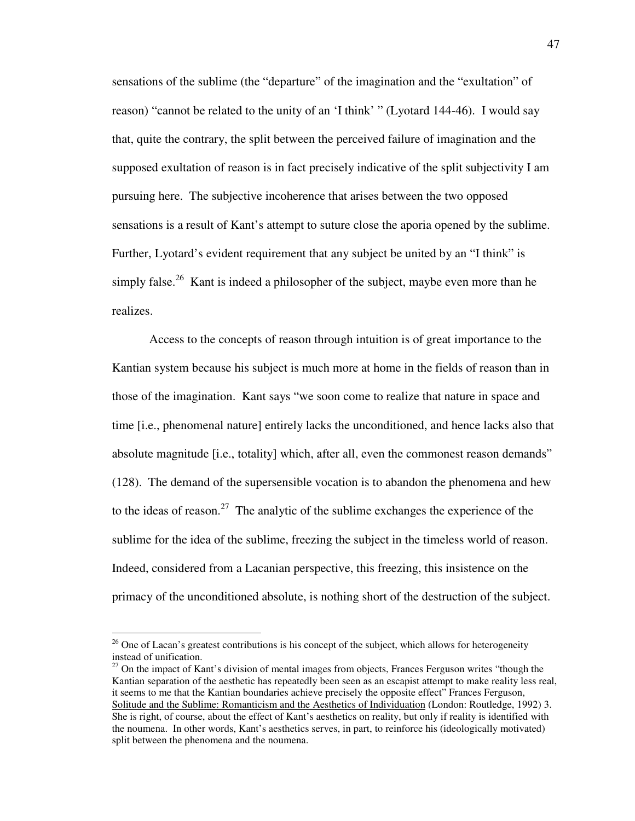sensations of the sublime (the "departure" of the imagination and the "exultation" of reason) "cannot be related to the unity of an 'I think' " (Lyotard 144-46). I would say that, quite the contrary, the split between the perceived failure of imagination and the supposed exultation of reason is in fact precisely indicative of the split subjectivity I am pursuing here. The subjective incoherence that arises between the two opposed sensations is a result of Kant's attempt to suture close the aporia opened by the sublime. Further, Lyotard's evident requirement that any subject be united by an "I think" is simply false.<sup>26</sup> Kant is indeed a philosopher of the subject, maybe even more than he realizes.

 Access to the concepts of reason through intuition is of great importance to the Kantian system because his subject is much more at home in the fields of reason than in those of the imagination. Kant says "we soon come to realize that nature in space and time [i.e., phenomenal nature] entirely lacks the unconditioned, and hence lacks also that absolute magnitude [i.e., totality] which, after all, even the commonest reason demands" (128). The demand of the supersensible vocation is to abandon the phenomena and hew to the ideas of reason.<sup>27</sup> The analytic of the sublime exchanges the experience of the sublime for the idea of the sublime, freezing the subject in the timeless world of reason. Indeed, considered from a Lacanian perspective, this freezing, this insistence on the primacy of the unconditioned absolute, is nothing short of the destruction of the subject.

<sup>&</sup>lt;sup>26</sup> One of Lacan's greatest contributions is his concept of the subject, which allows for heterogeneity instead of unification.

 $27$  On the impact of Kant's division of mental images from objects, Frances Ferguson writes "though the Kantian separation of the aesthetic has repeatedly been seen as an escapist attempt to make reality less real, it seems to me that the Kantian boundaries achieve precisely the opposite effect" Frances Ferguson, Solitude and the Sublime: Romanticism and the Aesthetics of Individuation (London: Routledge, 1992) 3. She is right, of course, about the effect of Kant's aesthetics on reality, but only if reality is identified with the noumena. In other words, Kant's aesthetics serves, in part, to reinforce his (ideologically motivated) split between the phenomena and the noumena.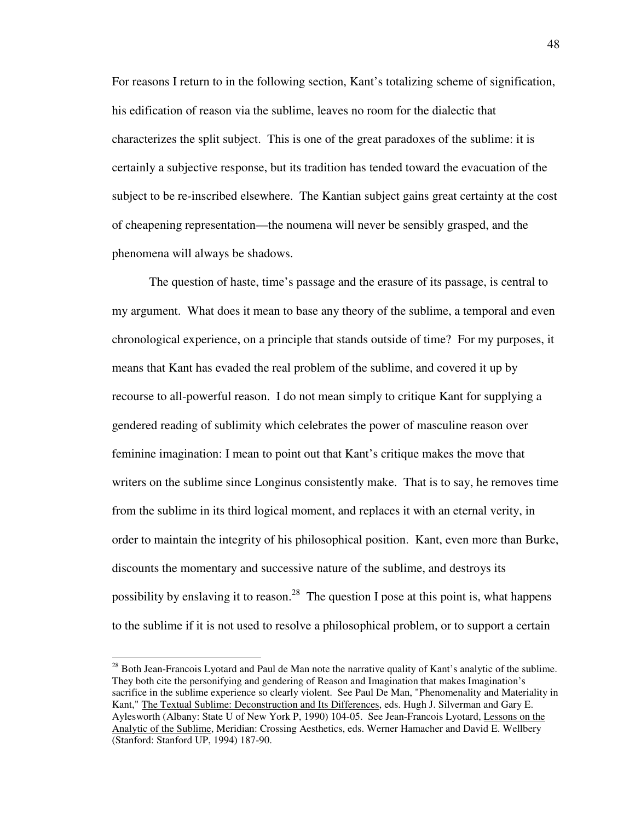For reasons I return to in the following section, Kant's totalizing scheme of signification, his edification of reason via the sublime, leaves no room for the dialectic that characterizes the split subject. This is one of the great paradoxes of the sublime: it is certainly a subjective response, but its tradition has tended toward the evacuation of the subject to be re-inscribed elsewhere. The Kantian subject gains great certainty at the cost of cheapening representation—the noumena will never be sensibly grasped, and the phenomena will always be shadows.

 The question of haste, time's passage and the erasure of its passage, is central to my argument. What does it mean to base any theory of the sublime, a temporal and even chronological experience, on a principle that stands outside of time? For my purposes, it means that Kant has evaded the real problem of the sublime, and covered it up by recourse to all-powerful reason. I do not mean simply to critique Kant for supplying a gendered reading of sublimity which celebrates the power of masculine reason over feminine imagination: I mean to point out that Kant's critique makes the move that writers on the sublime since Longinus consistently make. That is to say, he removes time from the sublime in its third logical moment, and replaces it with an eternal verity, in order to maintain the integrity of his philosophical position. Kant, even more than Burke, discounts the momentary and successive nature of the sublime, and destroys its possibility by enslaving it to reason.<sup>28</sup> The question I pose at this point is, what happens to the sublime if it is not used to resolve a philosophical problem, or to support a certain

<sup>&</sup>lt;sup>28</sup> Both Jean-Francois Lyotard and Paul de Man note the narrative quality of Kant's analytic of the sublime. They both cite the personifying and gendering of Reason and Imagination that makes Imagination's sacrifice in the sublime experience so clearly violent. See Paul De Man, "Phenomenality and Materiality in Kant," The Textual Sublime: Deconstruction and Its Differences, eds. Hugh J. Silverman and Gary E. Aylesworth (Albany: State U of New York P, 1990) 104-05. See Jean-Francois Lyotard, Lessons on the Analytic of the Sublime, Meridian: Crossing Aesthetics, eds. Werner Hamacher and David E. Wellbery (Stanford: Stanford UP, 1994) 187-90.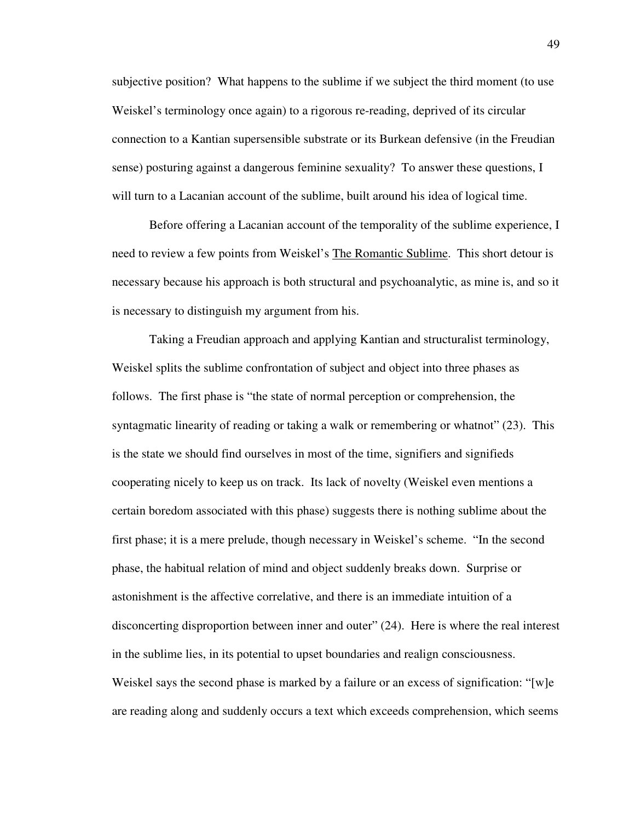subjective position? What happens to the sublime if we subject the third moment (to use Weiskel's terminology once again) to a rigorous re-reading, deprived of its circular connection to a Kantian supersensible substrate or its Burkean defensive (in the Freudian sense) posturing against a dangerous feminine sexuality? To answer these questions, I will turn to a Lacanian account of the sublime, built around his idea of logical time.

 Before offering a Lacanian account of the temporality of the sublime experience, I need to review a few points from Weiskel's The Romantic Sublime. This short detour is necessary because his approach is both structural and psychoanalytic, as mine is, and so it is necessary to distinguish my argument from his.

 Taking a Freudian approach and applying Kantian and structuralist terminology, Weiskel splits the sublime confrontation of subject and object into three phases as follows. The first phase is "the state of normal perception or comprehension, the syntagmatic linearity of reading or taking a walk or remembering or whatnot" (23). This is the state we should find ourselves in most of the time, signifiers and signifieds cooperating nicely to keep us on track. Its lack of novelty (Weiskel even mentions a certain boredom associated with this phase) suggests there is nothing sublime about the first phase; it is a mere prelude, though necessary in Weiskel's scheme. "In the second phase, the habitual relation of mind and object suddenly breaks down. Surprise or astonishment is the affective correlative, and there is an immediate intuition of a disconcerting disproportion between inner and outer" (24). Here is where the real interest in the sublime lies, in its potential to upset boundaries and realign consciousness. Weiskel says the second phase is marked by a failure or an excess of signification: "[w]e are reading along and suddenly occurs a text which exceeds comprehension, which seems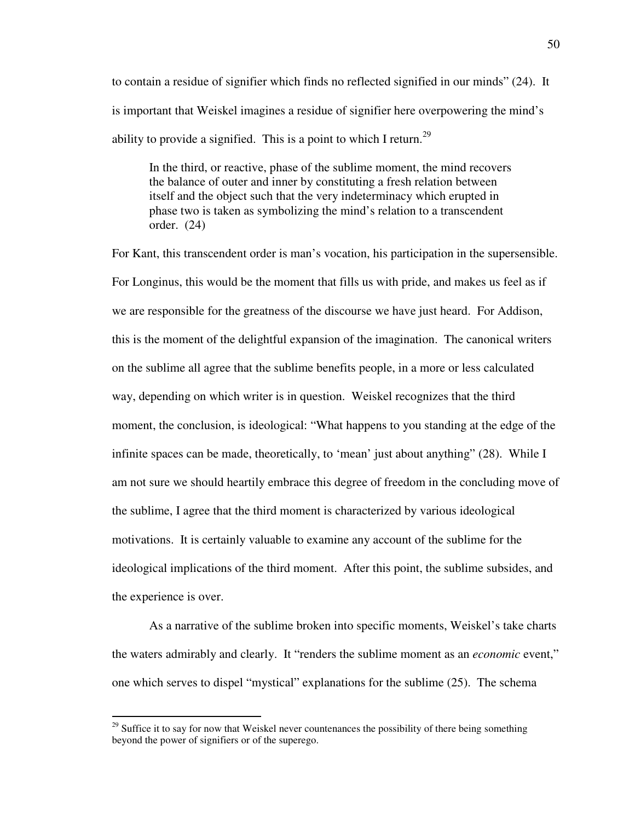to contain a residue of signifier which finds no reflected signified in our minds" (24). It is important that Weiskel imagines a residue of signifier here overpowering the mind's ability to provide a signified. This is a point to which I return.<sup>29</sup>

In the third, or reactive, phase of the sublime moment, the mind recovers the balance of outer and inner by constituting a fresh relation between itself and the object such that the very indeterminacy which erupted in phase two is taken as symbolizing the mind's relation to a transcendent order. (24)

For Kant, this transcendent order is man's vocation, his participation in the supersensible. For Longinus, this would be the moment that fills us with pride, and makes us feel as if we are responsible for the greatness of the discourse we have just heard. For Addison, this is the moment of the delightful expansion of the imagination. The canonical writers on the sublime all agree that the sublime benefits people, in a more or less calculated way, depending on which writer is in question. Weiskel recognizes that the third moment, the conclusion, is ideological: "What happens to you standing at the edge of the infinite spaces can be made, theoretically, to 'mean' just about anything" (28). While I am not sure we should heartily embrace this degree of freedom in the concluding move of the sublime, I agree that the third moment is characterized by various ideological motivations. It is certainly valuable to examine any account of the sublime for the ideological implications of the third moment. After this point, the sublime subsides, and the experience is over.

 As a narrative of the sublime broken into specific moments, Weiskel's take charts the waters admirably and clearly. It "renders the sublime moment as an *economic* event," one which serves to dispel "mystical" explanations for the sublime (25). The schema

 $29$  Suffice it to say for now that Weiskel never countenances the possibility of there being something beyond the power of signifiers or of the superego.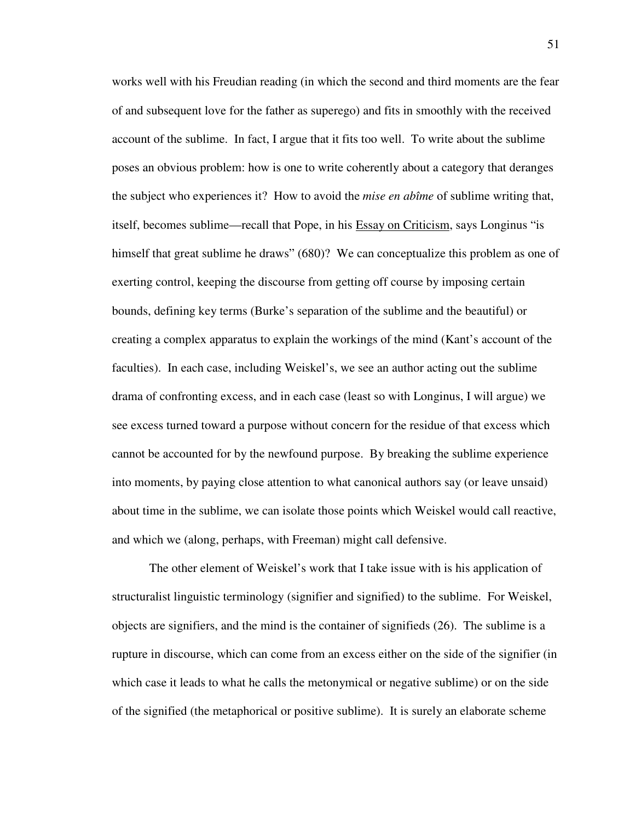works well with his Freudian reading (in which the second and third moments are the fear of and subsequent love for the father as superego) and fits in smoothly with the received account of the sublime. In fact, I argue that it fits too well. To write about the sublime poses an obvious problem: how is one to write coherently about a category that deranges the subject who experiences it? How to avoid the *mise en abîme* of sublime writing that, itself, becomes sublime—recall that Pope, in his Essay on Criticism, says Longinus "is himself that great sublime he draws" (680)? We can conceptualize this problem as one of exerting control, keeping the discourse from getting off course by imposing certain bounds, defining key terms (Burke's separation of the sublime and the beautiful) or creating a complex apparatus to explain the workings of the mind (Kant's account of the faculties). In each case, including Weiskel's, we see an author acting out the sublime drama of confronting excess, and in each case (least so with Longinus, I will argue) we see excess turned toward a purpose without concern for the residue of that excess which cannot be accounted for by the newfound purpose. By breaking the sublime experience into moments, by paying close attention to what canonical authors say (or leave unsaid) about time in the sublime, we can isolate those points which Weiskel would call reactive, and which we (along, perhaps, with Freeman) might call defensive.

 The other element of Weiskel's work that I take issue with is his application of structuralist linguistic terminology (signifier and signified) to the sublime. For Weiskel, objects are signifiers, and the mind is the container of signifieds (26). The sublime is a rupture in discourse, which can come from an excess either on the side of the signifier (in which case it leads to what he calls the metonymical or negative sublime) or on the side of the signified (the metaphorical or positive sublime). It is surely an elaborate scheme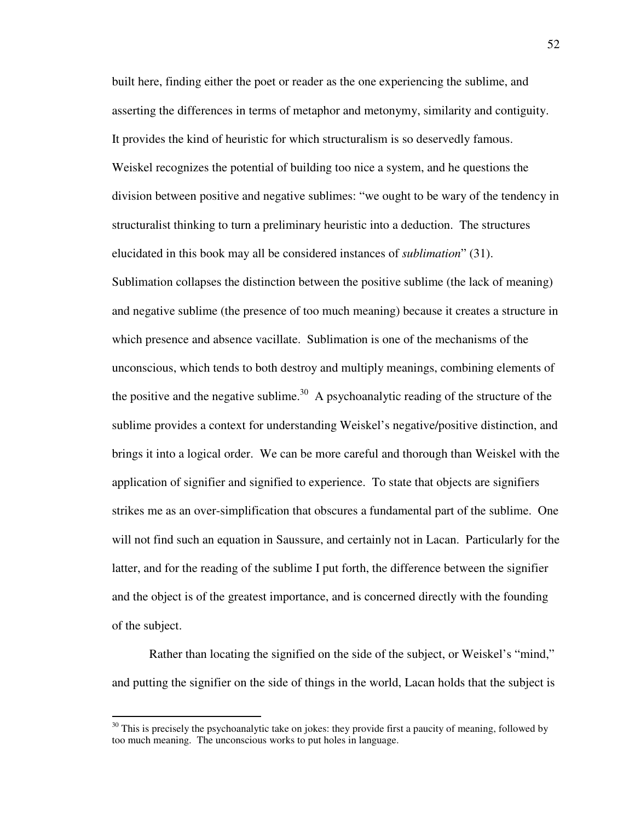built here, finding either the poet or reader as the one experiencing the sublime, and asserting the differences in terms of metaphor and metonymy, similarity and contiguity. It provides the kind of heuristic for which structuralism is so deservedly famous. Weiskel recognizes the potential of building too nice a system, and he questions the division between positive and negative sublimes: "we ought to be wary of the tendency in structuralist thinking to turn a preliminary heuristic into a deduction. The structures elucidated in this book may all be considered instances of *sublimation*" (31). Sublimation collapses the distinction between the positive sublime (the lack of meaning) and negative sublime (the presence of too much meaning) because it creates a structure in which presence and absence vacillate. Sublimation is one of the mechanisms of the unconscious, which tends to both destroy and multiply meanings, combining elements of the positive and the negative sublime.<sup>30</sup> A psychoanalytic reading of the structure of the sublime provides a context for understanding Weiskel's negative/positive distinction, and brings it into a logical order. We can be more careful and thorough than Weiskel with the application of signifier and signified to experience. To state that objects are signifiers strikes me as an over-simplification that obscures a fundamental part of the sublime. One will not find such an equation in Saussure, and certainly not in Lacan. Particularly for the latter, and for the reading of the sublime I put forth, the difference between the signifier and the object is of the greatest importance, and is concerned directly with the founding of the subject.

 Rather than locating the signified on the side of the subject, or Weiskel's "mind," and putting the signifier on the side of things in the world, Lacan holds that the subject is

 $30$  This is precisely the psychoanalytic take on jokes: they provide first a paucity of meaning, followed by too much meaning. The unconscious works to put holes in language.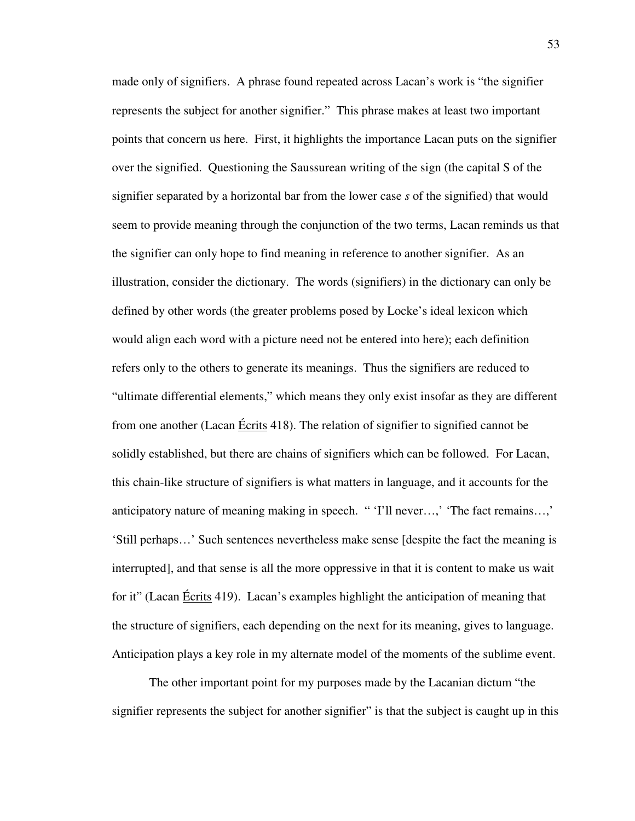made only of signifiers. A phrase found repeated across Lacan's work is "the signifier represents the subject for another signifier." This phrase makes at least two important points that concern us here. First, it highlights the importance Lacan puts on the signifier over the signified. Questioning the Saussurean writing of the sign (the capital S of the signifier separated by a horizontal bar from the lower case *s* of the signified) that would seem to provide meaning through the conjunction of the two terms, Lacan reminds us that the signifier can only hope to find meaning in reference to another signifier. As an illustration, consider the dictionary. The words (signifiers) in the dictionary can only be defined by other words (the greater problems posed by Locke's ideal lexicon which would align each word with a picture need not be entered into here); each definition refers only to the others to generate its meanings. Thus the signifiers are reduced to "ultimate differential elements," which means they only exist insofar as they are different from one another (Lacan Écrits 418). The relation of signifier to signified cannot be solidly established, but there are chains of signifiers which can be followed. For Lacan, this chain-like structure of signifiers is what matters in language, and it accounts for the anticipatory nature of meaning making in speech. " 'I'll never…,' 'The fact remains…,' 'Still perhaps…' Such sentences nevertheless make sense [despite the fact the meaning is interrupted], and that sense is all the more oppressive in that it is content to make us wait for it" (Lacan Écrits 419). Lacan's examples highlight the anticipation of meaning that the structure of signifiers, each depending on the next for its meaning, gives to language. Anticipation plays a key role in my alternate model of the moments of the sublime event.

 The other important point for my purposes made by the Lacanian dictum "the signifier represents the subject for another signifier" is that the subject is caught up in this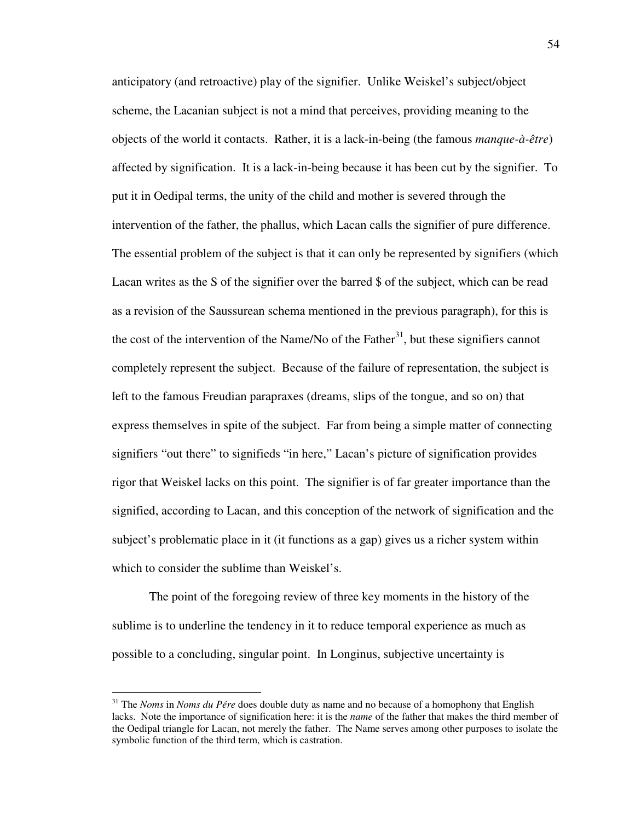anticipatory (and retroactive) play of the signifier. Unlike Weiskel's subject/object scheme, the Lacanian subject is not a mind that perceives, providing meaning to the objects of the world it contacts. Rather, it is a lack-in-being (the famous *manque-à-être*) affected by signification. It is a lack-in-being because it has been cut by the signifier. To put it in Oedipal terms, the unity of the child and mother is severed through the intervention of the father, the phallus, which Lacan calls the signifier of pure difference. The essential problem of the subject is that it can only be represented by signifiers (which Lacan writes as the S of the signifier over the barred \$ of the subject, which can be read as a revision of the Saussurean schema mentioned in the previous paragraph), for this is the cost of the intervention of the Name/No of the Father<sup>31</sup>, but these signifiers cannot completely represent the subject. Because of the failure of representation, the subject is left to the famous Freudian parapraxes (dreams, slips of the tongue, and so on) that express themselves in spite of the subject. Far from being a simple matter of connecting signifiers "out there" to signifieds "in here," Lacan's picture of signification provides rigor that Weiskel lacks on this point. The signifier is of far greater importance than the signified, according to Lacan, and this conception of the network of signification and the subject's problematic place in it (it functions as a gap) gives us a richer system within which to consider the sublime than Weiskel's.

 The point of the foregoing review of three key moments in the history of the sublime is to underline the tendency in it to reduce temporal experience as much as possible to a concluding, singular point. In Longinus, subjective uncertainty is

<sup>31</sup> The *Noms* in *Noms du Pére* does double duty as name and no because of a homophony that English lacks. Note the importance of signification here: it is the *name* of the father that makes the third member of the Oedipal triangle for Lacan, not merely the father. The Name serves among other purposes to isolate the symbolic function of the third term, which is castration.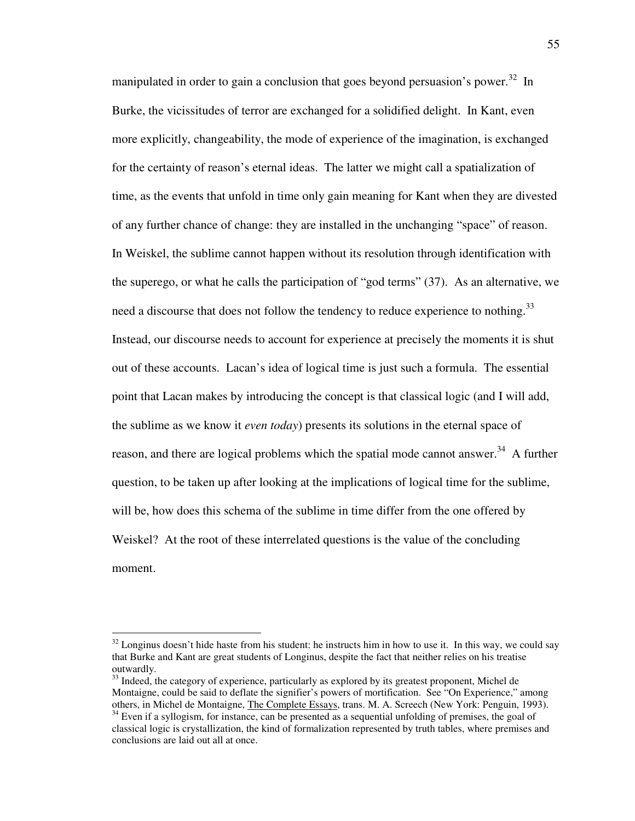manipulated in order to gain a conclusion that goes beyond persuasion's power.<sup>32</sup> In Burke, the vicissitudes of terror are exchanged for a solidified delight. In Kant, even more explicitly, changeability, the mode of experience of the imagination, is exchanged for the certainty of reason's eternal ideas. The latter we might call a spatialization of time, as the events that unfold in time only gain meaning for Kant when they are divested of any further chance of change: they are installed in the unchanging "space" of reason. In Weiskel, the sublime cannot happen without its resolution through identification with the superego, or what he calls the participation of "god terms" (37). As an alternative, we need a discourse that does not follow the tendency to reduce experience to nothing.<sup>33</sup> Instead, our discourse needs to account for experience at precisely the moments it is shut out of these accounts. Lacan's idea of logical time is just such a formula. The essential point that Lacan makes by introducing the concept is that classical logic (and I will add, the sublime as we know it *even today*) presents its solutions in the eternal space of reason, and there are logical problems which the spatial mode cannot answer.<sup>34</sup> A further question, to be taken up after looking at the implications of logical time for the sublime, will be, how does this schema of the sublime in time differ from the one offered by Weiskel? At the root of these interrelated questions is the value of the concluding moment.

 $32$  Longinus doesn't hide haste from his student: he instructs him in how to use it. In this way, we could say that Burke and Kant are great students of Longinus, despite the fact that neither relies on his treatise outwardly.

<sup>&</sup>lt;sup>33</sup> Indeed, the category of experience, particularly as explored by its greatest proponent, Michel de Montaigne, could be said to deflate the signifier's powers of mortification. See "On Experience," among others, in Michel de Montaigne, The Complete Essays, trans. M. A. Screech (New York: Penguin, 1993).

 $34$  Even if a syllogism, for instance, can be presented as a sequential unfolding of premises, the goal of classical logic is crystallization, the kind of formalization represented by truth tables, where premises and conclusions are laid out all at once.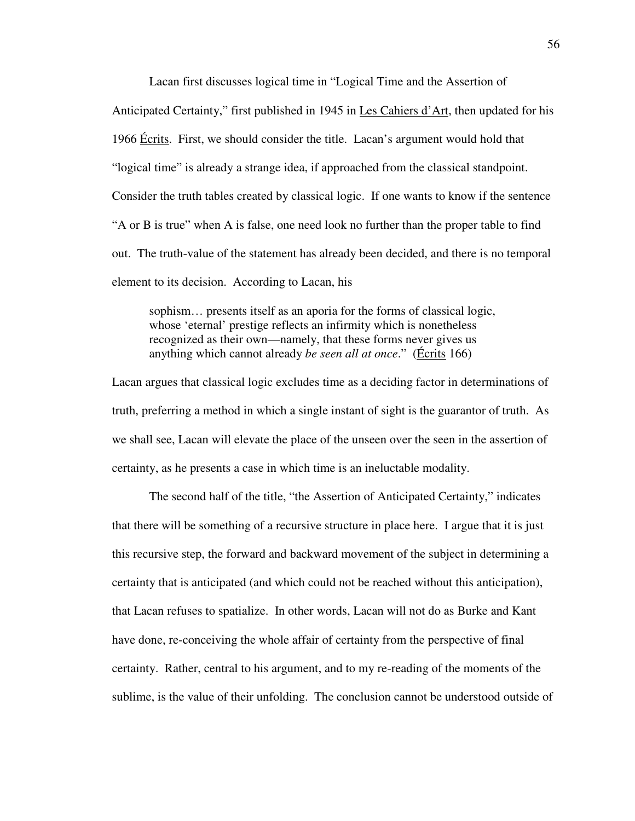Lacan first discusses logical time in "Logical Time and the Assertion of Anticipated Certainty," first published in 1945 in Les Cahiers d'Art, then updated for his 1966 Écrits. First, we should consider the title. Lacan's argument would hold that "logical time" is already a strange idea, if approached from the classical standpoint. Consider the truth tables created by classical logic. If one wants to know if the sentence "A or B is true" when A is false, one need look no further than the proper table to find out. The truth-value of the statement has already been decided, and there is no temporal element to its decision. According to Lacan, his

 sophism… presents itself as an aporia for the forms of classical logic, whose 'eternal' prestige reflects an infirmity which is nonetheless recognized as their own—namely, that these forms never gives us anything which cannot already *be seen all at once*." (Écrits 166)

Lacan argues that classical logic excludes time as a deciding factor in determinations of truth, preferring a method in which a single instant of sight is the guarantor of truth. As we shall see, Lacan will elevate the place of the unseen over the seen in the assertion of certainty, as he presents a case in which time is an ineluctable modality.

 The second half of the title, "the Assertion of Anticipated Certainty," indicates that there will be something of a recursive structure in place here. I argue that it is just this recursive step, the forward and backward movement of the subject in determining a certainty that is anticipated (and which could not be reached without this anticipation), that Lacan refuses to spatialize. In other words, Lacan will not do as Burke and Kant have done, re-conceiving the whole affair of certainty from the perspective of final certainty. Rather, central to his argument, and to my re-reading of the moments of the sublime, is the value of their unfolding. The conclusion cannot be understood outside of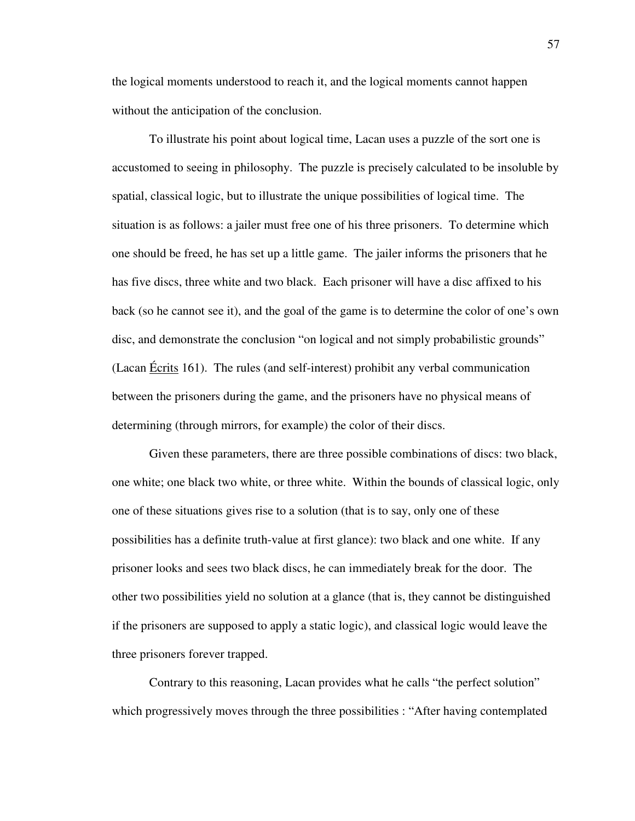the logical moments understood to reach it, and the logical moments cannot happen without the anticipation of the conclusion.

 To illustrate his point about logical time, Lacan uses a puzzle of the sort one is accustomed to seeing in philosophy. The puzzle is precisely calculated to be insoluble by spatial, classical logic, but to illustrate the unique possibilities of logical time. The situation is as follows: a jailer must free one of his three prisoners. To determine which one should be freed, he has set up a little game. The jailer informs the prisoners that he has five discs, three white and two black. Each prisoner will have a disc affixed to his back (so he cannot see it), and the goal of the game is to determine the color of one's own disc, and demonstrate the conclusion "on logical and not simply probabilistic grounds" (Lacan Écrits 161). The rules (and self-interest) prohibit any verbal communication between the prisoners during the game, and the prisoners have no physical means of determining (through mirrors, for example) the color of their discs.

 Given these parameters, there are three possible combinations of discs: two black, one white; one black two white, or three white. Within the bounds of classical logic, only one of these situations gives rise to a solution (that is to say, only one of these possibilities has a definite truth-value at first glance): two black and one white. If any prisoner looks and sees two black discs, he can immediately break for the door. The other two possibilities yield no solution at a glance (that is, they cannot be distinguished if the prisoners are supposed to apply a static logic), and classical logic would leave the three prisoners forever trapped.

 Contrary to this reasoning, Lacan provides what he calls "the perfect solution" which progressively moves through the three possibilities : "After having contemplated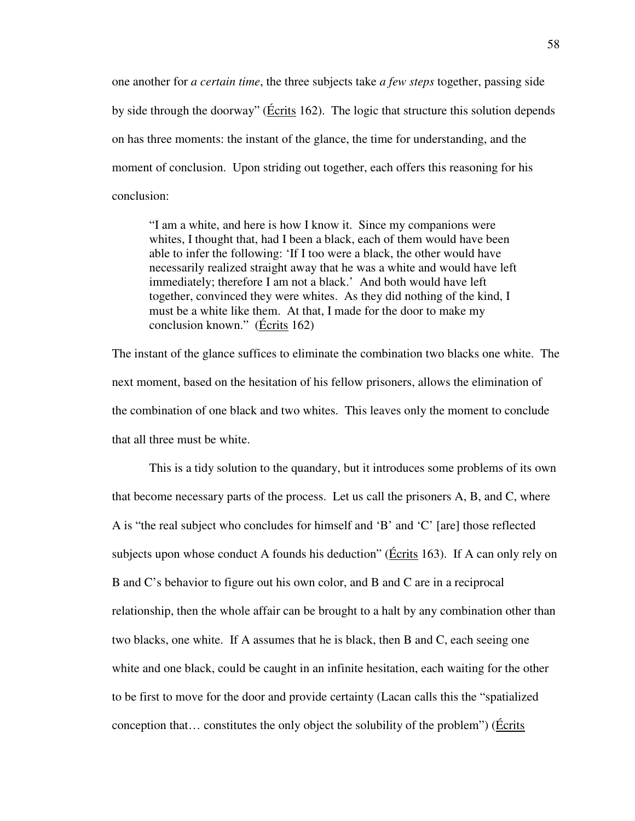one another for *a certain time*, the three subjects take *a few steps* together, passing side by side through the doorway" (Écrits 162). The logic that structure this solution depends on has three moments: the instant of the glance, the time for understanding, and the moment of conclusion. Upon striding out together, each offers this reasoning for his conclusion:

"I am a white, and here is how I know it. Since my companions were whites, I thought that, had I been a black, each of them would have been able to infer the following: 'If I too were a black, the other would have necessarily realized straight away that he was a white and would have left immediately; therefore I am not a black.' And both would have left together, convinced they were whites. As they did nothing of the kind, I must be a white like them. At that, I made for the door to make my conclusion known." (Écrits 162)

The instant of the glance suffices to eliminate the combination two blacks one white. The next moment, based on the hesitation of his fellow prisoners, allows the elimination of the combination of one black and two whites. This leaves only the moment to conclude that all three must be white.

 This is a tidy solution to the quandary, but it introduces some problems of its own that become necessary parts of the process. Let us call the prisoners A, B, and C, where A is "the real subject who concludes for himself and 'B' and 'C' [are] those reflected subjects upon whose conduct A founds his deduction" (Écrits 163). If A can only rely on B and C's behavior to figure out his own color, and B and C are in a reciprocal relationship, then the whole affair can be brought to a halt by any combination other than two blacks, one white. If A assumes that he is black, then B and C, each seeing one white and one black, could be caught in an infinite hesitation, each waiting for the other to be first to move for the door and provide certainty (Lacan calls this the "spatialized conception that… constitutes the only object the solubility of the problem") (Écrits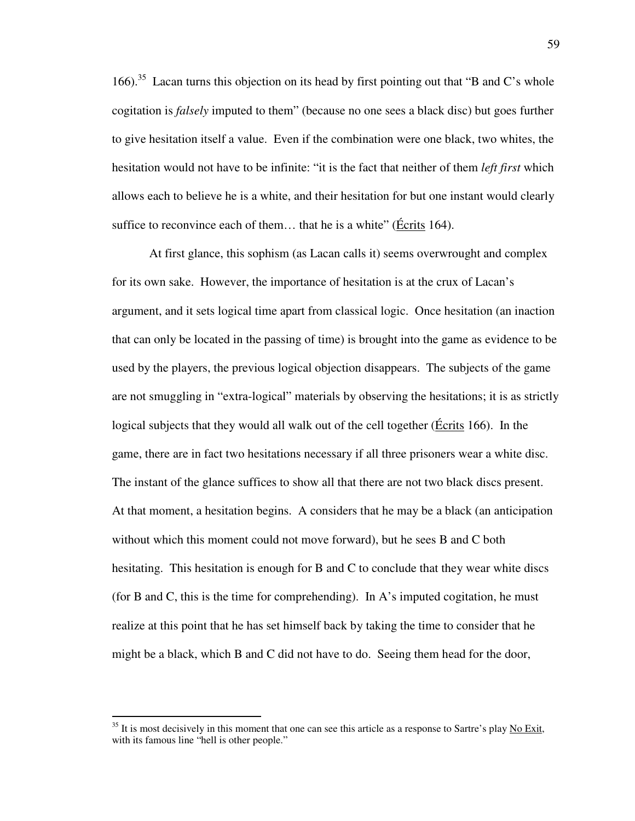166).<sup>35</sup> Lacan turns this objection on its head by first pointing out that "B and C's whole cogitation is *falsely* imputed to them" (because no one sees a black disc) but goes further to give hesitation itself a value. Even if the combination were one black, two whites, the hesitation would not have to be infinite: "it is the fact that neither of them *left first* which allows each to believe he is a white, and their hesitation for but one instant would clearly suffice to reconvince each of them… that he is a white" (Écrits 164).

At first glance, this sophism (as Lacan calls it) seems overwrought and complex for its own sake. However, the importance of hesitation is at the crux of Lacan's argument, and it sets logical time apart from classical logic. Once hesitation (an inaction that can only be located in the passing of time) is brought into the game as evidence to be used by the players, the previous logical objection disappears. The subjects of the game are not smuggling in "extra-logical" materials by observing the hesitations; it is as strictly logical subjects that they would all walk out of the cell together (*Écrits* 166). In the game, there are in fact two hesitations necessary if all three prisoners wear a white disc. The instant of the glance suffices to show all that there are not two black discs present. At that moment, a hesitation begins. A considers that he may be a black (an anticipation without which this moment could not move forward), but he sees B and C both hesitating. This hesitation is enough for B and C to conclude that they wear white discs (for B and C, this is the time for comprehending). In A's imputed cogitation, he must realize at this point that he has set himself back by taking the time to consider that he might be a black, which B and C did not have to do. Seeing them head for the door,

 $35$  It is most decisively in this moment that one can see this article as a response to Sartre's play No Exit, with its famous line "hell is other people."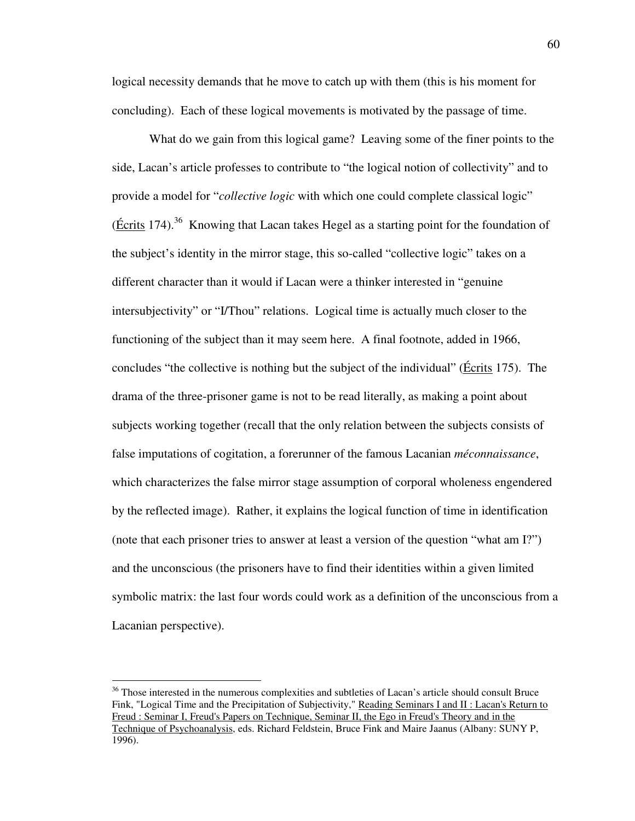logical necessity demands that he move to catch up with them (this is his moment for concluding). Each of these logical movements is motivated by the passage of time.

What do we gain from this logical game? Leaving some of the finer points to the side, Lacan's article professes to contribute to "the logical notion of collectivity" and to provide a model for "*collective logic* with which one could complete classical logic" (Écrits 174).<sup>36</sup> Knowing that Lacan takes Hegel as a starting point for the foundation of the subject's identity in the mirror stage, this so-called "collective logic" takes on a different character than it would if Lacan were a thinker interested in "genuine intersubjectivity" or "I/Thou" relations. Logical time is actually much closer to the functioning of the subject than it may seem here. A final footnote, added in 1966, concludes "the collective is nothing but the subject of the individual" (Écrits 175). The drama of the three-prisoner game is not to be read literally, as making a point about subjects working together (recall that the only relation between the subjects consists of false imputations of cogitation, a forerunner of the famous Lacanian *méconnaissance*, which characterizes the false mirror stage assumption of corporal wholeness engendered by the reflected image). Rather, it explains the logical function of time in identification (note that each prisoner tries to answer at least a version of the question "what am I?") and the unconscious (the prisoners have to find their identities within a given limited symbolic matrix: the last four words could work as a definition of the unconscious from a Lacanian perspective).

<sup>&</sup>lt;sup>36</sup> Those interested in the numerous complexities and subtleties of Lacan's article should consult Bruce Fink, "Logical Time and the Precipitation of Subjectivity," Reading Seminars I and II : Lacan's Return to Freud : Seminar I, Freud's Papers on Technique, Seminar II, the Ego in Freud's Theory and in the Technique of Psychoanalysis, eds. Richard Feldstein, Bruce Fink and Maire Jaanus (Albany: SUNY P, 1996).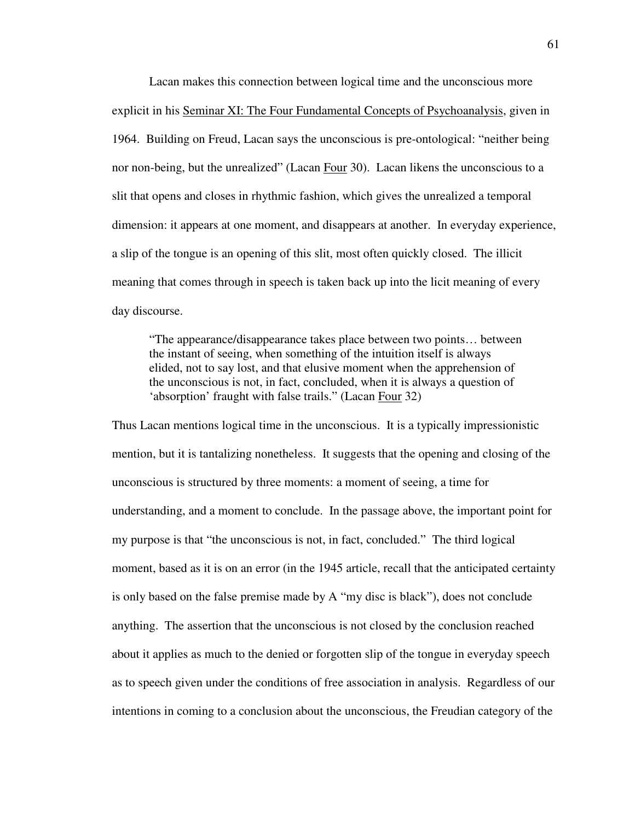Lacan makes this connection between logical time and the unconscious more explicit in his Seminar XI: The Four Fundamental Concepts of Psychoanalysis, given in 1964. Building on Freud, Lacan says the unconscious is pre-ontological: "neither being nor non-being, but the unrealized" (Lacan Four 30). Lacan likens the unconscious to a slit that opens and closes in rhythmic fashion, which gives the unrealized a temporal dimension: it appears at one moment, and disappears at another. In everyday experience, a slip of the tongue is an opening of this slit, most often quickly closed. The illicit meaning that comes through in speech is taken back up into the licit meaning of every day discourse.

"The appearance/disappearance takes place between two points… between the instant of seeing, when something of the intuition itself is always elided, not to say lost, and that elusive moment when the apprehension of the unconscious is not, in fact, concluded, when it is always a question of 'absorption' fraught with false trails." (Lacan Four 32)

Thus Lacan mentions logical time in the unconscious. It is a typically impressionistic mention, but it is tantalizing nonetheless. It suggests that the opening and closing of the unconscious is structured by three moments: a moment of seeing, a time for understanding, and a moment to conclude. In the passage above, the important point for my purpose is that "the unconscious is not, in fact, concluded." The third logical moment, based as it is on an error (in the 1945 article, recall that the anticipated certainty is only based on the false premise made by A "my disc is black"), does not conclude anything. The assertion that the unconscious is not closed by the conclusion reached about it applies as much to the denied or forgotten slip of the tongue in everyday speech as to speech given under the conditions of free association in analysis. Regardless of our intentions in coming to a conclusion about the unconscious, the Freudian category of the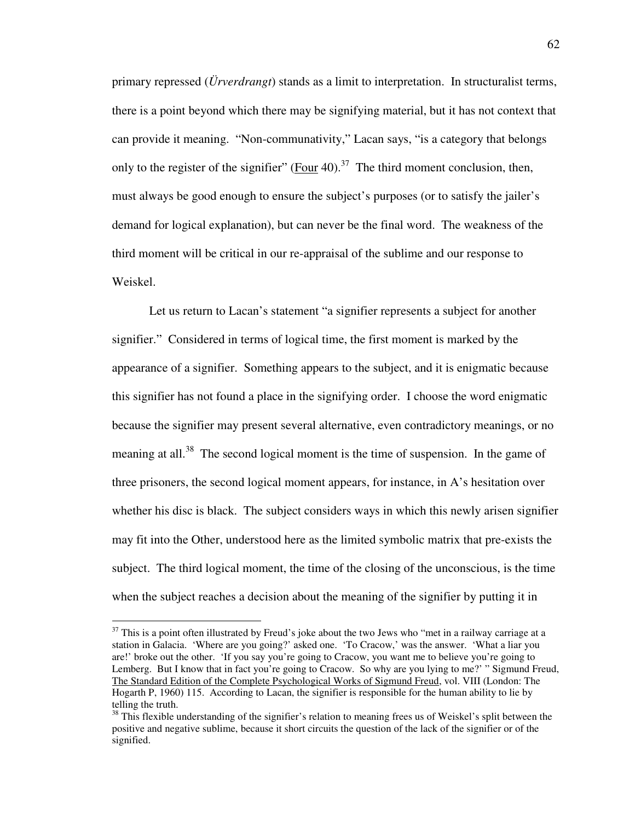primary repressed (*Ürverdrangt*) stands as a limit to interpretation. In structuralist terms, there is a point beyond which there may be signifying material, but it has not context that can provide it meaning. "Non-communativity," Lacan says, "is a category that belongs only to the register of the signifier" (Four 40).<sup>37</sup> The third moment conclusion, then, must always be good enough to ensure the subject's purposes (or to satisfy the jailer's demand for logical explanation), but can never be the final word. The weakness of the third moment will be critical in our re-appraisal of the sublime and our response to Weiskel.

 Let us return to Lacan's statement "a signifier represents a subject for another signifier." Considered in terms of logical time, the first moment is marked by the appearance of a signifier. Something appears to the subject, and it is enigmatic because this signifier has not found a place in the signifying order. I choose the word enigmatic because the signifier may present several alternative, even contradictory meanings, or no meaning at all.<sup>38</sup> The second logical moment is the time of suspension. In the game of three prisoners, the second logical moment appears, for instance, in A's hesitation over whether his disc is black. The subject considers ways in which this newly arisen signifier may fit into the Other, understood here as the limited symbolic matrix that pre-exists the subject. The third logical moment, the time of the closing of the unconscious, is the time when the subject reaches a decision about the meaning of the signifier by putting it in

 $37$  This is a point often illustrated by Freud's joke about the two Jews who "met in a railway carriage at a station in Galacia. 'Where are you going?' asked one. 'To Cracow,' was the answer. 'What a liar you are!' broke out the other. 'If you say you're going to Cracow, you want me to believe you're going to Lemberg. But I know that in fact you're going to Cracow. So why are you lying to me?' " Sigmund Freud, The Standard Edition of the Complete Psychological Works of Sigmund Freud, vol. VIII (London: The Hogarth P, 1960) 115. According to Lacan, the signifier is responsible for the human ability to lie by telling the truth.

<sup>&</sup>lt;sup>38</sup> This flexible understanding of the signifier's relation to meaning frees us of Weiskel's split between the positive and negative sublime, because it short circuits the question of the lack of the signifier or of the signified.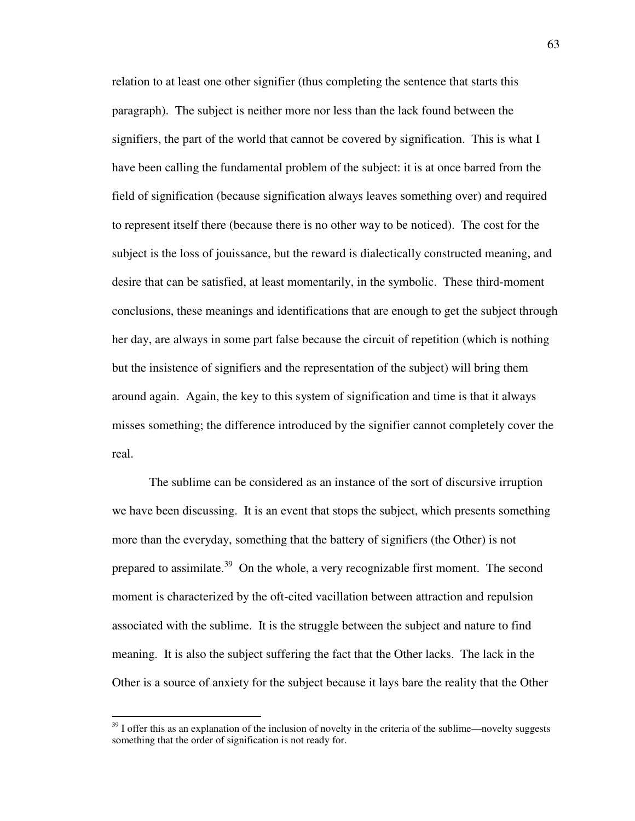relation to at least one other signifier (thus completing the sentence that starts this paragraph). The subject is neither more nor less than the lack found between the signifiers, the part of the world that cannot be covered by signification. This is what I have been calling the fundamental problem of the subject: it is at once barred from the field of signification (because signification always leaves something over) and required to represent itself there (because there is no other way to be noticed). The cost for the subject is the loss of jouissance, but the reward is dialectically constructed meaning, and desire that can be satisfied, at least momentarily, in the symbolic. These third-moment conclusions, these meanings and identifications that are enough to get the subject through her day, are always in some part false because the circuit of repetition (which is nothing but the insistence of signifiers and the representation of the subject) will bring them around again. Again, the key to this system of signification and time is that it always misses something; the difference introduced by the signifier cannot completely cover the real.

 The sublime can be considered as an instance of the sort of discursive irruption we have been discussing. It is an event that stops the subject, which presents something more than the everyday, something that the battery of signifiers (the Other) is not prepared to assimilate.<sup>39</sup> On the whole, a very recognizable first moment. The second moment is characterized by the oft-cited vacillation between attraction and repulsion associated with the sublime. It is the struggle between the subject and nature to find meaning. It is also the subject suffering the fact that the Other lacks. The lack in the Other is a source of anxiety for the subject because it lays bare the reality that the Other

 $39$  I offer this as an explanation of the inclusion of novelty in the criteria of the sublime—novelty suggests something that the order of signification is not ready for.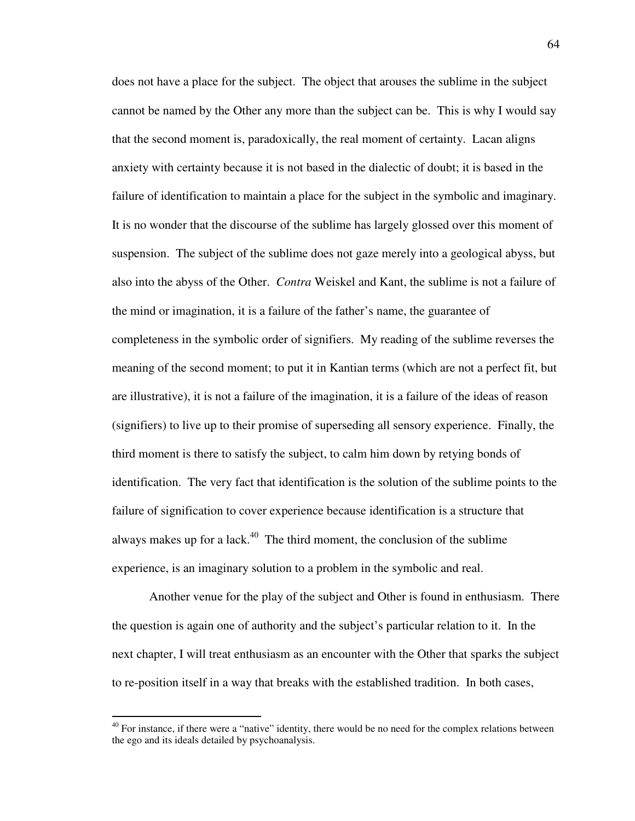does not have a place for the subject. The object that arouses the sublime in the subject cannot be named by the Other any more than the subject can be. This is why I would say that the second moment is, paradoxically, the real moment of certainty. Lacan aligns anxiety with certainty because it is not based in the dialectic of doubt; it is based in the failure of identification to maintain a place for the subject in the symbolic and imaginary. It is no wonder that the discourse of the sublime has largely glossed over this moment of suspension. The subject of the sublime does not gaze merely into a geological abyss, but also into the abyss of the Other. *Contra* Weiskel and Kant, the sublime is not a failure of the mind or imagination, it is a failure of the father's name, the guarantee of completeness in the symbolic order of signifiers. My reading of the sublime reverses the meaning of the second moment; to put it in Kantian terms (which are not a perfect fit, but are illustrative), it is not a failure of the imagination, it is a failure of the ideas of reason (signifiers) to live up to their promise of superseding all sensory experience. Finally, the third moment is there to satisfy the subject, to calm him down by retying bonds of identification. The very fact that identification is the solution of the sublime points to the failure of signification to cover experience because identification is a structure that always makes up for a lack. $40$  The third moment, the conclusion of the sublime experience, is an imaginary solution to a problem in the symbolic and real.

 Another venue for the play of the subject and Other is found in enthusiasm. There the question is again one of authority and the subject's particular relation to it. In the next chapter, I will treat enthusiasm as an encounter with the Other that sparks the subject to re-position itself in a way that breaks with the established tradition. In both cases,

 $40$  For instance, if there were a "native" identity, there would be no need for the complex relations between the ego and its ideals detailed by psychoanalysis.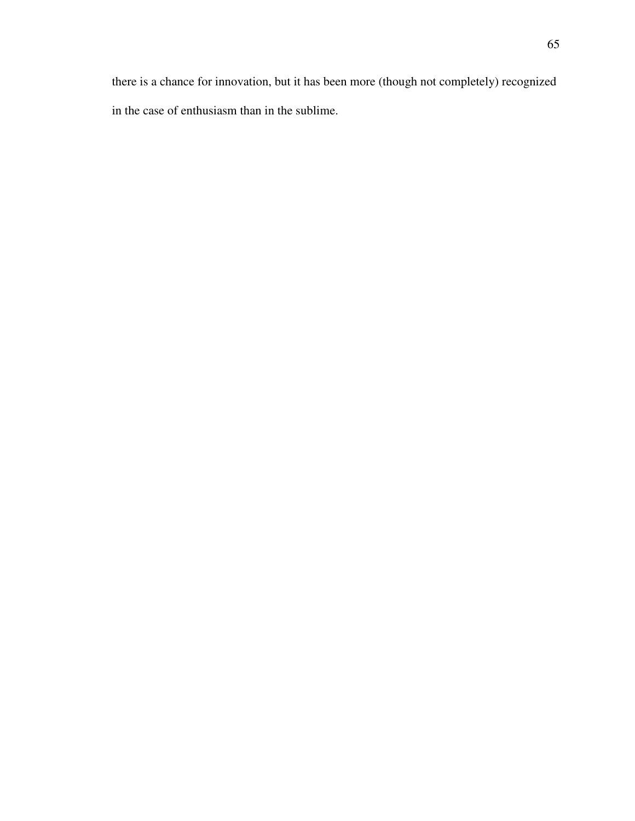there is a chance for innovation, but it has been more (though not completely) recognized in the case of enthusiasm than in the sublime.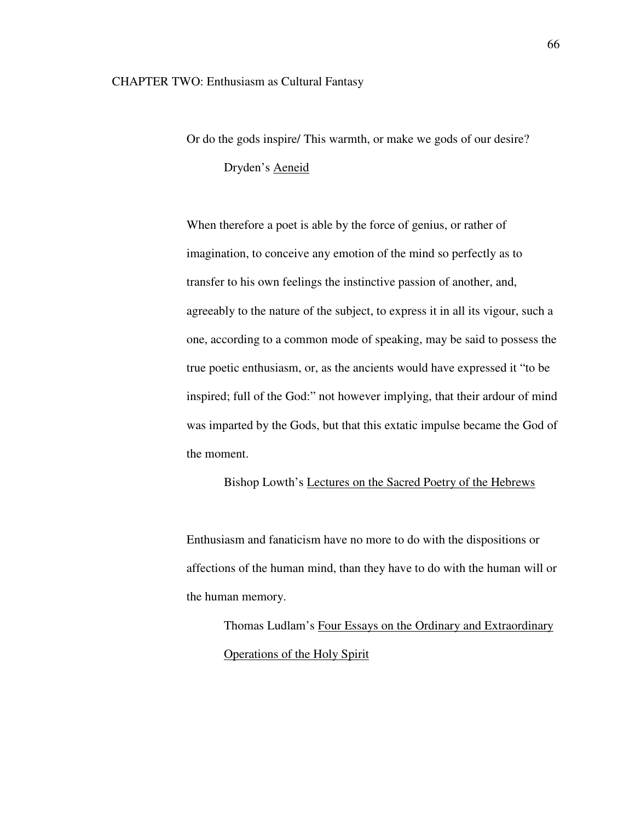Or do the gods inspire/ This warmth, or make we gods of our desire? Dryden's Aeneid

 When therefore a poet is able by the force of genius, or rather of imagination, to conceive any emotion of the mind so perfectly as to transfer to his own feelings the instinctive passion of another, and, agreeably to the nature of the subject, to express it in all its vigour, such a one, according to a common mode of speaking, may be said to possess the true poetic enthusiasm, or, as the ancients would have expressed it "to be inspired; full of the God:" not however implying, that their ardour of mind was imparted by the Gods, but that this extatic impulse became the God of the moment.

Bishop Lowth's Lectures on the Sacred Poetry of the Hebrews

 Enthusiasm and fanaticism have no more to do with the dispositions or affections of the human mind, than they have to do with the human will or the human memory.

 Thomas Ludlam's Four Essays on the Ordinary and Extraordinary Operations of the Holy Spirit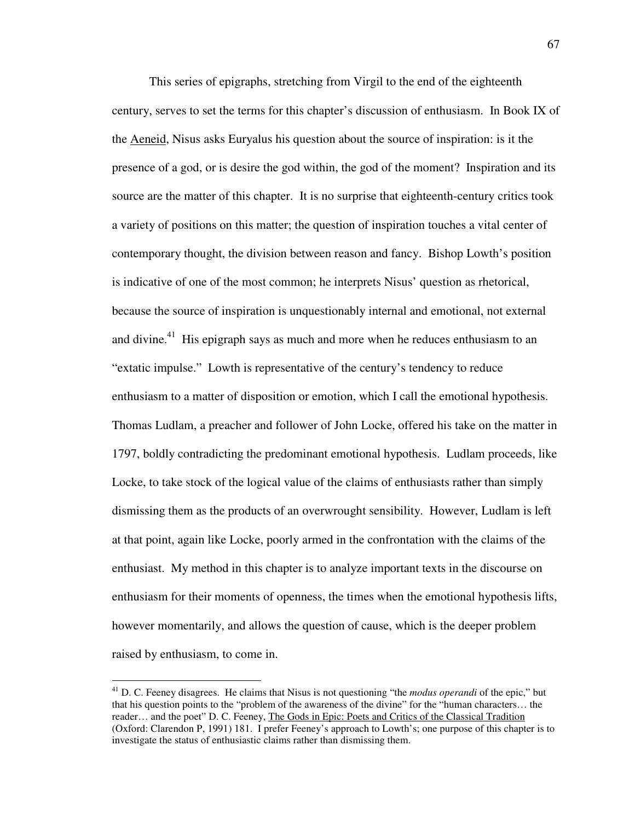This series of epigraphs, stretching from Virgil to the end of the eighteenth century, serves to set the terms for this chapter's discussion of enthusiasm. In Book IX of the Aeneid, Nisus asks Euryalus his question about the source of inspiration: is it the presence of a god, or is desire the god within, the god of the moment? Inspiration and its source are the matter of this chapter. It is no surprise that eighteenth-century critics took a variety of positions on this matter; the question of inspiration touches a vital center of contemporary thought, the division between reason and fancy. Bishop Lowth's position is indicative of one of the most common; he interprets Nisus' question as rhetorical, because the source of inspiration is unquestionably internal and emotional, not external and divine.<sup>41</sup> His epigraph says as much and more when he reduces enthusiasm to an "extatic impulse." Lowth is representative of the century's tendency to reduce enthusiasm to a matter of disposition or emotion, which I call the emotional hypothesis. Thomas Ludlam, a preacher and follower of John Locke, offered his take on the matter in 1797, boldly contradicting the predominant emotional hypothesis. Ludlam proceeds, like Locke, to take stock of the logical value of the claims of enthusiasts rather than simply dismissing them as the products of an overwrought sensibility. However, Ludlam is left at that point, again like Locke, poorly armed in the confrontation with the claims of the enthusiast. My method in this chapter is to analyze important texts in the discourse on enthusiasm for their moments of openness, the times when the emotional hypothesis lifts, however momentarily, and allows the question of cause, which is the deeper problem raised by enthusiasm, to come in.

<sup>&</sup>lt;sup>41</sup> D. C. Feeney disagrees. He claims that Nisus is not questioning "the *modus operandi* of the epic," but that his question points to the "problem of the awareness of the divine" for the "human characters… the reader… and the poet" D. C. Feeney, The Gods in Epic: Poets and Critics of the Classical Tradition (Oxford: Clarendon P, 1991) 181. I prefer Feeney's approach to Lowth's; one purpose of this chapter is to investigate the status of enthusiastic claims rather than dismissing them.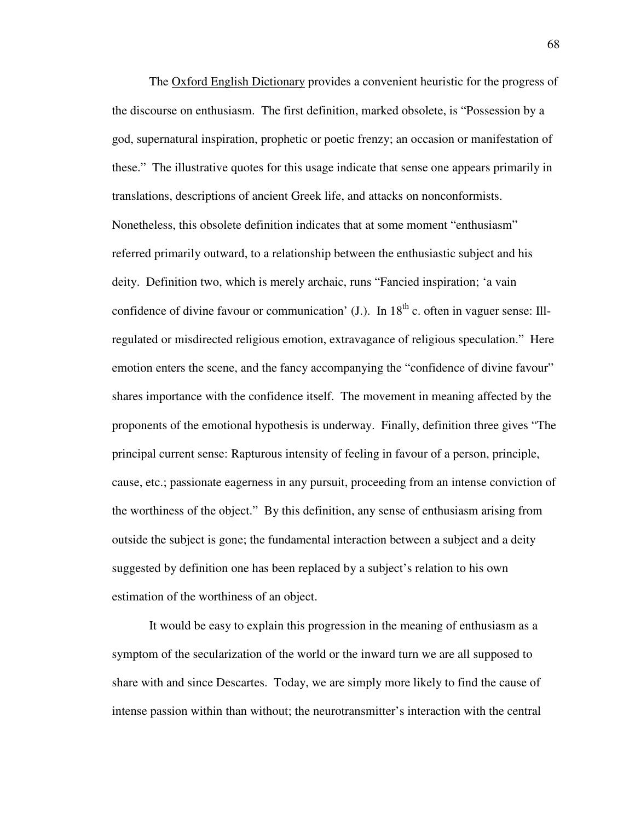The Oxford English Dictionary provides a convenient heuristic for the progress of the discourse on enthusiasm. The first definition, marked obsolete, is "Possession by a god, supernatural inspiration, prophetic or poetic frenzy; an occasion or manifestation of these." The illustrative quotes for this usage indicate that sense one appears primarily in translations, descriptions of ancient Greek life, and attacks on nonconformists. Nonetheless, this obsolete definition indicates that at some moment "enthusiasm" referred primarily outward, to a relationship between the enthusiastic subject and his deity. Definition two, which is merely archaic, runs "Fancied inspiration; 'a vain confidence of divine favour or communication'  $(I)$ . In  $18<sup>th</sup>$  c. often in vaguer sense: Illregulated or misdirected religious emotion, extravagance of religious speculation." Here emotion enters the scene, and the fancy accompanying the "confidence of divine favour" shares importance with the confidence itself. The movement in meaning affected by the proponents of the emotional hypothesis is underway. Finally, definition three gives "The principal current sense: Rapturous intensity of feeling in favour of a person, principle, cause, etc.; passionate eagerness in any pursuit, proceeding from an intense conviction of the worthiness of the object." By this definition, any sense of enthusiasm arising from outside the subject is gone; the fundamental interaction between a subject and a deity suggested by definition one has been replaced by a subject's relation to his own estimation of the worthiness of an object.

 It would be easy to explain this progression in the meaning of enthusiasm as a symptom of the secularization of the world or the inward turn we are all supposed to share with and since Descartes. Today, we are simply more likely to find the cause of intense passion within than without; the neurotransmitter's interaction with the central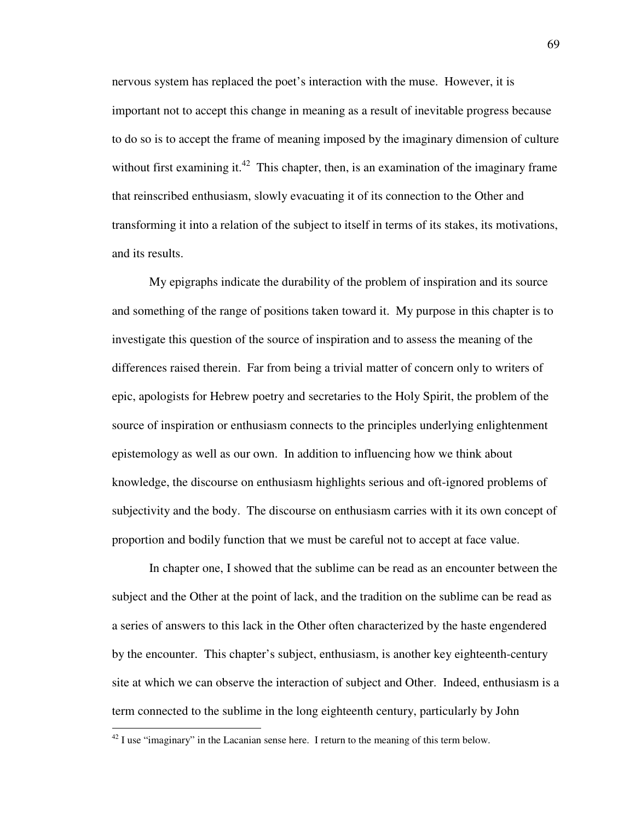nervous system has replaced the poet's interaction with the muse. However, it is important not to accept this change in meaning as a result of inevitable progress because to do so is to accept the frame of meaning imposed by the imaginary dimension of culture without first examining it.<sup>42</sup> This chapter, then, is an examination of the imaginary frame that reinscribed enthusiasm, slowly evacuating it of its connection to the Other and transforming it into a relation of the subject to itself in terms of its stakes, its motivations, and its results.

 My epigraphs indicate the durability of the problem of inspiration and its source and something of the range of positions taken toward it. My purpose in this chapter is to investigate this question of the source of inspiration and to assess the meaning of the differences raised therein. Far from being a trivial matter of concern only to writers of epic, apologists for Hebrew poetry and secretaries to the Holy Spirit, the problem of the source of inspiration or enthusiasm connects to the principles underlying enlightenment epistemology as well as our own. In addition to influencing how we think about knowledge, the discourse on enthusiasm highlights serious and oft-ignored problems of subjectivity and the body. The discourse on enthusiasm carries with it its own concept of proportion and bodily function that we must be careful not to accept at face value.

 In chapter one, I showed that the sublime can be read as an encounter between the subject and the Other at the point of lack, and the tradition on the sublime can be read as a series of answers to this lack in the Other often characterized by the haste engendered by the encounter. This chapter's subject, enthusiasm, is another key eighteenth-century site at which we can observe the interaction of subject and Other. Indeed, enthusiasm is a term connected to the sublime in the long eighteenth century, particularly by John

 $42$  I use "imaginary" in the Lacanian sense here. I return to the meaning of this term below.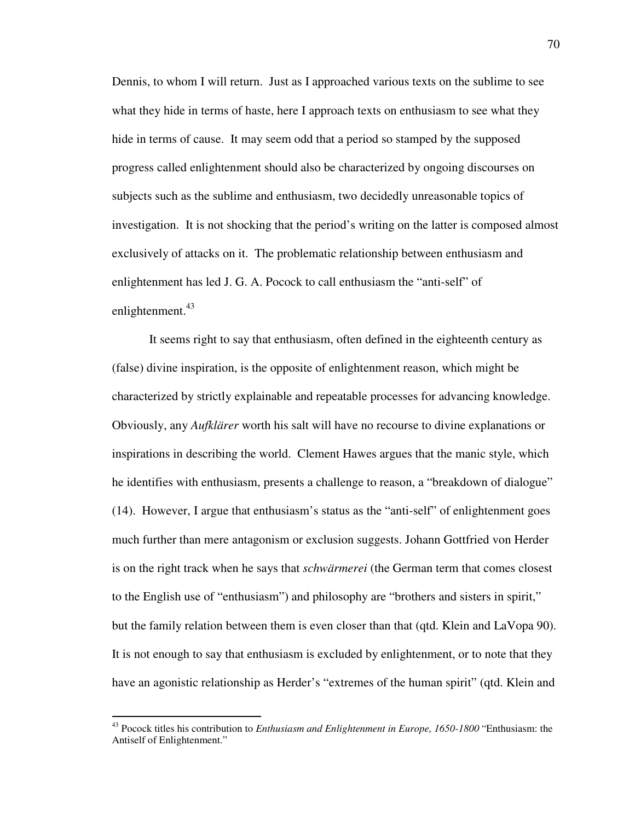Dennis, to whom I will return. Just as I approached various texts on the sublime to see what they hide in terms of haste, here I approach texts on enthusiasm to see what they hide in terms of cause. It may seem odd that a period so stamped by the supposed progress called enlightenment should also be characterized by ongoing discourses on subjects such as the sublime and enthusiasm, two decidedly unreasonable topics of investigation. It is not shocking that the period's writing on the latter is composed almost exclusively of attacks on it. The problematic relationship between enthusiasm and enlightenment has led J. G. A. Pocock to call enthusiasm the "anti-self" of enlightenment.<sup>43</sup>

 It seems right to say that enthusiasm, often defined in the eighteenth century as (false) divine inspiration, is the opposite of enlightenment reason, which might be characterized by strictly explainable and repeatable processes for advancing knowledge. Obviously, any *Aufklärer* worth his salt will have no recourse to divine explanations or inspirations in describing the world. Clement Hawes argues that the manic style, which he identifies with enthusiasm, presents a challenge to reason, a "breakdown of dialogue" (14). However, I argue that enthusiasm's status as the "anti-self" of enlightenment goes much further than mere antagonism or exclusion suggests. Johann Gottfried von Herder is on the right track when he says that *schwärmerei* (the German term that comes closest to the English use of "enthusiasm") and philosophy are "brothers and sisters in spirit," but the family relation between them is even closer than that (qtd. Klein and LaVopa 90). It is not enough to say that enthusiasm is excluded by enlightenment, or to note that they have an agonistic relationship as Herder's "extremes of the human spirit" (qtd. Klein and

<sup>43</sup> Pocock titles his contribution to *Enthusiasm and Enlightenment in Europe, 1650-1800* "Enthusiasm: the Antiself of Enlightenment."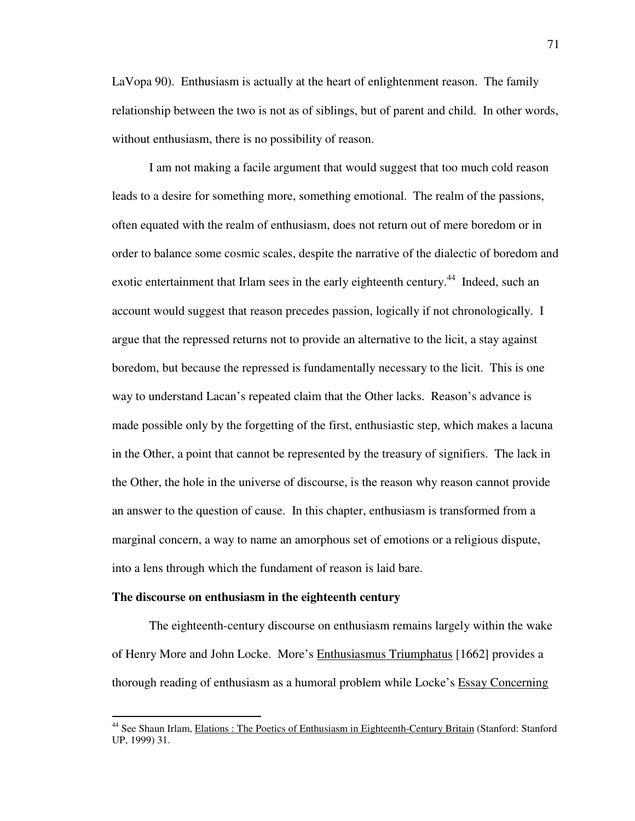LaVopa 90). Enthusiasm is actually at the heart of enlightenment reason. The family relationship between the two is not as of siblings, but of parent and child. In other words, without enthusiasm, there is no possibility of reason.

 I am not making a facile argument that would suggest that too much cold reason leads to a desire for something more, something emotional. The realm of the passions, often equated with the realm of enthusiasm, does not return out of mere boredom or in order to balance some cosmic scales, despite the narrative of the dialectic of boredom and exotic entertainment that Irlam sees in the early eighteenth century.<sup>44</sup> Indeed, such an account would suggest that reason precedes passion, logically if not chronologically. I argue that the repressed returns not to provide an alternative to the licit, a stay against boredom, but because the repressed is fundamentally necessary to the licit. This is one way to understand Lacan's repeated claim that the Other lacks. Reason's advance is made possible only by the forgetting of the first, enthusiastic step, which makes a lacuna in the Other, a point that cannot be represented by the treasury of signifiers. The lack in the Other, the hole in the universe of discourse, is the reason why reason cannot provide an answer to the question of cause. In this chapter, enthusiasm is transformed from a marginal concern, a way to name an amorphous set of emotions or a religious dispute, into a lens through which the fundament of reason is laid bare.

### **The discourse on enthusiasm in the eighteenth century**

 $\overline{a}$ 

 The eighteenth-century discourse on enthusiasm remains largely within the wake of Henry More and John Locke. More's Enthusiasmus Triumphatus [1662] provides a thorough reading of enthusiasm as a humoral problem while Locke's Essay Concerning

<sup>&</sup>lt;sup>44</sup> See Shaun Irlam, Elations : The Poetics of Enthusiasm in Eighteenth-Century Britain (Stanford: Stanford UP, 1999) 31.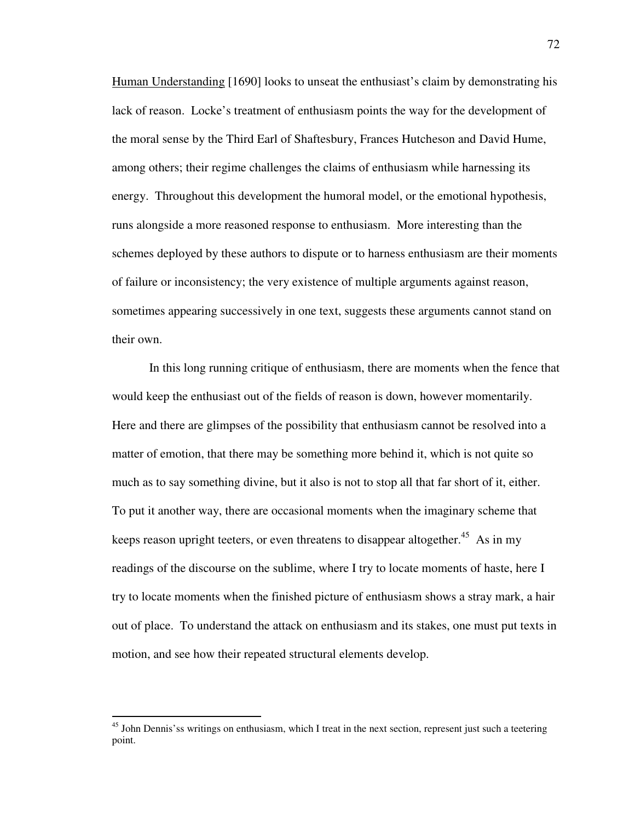Human Understanding [1690] looks to unseat the enthusiast's claim by demonstrating his lack of reason. Locke's treatment of enthusiasm points the way for the development of the moral sense by the Third Earl of Shaftesbury, Frances Hutcheson and David Hume, among others; their regime challenges the claims of enthusiasm while harnessing its energy. Throughout this development the humoral model, or the emotional hypothesis, runs alongside a more reasoned response to enthusiasm. More interesting than the schemes deployed by these authors to dispute or to harness enthusiasm are their moments of failure or inconsistency; the very existence of multiple arguments against reason, sometimes appearing successively in one text, suggests these arguments cannot stand on their own.

 In this long running critique of enthusiasm, there are moments when the fence that would keep the enthusiast out of the fields of reason is down, however momentarily. Here and there are glimpses of the possibility that enthusiasm cannot be resolved into a matter of emotion, that there may be something more behind it, which is not quite so much as to say something divine, but it also is not to stop all that far short of it, either. To put it another way, there are occasional moments when the imaginary scheme that keeps reason upright teeters, or even threatens to disappear altogether.<sup>45</sup> As in my readings of the discourse on the sublime, where I try to locate moments of haste, here I try to locate moments when the finished picture of enthusiasm shows a stray mark, a hair out of place. To understand the attack on enthusiasm and its stakes, one must put texts in motion, and see how their repeated structural elements develop.

<sup>&</sup>lt;sup>45</sup> John Dennis'ss writings on enthusiasm, which I treat in the next section, represent just such a teetering point.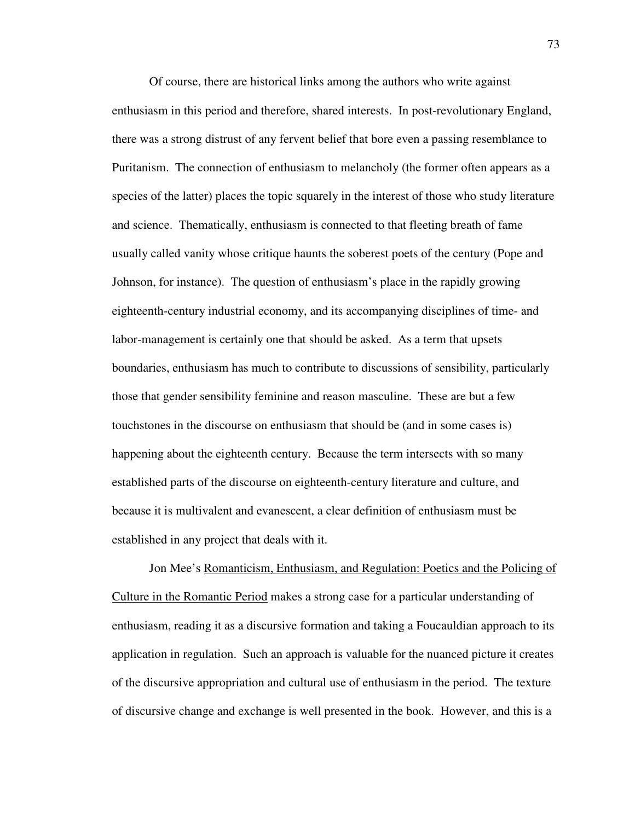Of course, there are historical links among the authors who write against enthusiasm in this period and therefore, shared interests. In post-revolutionary England, there was a strong distrust of any fervent belief that bore even a passing resemblance to Puritanism. The connection of enthusiasm to melancholy (the former often appears as a species of the latter) places the topic squarely in the interest of those who study literature and science. Thematically, enthusiasm is connected to that fleeting breath of fame usually called vanity whose critique haunts the soberest poets of the century (Pope and Johnson, for instance). The question of enthusiasm's place in the rapidly growing eighteenth-century industrial economy, and its accompanying disciplines of time- and labor-management is certainly one that should be asked. As a term that upsets boundaries, enthusiasm has much to contribute to discussions of sensibility, particularly those that gender sensibility feminine and reason masculine. These are but a few touchstones in the discourse on enthusiasm that should be (and in some cases is) happening about the eighteenth century. Because the term intersects with so many established parts of the discourse on eighteenth-century literature and culture, and because it is multivalent and evanescent, a clear definition of enthusiasm must be established in any project that deals with it.

Jon Mee's Romanticism, Enthusiasm, and Regulation: Poetics and the Policing of Culture in the Romantic Period makes a strong case for a particular understanding of enthusiasm, reading it as a discursive formation and taking a Foucauldian approach to its application in regulation. Such an approach is valuable for the nuanced picture it creates of the discursive appropriation and cultural use of enthusiasm in the period. The texture of discursive change and exchange is well presented in the book. However, and this is a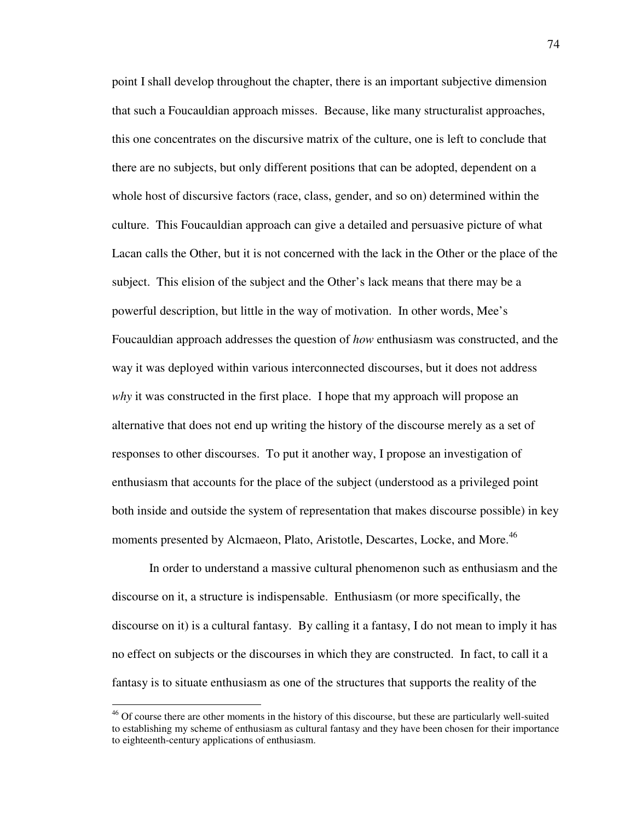point I shall develop throughout the chapter, there is an important subjective dimension that such a Foucauldian approach misses. Because, like many structuralist approaches, this one concentrates on the discursive matrix of the culture, one is left to conclude that there are no subjects, but only different positions that can be adopted, dependent on a whole host of discursive factors (race, class, gender, and so on) determined within the culture. This Foucauldian approach can give a detailed and persuasive picture of what Lacan calls the Other, but it is not concerned with the lack in the Other or the place of the subject. This elision of the subject and the Other's lack means that there may be a powerful description, but little in the way of motivation. In other words, Mee's Foucauldian approach addresses the question of *how* enthusiasm was constructed, and the way it was deployed within various interconnected discourses, but it does not address *why* it was constructed in the first place. I hope that my approach will propose an alternative that does not end up writing the history of the discourse merely as a set of responses to other discourses. To put it another way, I propose an investigation of enthusiasm that accounts for the place of the subject (understood as a privileged point both inside and outside the system of representation that makes discourse possible) in key moments presented by Alcmaeon, Plato, Aristotle, Descartes, Locke, and More.<sup>46</sup>

In order to understand a massive cultural phenomenon such as enthusiasm and the discourse on it, a structure is indispensable. Enthusiasm (or more specifically, the discourse on it) is a cultural fantasy. By calling it a fantasy, I do not mean to imply it has no effect on subjects or the discourses in which they are constructed. In fact, to call it a fantasy is to situate enthusiasm as one of the structures that supports the reality of the

<sup>&</sup>lt;sup>46</sup> Of course there are other moments in the history of this discourse, but these are particularly well-suited to establishing my scheme of enthusiasm as cultural fantasy and they have been chosen for their importance to eighteenth-century applications of enthusiasm.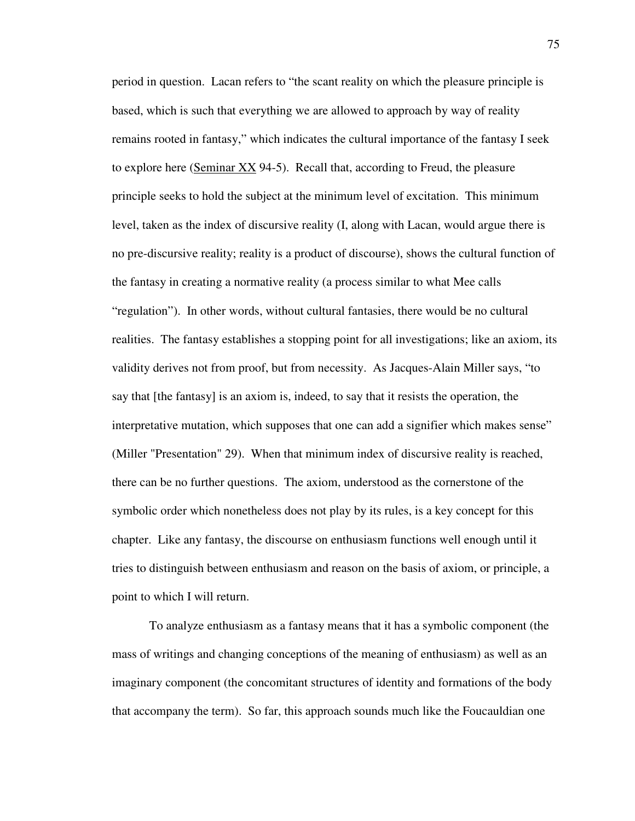period in question. Lacan refers to "the scant reality on which the pleasure principle is based, which is such that everything we are allowed to approach by way of reality remains rooted in fantasy," which indicates the cultural importance of the fantasy I seek to explore here (Seminar XX 94-5). Recall that, according to Freud, the pleasure principle seeks to hold the subject at the minimum level of excitation. This minimum level, taken as the index of discursive reality (I, along with Lacan, would argue there is no pre-discursive reality; reality is a product of discourse), shows the cultural function of the fantasy in creating a normative reality (a process similar to what Mee calls "regulation"). In other words, without cultural fantasies, there would be no cultural realities. The fantasy establishes a stopping point for all investigations; like an axiom, its validity derives not from proof, but from necessity. As Jacques-Alain Miller says, "to say that [the fantasy] is an axiom is, indeed, to say that it resists the operation, the interpretative mutation, which supposes that one can add a signifier which makes sense" (Miller "Presentation" 29). When that minimum index of discursive reality is reached, there can be no further questions. The axiom, understood as the cornerstone of the symbolic order which nonetheless does not play by its rules, is a key concept for this chapter. Like any fantasy, the discourse on enthusiasm functions well enough until it tries to distinguish between enthusiasm and reason on the basis of axiom, or principle, a point to which I will return.

To analyze enthusiasm as a fantasy means that it has a symbolic component (the mass of writings and changing conceptions of the meaning of enthusiasm) as well as an imaginary component (the concomitant structures of identity and formations of the body that accompany the term). So far, this approach sounds much like the Foucauldian one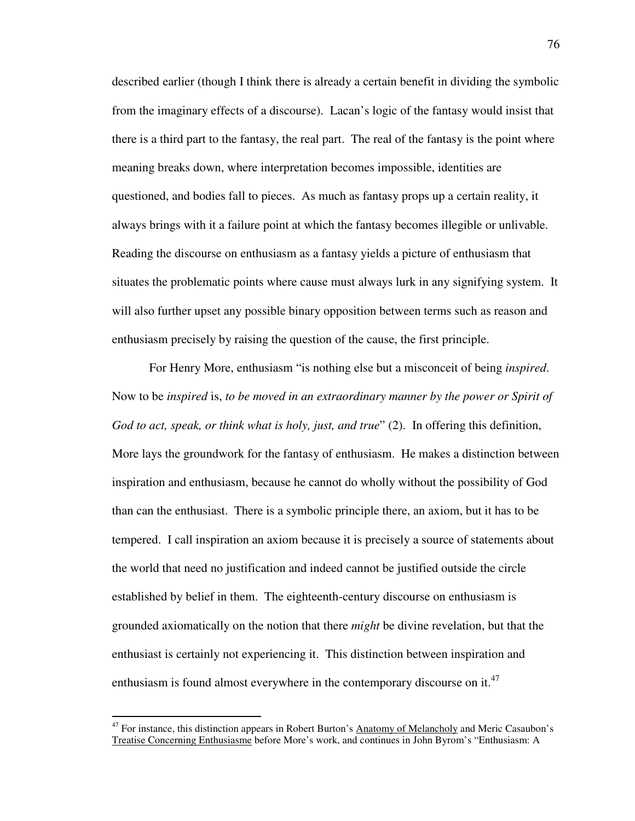described earlier (though I think there is already a certain benefit in dividing the symbolic from the imaginary effects of a discourse). Lacan's logic of the fantasy would insist that there is a third part to the fantasy, the real part. The real of the fantasy is the point where meaning breaks down, where interpretation becomes impossible, identities are questioned, and bodies fall to pieces. As much as fantasy props up a certain reality, it always brings with it a failure point at which the fantasy becomes illegible or unlivable. Reading the discourse on enthusiasm as a fantasy yields a picture of enthusiasm that situates the problematic points where cause must always lurk in any signifying system. It will also further upset any possible binary opposition between terms such as reason and enthusiasm precisely by raising the question of the cause, the first principle.

 For Henry More, enthusiasm "is nothing else but a misconceit of being *inspired*. Now to be *inspired* is, *to be moved in an extraordinary manner by the power or Spirit of God to act, speak, or think what is holy, just, and true*" (2). In offering this definition, More lays the groundwork for the fantasy of enthusiasm. He makes a distinction between inspiration and enthusiasm, because he cannot do wholly without the possibility of God than can the enthusiast. There is a symbolic principle there, an axiom, but it has to be tempered. I call inspiration an axiom because it is precisely a source of statements about the world that need no justification and indeed cannot be justified outside the circle established by belief in them. The eighteenth-century discourse on enthusiasm is grounded axiomatically on the notion that there *might* be divine revelation, but that the enthusiast is certainly not experiencing it. This distinction between inspiration and enthusiasm is found almost everywhere in the contemporary discourse on it.<sup>47</sup>

<sup>&</sup>lt;sup>47</sup> For instance, this distinction appears in Robert Burton's Anatomy of Melancholy and Meric Casaubon's Treatise Concerning Enthusiasme before More's work, and continues in John Byrom's "Enthusiasm: A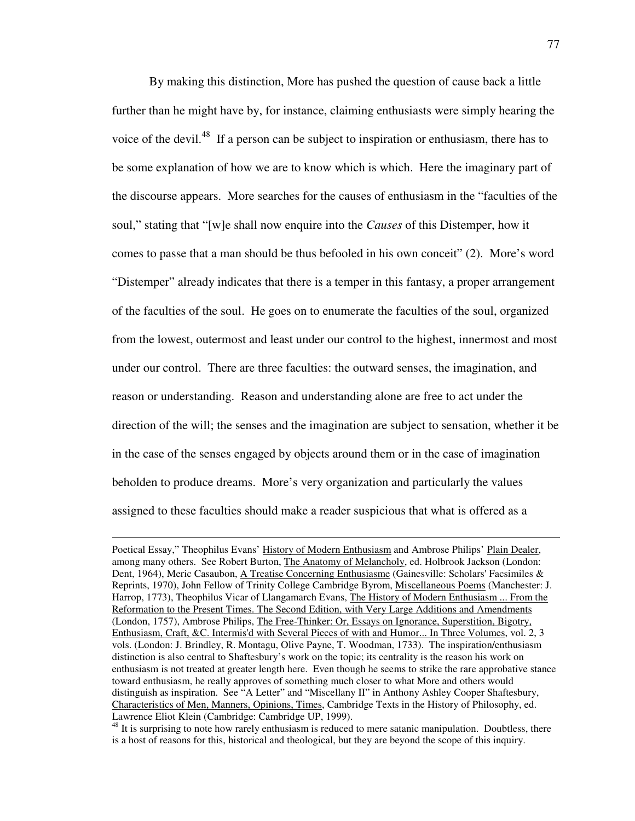By making this distinction, More has pushed the question of cause back a little further than he might have by, for instance, claiming enthusiasts were simply hearing the voice of the devil.<sup>48</sup> If a person can be subject to inspiration or enthusiasm, there has to be some explanation of how we are to know which is which. Here the imaginary part of the discourse appears. More searches for the causes of enthusiasm in the "faculties of the soul," stating that "[w]e shall now enquire into the *Causes* of this Distemper, how it comes to passe that a man should be thus befooled in his own conceit" (2). More's word "Distemper" already indicates that there is a temper in this fantasy, a proper arrangement of the faculties of the soul. He goes on to enumerate the faculties of the soul, organized from the lowest, outermost and least under our control to the highest, innermost and most under our control. There are three faculties: the outward senses, the imagination, and reason or understanding. Reason and understanding alone are free to act under the direction of the will; the senses and the imagination are subject to sensation, whether it be in the case of the senses engaged by objects around them or in the case of imagination beholden to produce dreams. More's very organization and particularly the values assigned to these faculties should make a reader suspicious that what is offered as a

Poetical Essay," Theophilus Evans' History of Modern Enthusiasm and Ambrose Philips' Plain Dealer, among many others. See Robert Burton, The Anatomy of Melancholy, ed. Holbrook Jackson (London: Dent, 1964), Meric Casaubon, A Treatise Concerning Enthusiasme (Gainesville: Scholars' Facsimiles & Reprints, 1970), John Fellow of Trinity College Cambridge Byrom, Miscellaneous Poems (Manchester: J. Harrop, 1773), Theophilus Vicar of Llangamarch Evans, The History of Modern Enthusiasm ... From the Reformation to the Present Times. The Second Edition, with Very Large Additions and Amendments (London, 1757), Ambrose Philips, The Free-Thinker: Or, Essays on Ignorance, Superstition, Bigotry, Enthusiasm, Craft, &C. Intermis'd with Several Pieces of with and Humor... In Three Volumes, vol. 2, 3 vols. (London: J. Brindley, R. Montagu, Olive Payne, T. Woodman, 1733). The inspiration/enthusiasm distinction is also central to Shaftesbury's work on the topic; its centrality is the reason his work on enthusiasm is not treated at greater length here. Even though he seems to strike the rare approbative stance toward enthusiasm, he really approves of something much closer to what More and others would distinguish as inspiration. See "A Letter" and "Miscellany II" in Anthony Ashley Cooper Shaftesbury, Characteristics of Men, Manners, Opinions, Times, Cambridge Texts in the History of Philosophy, ed. Lawrence Eliot Klein (Cambridge: Cambridge UP, 1999).

<sup>&</sup>lt;sup>48</sup> It is surprising to note how rarely enthusiasm is reduced to mere satanic manipulation. Doubtless, there is a host of reasons for this, historical and theological, but they are beyond the scope of this inquiry.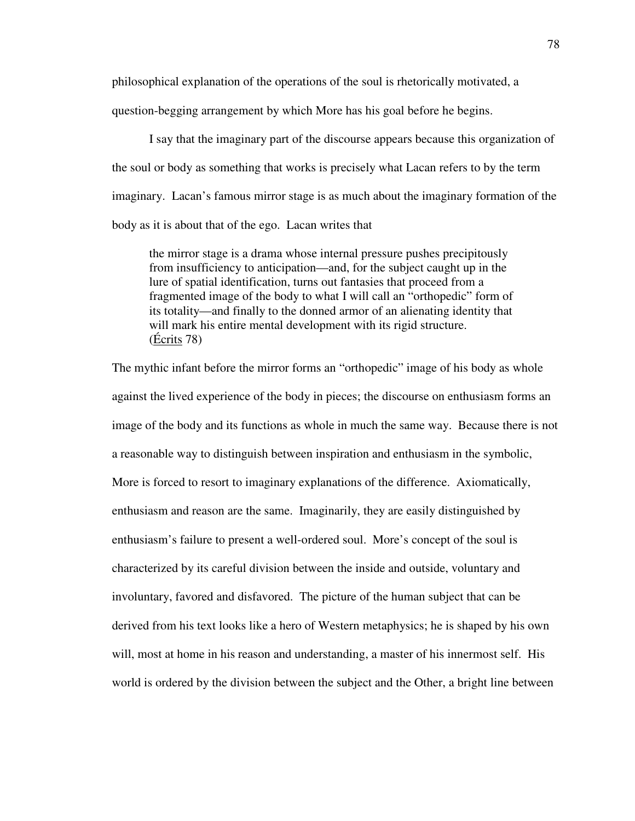philosophical explanation of the operations of the soul is rhetorically motivated, a question-begging arrangement by which More has his goal before he begins.

 I say that the imaginary part of the discourse appears because this organization of the soul or body as something that works is precisely what Lacan refers to by the term imaginary. Lacan's famous mirror stage is as much about the imaginary formation of the body as it is about that of the ego. Lacan writes that

 the mirror stage is a drama whose internal pressure pushes precipitously from insufficiency to anticipation—and, for the subject caught up in the lure of spatial identification, turns out fantasies that proceed from a fragmented image of the body to what I will call an "orthopedic" form of its totality—and finally to the donned armor of an alienating identity that will mark his entire mental development with its rigid structure. (Écrits 78)

The mythic infant before the mirror forms an "orthopedic" image of his body as whole against the lived experience of the body in pieces; the discourse on enthusiasm forms an image of the body and its functions as whole in much the same way. Because there is not a reasonable way to distinguish between inspiration and enthusiasm in the symbolic, More is forced to resort to imaginary explanations of the difference. Axiomatically, enthusiasm and reason are the same. Imaginarily, they are easily distinguished by enthusiasm's failure to present a well-ordered soul. More's concept of the soul is characterized by its careful division between the inside and outside, voluntary and involuntary, favored and disfavored. The picture of the human subject that can be derived from his text looks like a hero of Western metaphysics; he is shaped by his own will, most at home in his reason and understanding, a master of his innermost self. His world is ordered by the division between the subject and the Other, a bright line between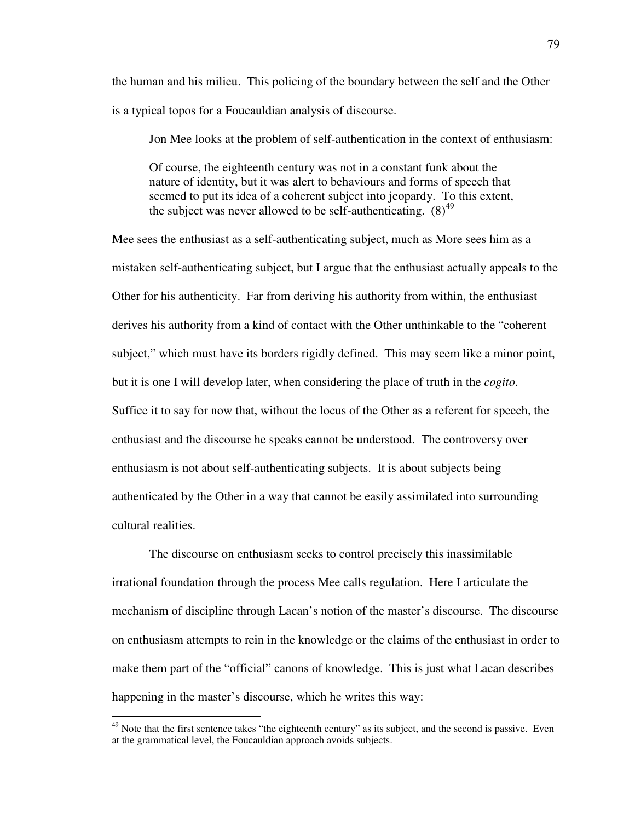the human and his milieu. This policing of the boundary between the self and the Other is a typical topos for a Foucauldian analysis of discourse.

Jon Mee looks at the problem of self-authentication in the context of enthusiasm:

Of course, the eighteenth century was not in a constant funk about the nature of identity, but it was alert to behaviours and forms of speech that seemed to put its idea of a coherent subject into jeopardy. To this extent, the subject was never allowed to be self-authenticating.  $(8)^{49}$ 

Mee sees the enthusiast as a self-authenticating subject, much as More sees him as a mistaken self-authenticating subject, but I argue that the enthusiast actually appeals to the Other for his authenticity. Far from deriving his authority from within, the enthusiast derives his authority from a kind of contact with the Other unthinkable to the "coherent subject," which must have its borders rigidly defined. This may seem like a minor point, but it is one I will develop later, when considering the place of truth in the *cogito*. Suffice it to say for now that, without the locus of the Other as a referent for speech, the enthusiast and the discourse he speaks cannot be understood. The controversy over enthusiasm is not about self-authenticating subjects. It is about subjects being authenticated by the Other in a way that cannot be easily assimilated into surrounding cultural realities.

 The discourse on enthusiasm seeks to control precisely this inassimilable irrational foundation through the process Mee calls regulation. Here I articulate the mechanism of discipline through Lacan's notion of the master's discourse. The discourse on enthusiasm attempts to rein in the knowledge or the claims of the enthusiast in order to make them part of the "official" canons of knowledge. This is just what Lacan describes happening in the master's discourse, which he writes this way:

 $49$  Note that the first sentence takes "the eighteenth century" as its subject, and the second is passive. Even at the grammatical level, the Foucauldian approach avoids subjects.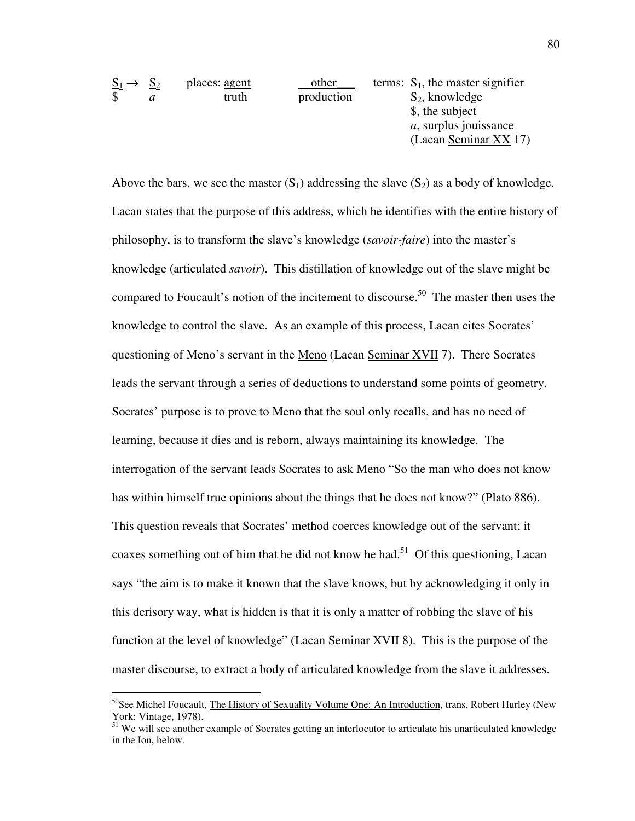| $S_1 \rightarrow S_2$ |   | places: agent | other      | terms: $S_1$ , the master signifier |
|-----------------------|---|---------------|------------|-------------------------------------|
| \$                    | a | truth         | production | $S_2$ , knowledge                   |
|                       |   |               |            | \$, the subject                     |
|                       |   |               |            | <i>a</i> , surplus jouissance       |
|                       |   |               |            | (Lacan Seminar XX 17)               |

Above the bars, we see the master  $(S_1)$  addressing the slave  $(S_2)$  as a body of knowledge. Lacan states that the purpose of this address, which he identifies with the entire history of philosophy, is to transform the slave's knowledge (*savoir-faire*) into the master's knowledge (articulated *savoir*). This distillation of knowledge out of the slave might be compared to Foucault's notion of the incitement to discourse.<sup>50</sup> The master then uses the knowledge to control the slave. As an example of this process, Lacan cites Socrates' questioning of Meno's servant in the Meno (Lacan Seminar XVII 7). There Socrates leads the servant through a series of deductions to understand some points of geometry. Socrates' purpose is to prove to Meno that the soul only recalls, and has no need of learning, because it dies and is reborn, always maintaining its knowledge. The interrogation of the servant leads Socrates to ask Meno "So the man who does not know has within himself true opinions about the things that he does not know?" (Plato 886). This question reveals that Socrates' method coerces knowledge out of the servant; it coaxes something out of him that he did not know he had.<sup>51</sup> Of this questioning, Lacan says "the aim is to make it known that the slave knows, but by acknowledging it only in this derisory way, what is hidden is that it is only a matter of robbing the slave of his function at the level of knowledge" (Lacan Seminar XVII 8). This is the purpose of the master discourse, to extract a body of articulated knowledge from the slave it addresses.

 $50$ See Michel Foucault, The History of Sexuality Volume One: An Introduction, trans. Robert Hurley (New York: Vintage, 1978).

<sup>&</sup>lt;sup>51</sup> We will see another example of Socrates getting an interlocutor to articulate his unarticulated knowledge in the Ion, below.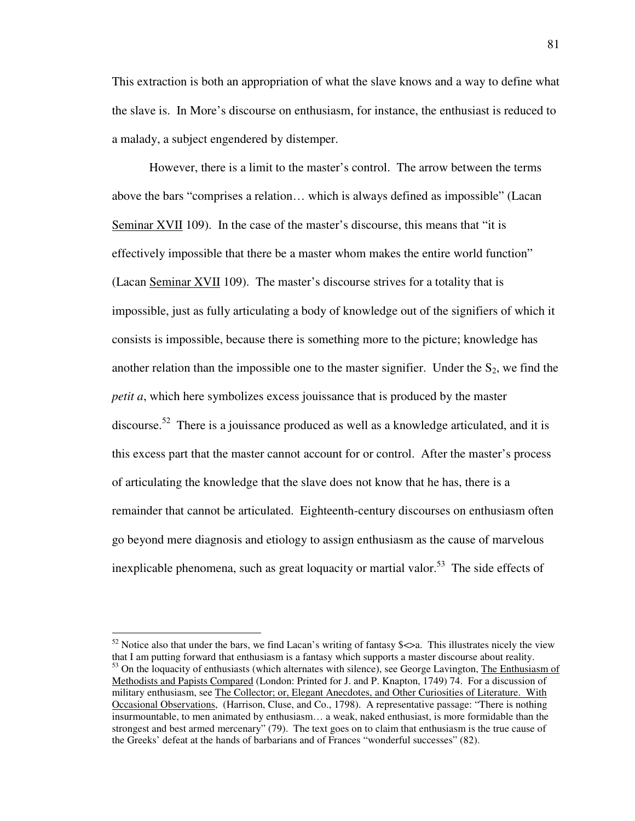This extraction is both an appropriation of what the slave knows and a way to define what the slave is. In More's discourse on enthusiasm, for instance, the enthusiast is reduced to a malady, a subject engendered by distemper.

However, there is a limit to the master's control. The arrow between the terms above the bars "comprises a relation… which is always defined as impossible" (Lacan Seminar XVII 109). In the case of the master's discourse, this means that "it is effectively impossible that there be a master whom makes the entire world function" (Lacan Seminar XVII 109). The master's discourse strives for a totality that is impossible, just as fully articulating a body of knowledge out of the signifiers of which it consists is impossible, because there is something more to the picture; knowledge has another relation than the impossible one to the master signifier. Under the  $S_2$ , we find the *petit a*, which here symbolizes excess jouissance that is produced by the master discourse.<sup>52</sup> There is a jouissance produced as well as a knowledge articulated, and it is this excess part that the master cannot account for or control. After the master's process of articulating the knowledge that the slave does not know that he has, there is a remainder that cannot be articulated. Eighteenth-century discourses on enthusiasm often go beyond mere diagnosis and etiology to assign enthusiasm as the cause of marvelous inexplicable phenomena, such as great loquacity or martial valor.<sup>53</sup> The side effects of

 $52$  Notice also that under the bars, we find Lacan's writing of fantasy \$ $\lt$  a. This illustrates nicely the view that I am putting forward that enthusiasm is a fantasy which supports a master discourse about reality. <sup>53</sup> On the loquacity of enthusiasts (which alternates with silence), see George Lavington, The Enthusiasm of Methodists and Papists Compared (London: Printed for J. and P. Knapton, 1749) 74. For a discussion of military enthusiasm, see The Collector; or, Elegant Anecdotes, and Other Curiosities of Literature. With Occasional Observations, (Harrison, Cluse, and Co., 1798). A representative passage: "There is nothing insurmountable, to men animated by enthusiasm… a weak, naked enthusiast, is more formidable than the strongest and best armed mercenary" (79). The text goes on to claim that enthusiasm is the true cause of the Greeks' defeat at the hands of barbarians and of Frances "wonderful successes" (82).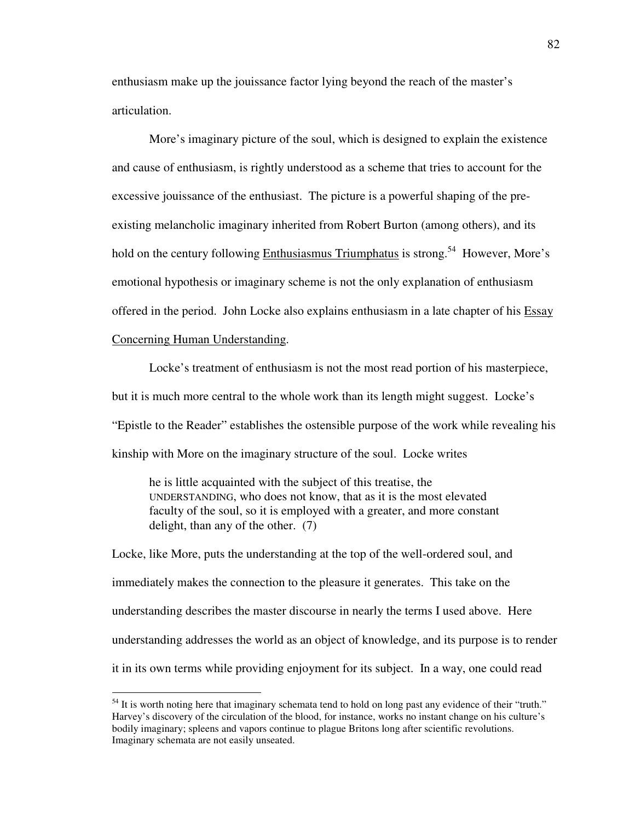enthusiasm make up the jouissance factor lying beyond the reach of the master's articulation.

More's imaginary picture of the soul, which is designed to explain the existence and cause of enthusiasm, is rightly understood as a scheme that tries to account for the excessive jouissance of the enthusiast. The picture is a powerful shaping of the preexisting melancholic imaginary inherited from Robert Burton (among others), and its hold on the century following Enthusiasmus Triumphatus is strong.<sup>54</sup> However, More's emotional hypothesis or imaginary scheme is not the only explanation of enthusiasm offered in the period. John Locke also explains enthusiasm in a late chapter of his Essay Concerning Human Understanding.

Locke's treatment of enthusiasm is not the most read portion of his masterpiece, but it is much more central to the whole work than its length might suggest. Locke's "Epistle to the Reader" establishes the ostensible purpose of the work while revealing his kinship with More on the imaginary structure of the soul. Locke writes

he is little acquainted with the subject of this treatise, the UNDERSTANDING, who does not know, that as it is the most elevated faculty of the soul, so it is employed with a greater, and more constant delight, than any of the other. (7)

Locke, like More, puts the understanding at the top of the well-ordered soul, and immediately makes the connection to the pleasure it generates. This take on the understanding describes the master discourse in nearly the terms I used above. Here understanding addresses the world as an object of knowledge, and its purpose is to render it in its own terms while providing enjoyment for its subject. In a way, one could read

 $<sup>54</sup>$  It is worth noting here that imaginary schemata tend to hold on long past any evidence of their "truth."</sup> Harvey's discovery of the circulation of the blood, for instance, works no instant change on his culture's bodily imaginary; spleens and vapors continue to plague Britons long after scientific revolutions. Imaginary schemata are not easily unseated.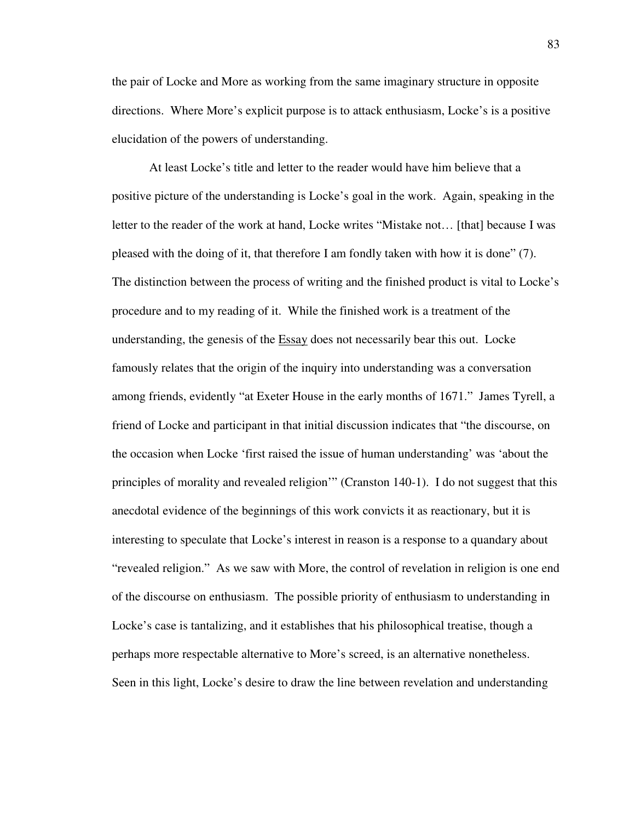the pair of Locke and More as working from the same imaginary structure in opposite directions. Where More's explicit purpose is to attack enthusiasm, Locke's is a positive elucidation of the powers of understanding.

 At least Locke's title and letter to the reader would have him believe that a positive picture of the understanding is Locke's goal in the work. Again, speaking in the letter to the reader of the work at hand, Locke writes "Mistake not… [that] because I was pleased with the doing of it, that therefore I am fondly taken with how it is done" (7). The distinction between the process of writing and the finished product is vital to Locke's procedure and to my reading of it. While the finished work is a treatment of the understanding, the genesis of the Essay does not necessarily bear this out. Locke famously relates that the origin of the inquiry into understanding was a conversation among friends, evidently "at Exeter House in the early months of 1671." James Tyrell, a friend of Locke and participant in that initial discussion indicates that "the discourse, on the occasion when Locke 'first raised the issue of human understanding' was 'about the principles of morality and revealed religion'" (Cranston 140-1). I do not suggest that this anecdotal evidence of the beginnings of this work convicts it as reactionary, but it is interesting to speculate that Locke's interest in reason is a response to a quandary about "revealed religion." As we saw with More, the control of revelation in religion is one end of the discourse on enthusiasm. The possible priority of enthusiasm to understanding in Locke's case is tantalizing, and it establishes that his philosophical treatise, though a perhaps more respectable alternative to More's screed, is an alternative nonetheless. Seen in this light, Locke's desire to draw the line between revelation and understanding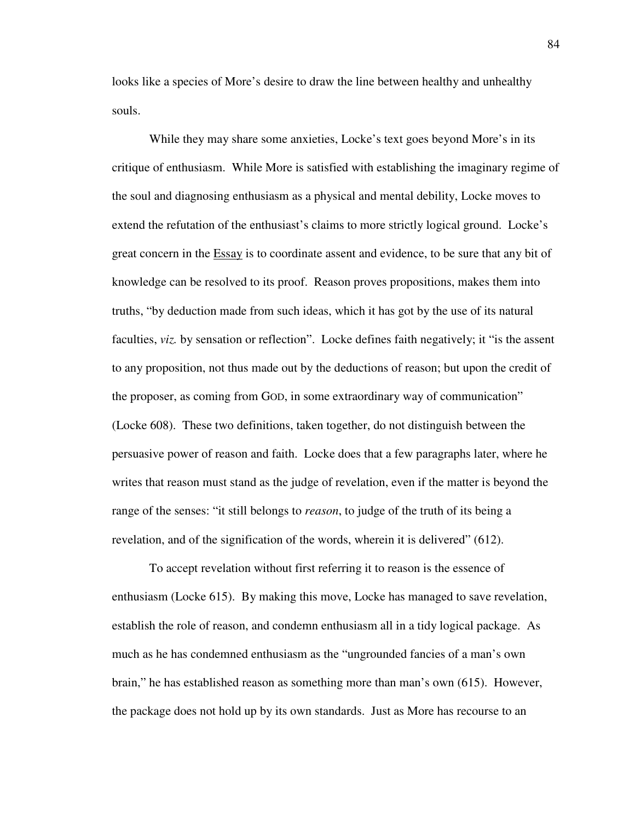looks like a species of More's desire to draw the line between healthy and unhealthy souls.

 While they may share some anxieties, Locke's text goes beyond More's in its critique of enthusiasm. While More is satisfied with establishing the imaginary regime of the soul and diagnosing enthusiasm as a physical and mental debility, Locke moves to extend the refutation of the enthusiast's claims to more strictly logical ground. Locke's great concern in the Essay is to coordinate assent and evidence, to be sure that any bit of knowledge can be resolved to its proof. Reason proves propositions, makes them into truths, "by deduction made from such ideas, which it has got by the use of its natural faculties, *viz.* by sensation or reflection". Locke defines faith negatively; it "is the assent to any proposition, not thus made out by the deductions of reason; but upon the credit of the proposer, as coming from GOD, in some extraordinary way of communication" (Locke 608). These two definitions, taken together, do not distinguish between the persuasive power of reason and faith. Locke does that a few paragraphs later, where he writes that reason must stand as the judge of revelation, even if the matter is beyond the range of the senses: "it still belongs to *reason*, to judge of the truth of its being a revelation, and of the signification of the words, wherein it is delivered" (612).

 To accept revelation without first referring it to reason is the essence of enthusiasm (Locke 615). By making this move, Locke has managed to save revelation, establish the role of reason, and condemn enthusiasm all in a tidy logical package. As much as he has condemned enthusiasm as the "ungrounded fancies of a man's own brain," he has established reason as something more than man's own (615). However, the package does not hold up by its own standards. Just as More has recourse to an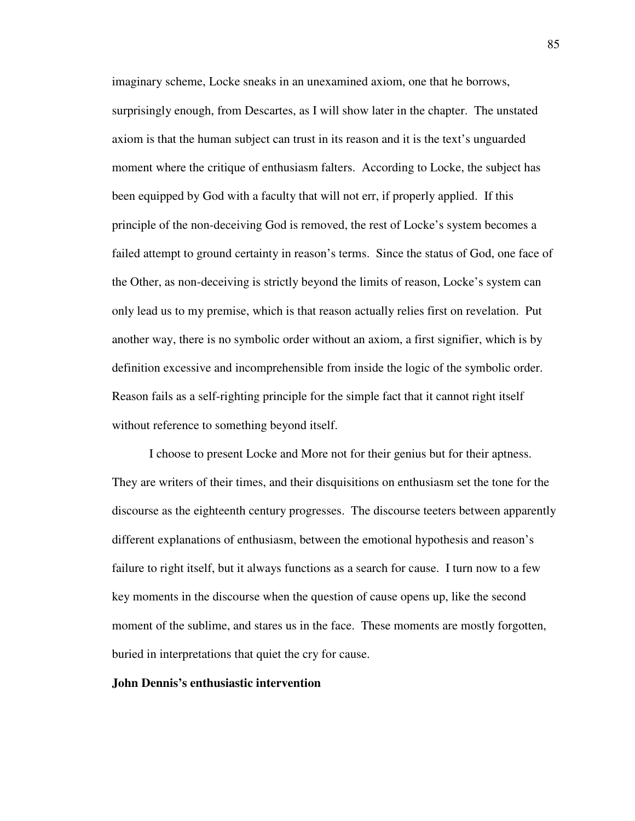imaginary scheme, Locke sneaks in an unexamined axiom, one that he borrows, surprisingly enough, from Descartes, as I will show later in the chapter. The unstated axiom is that the human subject can trust in its reason and it is the text's unguarded moment where the critique of enthusiasm falters. According to Locke, the subject has been equipped by God with a faculty that will not err, if properly applied. If this principle of the non-deceiving God is removed, the rest of Locke's system becomes a failed attempt to ground certainty in reason's terms. Since the status of God, one face of the Other, as non-deceiving is strictly beyond the limits of reason, Locke's system can only lead us to my premise, which is that reason actually relies first on revelation. Put another way, there is no symbolic order without an axiom, a first signifier, which is by definition excessive and incomprehensible from inside the logic of the symbolic order. Reason fails as a self-righting principle for the simple fact that it cannot right itself without reference to something beyond itself.

I choose to present Locke and More not for their genius but for their aptness. They are writers of their times, and their disquisitions on enthusiasm set the tone for the discourse as the eighteenth century progresses. The discourse teeters between apparently different explanations of enthusiasm, between the emotional hypothesis and reason's failure to right itself, but it always functions as a search for cause. I turn now to a few key moments in the discourse when the question of cause opens up, like the second moment of the sublime, and stares us in the face. These moments are mostly forgotten, buried in interpretations that quiet the cry for cause.

### **John Dennis's enthusiastic intervention**

85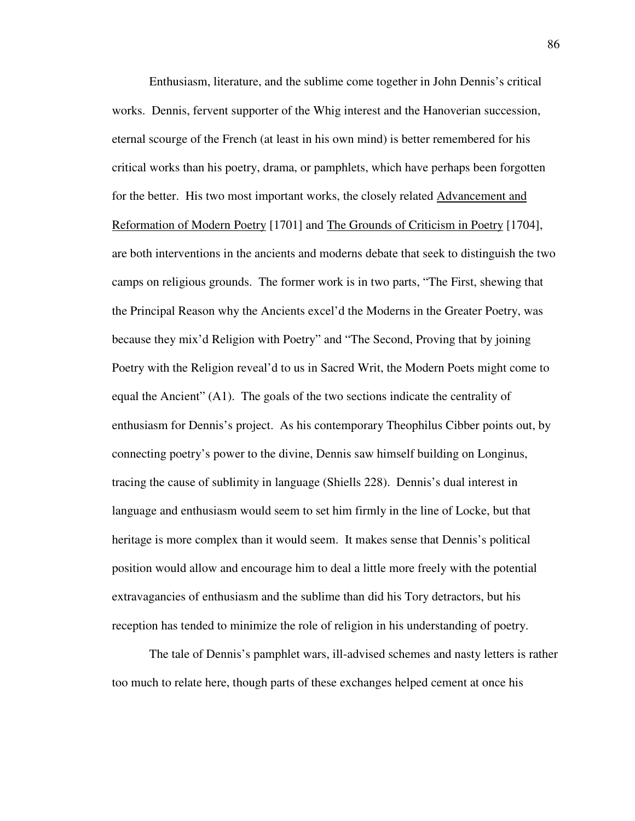Enthusiasm, literature, and the sublime come together in John Dennis's critical works. Dennis, fervent supporter of the Whig interest and the Hanoverian succession, eternal scourge of the French (at least in his own mind) is better remembered for his critical works than his poetry, drama, or pamphlets, which have perhaps been forgotten for the better. His two most important works, the closely related Advancement and Reformation of Modern Poetry [1701] and The Grounds of Criticism in Poetry [1704], are both interventions in the ancients and moderns debate that seek to distinguish the two camps on religious grounds. The former work is in two parts, "The First, shewing that the Principal Reason why the Ancients excel'd the Moderns in the Greater Poetry, was because they mix'd Religion with Poetry" and "The Second, Proving that by joining Poetry with the Religion reveal'd to us in Sacred Writ, the Modern Poets might come to equal the Ancient" (A1). The goals of the two sections indicate the centrality of enthusiasm for Dennis's project. As his contemporary Theophilus Cibber points out, by connecting poetry's power to the divine, Dennis saw himself building on Longinus, tracing the cause of sublimity in language (Shiells 228). Dennis's dual interest in language and enthusiasm would seem to set him firmly in the line of Locke, but that heritage is more complex than it would seem. It makes sense that Dennis's political position would allow and encourage him to deal a little more freely with the potential extravagancies of enthusiasm and the sublime than did his Tory detractors, but his reception has tended to minimize the role of religion in his understanding of poetry.

 The tale of Dennis's pamphlet wars, ill-advised schemes and nasty letters is rather too much to relate here, though parts of these exchanges helped cement at once his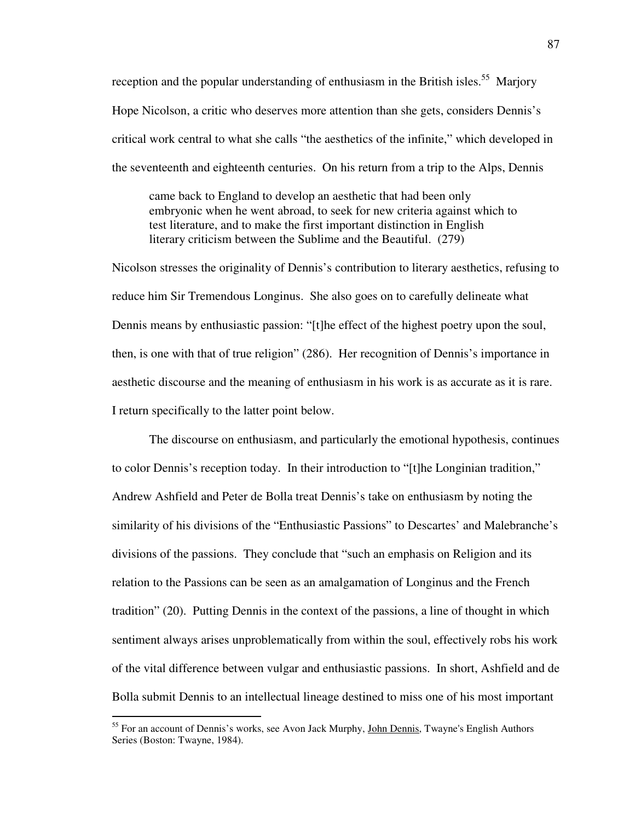reception and the popular understanding of enthusiasm in the British isles.<sup>55</sup> Marjory Hope Nicolson, a critic who deserves more attention than she gets, considers Dennis's critical work central to what she calls "the aesthetics of the infinite," which developed in the seventeenth and eighteenth centuries. On his return from a trip to the Alps, Dennis

 came back to England to develop an aesthetic that had been only embryonic when he went abroad, to seek for new criteria against which to test literature, and to make the first important distinction in English literary criticism between the Sublime and the Beautiful. (279)

Nicolson stresses the originality of Dennis's contribution to literary aesthetics, refusing to reduce him Sir Tremendous Longinus. She also goes on to carefully delineate what Dennis means by enthusiastic passion: "[t]he effect of the highest poetry upon the soul, then, is one with that of true religion" (286). Her recognition of Dennis's importance in aesthetic discourse and the meaning of enthusiasm in his work is as accurate as it is rare. I return specifically to the latter point below.

 The discourse on enthusiasm, and particularly the emotional hypothesis, continues to color Dennis's reception today. In their introduction to "[t]he Longinian tradition," Andrew Ashfield and Peter de Bolla treat Dennis's take on enthusiasm by noting the similarity of his divisions of the "Enthusiastic Passions" to Descartes' and Malebranche's divisions of the passions. They conclude that "such an emphasis on Religion and its relation to the Passions can be seen as an amalgamation of Longinus and the French tradition" (20). Putting Dennis in the context of the passions, a line of thought in which sentiment always arises unproblematically from within the soul, effectively robs his work of the vital difference between vulgar and enthusiastic passions. In short, Ashfield and de Bolla submit Dennis to an intellectual lineage destined to miss one of his most important

<sup>&</sup>lt;sup>55</sup> For an account of Dennis's works, see Avon Jack Murphy, John Dennis, Twayne's English Authors Series (Boston: Twayne, 1984).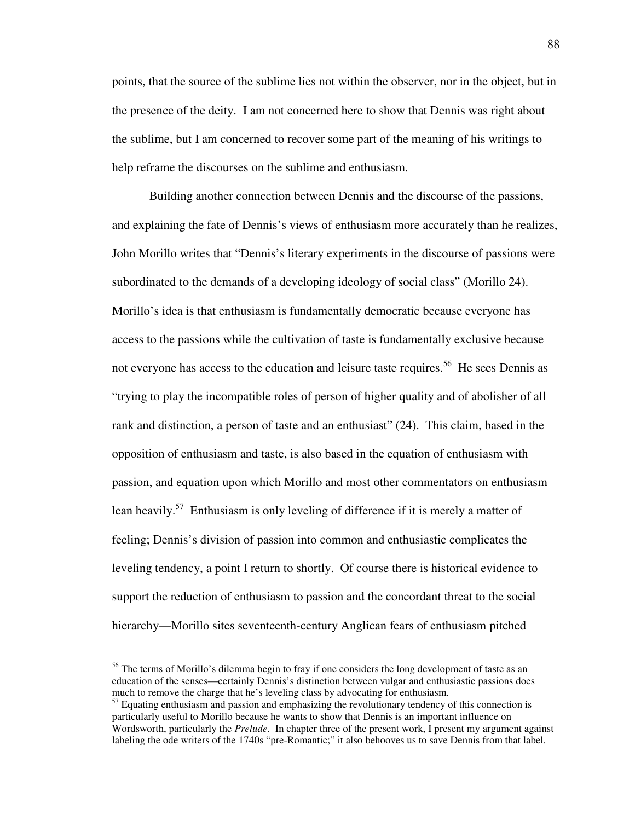points, that the source of the sublime lies not within the observer, nor in the object, but in the presence of the deity. I am not concerned here to show that Dennis was right about the sublime, but I am concerned to recover some part of the meaning of his writings to help reframe the discourses on the sublime and enthusiasm.

 Building another connection between Dennis and the discourse of the passions, and explaining the fate of Dennis's views of enthusiasm more accurately than he realizes, John Morillo writes that "Dennis's literary experiments in the discourse of passions were subordinated to the demands of a developing ideology of social class" (Morillo 24). Morillo's idea is that enthusiasm is fundamentally democratic because everyone has access to the passions while the cultivation of taste is fundamentally exclusive because not everyone has access to the education and leisure taste requires.<sup>56</sup> He sees Dennis as "trying to play the incompatible roles of person of higher quality and of abolisher of all rank and distinction, a person of taste and an enthusiast" (24). This claim, based in the opposition of enthusiasm and taste, is also based in the equation of enthusiasm with passion, and equation upon which Morillo and most other commentators on enthusiasm lean heavily.<sup>57</sup> Enthusiasm is only leveling of difference if it is merely a matter of feeling; Dennis's division of passion into common and enthusiastic complicates the leveling tendency, a point I return to shortly. Of course there is historical evidence to support the reduction of enthusiasm to passion and the concordant threat to the social hierarchy—Morillo sites seventeenth-century Anglican fears of enthusiasm pitched

<sup>&</sup>lt;sup>56</sup> The terms of Morillo's dilemma begin to fray if one considers the long development of taste as an education of the senses—certainly Dennis's distinction between vulgar and enthusiastic passions does much to remove the charge that he's leveling class by advocating for enthusiasm.

 $57$  Equating enthusiasm and passion and emphasizing the revolutionary tendency of this connection is particularly useful to Morillo because he wants to show that Dennis is an important influence on Wordsworth, particularly the *Prelude*. In chapter three of the present work, I present my argument against labeling the ode writers of the 1740s "pre-Romantic;" it also behooves us to save Dennis from that label.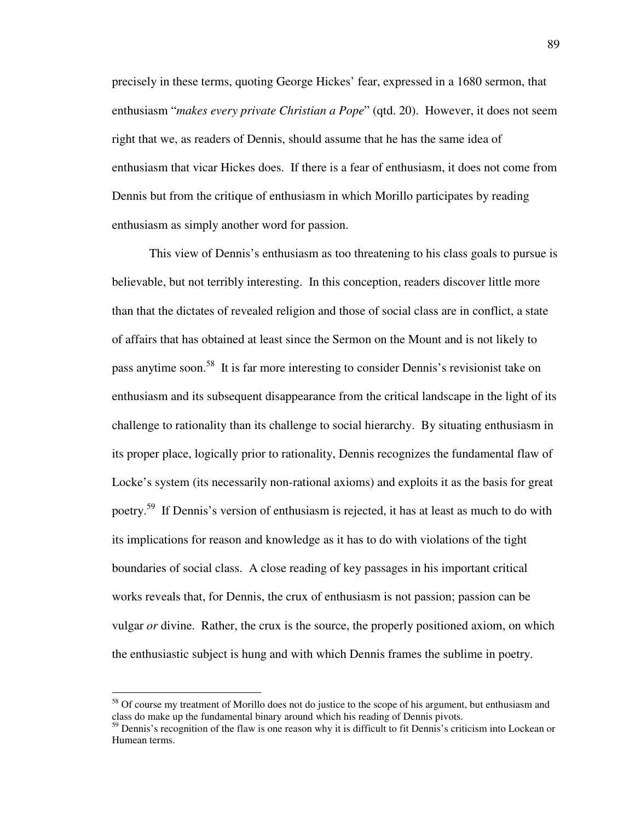precisely in these terms, quoting George Hickes' fear, expressed in a 1680 sermon, that enthusiasm "*makes every private Christian a Pope*" (qtd. 20). However, it does not seem right that we, as readers of Dennis, should assume that he has the same idea of enthusiasm that vicar Hickes does. If there is a fear of enthusiasm, it does not come from Dennis but from the critique of enthusiasm in which Morillo participates by reading enthusiasm as simply another word for passion.

 This view of Dennis's enthusiasm as too threatening to his class goals to pursue is believable, but not terribly interesting. In this conception, readers discover little more than that the dictates of revealed religion and those of social class are in conflict, a state of affairs that has obtained at least since the Sermon on the Mount and is not likely to pass anytime soon.<sup>58</sup> It is far more interesting to consider Dennis's revisionist take on enthusiasm and its subsequent disappearance from the critical landscape in the light of its challenge to rationality than its challenge to social hierarchy. By situating enthusiasm in its proper place, logically prior to rationality, Dennis recognizes the fundamental flaw of Locke's system (its necessarily non-rational axioms) and exploits it as the basis for great poetry.<sup>59</sup> If Dennis's version of enthusiasm is rejected, it has at least as much to do with its implications for reason and knowledge as it has to do with violations of the tight boundaries of social class. A close reading of key passages in his important critical works reveals that, for Dennis, the crux of enthusiasm is not passion; passion can be vulgar *or* divine. Rather, the crux is the source, the properly positioned axiom, on which the enthusiastic subject is hung and with which Dennis frames the sublime in poetry.

<sup>&</sup>lt;sup>58</sup> Of course my treatment of Morillo does not do justice to the scope of his argument, but enthusiasm and class do make up the fundamental binary around which his reading of Dennis pivots.

<sup>&</sup>lt;sup>59</sup> Dennis's recognition of the flaw is one reason why it is difficult to fit Dennis's criticism into Lockean or Humean terms.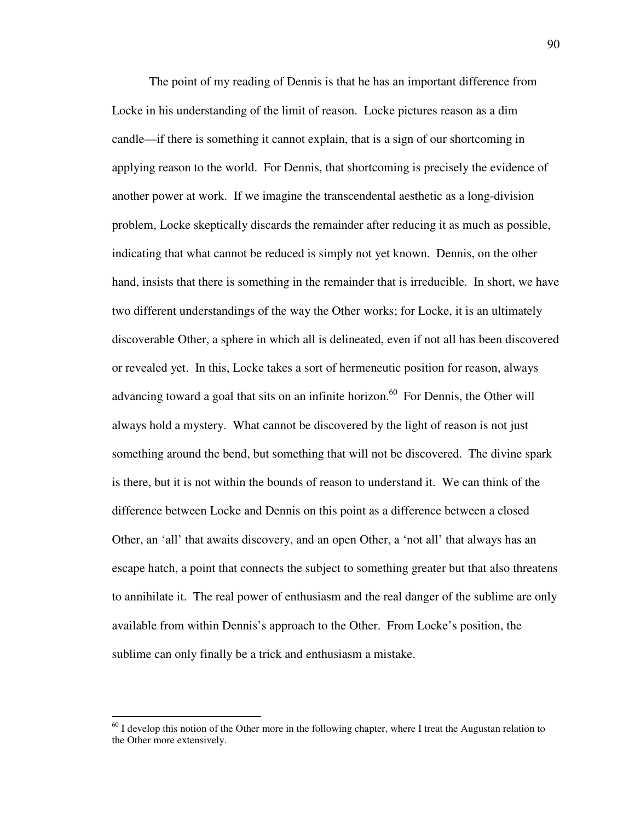The point of my reading of Dennis is that he has an important difference from Locke in his understanding of the limit of reason. Locke pictures reason as a dim candle—if there is something it cannot explain, that is a sign of our shortcoming in applying reason to the world. For Dennis, that shortcoming is precisely the evidence of another power at work. If we imagine the transcendental aesthetic as a long-division problem, Locke skeptically discards the remainder after reducing it as much as possible, indicating that what cannot be reduced is simply not yet known. Dennis, on the other hand, insists that there is something in the remainder that is irreducible. In short, we have two different understandings of the way the Other works; for Locke, it is an ultimately discoverable Other, a sphere in which all is delineated, even if not all has been discovered or revealed yet. In this, Locke takes a sort of hermeneutic position for reason, always advancing toward a goal that sits on an infinite horizon.<sup>60</sup> For Dennis, the Other will always hold a mystery. What cannot be discovered by the light of reason is not just something around the bend, but something that will not be discovered. The divine spark is there, but it is not within the bounds of reason to understand it. We can think of the difference between Locke and Dennis on this point as a difference between a closed Other, an 'all' that awaits discovery, and an open Other, a 'not all' that always has an escape hatch, a point that connects the subject to something greater but that also threatens to annihilate it. The real power of enthusiasm and the real danger of the sublime are only available from within Dennis's approach to the Other. From Locke's position, the sublime can only finally be a trick and enthusiasm a mistake.

 $60$  I develop this notion of the Other more in the following chapter, where I treat the Augustan relation to the Other more extensively.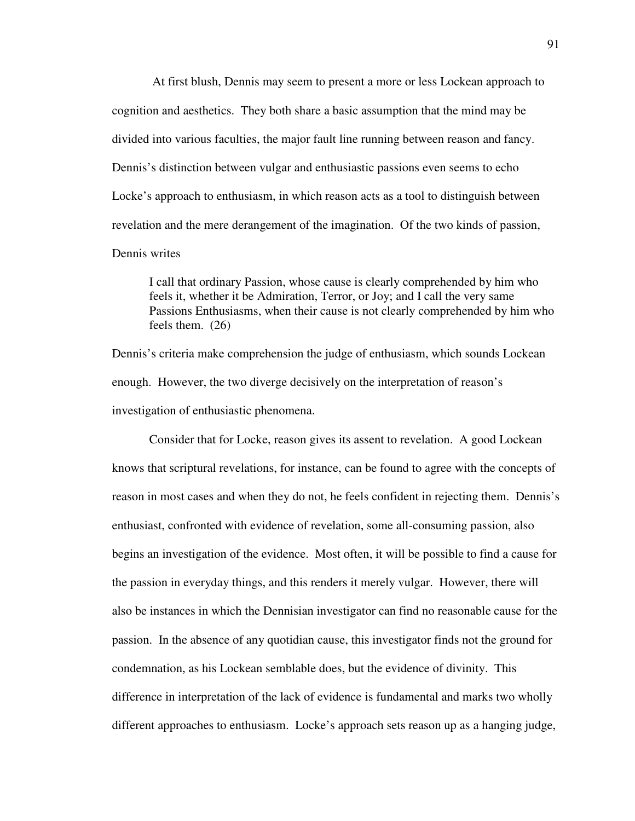At first blush, Dennis may seem to present a more or less Lockean approach to cognition and aesthetics. They both share a basic assumption that the mind may be divided into various faculties, the major fault line running between reason and fancy. Dennis's distinction between vulgar and enthusiastic passions even seems to echo Locke's approach to enthusiasm, in which reason acts as a tool to distinguish between revelation and the mere derangement of the imagination. Of the two kinds of passion, Dennis writes

 I call that ordinary Passion, whose cause is clearly comprehended by him who feels it, whether it be Admiration, Terror, or Joy; and I call the very same Passions Enthusiasms, when their cause is not clearly comprehended by him who feels them. (26)

Dennis's criteria make comprehension the judge of enthusiasm, which sounds Lockean enough. However, the two diverge decisively on the interpretation of reason's investigation of enthusiastic phenomena.

 Consider that for Locke, reason gives its assent to revelation. A good Lockean knows that scriptural revelations, for instance, can be found to agree with the concepts of reason in most cases and when they do not, he feels confident in rejecting them. Dennis's enthusiast, confronted with evidence of revelation, some all-consuming passion, also begins an investigation of the evidence. Most often, it will be possible to find a cause for the passion in everyday things, and this renders it merely vulgar. However, there will also be instances in which the Dennisian investigator can find no reasonable cause for the passion. In the absence of any quotidian cause, this investigator finds not the ground for condemnation, as his Lockean semblable does, but the evidence of divinity. This difference in interpretation of the lack of evidence is fundamental and marks two wholly different approaches to enthusiasm. Locke's approach sets reason up as a hanging judge,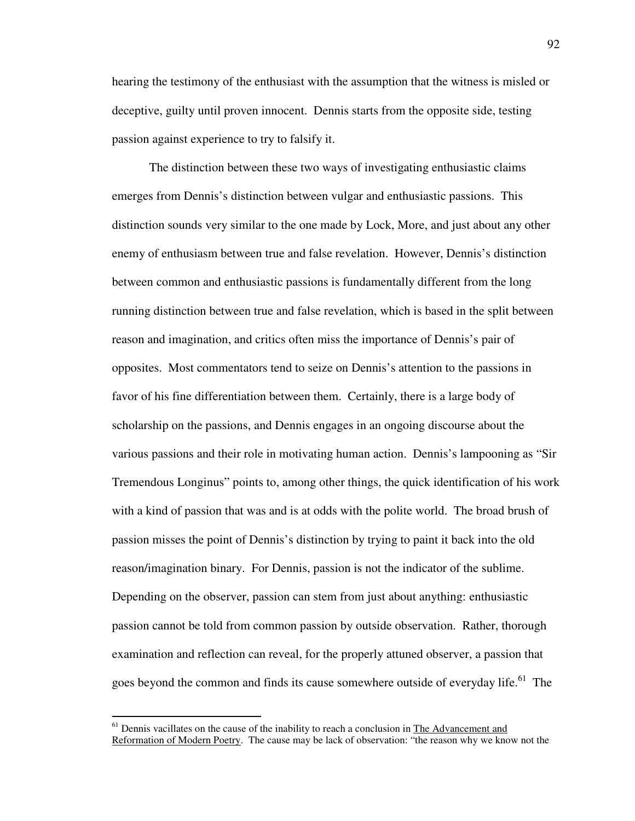hearing the testimony of the enthusiast with the assumption that the witness is misled or deceptive, guilty until proven innocent. Dennis starts from the opposite side, testing passion against experience to try to falsify it.

 The distinction between these two ways of investigating enthusiastic claims emerges from Dennis's distinction between vulgar and enthusiastic passions. This distinction sounds very similar to the one made by Lock, More, and just about any other enemy of enthusiasm between true and false revelation. However, Dennis's distinction between common and enthusiastic passions is fundamentally different from the long running distinction between true and false revelation, which is based in the split between reason and imagination, and critics often miss the importance of Dennis's pair of opposites. Most commentators tend to seize on Dennis's attention to the passions in favor of his fine differentiation between them. Certainly, there is a large body of scholarship on the passions, and Dennis engages in an ongoing discourse about the various passions and their role in motivating human action. Dennis's lampooning as "Sir Tremendous Longinus" points to, among other things, the quick identification of his work with a kind of passion that was and is at odds with the polite world. The broad brush of passion misses the point of Dennis's distinction by trying to paint it back into the old reason/imagination binary. For Dennis, passion is not the indicator of the sublime. Depending on the observer, passion can stem from just about anything: enthusiastic passion cannot be told from common passion by outside observation. Rather, thorough examination and reflection can reveal, for the properly attuned observer, a passion that goes beyond the common and finds its cause somewhere outside of everyday life.<sup>61</sup> The

<sup>&</sup>lt;sup>61</sup> Dennis vacillates on the cause of the inability to reach a conclusion in The Advancement and Reformation of Modern Poetry. The cause may be lack of observation: "the reason why we know not the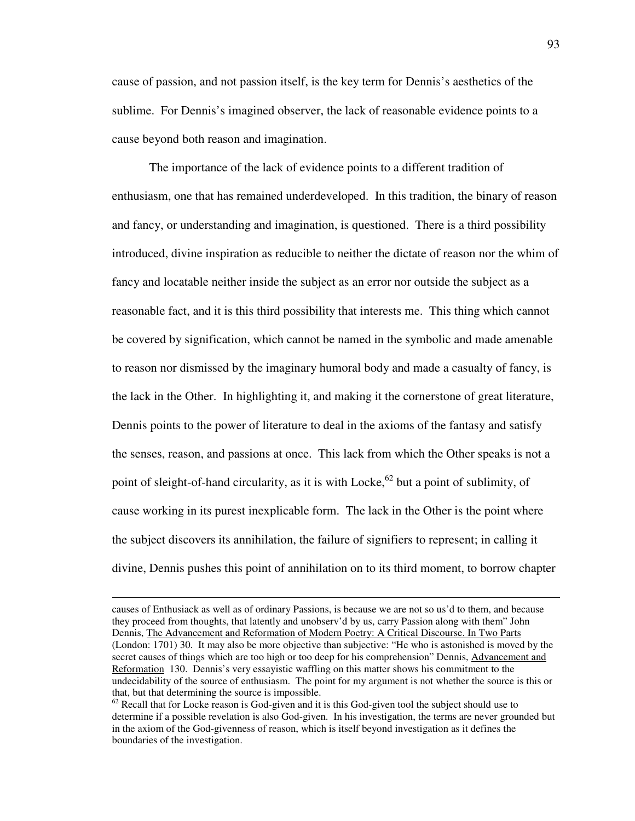cause of passion, and not passion itself, is the key term for Dennis's aesthetics of the sublime. For Dennis's imagined observer, the lack of reasonable evidence points to a cause beyond both reason and imagination.

 The importance of the lack of evidence points to a different tradition of enthusiasm, one that has remained underdeveloped. In this tradition, the binary of reason and fancy, or understanding and imagination, is questioned. There is a third possibility introduced, divine inspiration as reducible to neither the dictate of reason nor the whim of fancy and locatable neither inside the subject as an error nor outside the subject as a reasonable fact, and it is this third possibility that interests me. This thing which cannot be covered by signification, which cannot be named in the symbolic and made amenable to reason nor dismissed by the imaginary humoral body and made a casualty of fancy, is the lack in the Other. In highlighting it, and making it the cornerstone of great literature, Dennis points to the power of literature to deal in the axioms of the fantasy and satisfy the senses, reason, and passions at once. This lack from which the Other speaks is not a point of sleight-of-hand circularity, as it is with Locke,<sup>62</sup> but a point of sublimity, of cause working in its purest inexplicable form. The lack in the Other is the point where the subject discovers its annihilation, the failure of signifiers to represent; in calling it divine, Dennis pushes this point of annihilation on to its third moment, to borrow chapter

causes of Enthusiack as well as of ordinary Passions, is because we are not so us'd to them, and because they proceed from thoughts, that latently and unobserv'd by us, carry Passion along with them" John Dennis, The Advancement and Reformation of Modern Poetry: A Critical Discourse. In Two Parts (London: 1701) 30. It may also be more objective than subjective: "He who is astonished is moved by the secret causes of things which are too high or too deep for his comprehension" Dennis, Advancement and Reformation 130. Dennis's very essayistic waffling on this matter shows his commitment to the undecidability of the source of enthusiasm. The point for my argument is not whether the source is this or that, but that determining the source is impossible.

 $62$  Recall that for Locke reason is God-given and it is this God-given tool the subject should use to determine if a possible revelation is also God-given. In his investigation, the terms are never grounded but in the axiom of the God-givenness of reason, which is itself beyond investigation as it defines the boundaries of the investigation.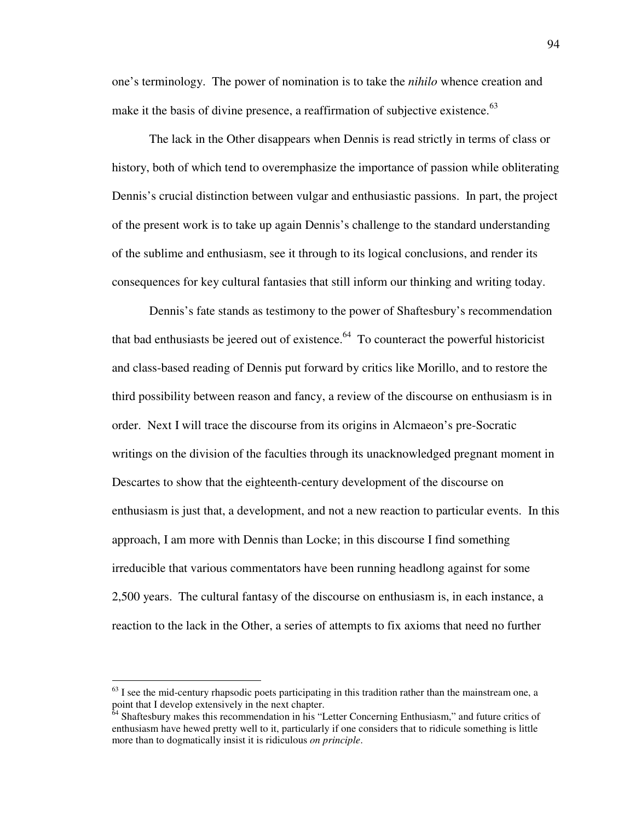one's terminology. The power of nomination is to take the *nihilo* whence creation and make it the basis of divine presence, a reaffirmation of subjective existence.<sup>63</sup>

 The lack in the Other disappears when Dennis is read strictly in terms of class or history, both of which tend to overemphasize the importance of passion while obliterating Dennis's crucial distinction between vulgar and enthusiastic passions. In part, the project of the present work is to take up again Dennis's challenge to the standard understanding of the sublime and enthusiasm, see it through to its logical conclusions, and render its consequences for key cultural fantasies that still inform our thinking and writing today.

 Dennis's fate stands as testimony to the power of Shaftesbury's recommendation that bad enthusiasts be jeered out of existence. $64$  To counteract the powerful historicist and class-based reading of Dennis put forward by critics like Morillo, and to restore the third possibility between reason and fancy, a review of the discourse on enthusiasm is in order. Next I will trace the discourse from its origins in Alcmaeon's pre-Socratic writings on the division of the faculties through its unacknowledged pregnant moment in Descartes to show that the eighteenth-century development of the discourse on enthusiasm is just that, a development, and not a new reaction to particular events. In this approach, I am more with Dennis than Locke; in this discourse I find something irreducible that various commentators have been running headlong against for some 2,500 years. The cultural fantasy of the discourse on enthusiasm is, in each instance, a reaction to the lack in the Other, a series of attempts to fix axioms that need no further

 $<sup>63</sup>$  I see the mid-century rhapsodic poets participating in this tradition rather than the mainstream one, a</sup> point that I develop extensively in the next chapter.

 $64$  Shaftesbury makes this recommendation in his "Letter Concerning Enthusiasm," and future critics of enthusiasm have hewed pretty well to it, particularly if one considers that to ridicule something is little more than to dogmatically insist it is ridiculous *on principle*.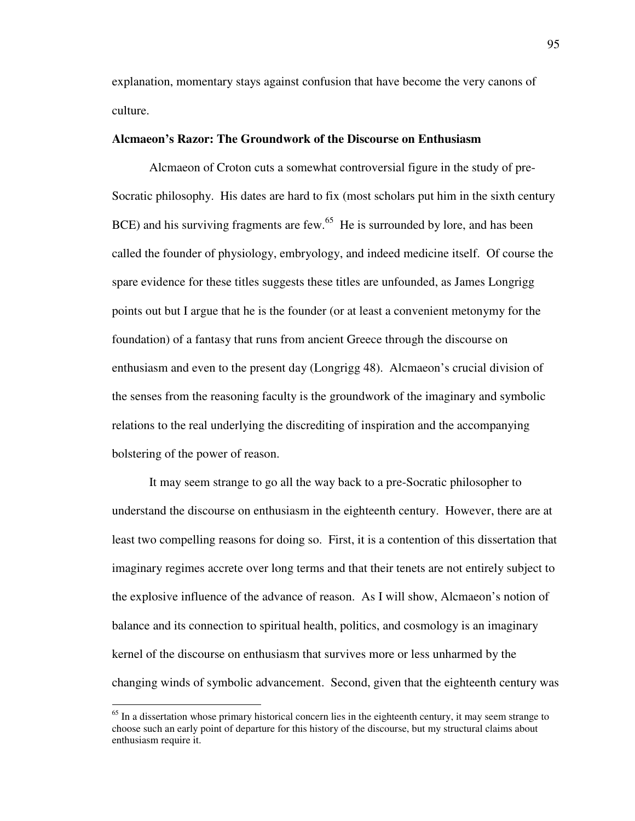explanation, momentary stays against confusion that have become the very canons of culture.

# **Alcmaeon's Razor: The Groundwork of the Discourse on Enthusiasm**

Alcmaeon of Croton cuts a somewhat controversial figure in the study of pre-Socratic philosophy. His dates are hard to fix (most scholars put him in the sixth century BCE) and his surviving fragments are few.<sup>65</sup> He is surrounded by lore, and has been called the founder of physiology, embryology, and indeed medicine itself. Of course the spare evidence for these titles suggests these titles are unfounded, as James Longrigg points out but I argue that he is the founder (or at least a convenient metonymy for the foundation) of a fantasy that runs from ancient Greece through the discourse on enthusiasm and even to the present day (Longrigg 48). Alcmaeon's crucial division of the senses from the reasoning faculty is the groundwork of the imaginary and symbolic relations to the real underlying the discrediting of inspiration and the accompanying bolstering of the power of reason.

 It may seem strange to go all the way back to a pre-Socratic philosopher to understand the discourse on enthusiasm in the eighteenth century. However, there are at least two compelling reasons for doing so. First, it is a contention of this dissertation that imaginary regimes accrete over long terms and that their tenets are not entirely subject to the explosive influence of the advance of reason. As I will show, Alcmaeon's notion of balance and its connection to spiritual health, politics, and cosmology is an imaginary kernel of the discourse on enthusiasm that survives more or less unharmed by the changing winds of symbolic advancement. Second, given that the eighteenth century was

<sup>&</sup>lt;sup>65</sup> In a dissertation whose primary historical concern lies in the eighteenth century, it may seem strange to choose such an early point of departure for this history of the discourse, but my structural claims about enthusiasm require it.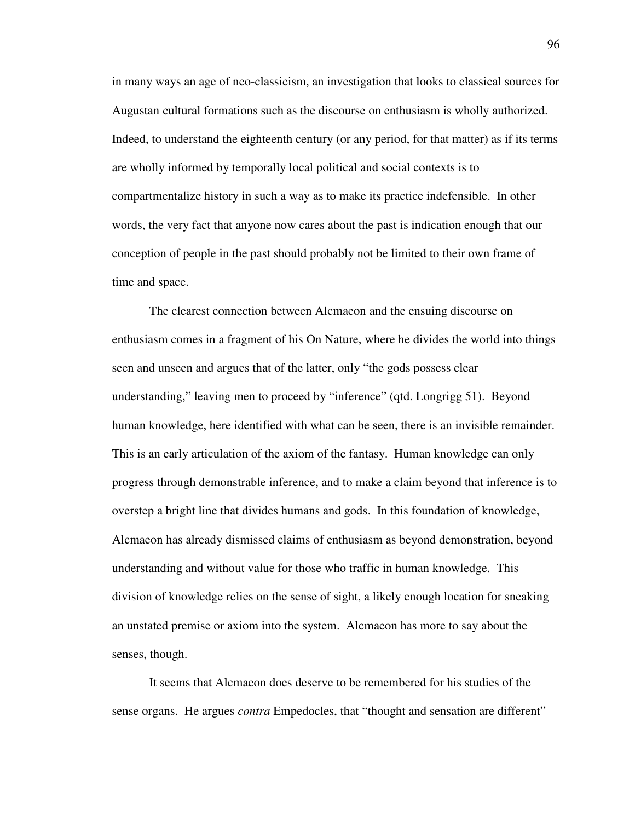in many ways an age of neo-classicism, an investigation that looks to classical sources for Augustan cultural formations such as the discourse on enthusiasm is wholly authorized. Indeed, to understand the eighteenth century (or any period, for that matter) as if its terms are wholly informed by temporally local political and social contexts is to compartmentalize history in such a way as to make its practice indefensible. In other words, the very fact that anyone now cares about the past is indication enough that our conception of people in the past should probably not be limited to their own frame of time and space.

 The clearest connection between Alcmaeon and the ensuing discourse on enthusiasm comes in a fragment of his On Nature, where he divides the world into things seen and unseen and argues that of the latter, only "the gods possess clear understanding," leaving men to proceed by "inference" (qtd. Longrigg 51). Beyond human knowledge, here identified with what can be seen, there is an invisible remainder. This is an early articulation of the axiom of the fantasy. Human knowledge can only progress through demonstrable inference, and to make a claim beyond that inference is to overstep a bright line that divides humans and gods. In this foundation of knowledge, Alcmaeon has already dismissed claims of enthusiasm as beyond demonstration, beyond understanding and without value for those who traffic in human knowledge. This division of knowledge relies on the sense of sight, a likely enough location for sneaking an unstated premise or axiom into the system. Alcmaeon has more to say about the senses, though.

 It seems that Alcmaeon does deserve to be remembered for his studies of the sense organs. He argues *contra* Empedocles, that "thought and sensation are different"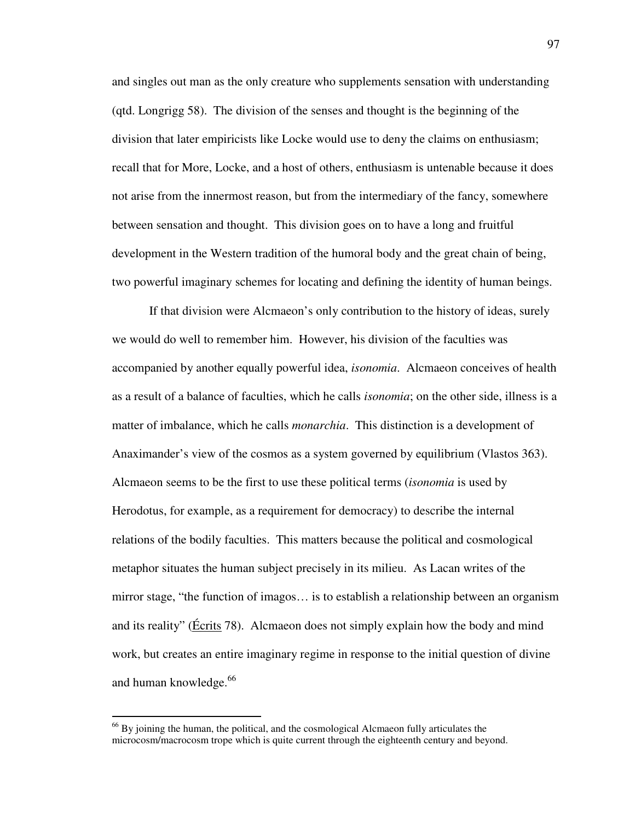and singles out man as the only creature who supplements sensation with understanding (qtd. Longrigg 58). The division of the senses and thought is the beginning of the division that later empiricists like Locke would use to deny the claims on enthusiasm; recall that for More, Locke, and a host of others, enthusiasm is untenable because it does not arise from the innermost reason, but from the intermediary of the fancy, somewhere between sensation and thought. This division goes on to have a long and fruitful development in the Western tradition of the humoral body and the great chain of being, two powerful imaginary schemes for locating and defining the identity of human beings.

 If that division were Alcmaeon's only contribution to the history of ideas, surely we would do well to remember him. However, his division of the faculties was accompanied by another equally powerful idea, *isonomia*. Alcmaeon conceives of health as a result of a balance of faculties, which he calls *isonomia*; on the other side, illness is a matter of imbalance, which he calls *monarchia*. This distinction is a development of Anaximander's view of the cosmos as a system governed by equilibrium (Vlastos 363). Alcmaeon seems to be the first to use these political terms (*isonomia* is used by Herodotus, for example, as a requirement for democracy) to describe the internal relations of the bodily faculties. This matters because the political and cosmological metaphor situates the human subject precisely in its milieu. As Lacan writes of the mirror stage, "the function of imagos… is to establish a relationship between an organism and its reality" (Écrits 78). Alcmaeon does not simply explain how the body and mind work, but creates an entire imaginary regime in response to the initial question of divine and human knowledge.<sup>66</sup>

<sup>&</sup>lt;sup>66</sup> By joining the human, the political, and the cosmological Alcmaeon fully articulates the microcosm/macrocosm trope which is quite current through the eighteenth century and beyond.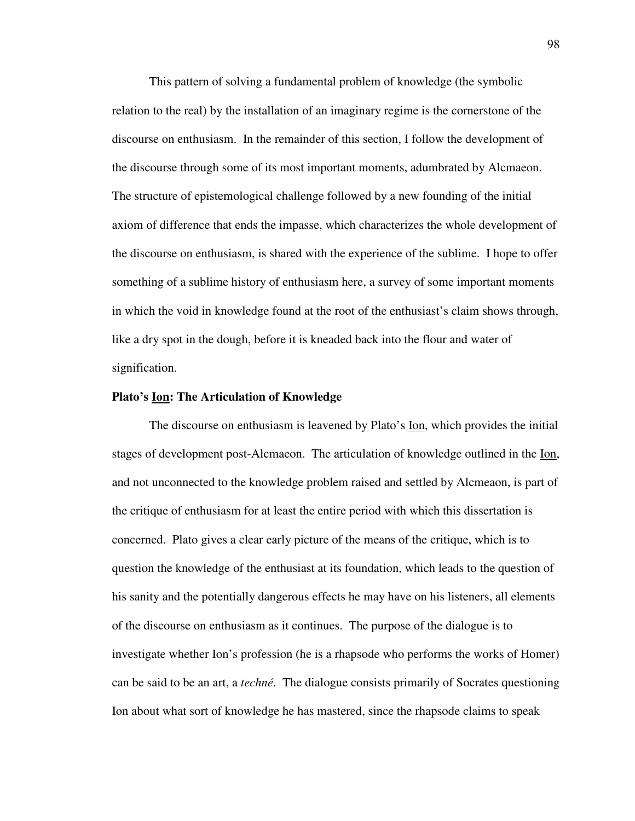This pattern of solving a fundamental problem of knowledge (the symbolic relation to the real) by the installation of an imaginary regime is the cornerstone of the discourse on enthusiasm. In the remainder of this section, I follow the development of the discourse through some of its most important moments, adumbrated by Alcmaeon. The structure of epistemological challenge followed by a new founding of the initial axiom of difference that ends the impasse, which characterizes the whole development of the discourse on enthusiasm, is shared with the experience of the sublime. I hope to offer something of a sublime history of enthusiasm here, a survey of some important moments in which the void in knowledge found at the root of the enthusiast's claim shows through, like a dry spot in the dough, before it is kneaded back into the flour and water of signification.

#### **Plato's Ion: The Articulation of Knowledge**

 The discourse on enthusiasm is leavened by Plato's Ion, which provides the initial stages of development post-Alcmaeon. The articulation of knowledge outlined in the Ion, and not unconnected to the knowledge problem raised and settled by Alcmeaon, is part of the critique of enthusiasm for at least the entire period with which this dissertation is concerned. Plato gives a clear early picture of the means of the critique, which is to question the knowledge of the enthusiast at its foundation, which leads to the question of his sanity and the potentially dangerous effects he may have on his listeners, all elements of the discourse on enthusiasm as it continues. The purpose of the dialogue is to investigate whether Ion's profession (he is a rhapsode who performs the works of Homer) can be said to be an art, a *techné*. The dialogue consists primarily of Socrates questioning Ion about what sort of knowledge he has mastered, since the rhapsode claims to speak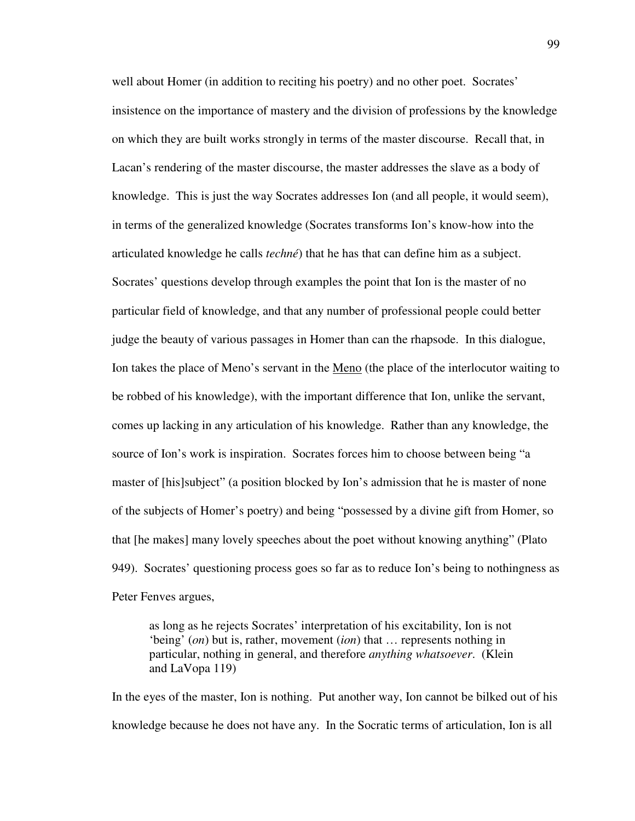well about Homer (in addition to reciting his poetry) and no other poet. Socrates' insistence on the importance of mastery and the division of professions by the knowledge on which they are built works strongly in terms of the master discourse. Recall that, in Lacan's rendering of the master discourse, the master addresses the slave as a body of knowledge. This is just the way Socrates addresses Ion (and all people, it would seem), in terms of the generalized knowledge (Socrates transforms Ion's know-how into the articulated knowledge he calls *techné*) that he has that can define him as a subject. Socrates' questions develop through examples the point that Ion is the master of no particular field of knowledge, and that any number of professional people could better judge the beauty of various passages in Homer than can the rhapsode. In this dialogue, Ion takes the place of Meno's servant in the Meno (the place of the interlocutor waiting to be robbed of his knowledge), with the important difference that Ion, unlike the servant, comes up lacking in any articulation of his knowledge. Rather than any knowledge, the source of Ion's work is inspiration. Socrates forces him to choose between being "a master of [his]subject" (a position blocked by Ion's admission that he is master of none of the subjects of Homer's poetry) and being "possessed by a divine gift from Homer, so that [he makes] many lovely speeches about the poet without knowing anything" (Plato 949). Socrates' questioning process goes so far as to reduce Ion's being to nothingness as Peter Fenves argues,

as long as he rejects Socrates' interpretation of his excitability, Ion is not 'being' (*on*) but is, rather, movement (*ion*) that … represents nothing in particular, nothing in general, and therefore *anything whatsoever*. (Klein and LaVopa 119)

In the eyes of the master, Ion is nothing. Put another way, Ion cannot be bilked out of his knowledge because he does not have any. In the Socratic terms of articulation, Ion is all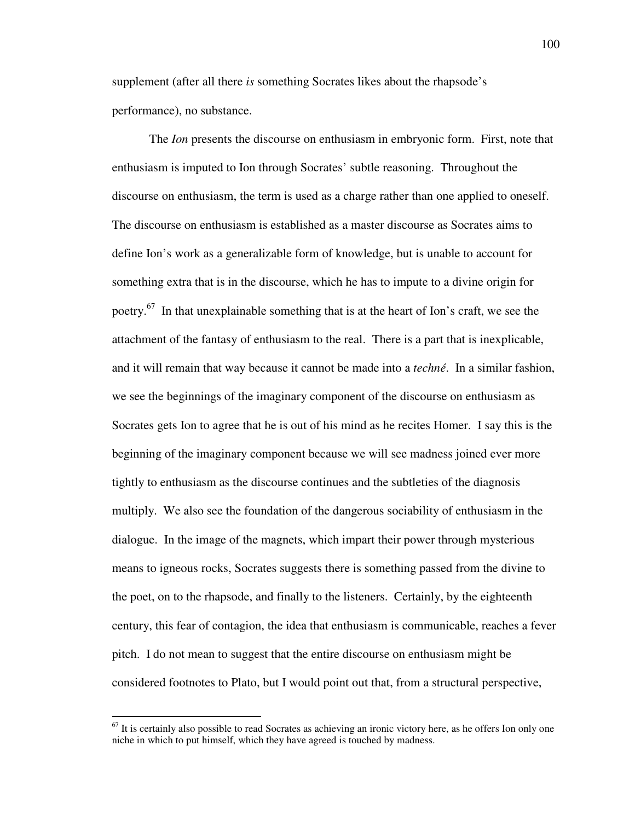supplement (after all there *is* something Socrates likes about the rhapsode's performance), no substance.

 The *Ion* presents the discourse on enthusiasm in embryonic form. First, note that enthusiasm is imputed to Ion through Socrates' subtle reasoning. Throughout the discourse on enthusiasm, the term is used as a charge rather than one applied to oneself. The discourse on enthusiasm is established as a master discourse as Socrates aims to define Ion's work as a generalizable form of knowledge, but is unable to account for something extra that is in the discourse, which he has to impute to a divine origin for poetry.<sup>67</sup> In that unexplainable something that is at the heart of Ion's craft, we see the attachment of the fantasy of enthusiasm to the real. There is a part that is inexplicable, and it will remain that way because it cannot be made into a *techné*. In a similar fashion, we see the beginnings of the imaginary component of the discourse on enthusiasm as Socrates gets Ion to agree that he is out of his mind as he recites Homer. I say this is the beginning of the imaginary component because we will see madness joined ever more tightly to enthusiasm as the discourse continues and the subtleties of the diagnosis multiply. We also see the foundation of the dangerous sociability of enthusiasm in the dialogue. In the image of the magnets, which impart their power through mysterious means to igneous rocks, Socrates suggests there is something passed from the divine to the poet, on to the rhapsode, and finally to the listeners. Certainly, by the eighteenth century, this fear of contagion, the idea that enthusiasm is communicable, reaches a fever pitch. I do not mean to suggest that the entire discourse on enthusiasm might be considered footnotes to Plato, but I would point out that, from a structural perspective,

 $67$  It is certainly also possible to read Socrates as achieving an ironic victory here, as he offers Ion only one niche in which to put himself, which they have agreed is touched by madness.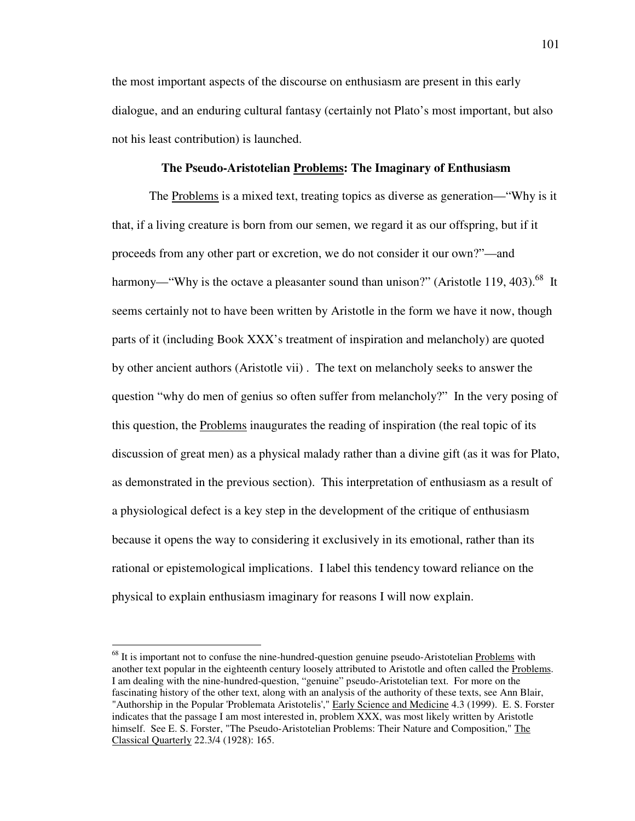the most important aspects of the discourse on enthusiasm are present in this early dialogue, and an enduring cultural fantasy (certainly not Plato's most important, but also not his least contribution) is launched.

## **The Pseudo-Aristotelian Problems: The Imaginary of Enthusiasm**

 The Problems is a mixed text, treating topics as diverse as generation—"Why is it that, if a living creature is born from our semen, we regard it as our offspring, but if it proceeds from any other part or excretion, we do not consider it our own?"—and harmony—"Why is the octave a pleasanter sound than unison?" (Aristotle 119, 403).<sup>68</sup> It seems certainly not to have been written by Aristotle in the form we have it now, though parts of it (including Book XXX's treatment of inspiration and melancholy) are quoted by other ancient authors (Aristotle vii) . The text on melancholy seeks to answer the question "why do men of genius so often suffer from melancholy?" In the very posing of this question, the **Problems** inaugurates the reading of inspiration (the real topic of its discussion of great men) as a physical malady rather than a divine gift (as it was for Plato, as demonstrated in the previous section). This interpretation of enthusiasm as a result of a physiological defect is a key step in the development of the critique of enthusiasm because it opens the way to considering it exclusively in its emotional, rather than its rational or epistemological implications. I label this tendency toward reliance on the physical to explain enthusiasm imaginary for reasons I will now explain.

 $68$  It is important not to confuse the nine-hundred-question genuine pseudo-Aristotelian Problems with another text popular in the eighteenth century loosely attributed to Aristotle and often called the Problems. I am dealing with the nine-hundred-question, "genuine" pseudo-Aristotelian text. For more on the fascinating history of the other text, along with an analysis of the authority of these texts, see Ann Blair, "Authorship in the Popular 'Problemata Aristotelis'," Early Science and Medicine 4.3 (1999). E. S. Forster indicates that the passage I am most interested in, problem XXX, was most likely written by Aristotle himself. See E. S. Forster, "The Pseudo-Aristotelian Problems: Their Nature and Composition," The Classical Quarterly 22.3/4 (1928): 165.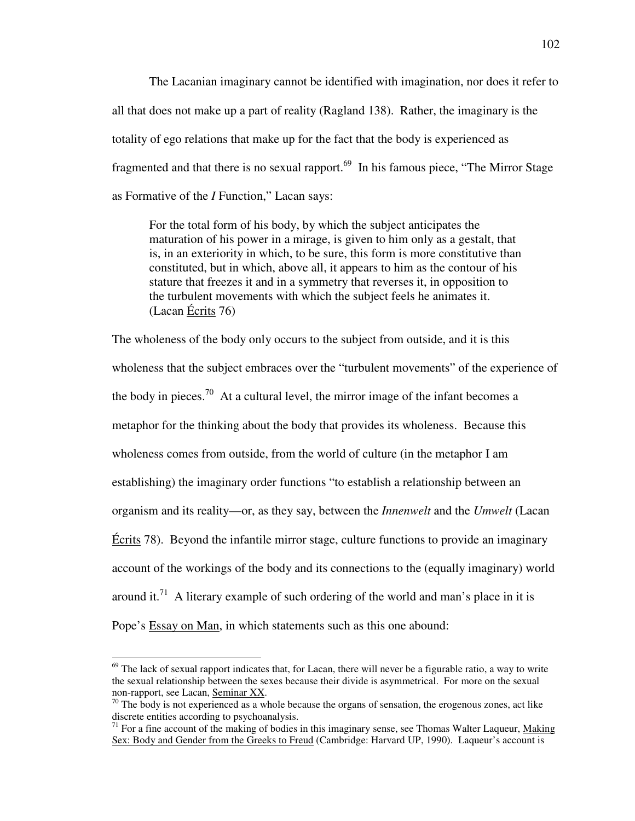The Lacanian imaginary cannot be identified with imagination, nor does it refer to all that does not make up a part of reality (Ragland 138). Rather, the imaginary is the totality of ego relations that make up for the fact that the body is experienced as fragmented and that there is no sexual rapport.<sup>69</sup> In his famous piece, "The Mirror Stage as Formative of the *I* Function," Lacan says:

For the total form of his body, by which the subject anticipates the maturation of his power in a mirage, is given to him only as a gestalt, that is, in an exteriority in which, to be sure, this form is more constitutive than constituted, but in which, above all, it appears to him as the contour of his stature that freezes it and in a symmetry that reverses it, in opposition to the turbulent movements with which the subject feels he animates it. (Lacan Écrits 76)

The wholeness of the body only occurs to the subject from outside, and it is this wholeness that the subject embraces over the "turbulent movements" of the experience of the body in pieces.<sup>70</sup> At a cultural level, the mirror image of the infant becomes a metaphor for the thinking about the body that provides its wholeness. Because this wholeness comes from outside, from the world of culture (in the metaphor I am establishing) the imaginary order functions "to establish a relationship between an organism and its reality—or, as they say, between the *Innenwelt* and the *Umwelt* (Lacan Écrits 78). Beyond the infantile mirror stage, culture functions to provide an imaginary account of the workings of the body and its connections to the (equally imaginary) world around it.<sup>71</sup> A literary example of such ordering of the world and man's place in it is Pope's Essay on Man, in which statements such as this one abound:

 $69$  The lack of sexual rapport indicates that, for Lacan, there will never be a figurable ratio, a way to write the sexual relationship between the sexes because their divide is asymmetrical. For more on the sexual non-rapport, see Lacan, Seminar XX.

 $70$  The body is not experienced as a whole because the organs of sensation, the erogenous zones, act like discrete entities according to psychoanalysis.

 $71$  For a fine account of the making of bodies in this imaginary sense, see Thomas Walter Laqueur, Making Sex: Body and Gender from the Greeks to Freud (Cambridge: Harvard UP, 1990). Laqueur's account is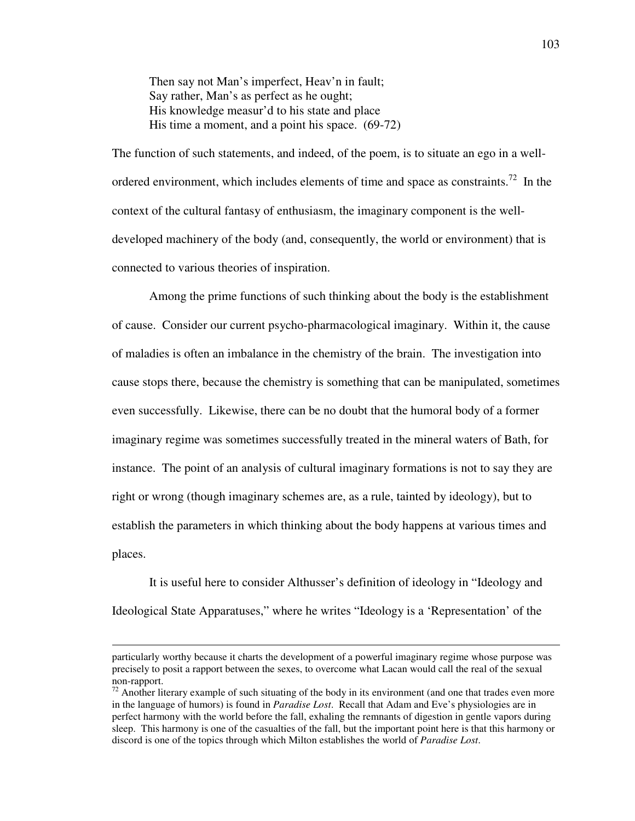Then say not Man's imperfect, Heav'n in fault; Say rather, Man's as perfect as he ought; His knowledge measur'd to his state and place His time a moment, and a point his space. (69-72)

The function of such statements, and indeed, of the poem, is to situate an ego in a wellordered environment, which includes elements of time and space as constraints.<sup>72</sup> In the context of the cultural fantasy of enthusiasm, the imaginary component is the welldeveloped machinery of the body (and, consequently, the world or environment) that is connected to various theories of inspiration.

Among the prime functions of such thinking about the body is the establishment of cause. Consider our current psycho-pharmacological imaginary. Within it, the cause of maladies is often an imbalance in the chemistry of the brain. The investigation into cause stops there, because the chemistry is something that can be manipulated, sometimes even successfully. Likewise, there can be no doubt that the humoral body of a former imaginary regime was sometimes successfully treated in the mineral waters of Bath, for instance. The point of an analysis of cultural imaginary formations is not to say they are right or wrong (though imaginary schemes are, as a rule, tainted by ideology), but to establish the parameters in which thinking about the body happens at various times and places.

It is useful here to consider Althusser's definition of ideology in "Ideology and Ideological State Apparatuses," where he writes "Ideology is a 'Representation' of the

particularly worthy because it charts the development of a powerful imaginary regime whose purpose was precisely to posit a rapport between the sexes, to overcome what Lacan would call the real of the sexual non-rapport.

 $\frac{72}{12}$  Another literary example of such situating of the body in its environment (and one that trades even more in the language of humors) is found in *Paradise Lost*. Recall that Adam and Eve's physiologies are in perfect harmony with the world before the fall, exhaling the remnants of digestion in gentle vapors during sleep. This harmony is one of the casualties of the fall, but the important point here is that this harmony or discord is one of the topics through which Milton establishes the world of *Paradise Lost*.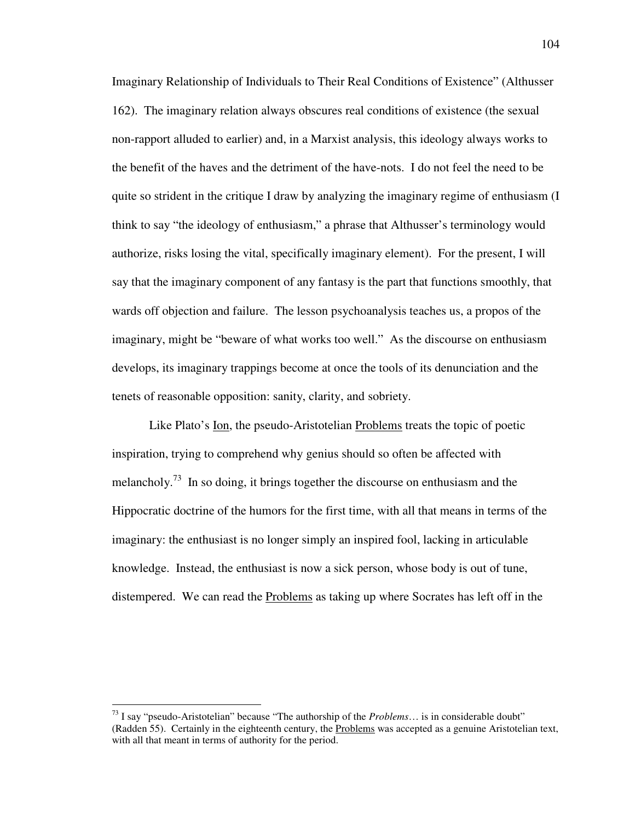Imaginary Relationship of Individuals to Their Real Conditions of Existence" (Althusser 162). The imaginary relation always obscures real conditions of existence (the sexual non-rapport alluded to earlier) and, in a Marxist analysis, this ideology always works to the benefit of the haves and the detriment of the have-nots. I do not feel the need to be quite so strident in the critique I draw by analyzing the imaginary regime of enthusiasm (I think to say "the ideology of enthusiasm," a phrase that Althusser's terminology would authorize, risks losing the vital, specifically imaginary element). For the present, I will say that the imaginary component of any fantasy is the part that functions smoothly, that wards off objection and failure. The lesson psychoanalysis teaches us, a propos of the imaginary, might be "beware of what works too well." As the discourse on enthusiasm develops, its imaginary trappings become at once the tools of its denunciation and the tenets of reasonable opposition: sanity, clarity, and sobriety.

 Like Plato's Ion, the pseudo-Aristotelian Problems treats the topic of poetic inspiration, trying to comprehend why genius should so often be affected with melancholy.<sup>73</sup> In so doing, it brings together the discourse on enthusiasm and the Hippocratic doctrine of the humors for the first time, with all that means in terms of the imaginary: the enthusiast is no longer simply an inspired fool, lacking in articulable knowledge. Instead, the enthusiast is now a sick person, whose body is out of tune, distempered. We can read the Problems as taking up where Socrates has left off in the

<sup>73</sup> I say "pseudo-Aristotelian" because "The authorship of the *Problems*… is in considerable doubt" (Radden 55). Certainly in the eighteenth century, the Problems was accepted as a genuine Aristotelian text, with all that meant in terms of authority for the period.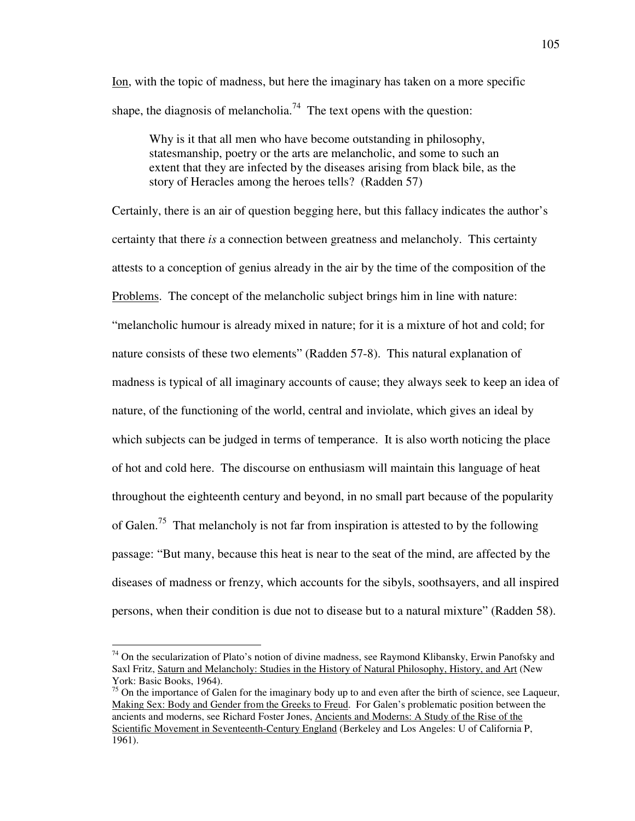Ion, with the topic of madness, but here the imaginary has taken on a more specific shape, the diagnosis of melancholia.<sup>74</sup> The text opens with the question:

 Why is it that all men who have become outstanding in philosophy, statesmanship, poetry or the arts are melancholic, and some to such an extent that they are infected by the diseases arising from black bile, as the story of Heracles among the heroes tells? (Radden 57)

Certainly, there is an air of question begging here, but this fallacy indicates the author's certainty that there *is* a connection between greatness and melancholy. This certainty attests to a conception of genius already in the air by the time of the composition of the Problems. The concept of the melancholic subject brings him in line with nature: "melancholic humour is already mixed in nature; for it is a mixture of hot and cold; for nature consists of these two elements" (Radden 57-8). This natural explanation of madness is typical of all imaginary accounts of cause; they always seek to keep an idea of nature, of the functioning of the world, central and inviolate, which gives an ideal by which subjects can be judged in terms of temperance. It is also worth noticing the place of hot and cold here. The discourse on enthusiasm will maintain this language of heat throughout the eighteenth century and beyond, in no small part because of the popularity of Galen.<sup>75</sup> That melancholy is not far from inspiration is attested to by the following passage: "But many, because this heat is near to the seat of the mind, are affected by the diseases of madness or frenzy, which accounts for the sibyls, soothsayers, and all inspired persons, when their condition is due not to disease but to a natural mixture" (Radden 58).

 $74$  On the secularization of Plato's notion of divine madness, see Raymond Klibansky, Erwin Panofsky and Saxl Fritz, Saturn and Melancholy: Studies in the History of Natural Philosophy, History, and Art (New York: Basic Books, 1964).

<sup>&</sup>lt;sup>75</sup> On the importance of Galen for the imaginary body up to and even after the birth of science, see Laqueur, Making Sex: Body and Gender from the Greeks to Freud. For Galen's problematic position between the ancients and moderns, see Richard Foster Jones, Ancients and Moderns: A Study of the Rise of the Scientific Movement in Seventeenth-Century England (Berkeley and Los Angeles: U of California P, 1961).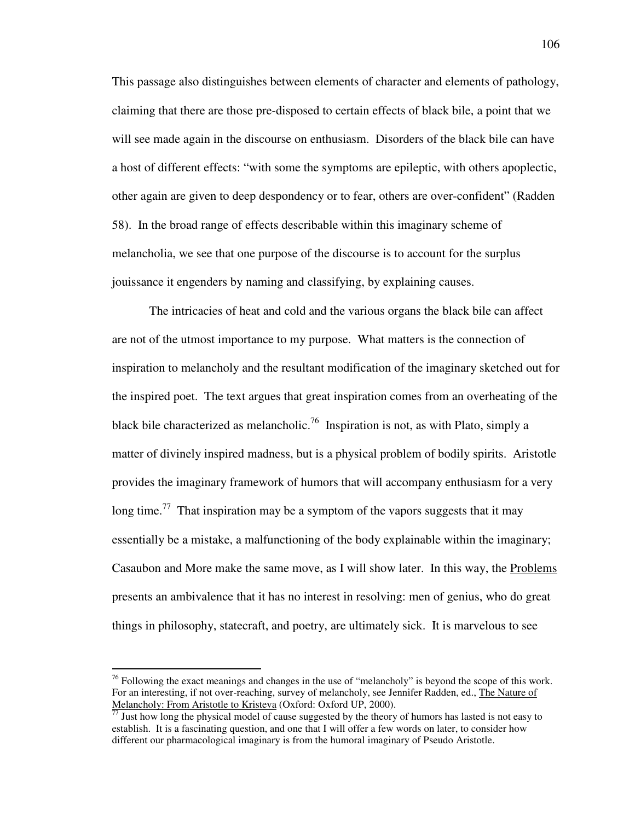This passage also distinguishes between elements of character and elements of pathology, claiming that there are those pre-disposed to certain effects of black bile, a point that we will see made again in the discourse on enthusiasm. Disorders of the black bile can have a host of different effects: "with some the symptoms are epileptic, with others apoplectic, other again are given to deep despondency or to fear, others are over-confident" (Radden 58). In the broad range of effects describable within this imaginary scheme of melancholia, we see that one purpose of the discourse is to account for the surplus jouissance it engenders by naming and classifying, by explaining causes.

The intricacies of heat and cold and the various organs the black bile can affect are not of the utmost importance to my purpose. What matters is the connection of inspiration to melancholy and the resultant modification of the imaginary sketched out for the inspired poet. The text argues that great inspiration comes from an overheating of the black bile characterized as melancholic.<sup>76</sup> Inspiration is not, as with Plato, simply a matter of divinely inspired madness, but is a physical problem of bodily spirits. Aristotle provides the imaginary framework of humors that will accompany enthusiasm for a very long time.<sup>77</sup> That inspiration may be a symptom of the vapors suggests that it may essentially be a mistake, a malfunctioning of the body explainable within the imaginary; Casaubon and More make the same move, as I will show later. In this way, the Problems presents an ambivalence that it has no interest in resolving: men of genius, who do great things in philosophy, statecraft, and poetry, are ultimately sick. It is marvelous to see

 $^{76}$  Following the exact meanings and changes in the use of "melancholy" is beyond the scope of this work. For an interesting, if not over-reaching, survey of melancholy, see Jennifer Radden, ed., The Nature of Melancholy: From Aristotle to Kristeva (Oxford: Oxford UP, 2000).

Just how long the physical model of cause suggested by the theory of humors has lasted is not easy to establish. It is a fascinating question, and one that I will offer a few words on later, to consider how different our pharmacological imaginary is from the humoral imaginary of Pseudo Aristotle.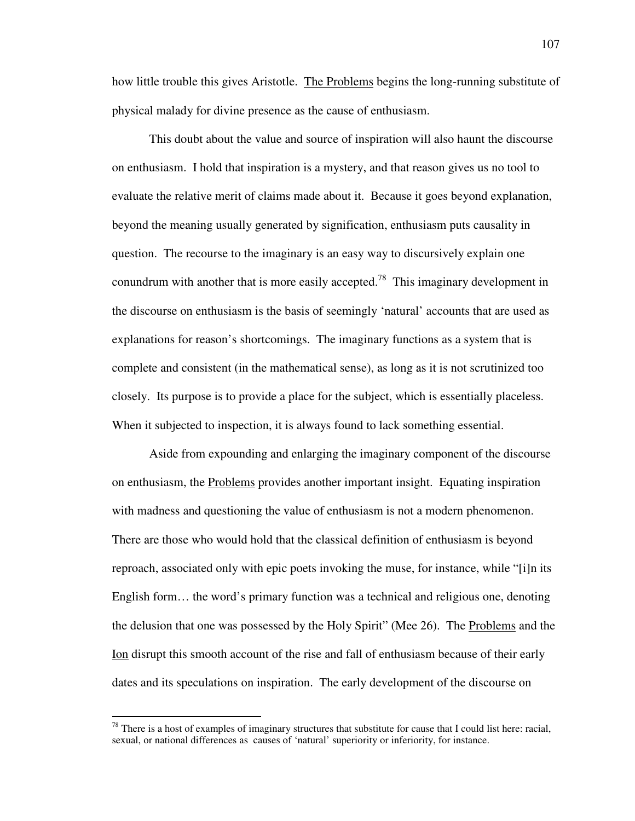how little trouble this gives Aristotle. The Problems begins the long-running substitute of physical malady for divine presence as the cause of enthusiasm.

This doubt about the value and source of inspiration will also haunt the discourse on enthusiasm. I hold that inspiration is a mystery, and that reason gives us no tool to evaluate the relative merit of claims made about it. Because it goes beyond explanation, beyond the meaning usually generated by signification, enthusiasm puts causality in question. The recourse to the imaginary is an easy way to discursively explain one conundrum with another that is more easily accepted.<sup>78</sup> This imaginary development in the discourse on enthusiasm is the basis of seemingly 'natural' accounts that are used as explanations for reason's shortcomings. The imaginary functions as a system that is complete and consistent (in the mathematical sense), as long as it is not scrutinized too closely. Its purpose is to provide a place for the subject, which is essentially placeless. When it subjected to inspection, it is always found to lack something essential.

Aside from expounding and enlarging the imaginary component of the discourse on enthusiasm, the Problems provides another important insight. Equating inspiration with madness and questioning the value of enthusiasm is not a modern phenomenon. There are those who would hold that the classical definition of enthusiasm is beyond reproach, associated only with epic poets invoking the muse, for instance, while "[i]n its English form… the word's primary function was a technical and religious one, denoting the delusion that one was possessed by the Holy Spirit" (Mee 26). The Problems and the Ion disrupt this smooth account of the rise and fall of enthusiasm because of their early dates and its speculations on inspiration. The early development of the discourse on

 $^{78}$  There is a host of examples of imaginary structures that substitute for cause that I could list here: racial, sexual, or national differences as causes of 'natural' superiority or inferiority, for instance.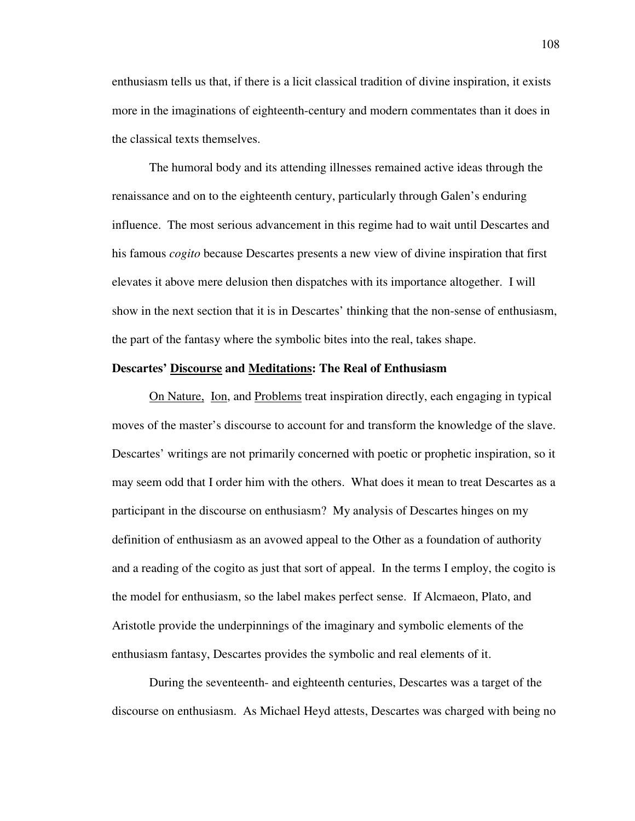enthusiasm tells us that, if there is a licit classical tradition of divine inspiration, it exists more in the imaginations of eighteenth-century and modern commentates than it does in the classical texts themselves.

The humoral body and its attending illnesses remained active ideas through the renaissance and on to the eighteenth century, particularly through Galen's enduring influence. The most serious advancement in this regime had to wait until Descartes and his famous *cogito* because Descartes presents a new view of divine inspiration that first elevates it above mere delusion then dispatches with its importance altogether. I will show in the next section that it is in Descartes' thinking that the non-sense of enthusiasm, the part of the fantasy where the symbolic bites into the real, takes shape.

# **Descartes' Discourse and Meditations: The Real of Enthusiasm**

 On Nature, Ion, and Problems treat inspiration directly, each engaging in typical moves of the master's discourse to account for and transform the knowledge of the slave. Descartes' writings are not primarily concerned with poetic or prophetic inspiration, so it may seem odd that I order him with the others. What does it mean to treat Descartes as a participant in the discourse on enthusiasm? My analysis of Descartes hinges on my definition of enthusiasm as an avowed appeal to the Other as a foundation of authority and a reading of the cogito as just that sort of appeal. In the terms I employ, the cogito is the model for enthusiasm, so the label makes perfect sense. If Alcmaeon, Plato, and Aristotle provide the underpinnings of the imaginary and symbolic elements of the enthusiasm fantasy, Descartes provides the symbolic and real elements of it.

 During the seventeenth- and eighteenth centuries, Descartes was a target of the discourse on enthusiasm. As Michael Heyd attests, Descartes was charged with being no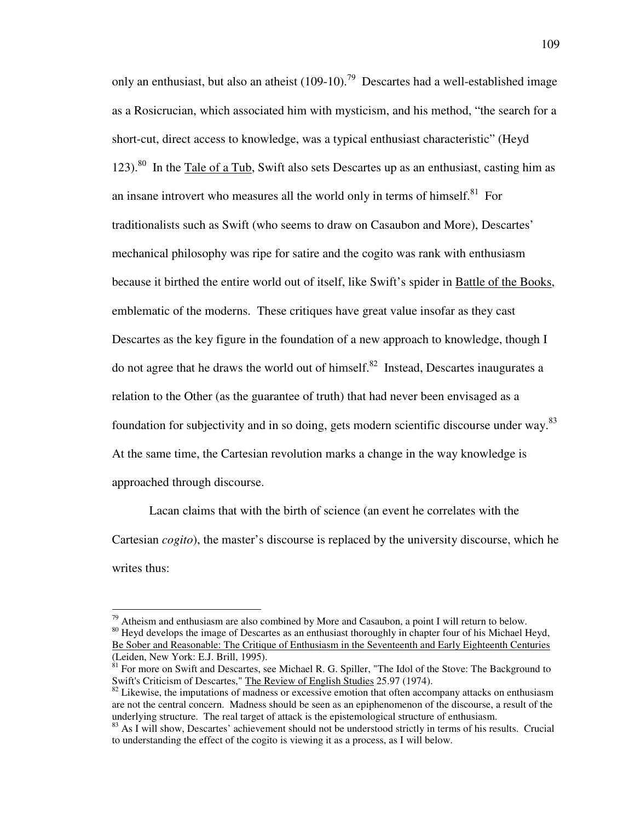only an enthusiast, but also an atheist  $(109-10)$ .<sup>79</sup> Descartes had a well-established image as a Rosicrucian, which associated him with mysticism, and his method, "the search for a short-cut, direct access to knowledge, was a typical enthusiast characteristic" (Heyd  $123$ <sup>80</sup> In the Tale of a Tub, Swift also sets Descartes up as an enthusiast, casting him as an insane introvert who measures all the world only in terms of himself.<sup>81</sup> For traditionalists such as Swift (who seems to draw on Casaubon and More), Descartes' mechanical philosophy was ripe for satire and the cogito was rank with enthusiasm because it birthed the entire world out of itself, like Swift's spider in Battle of the Books, emblematic of the moderns. These critiques have great value insofar as they cast Descartes as the key figure in the foundation of a new approach to knowledge, though I do not agree that he draws the world out of himself.<sup>82</sup> Instead, Descartes inaugurates a relation to the Other (as the guarantee of truth) that had never been envisaged as a foundation for subjectivity and in so doing, gets modern scientific discourse under way.<sup>83</sup> At the same time, the Cartesian revolution marks a change in the way knowledge is approached through discourse.

Lacan claims that with the birth of science (an event he correlates with the Cartesian *cogito*), the master's discourse is replaced by the university discourse, which he writes thus:

 $79$  Atheism and enthusiasm are also combined by More and Casaubon, a point I will return to below.

 $80$  Heyd develops the image of Descartes as an enthusiast thoroughly in chapter four of his Michael Heyd, Be Sober and Reasonable: The Critique of Enthusiasm in the Seventeenth and Early Eighteenth Centuries (Leiden, New York: E.J. Brill, 1995).

 $81$  For more on Swift and Descartes, see Michael R. G. Spiller, "The Idol of the Stove: The Background to Swift's Criticism of Descartes," The Review of English Studies 25.97 (1974).

 $82$  Likewise, the imputations of madness or excessive emotion that often accompany attacks on enthusiasm are not the central concern. Madness should be seen as an epiphenomenon of the discourse, a result of the underlying structure. The real target of attack is the epistemological structure of enthusiasm.

<sup>&</sup>lt;sup>83</sup> As I will show, Descartes' achievement should not be understood strictly in terms of his results. Crucial to understanding the effect of the cogito is viewing it as a process, as I will below.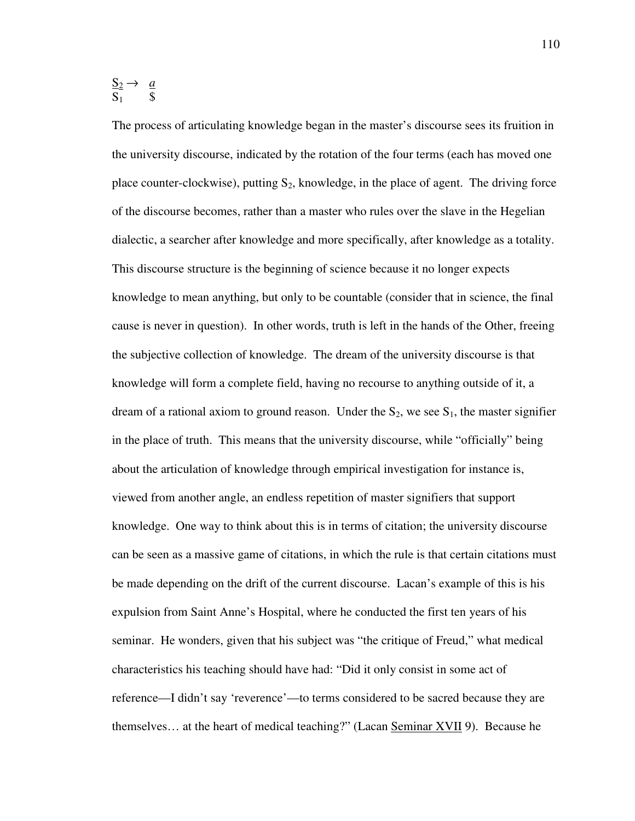$S_2 \rightarrow \underline{a}$  $S_1$  \$

The process of articulating knowledge began in the master's discourse sees its fruition in the university discourse, indicated by the rotation of the four terms (each has moved one place counter-clockwise), putting  $S_2$ , knowledge, in the place of agent. The driving force of the discourse becomes, rather than a master who rules over the slave in the Hegelian dialectic, a searcher after knowledge and more specifically, after knowledge as a totality. This discourse structure is the beginning of science because it no longer expects knowledge to mean anything, but only to be countable (consider that in science, the final cause is never in question). In other words, truth is left in the hands of the Other, freeing the subjective collection of knowledge. The dream of the university discourse is that knowledge will form a complete field, having no recourse to anything outside of it, a dream of a rational axiom to ground reason. Under the  $S_2$ , we see  $S_1$ , the master signifier in the place of truth. This means that the university discourse, while "officially" being about the articulation of knowledge through empirical investigation for instance is, viewed from another angle, an endless repetition of master signifiers that support knowledge. One way to think about this is in terms of citation; the university discourse can be seen as a massive game of citations, in which the rule is that certain citations must be made depending on the drift of the current discourse. Lacan's example of this is his expulsion from Saint Anne's Hospital, where he conducted the first ten years of his seminar. He wonders, given that his subject was "the critique of Freud," what medical characteristics his teaching should have had: "Did it only consist in some act of reference—I didn't say 'reverence'—to terms considered to be sacred because they are themselves… at the heart of medical teaching?" (Lacan Seminar XVII 9). Because he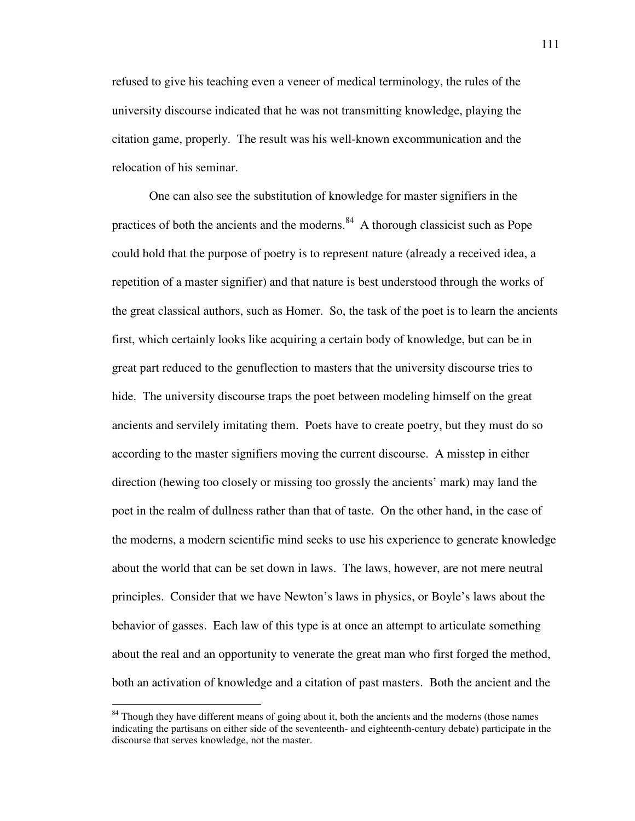refused to give his teaching even a veneer of medical terminology, the rules of the university discourse indicated that he was not transmitting knowledge, playing the citation game, properly. The result was his well-known excommunication and the relocation of his seminar.

One can also see the substitution of knowledge for master signifiers in the practices of both the ancients and the moderns. $84$  A thorough classicist such as Pope could hold that the purpose of poetry is to represent nature (already a received idea, a repetition of a master signifier) and that nature is best understood through the works of the great classical authors, such as Homer. So, the task of the poet is to learn the ancients first, which certainly looks like acquiring a certain body of knowledge, but can be in great part reduced to the genuflection to masters that the university discourse tries to hide. The university discourse traps the poet between modeling himself on the great ancients and servilely imitating them. Poets have to create poetry, but they must do so according to the master signifiers moving the current discourse. A misstep in either direction (hewing too closely or missing too grossly the ancients' mark) may land the poet in the realm of dullness rather than that of taste. On the other hand, in the case of the moderns, a modern scientific mind seeks to use his experience to generate knowledge about the world that can be set down in laws. The laws, however, are not mere neutral principles. Consider that we have Newton's laws in physics, or Boyle's laws about the behavior of gasses. Each law of this type is at once an attempt to articulate something about the real and an opportunity to venerate the great man who first forged the method, both an activation of knowledge and a citation of past masters. Both the ancient and the

 $84$  Though they have different means of going about it, both the ancients and the moderns (those names indicating the partisans on either side of the seventeenth- and eighteenth-century debate) participate in the discourse that serves knowledge, not the master.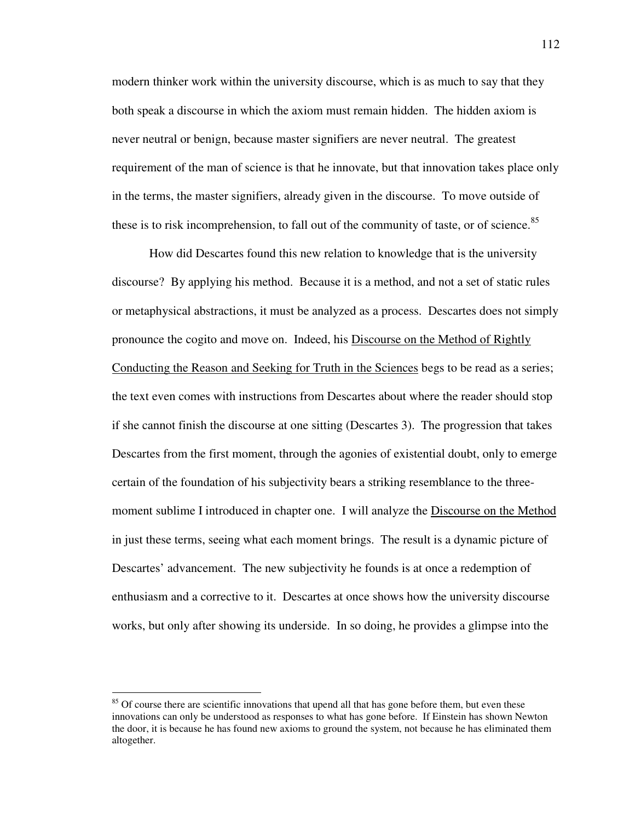modern thinker work within the university discourse, which is as much to say that they both speak a discourse in which the axiom must remain hidden. The hidden axiom is never neutral or benign, because master signifiers are never neutral. The greatest requirement of the man of science is that he innovate, but that innovation takes place only in the terms, the master signifiers, already given in the discourse. To move outside of these is to risk incomprehension, to fall out of the community of taste, or of science.<sup>85</sup>

 How did Descartes found this new relation to knowledge that is the university discourse? By applying his method. Because it is a method, and not a set of static rules or metaphysical abstractions, it must be analyzed as a process. Descartes does not simply pronounce the cogito and move on. Indeed, his Discourse on the Method of Rightly Conducting the Reason and Seeking for Truth in the Sciences begs to be read as a series; the text even comes with instructions from Descartes about where the reader should stop if she cannot finish the discourse at one sitting (Descartes 3). The progression that takes Descartes from the first moment, through the agonies of existential doubt, only to emerge certain of the foundation of his subjectivity bears a striking resemblance to the threemoment sublime I introduced in chapter one. I will analyze the Discourse on the Method in just these terms, seeing what each moment brings. The result is a dynamic picture of Descartes' advancement. The new subjectivity he founds is at once a redemption of enthusiasm and a corrective to it. Descartes at once shows how the university discourse works, but only after showing its underside. In so doing, he provides a glimpse into the

<sup>&</sup>lt;sup>85</sup> Of course there are scientific innovations that upend all that has gone before them, but even these innovations can only be understood as responses to what has gone before. If Einstein has shown Newton the door, it is because he has found new axioms to ground the system, not because he has eliminated them altogether.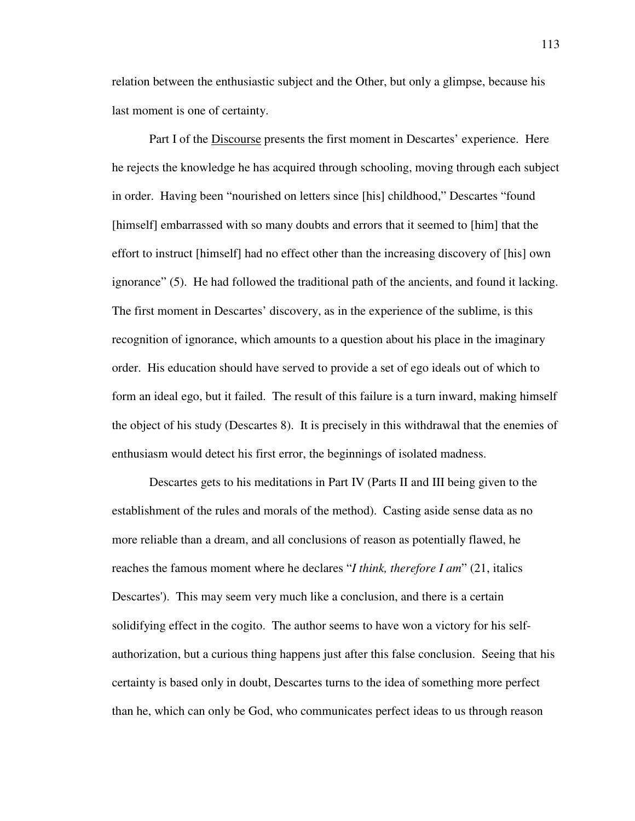relation between the enthusiastic subject and the Other, but only a glimpse, because his last moment is one of certainty.

 Part I of the Discourse presents the first moment in Descartes' experience. Here he rejects the knowledge he has acquired through schooling, moving through each subject in order. Having been "nourished on letters since [his] childhood," Descartes "found [himself] embarrassed with so many doubts and errors that it seemed to [him] that the effort to instruct [himself] had no effect other than the increasing discovery of [his] own ignorance" (5). He had followed the traditional path of the ancients, and found it lacking. The first moment in Descartes' discovery, as in the experience of the sublime, is this recognition of ignorance, which amounts to a question about his place in the imaginary order. His education should have served to provide a set of ego ideals out of which to form an ideal ego, but it failed. The result of this failure is a turn inward, making himself the object of his study (Descartes 8). It is precisely in this withdrawal that the enemies of enthusiasm would detect his first error, the beginnings of isolated madness.

 Descartes gets to his meditations in Part IV (Parts II and III being given to the establishment of the rules and morals of the method). Casting aside sense data as no more reliable than a dream, and all conclusions of reason as potentially flawed, he reaches the famous moment where he declares "*I think, therefore I am*" (21, italics Descartes'). This may seem very much like a conclusion, and there is a certain solidifying effect in the cogito. The author seems to have won a victory for his selfauthorization, but a curious thing happens just after this false conclusion. Seeing that his certainty is based only in doubt, Descartes turns to the idea of something more perfect than he, which can only be God, who communicates perfect ideas to us through reason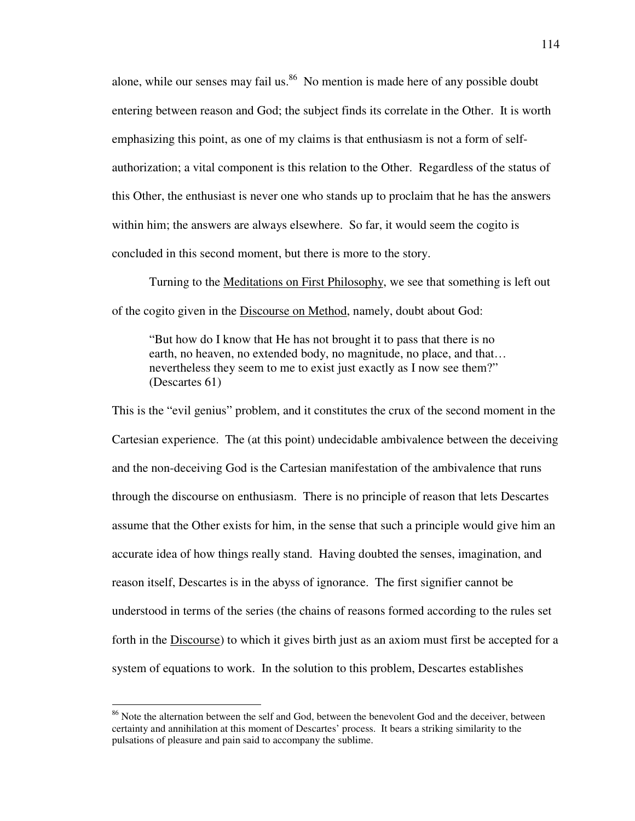alone, while our senses may fail us.<sup>86</sup> No mention is made here of any possible doubt entering between reason and God; the subject finds its correlate in the Other. It is worth emphasizing this point, as one of my claims is that enthusiasm is not a form of selfauthorization; a vital component is this relation to the Other. Regardless of the status of this Other, the enthusiast is never one who stands up to proclaim that he has the answers within him; the answers are always elsewhere. So far, it would seem the cogito is concluded in this second moment, but there is more to the story.

 Turning to the Meditations on First Philosophy, we see that something is left out of the cogito given in the Discourse on Method, namely, doubt about God:

"But how do I know that He has not brought it to pass that there is no earth, no heaven, no extended body, no magnitude, no place, and that… nevertheless they seem to me to exist just exactly as I now see them?" (Descartes 61)

This is the "evil genius" problem, and it constitutes the crux of the second moment in the Cartesian experience. The (at this point) undecidable ambivalence between the deceiving and the non-deceiving God is the Cartesian manifestation of the ambivalence that runs through the discourse on enthusiasm. There is no principle of reason that lets Descartes assume that the Other exists for him, in the sense that such a principle would give him an accurate idea of how things really stand. Having doubted the senses, imagination, and reason itself, Descartes is in the abyss of ignorance. The first signifier cannot be understood in terms of the series (the chains of reasons formed according to the rules set forth in the Discourse) to which it gives birth just as an axiom must first be accepted for a system of equations to work. In the solution to this problem, Descartes establishes

<sup>&</sup>lt;sup>86</sup> Note the alternation between the self and God, between the benevolent God and the deceiver, between certainty and annihilation at this moment of Descartes' process. It bears a striking similarity to the pulsations of pleasure and pain said to accompany the sublime.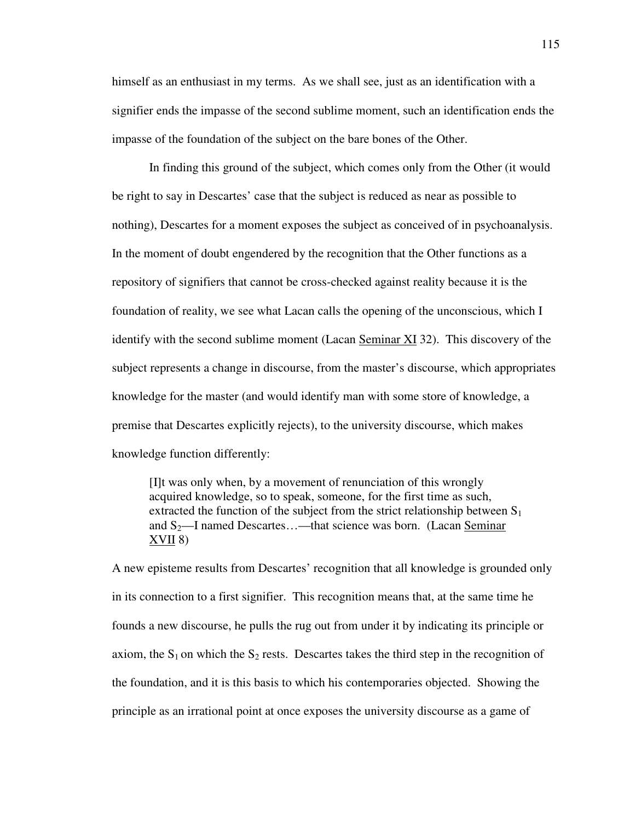himself as an enthusiast in my terms. As we shall see, just as an identification with a signifier ends the impasse of the second sublime moment, such an identification ends the impasse of the foundation of the subject on the bare bones of the Other.

 In finding this ground of the subject, which comes only from the Other (it would be right to say in Descartes' case that the subject is reduced as near as possible to nothing), Descartes for a moment exposes the subject as conceived of in psychoanalysis. In the moment of doubt engendered by the recognition that the Other functions as a repository of signifiers that cannot be cross-checked against reality because it is the foundation of reality, we see what Lacan calls the opening of the unconscious, which I identify with the second sublime moment (Lacan Seminar XI 32). This discovery of the subject represents a change in discourse, from the master's discourse, which appropriates knowledge for the master (and would identify man with some store of knowledge, a premise that Descartes explicitly rejects), to the university discourse, which makes knowledge function differently:

[I]t was only when, by a movement of renunciation of this wrongly acquired knowledge, so to speak, someone, for the first time as such, extracted the function of the subject from the strict relationship between  $S_1$ and  $S_2$ —I named Descartes...—that science was born. (Lacan Seminar XVII 8)

A new episteme results from Descartes' recognition that all knowledge is grounded only in its connection to a first signifier. This recognition means that, at the same time he founds a new discourse, he pulls the rug out from under it by indicating its principle or axiom, the  $S_1$  on which the  $S_2$  rests. Descartes takes the third step in the recognition of the foundation, and it is this basis to which his contemporaries objected. Showing the principle as an irrational point at once exposes the university discourse as a game of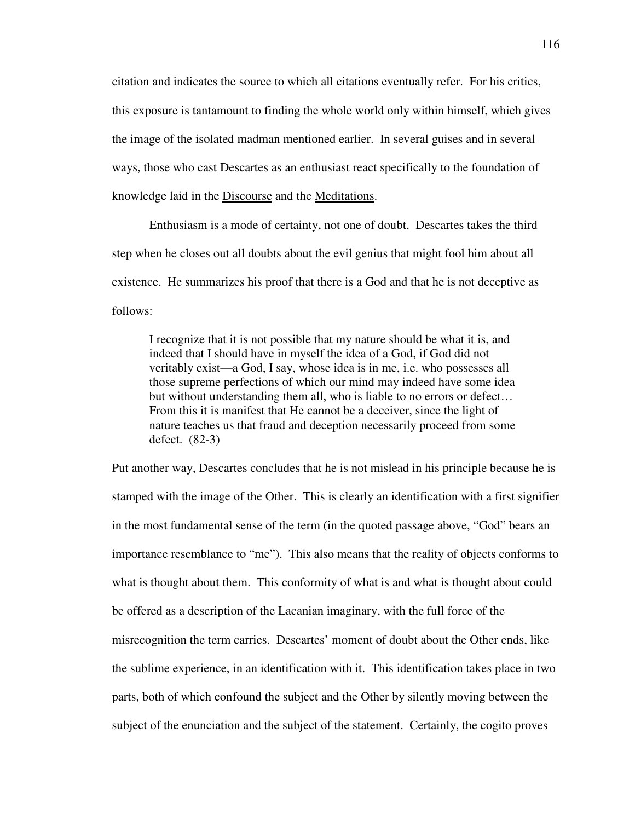citation and indicates the source to which all citations eventually refer. For his critics, this exposure is tantamount to finding the whole world only within himself, which gives the image of the isolated madman mentioned earlier. In several guises and in several ways, those who cast Descartes as an enthusiast react specifically to the foundation of knowledge laid in the Discourse and the Meditations.

 Enthusiasm is a mode of certainty, not one of doubt. Descartes takes the third step when he closes out all doubts about the evil genius that might fool him about all existence. He summarizes his proof that there is a God and that he is not deceptive as follows:

I recognize that it is not possible that my nature should be what it is, and indeed that I should have in myself the idea of a God, if God did not veritably exist—a God, I say, whose idea is in me, i.e. who possesses all those supreme perfections of which our mind may indeed have some idea but without understanding them all, who is liable to no errors or defect… From this it is manifest that He cannot be a deceiver, since the light of nature teaches us that fraud and deception necessarily proceed from some defect. (82-3)

Put another way, Descartes concludes that he is not mislead in his principle because he is stamped with the image of the Other. This is clearly an identification with a first signifier in the most fundamental sense of the term (in the quoted passage above, "God" bears an importance resemblance to "me"). This also means that the reality of objects conforms to what is thought about them. This conformity of what is and what is thought about could be offered as a description of the Lacanian imaginary, with the full force of the misrecognition the term carries. Descartes' moment of doubt about the Other ends, like the sublime experience, in an identification with it. This identification takes place in two parts, both of which confound the subject and the Other by silently moving between the subject of the enunciation and the subject of the statement. Certainly, the cogito proves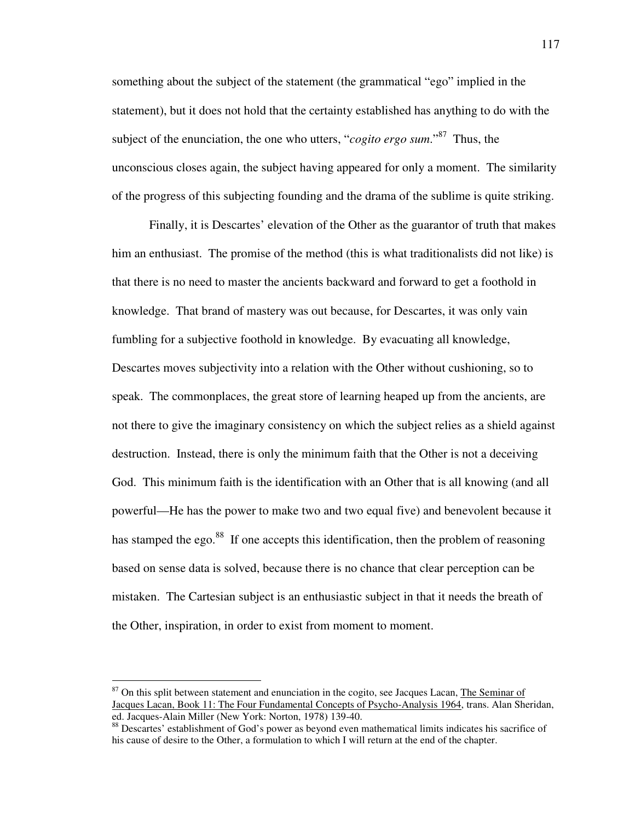something about the subject of the statement (the grammatical "ego" implied in the statement), but it does not hold that the certainty established has anything to do with the subject of the enunciation, the one who utters, "*cogito ergo sum*."<sup>87</sup> Thus, the unconscious closes again, the subject having appeared for only a moment. The similarity of the progress of this subjecting founding and the drama of the sublime is quite striking.

 Finally, it is Descartes' elevation of the Other as the guarantor of truth that makes him an enthusiast. The promise of the method (this is what traditionalists did not like) is that there is no need to master the ancients backward and forward to get a foothold in knowledge. That brand of mastery was out because, for Descartes, it was only vain fumbling for a subjective foothold in knowledge. By evacuating all knowledge, Descartes moves subjectivity into a relation with the Other without cushioning, so to speak. The commonplaces, the great store of learning heaped up from the ancients, are not there to give the imaginary consistency on which the subject relies as a shield against destruction. Instead, there is only the minimum faith that the Other is not a deceiving God. This minimum faith is the identification with an Other that is all knowing (and all powerful—He has the power to make two and two equal five) and benevolent because it has stamped the ego.<sup>88</sup> If one accepts this identification, then the problem of reasoning based on sense data is solved, because there is no chance that clear perception can be mistaken. The Cartesian subject is an enthusiastic subject in that it needs the breath of the Other, inspiration, in order to exist from moment to moment.

<sup>&</sup>lt;sup>87</sup> On this split between statement and enunciation in the cogito, see Jacques Lacan, The Seminar of Jacques Lacan, Book 11: The Four Fundamental Concepts of Psycho-Analysis 1964, trans. Alan Sheridan, ed. Jacques-Alain Miller (New York: Norton, 1978) 139-40.

<sup>88</sup> Descartes' establishment of God's power as beyond even mathematical limits indicates his sacrifice of his cause of desire to the Other, a formulation to which I will return at the end of the chapter.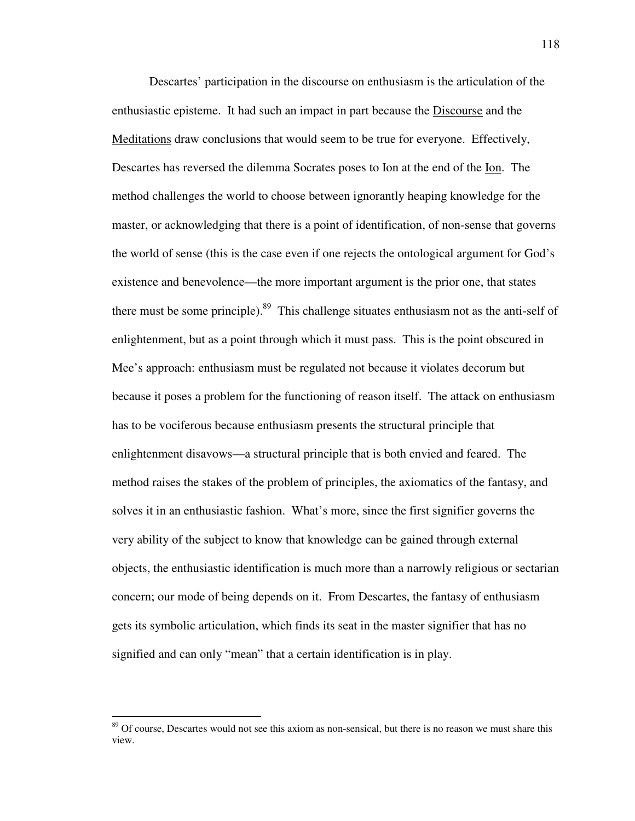Descartes' participation in the discourse on enthusiasm is the articulation of the enthusiastic episteme. It had such an impact in part because the Discourse and the Meditations draw conclusions that would seem to be true for everyone. Effectively, Descartes has reversed the dilemma Socrates poses to Ion at the end of the Ion. The method challenges the world to choose between ignorantly heaping knowledge for the master, or acknowledging that there is a point of identification, of non-sense that governs the world of sense (this is the case even if one rejects the ontological argument for God's existence and benevolence—the more important argument is the prior one, that states there must be some principle). $89$  This challenge situates enthusiasm not as the anti-self of enlightenment, but as a point through which it must pass. This is the point obscured in Mee's approach: enthusiasm must be regulated not because it violates decorum but because it poses a problem for the functioning of reason itself. The attack on enthusiasm has to be vociferous because enthusiasm presents the structural principle that enlightenment disavows—a structural principle that is both envied and feared. The method raises the stakes of the problem of principles, the axiomatics of the fantasy, and solves it in an enthusiastic fashion. What's more, since the first signifier governs the very ability of the subject to know that knowledge can be gained through external objects, the enthusiastic identification is much more than a narrowly religious or sectarian concern; our mode of being depends on it. From Descartes, the fantasy of enthusiasm gets its symbolic articulation, which finds its seat in the master signifier that has no signified and can only "mean" that a certain identification is in play.

<sup>&</sup>lt;sup>89</sup> Of course, Descartes would not see this axiom as non-sensical, but there is no reason we must share this view.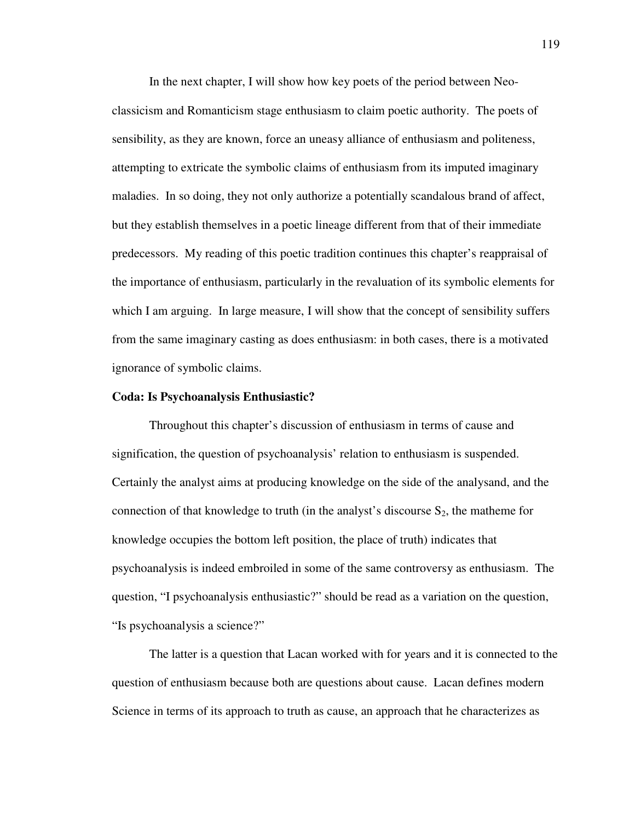In the next chapter, I will show how key poets of the period between Neoclassicism and Romanticism stage enthusiasm to claim poetic authority. The poets of sensibility, as they are known, force an uneasy alliance of enthusiasm and politeness, attempting to extricate the symbolic claims of enthusiasm from its imputed imaginary maladies. In so doing, they not only authorize a potentially scandalous brand of affect, but they establish themselves in a poetic lineage different from that of their immediate predecessors. My reading of this poetic tradition continues this chapter's reappraisal of the importance of enthusiasm, particularly in the revaluation of its symbolic elements for which I am arguing. In large measure, I will show that the concept of sensibility suffers from the same imaginary casting as does enthusiasm: in both cases, there is a motivated ignorance of symbolic claims.

#### **Coda: Is Psychoanalysis Enthusiastic?**

 Throughout this chapter's discussion of enthusiasm in terms of cause and signification, the question of psychoanalysis' relation to enthusiasm is suspended. Certainly the analyst aims at producing knowledge on the side of the analysand, and the connection of that knowledge to truth (in the analyst's discourse  $S_2$ , the matheme for knowledge occupies the bottom left position, the place of truth) indicates that psychoanalysis is indeed embroiled in some of the same controversy as enthusiasm. The question, "I psychoanalysis enthusiastic?" should be read as a variation on the question, "Is psychoanalysis a science?"

 The latter is a question that Lacan worked with for years and it is connected to the question of enthusiasm because both are questions about cause. Lacan defines modern Science in terms of its approach to truth as cause, an approach that he characterizes as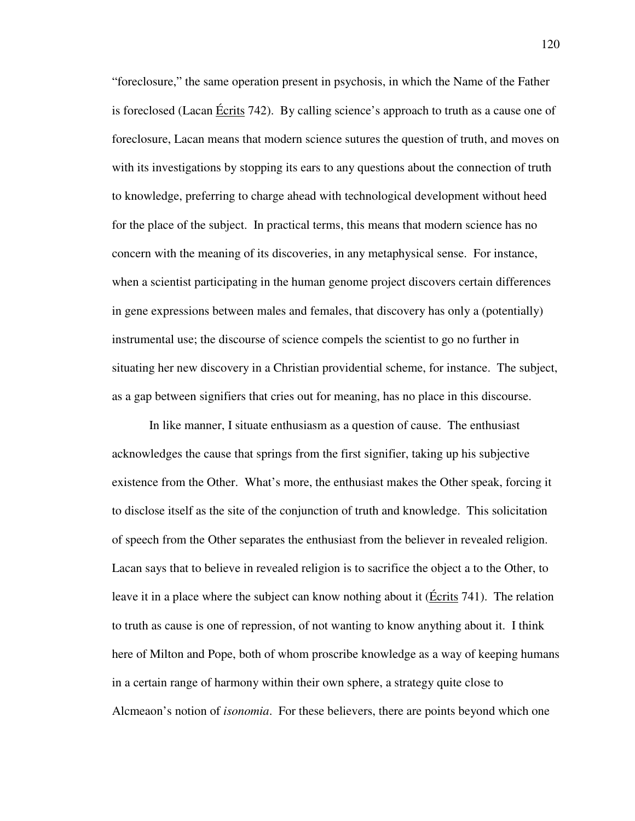"foreclosure," the same operation present in psychosis, in which the Name of the Father is foreclosed (Lacan Écrits 742). By calling science's approach to truth as a cause one of foreclosure, Lacan means that modern science sutures the question of truth, and moves on with its investigations by stopping its ears to any questions about the connection of truth to knowledge, preferring to charge ahead with technological development without heed for the place of the subject. In practical terms, this means that modern science has no concern with the meaning of its discoveries, in any metaphysical sense. For instance, when a scientist participating in the human genome project discovers certain differences in gene expressions between males and females, that discovery has only a (potentially) instrumental use; the discourse of science compels the scientist to go no further in situating her new discovery in a Christian providential scheme, for instance. The subject, as a gap between signifiers that cries out for meaning, has no place in this discourse.

In like manner, I situate enthusiasm as a question of cause. The enthusiast acknowledges the cause that springs from the first signifier, taking up his subjective existence from the Other. What's more, the enthusiast makes the Other speak, forcing it to disclose itself as the site of the conjunction of truth and knowledge. This solicitation of speech from the Other separates the enthusiast from the believer in revealed religion. Lacan says that to believe in revealed religion is to sacrifice the object a to the Other, to leave it in a place where the subject can know nothing about it ( $\angle$  Ecrits 741). The relation to truth as cause is one of repression, of not wanting to know anything about it. I think here of Milton and Pope, both of whom proscribe knowledge as a way of keeping humans in a certain range of harmony within their own sphere, a strategy quite close to Alcmeaon's notion of *isonomia*. For these believers, there are points beyond which one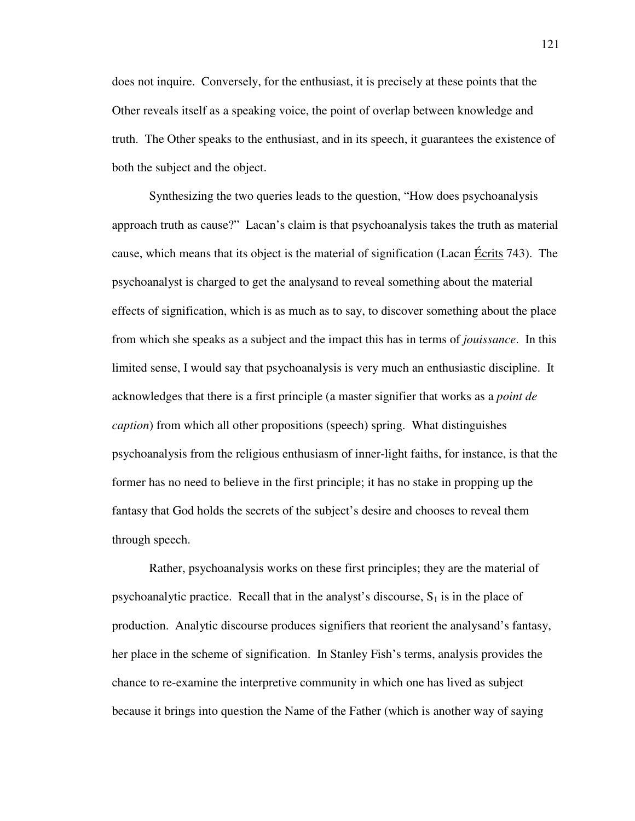does not inquire. Conversely, for the enthusiast, it is precisely at these points that the Other reveals itself as a speaking voice, the point of overlap between knowledge and truth. The Other speaks to the enthusiast, and in its speech, it guarantees the existence of both the subject and the object.

 Synthesizing the two queries leads to the question, "How does psychoanalysis approach truth as cause?" Lacan's claim is that psychoanalysis takes the truth as material cause, which means that its object is the material of signification (Lacan Écrits 743). The psychoanalyst is charged to get the analysand to reveal something about the material effects of signification, which is as much as to say, to discover something about the place from which she speaks as a subject and the impact this has in terms of *jouissance*. In this limited sense, I would say that psychoanalysis is very much an enthusiastic discipline. It acknowledges that there is a first principle (a master signifier that works as a *point de caption*) from which all other propositions (speech) spring. What distinguishes psychoanalysis from the religious enthusiasm of inner-light faiths, for instance, is that the former has no need to believe in the first principle; it has no stake in propping up the fantasy that God holds the secrets of the subject's desire and chooses to reveal them through speech.

 Rather, psychoanalysis works on these first principles; they are the material of psychoanalytic practice. Recall that in the analyst's discourse,  $S_1$  is in the place of production. Analytic discourse produces signifiers that reorient the analysand's fantasy, her place in the scheme of signification. In Stanley Fish's terms, analysis provides the chance to re-examine the interpretive community in which one has lived as subject because it brings into question the Name of the Father (which is another way of saying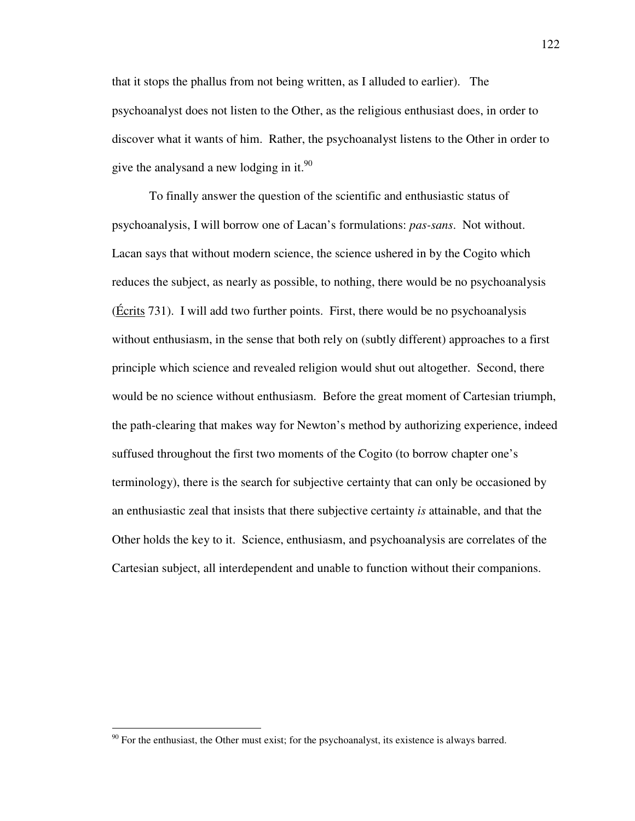that it stops the phallus from not being written, as I alluded to earlier). The psychoanalyst does not listen to the Other, as the religious enthusiast does, in order to discover what it wants of him. Rather, the psychoanalyst listens to the Other in order to give the analysand a new lodging in it.<sup>90</sup>

 To finally answer the question of the scientific and enthusiastic status of psychoanalysis, I will borrow one of Lacan's formulations: *pas-sans*. Not without. Lacan says that without modern science, the science ushered in by the Cogito which reduces the subject, as nearly as possible, to nothing, there would be no psychoanalysis (Écrits 731). I will add two further points. First, there would be no psychoanalysis without enthusiasm, in the sense that both rely on (subtly different) approaches to a first principle which science and revealed religion would shut out altogether. Second, there would be no science without enthusiasm. Before the great moment of Cartesian triumph, the path-clearing that makes way for Newton's method by authorizing experience, indeed suffused throughout the first two moments of the Cogito (to borrow chapter one's terminology), there is the search for subjective certainty that can only be occasioned by an enthusiastic zeal that insists that there subjective certainty *is* attainable, and that the Other holds the key to it. Science, enthusiasm, and psychoanalysis are correlates of the Cartesian subject, all interdependent and unable to function without their companions.

 $90$  For the enthusiast, the Other must exist; for the psychoanalyst, its existence is always barred.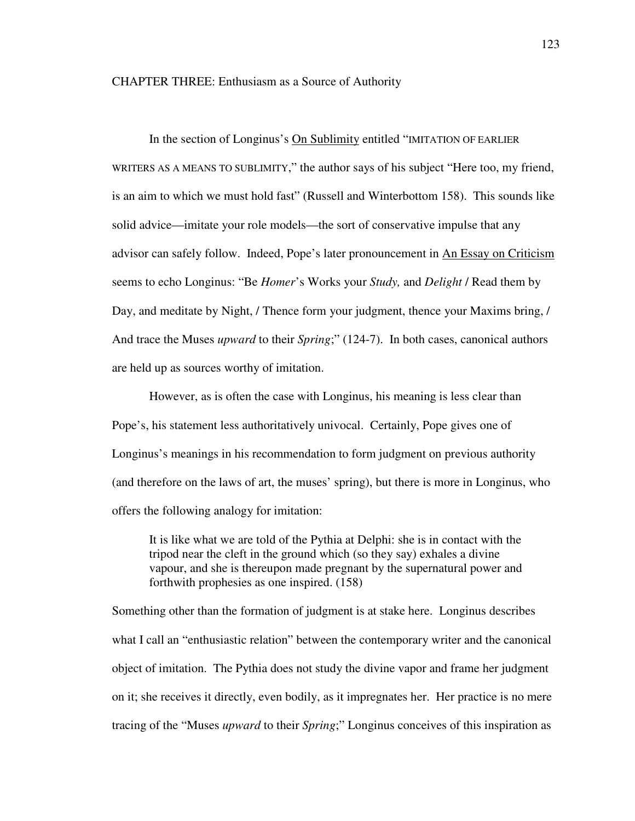### CHAPTER THREE: Enthusiasm as a Source of Authority

 In the section of Longinus's On Sublimity entitled "IMITATION OF EARLIER WRITERS AS A MEANS TO SUBLIMITY," the author says of his subject "Here too, my friend, is an aim to which we must hold fast" (Russell and Winterbottom 158). This sounds like solid advice—imitate your role models—the sort of conservative impulse that any advisor can safely follow. Indeed, Pope's later pronouncement in An Essay on Criticism seems to echo Longinus: "Be *Homer*'s Works your *Study,* and *Delight* / Read them by Day, and meditate by Night, / Thence form your judgment, thence your Maxims bring, / And trace the Muses *upward* to their *Spring*;" (124-7). In both cases, canonical authors are held up as sources worthy of imitation.

 However, as is often the case with Longinus, his meaning is less clear than Pope's, his statement less authoritatively univocal. Certainly, Pope gives one of Longinus's meanings in his recommendation to form judgment on previous authority (and therefore on the laws of art, the muses' spring), but there is more in Longinus, who offers the following analogy for imitation:

It is like what we are told of the Pythia at Delphi: she is in contact with the tripod near the cleft in the ground which (so they say) exhales a divine vapour, and she is thereupon made pregnant by the supernatural power and forthwith prophesies as one inspired. (158)

Something other than the formation of judgment is at stake here. Longinus describes what I call an "enthusiastic relation" between the contemporary writer and the canonical object of imitation. The Pythia does not study the divine vapor and frame her judgment on it; she receives it directly, even bodily, as it impregnates her. Her practice is no mere tracing of the "Muses *upward* to their *Spring*;" Longinus conceives of this inspiration as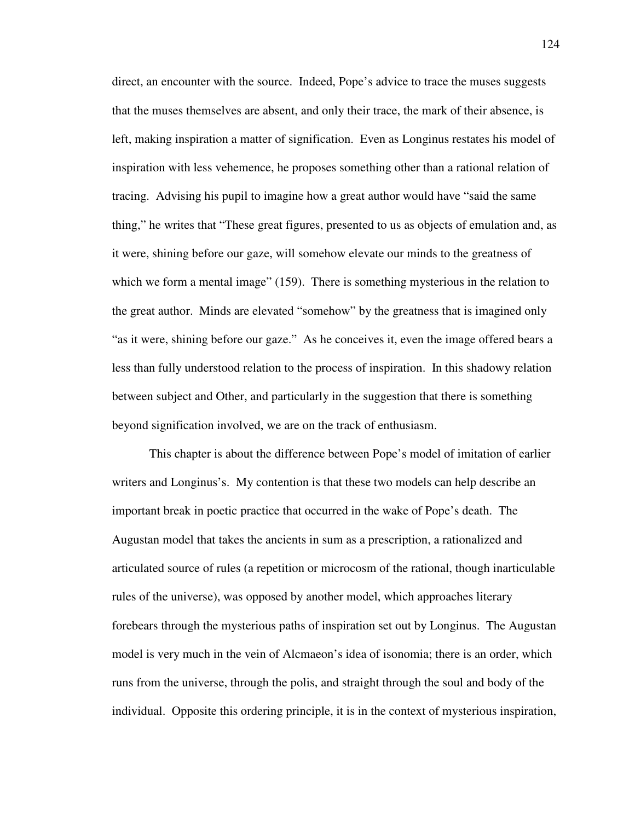direct, an encounter with the source. Indeed, Pope's advice to trace the muses suggests that the muses themselves are absent, and only their trace, the mark of their absence, is left, making inspiration a matter of signification. Even as Longinus restates his model of inspiration with less vehemence, he proposes something other than a rational relation of tracing. Advising his pupil to imagine how a great author would have "said the same thing," he writes that "These great figures, presented to us as objects of emulation and, as it were, shining before our gaze, will somehow elevate our minds to the greatness of which we form a mental image" (159). There is something mysterious in the relation to the great author. Minds are elevated "somehow" by the greatness that is imagined only "as it were, shining before our gaze." As he conceives it, even the image offered bears a less than fully understood relation to the process of inspiration. In this shadowy relation between subject and Other, and particularly in the suggestion that there is something beyond signification involved, we are on the track of enthusiasm.

 This chapter is about the difference between Pope's model of imitation of earlier writers and Longinus's. My contention is that these two models can help describe an important break in poetic practice that occurred in the wake of Pope's death. The Augustan model that takes the ancients in sum as a prescription, a rationalized and articulated source of rules (a repetition or microcosm of the rational, though inarticulable rules of the universe), was opposed by another model, which approaches literary forebears through the mysterious paths of inspiration set out by Longinus. The Augustan model is very much in the vein of Alcmaeon's idea of isonomia; there is an order, which runs from the universe, through the polis, and straight through the soul and body of the individual. Opposite this ordering principle, it is in the context of mysterious inspiration,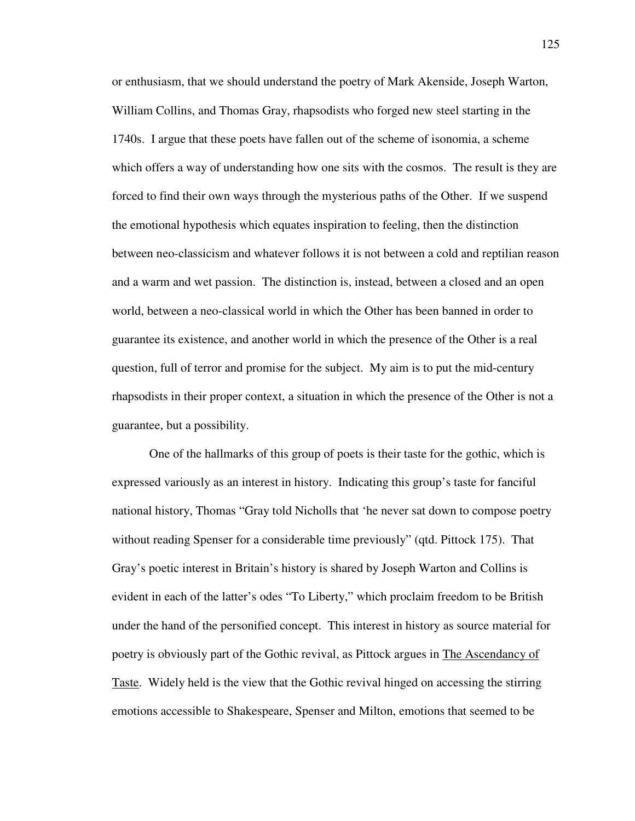or enthusiasm, that we should understand the poetry of Mark Akenside, Joseph Warton, William Collins, and Thomas Gray, rhapsodists who forged new steel starting in the 1740s. I argue that these poets have fallen out of the scheme of isonomia, a scheme which offers a way of understanding how one sits with the cosmos. The result is they are forced to find their own ways through the mysterious paths of the Other. If we suspend the emotional hypothesis which equates inspiration to feeling, then the distinction between neo-classicism and whatever follows it is not between a cold and reptilian reason and a warm and wet passion. The distinction is, instead, between a closed and an open world, between a neo-classical world in which the Other has been banned in order to guarantee its existence, and another world in which the presence of the Other is a real question, full of terror and promise for the subject. My aim is to put the mid-century rhapsodists in their proper context, a situation in which the presence of the Other is not a guarantee, but a possibility.

 One of the hallmarks of this group of poets is their taste for the gothic, which is expressed variously as an interest in history. Indicating this group's taste for fanciful national history, Thomas "Gray told Nicholls that 'he never sat down to compose poetry without reading Spenser for a considerable time previously" (qtd. Pittock 175). That Gray's poetic interest in Britain's history is shared by Joseph Warton and Collins is evident in each of the latter's odes "To Liberty," which proclaim freedom to be British under the hand of the personified concept. This interest in history as source material for poetry is obviously part of the Gothic revival, as Pittock argues in The Ascendancy of Taste. Widely held is the view that the Gothic revival hinged on accessing the stirring emotions accessible to Shakespeare, Spenser and Milton, emotions that seemed to be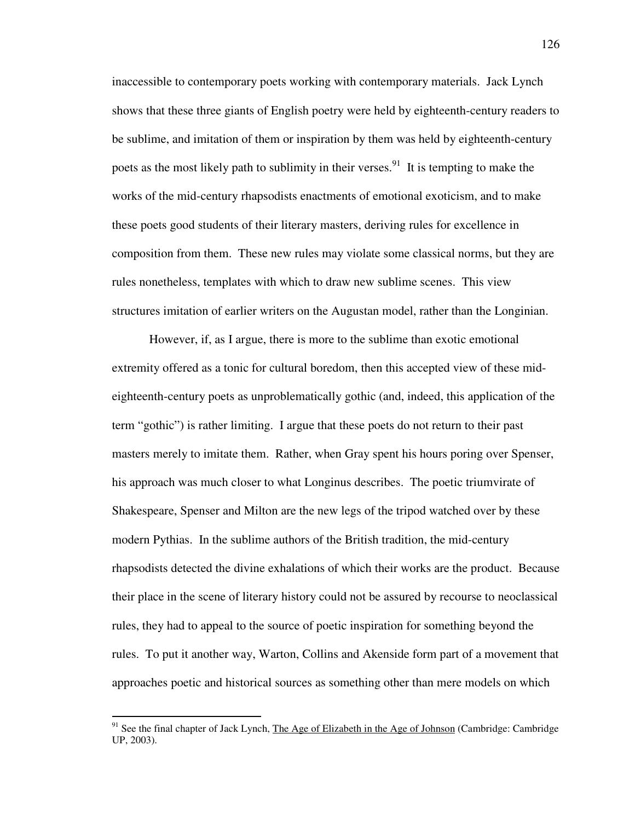inaccessible to contemporary poets working with contemporary materials. Jack Lynch shows that these three giants of English poetry were held by eighteenth-century readers to be sublime, and imitation of them or inspiration by them was held by eighteenth-century poets as the most likely path to sublimity in their verses.<sup>91</sup> It is tempting to make the works of the mid-century rhapsodists enactments of emotional exoticism, and to make these poets good students of their literary masters, deriving rules for excellence in composition from them. These new rules may violate some classical norms, but they are rules nonetheless, templates with which to draw new sublime scenes. This view structures imitation of earlier writers on the Augustan model, rather than the Longinian.

 However, if, as I argue, there is more to the sublime than exotic emotional extremity offered as a tonic for cultural boredom, then this accepted view of these mideighteenth-century poets as unproblematically gothic (and, indeed, this application of the term "gothic") is rather limiting. I argue that these poets do not return to their past masters merely to imitate them. Rather, when Gray spent his hours poring over Spenser, his approach was much closer to what Longinus describes. The poetic triumvirate of Shakespeare, Spenser and Milton are the new legs of the tripod watched over by these modern Pythias. In the sublime authors of the British tradition, the mid-century rhapsodists detected the divine exhalations of which their works are the product. Because their place in the scene of literary history could not be assured by recourse to neoclassical rules, they had to appeal to the source of poetic inspiration for something beyond the rules. To put it another way, Warton, Collins and Akenside form part of a movement that approaches poetic and historical sources as something other than mere models on which

 $91$  See the final chapter of Jack Lynch, The Age of Elizabeth in the Age of Johnson (Cambridge: Cambridge) UP, 2003).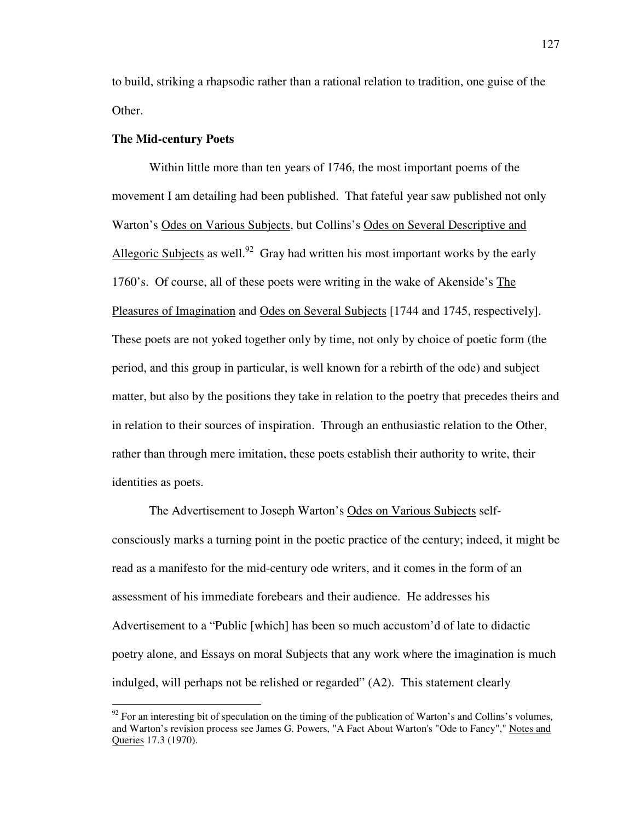to build, striking a rhapsodic rather than a rational relation to tradition, one guise of the Other.

## **The Mid-century Poets**

 $\overline{a}$ 

Within little more than ten years of 1746, the most important poems of the movement I am detailing had been published. That fateful year saw published not only Warton's Odes on Various Subjects, but Collins's Odes on Several Descriptive and Allegoric Subjects as well.<sup>92</sup> Gray had written his most important works by the early 1760's. Of course, all of these poets were writing in the wake of Akenside's The Pleasures of Imagination and Odes on Several Subjects [1744 and 1745, respectively]. These poets are not yoked together only by time, not only by choice of poetic form (the period, and this group in particular, is well known for a rebirth of the ode) and subject matter, but also by the positions they take in relation to the poetry that precedes theirs and in relation to their sources of inspiration. Through an enthusiastic relation to the Other, rather than through mere imitation, these poets establish their authority to write, their identities as poets.

The Advertisement to Joseph Warton's Odes on Various Subjects selfconsciously marks a turning point in the poetic practice of the century; indeed, it might be read as a manifesto for the mid-century ode writers, and it comes in the form of an assessment of his immediate forebears and their audience. He addresses his Advertisement to a "Public [which] has been so much accustom'd of late to didactic poetry alone, and Essays on moral Subjects that any work where the imagination is much indulged, will perhaps not be relished or regarded" (A2). This statement clearly

 $92$  For an interesting bit of speculation on the timing of the publication of Warton's and Collins's volumes, and Warton's revision process see James G. Powers, "A Fact About Warton's "Ode to Fancy"," Notes and Queries 17.3 (1970).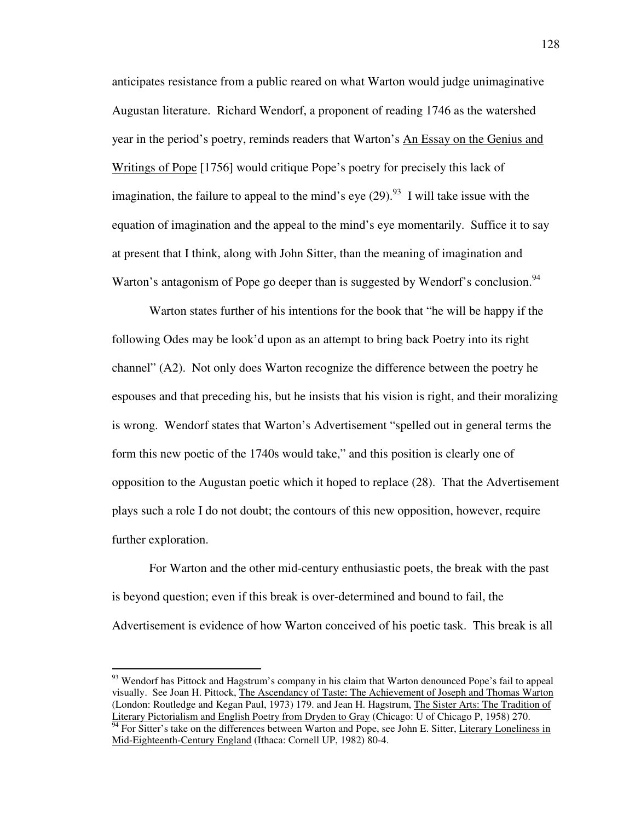anticipates resistance from a public reared on what Warton would judge unimaginative Augustan literature. Richard Wendorf, a proponent of reading 1746 as the watershed year in the period's poetry, reminds readers that Warton's An Essay on the Genius and Writings of Pope [1756] would critique Pope's poetry for precisely this lack of imagination, the failure to appeal to the mind's eye  $(29)$ .<sup>93</sup> I will take issue with the equation of imagination and the appeal to the mind's eye momentarily. Suffice it to say at present that I think, along with John Sitter, than the meaning of imagination and Warton's antagonism of Pope go deeper than is suggested by Wendorf's conclusion.<sup>94</sup>

Warton states further of his intentions for the book that "he will be happy if the following Odes may be look'd upon as an attempt to bring back Poetry into its right channel" (A2). Not only does Warton recognize the difference between the poetry he espouses and that preceding his, but he insists that his vision is right, and their moralizing is wrong. Wendorf states that Warton's Advertisement "spelled out in general terms the form this new poetic of the 1740s would take," and this position is clearly one of opposition to the Augustan poetic which it hoped to replace (28). That the Advertisement plays such a role I do not doubt; the contours of this new opposition, however, require further exploration.

 For Warton and the other mid-century enthusiastic poets, the break with the past is beyond question; even if this break is over-determined and bound to fail, the Advertisement is evidence of how Warton conceived of his poetic task. This break is all

<sup>&</sup>lt;sup>93</sup> Wendorf has Pittock and Hagstrum's company in his claim that Warton denounced Pope's fail to appeal visually. See Joan H. Pittock, The Ascendancy of Taste: The Achievement of Joseph and Thomas Warton (London: Routledge and Kegan Paul, 1973) 179. and Jean H. Hagstrum, The Sister Arts: The Tradition of Literary Pictorialism and English Poetry from Dryden to Gray (Chicago: U of Chicago P, 1958) 270.

<sup>&</sup>lt;sup>94</sup> For Sitter's take on the differences between Warton and Pope, see John E. Sitter, Literary Loneliness in Mid-Eighteenth-Century England (Ithaca: Cornell UP, 1982) 80-4.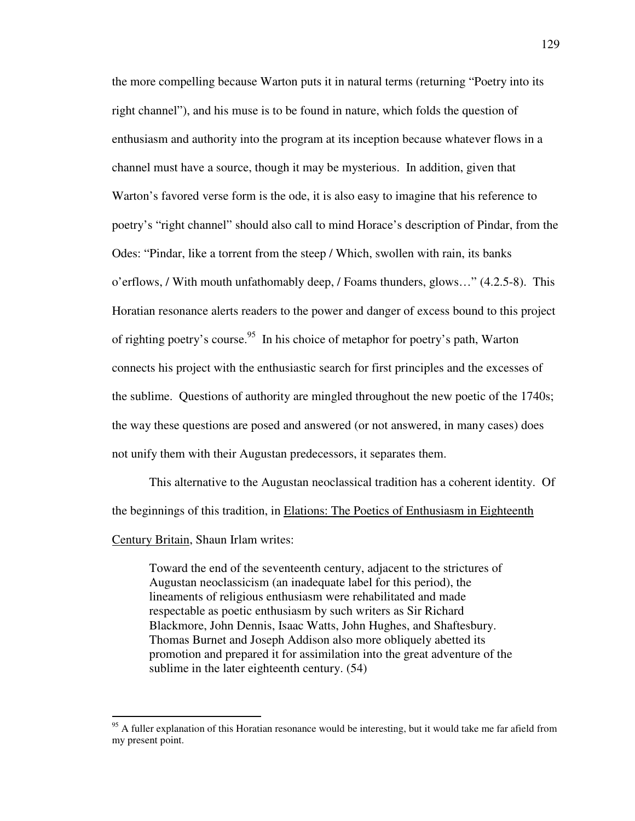the more compelling because Warton puts it in natural terms (returning "Poetry into its right channel"), and his muse is to be found in nature, which folds the question of enthusiasm and authority into the program at its inception because whatever flows in a channel must have a source, though it may be mysterious. In addition, given that Warton's favored verse form is the ode, it is also easy to imagine that his reference to poetry's "right channel" should also call to mind Horace's description of Pindar, from the Odes: "Pindar, like a torrent from the steep / Which, swollen with rain, its banks o'erflows, / With mouth unfathomably deep, / Foams thunders, glows…" (4.2.5-8). This Horatian resonance alerts readers to the power and danger of excess bound to this project of righting poetry's course.<sup>95</sup> In his choice of metaphor for poetry's path, Warton connects his project with the enthusiastic search for first principles and the excesses of the sublime. Questions of authority are mingled throughout the new poetic of the 1740s; the way these questions are posed and answered (or not answered, in many cases) does not unify them with their Augustan predecessors, it separates them.

This alternative to the Augustan neoclassical tradition has a coherent identity. Of the beginnings of this tradition, in Elations: The Poetics of Enthusiasm in Eighteenth Century Britain, Shaun Irlam writes:

Toward the end of the seventeenth century, adjacent to the strictures of Augustan neoclassicism (an inadequate label for this period), the lineaments of religious enthusiasm were rehabilitated and made respectable as poetic enthusiasm by such writers as Sir Richard Blackmore, John Dennis, Isaac Watts, John Hughes, and Shaftesbury. Thomas Burnet and Joseph Addison also more obliquely abetted its promotion and prepared it for assimilation into the great adventure of the sublime in the later eighteenth century. (54)

<sup>&</sup>lt;sup>95</sup> A fuller explanation of this Horatian resonance would be interesting, but it would take me far afield from my present point.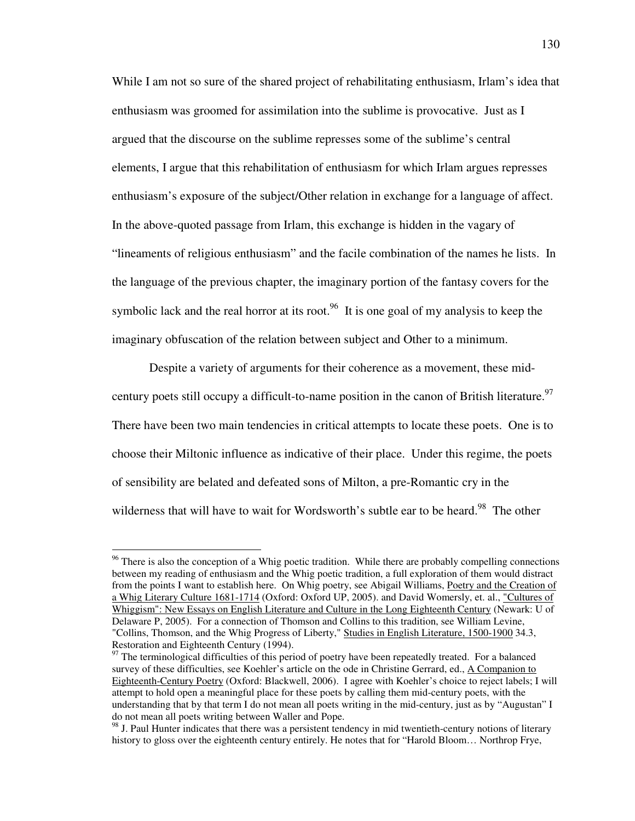While I am not so sure of the shared project of rehabilitating enthusiasm, Irlam's idea that enthusiasm was groomed for assimilation into the sublime is provocative. Just as I argued that the discourse on the sublime represses some of the sublime's central elements, I argue that this rehabilitation of enthusiasm for which Irlam argues represses enthusiasm's exposure of the subject/Other relation in exchange for a language of affect. In the above-quoted passage from Irlam, this exchange is hidden in the vagary of "lineaments of religious enthusiasm" and the facile combination of the names he lists. In the language of the previous chapter, the imaginary portion of the fantasy covers for the symbolic lack and the real horror at its root.<sup>96</sup> It is one goal of my analysis to keep the imaginary obfuscation of the relation between subject and Other to a minimum.

 Despite a variety of arguments for their coherence as a movement, these midcentury poets still occupy a difficult-to-name position in the canon of British literature.<sup>97</sup> There have been two main tendencies in critical attempts to locate these poets. One is to choose their Miltonic influence as indicative of their place. Under this regime, the poets of sensibility are belated and defeated sons of Milton, a pre-Romantic cry in the wilderness that will have to wait for Wordsworth's subtle ear to be heard.<sup>98</sup> The other

<sup>&</sup>lt;sup>96</sup> There is also the conception of a Whig poetic tradition. While there are probably compelling connections between my reading of enthusiasm and the Whig poetic tradition, a full exploration of them would distract from the points I want to establish here. On Whig poetry, see Abigail Williams, Poetry and the Creation of a Whig Literary Culture 1681-1714 (Oxford: Oxford UP, 2005). and David Womersly, et. al., "Cultures of Whiggism": New Essays on English Literature and Culture in the Long Eighteenth Century (Newark: U of Delaware P, 2005). For a connection of Thomson and Collins to this tradition, see William Levine, "Collins, Thomson, and the Whig Progress of Liberty," Studies in English Literature, 1500-1900 34.3, Restoration and Eighteenth Century (1994).

<sup>&</sup>lt;sup>97</sup> The terminological difficulties of this period of poetry have been repeatedly treated. For a balanced survey of these difficulties, see Koehler's article on the ode in Christine Gerrard, ed., A Companion to Eighteenth-Century Poetry (Oxford: Blackwell, 2006). I agree with Koehler's choice to reject labels; I will attempt to hold open a meaningful place for these poets by calling them mid-century poets, with the understanding that by that term I do not mean all poets writing in the mid-century, just as by "Augustan" I do not mean all poets writing between Waller and Pope.

<sup>&</sup>lt;sup>98</sup> J. Paul Hunter indicates that there was a persistent tendency in mid twentieth-century notions of literary history to gloss over the eighteenth century entirely. He notes that for "Harold Bloom… Northrop Frye,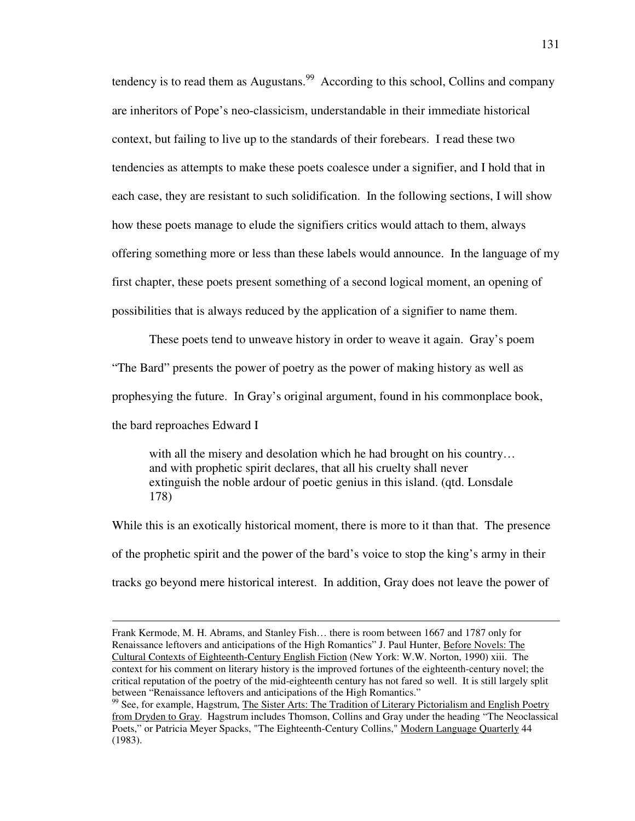tendency is to read them as Augustans.<sup>99</sup> According to this school, Collins and company are inheritors of Pope's neo-classicism, understandable in their immediate historical context, but failing to live up to the standards of their forebears. I read these two tendencies as attempts to make these poets coalesce under a signifier, and I hold that in each case, they are resistant to such solidification. In the following sections, I will show how these poets manage to elude the signifiers critics would attach to them, always offering something more or less than these labels would announce. In the language of my first chapter, these poets present something of a second logical moment, an opening of possibilities that is always reduced by the application of a signifier to name them.

 These poets tend to unweave history in order to weave it again. Gray's poem "The Bard" presents the power of poetry as the power of making history as well as prophesying the future. In Gray's original argument, found in his commonplace book, the bard reproaches Edward I

with all the misery and desolation which he had brought on his country... and with prophetic spirit declares, that all his cruelty shall never extinguish the noble ardour of poetic genius in this island. (qtd. Lonsdale 178)

While this is an exotically historical moment, there is more to it than that. The presence of the prophetic spirit and the power of the bard's voice to stop the king's army in their tracks go beyond mere historical interest. In addition, Gray does not leave the power of

Frank Kermode, M. H. Abrams, and Stanley Fish… there is room between 1667 and 1787 only for Renaissance leftovers and anticipations of the High Romantics" J. Paul Hunter, Before Novels: The Cultural Contexts of Eighteenth-Century English Fiction (New York: W.W. Norton, 1990) xiii. The context for his comment on literary history is the improved fortunes of the eighteenth-century novel; the critical reputation of the poetry of the mid-eighteenth century has not fared so well. It is still largely split between "Renaissance leftovers and anticipations of the High Romantics."

<sup>&</sup>lt;sup>99</sup> See, for example, Hagstrum, The Sister Arts: The Tradition of Literary Pictorialism and English Poetry from Dryden to Gray. Hagstrum includes Thomson, Collins and Gray under the heading "The Neoclassical Poets," or Patricia Meyer Spacks, "The Eighteenth-Century Collins," Modern Language Quarterly 44 (1983).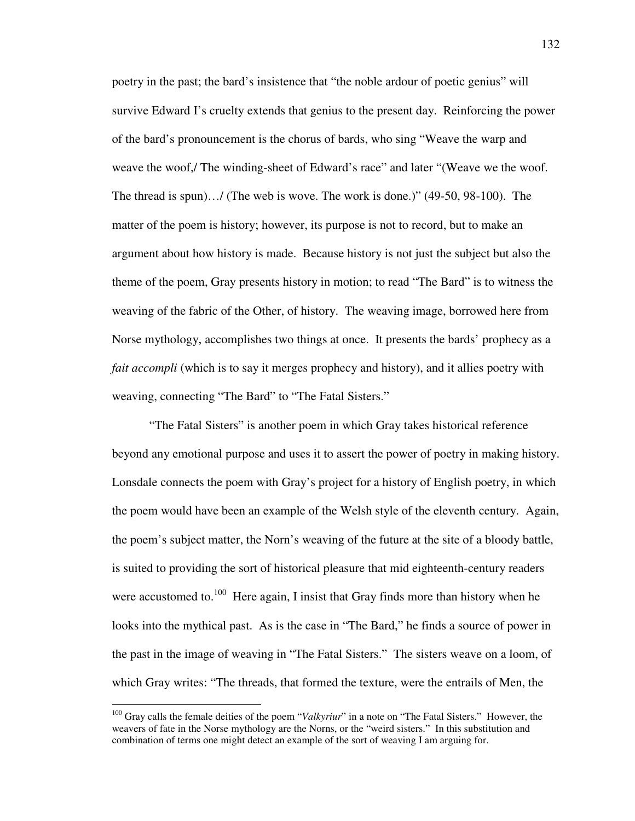poetry in the past; the bard's insistence that "the noble ardour of poetic genius" will survive Edward I's cruelty extends that genius to the present day. Reinforcing the power of the bard's pronouncement is the chorus of bards, who sing "Weave the warp and weave the woof,/ The winding-sheet of Edward's race" and later "(Weave we the woof. The thread is spun)…/ (The web is wove. The work is done.)" (49-50, 98-100). The matter of the poem is history; however, its purpose is not to record, but to make an argument about how history is made. Because history is not just the subject but also the theme of the poem, Gray presents history in motion; to read "The Bard" is to witness the weaving of the fabric of the Other, of history. The weaving image, borrowed here from Norse mythology, accomplishes two things at once. It presents the bards' prophecy as a *fait accompli* (which is to say it merges prophecy and history), and it allies poetry with weaving, connecting "The Bard" to "The Fatal Sisters."

 "The Fatal Sisters" is another poem in which Gray takes historical reference beyond any emotional purpose and uses it to assert the power of poetry in making history. Lonsdale connects the poem with Gray's project for a history of English poetry, in which the poem would have been an example of the Welsh style of the eleventh century. Again, the poem's subject matter, the Norn's weaving of the future at the site of a bloody battle, is suited to providing the sort of historical pleasure that mid eighteenth-century readers were accustomed to. $100$  Here again, I insist that Gray finds more than history when he looks into the mythical past. As is the case in "The Bard," he finds a source of power in the past in the image of weaving in "The Fatal Sisters." The sisters weave on a loom, of which Gray writes: "The threads, that formed the texture, were the entrails of Men, the

<sup>&</sup>lt;sup>100</sup> Gray calls the female deities of the poem "*Valkyriur*" in a note on "The Fatal Sisters." However, the weavers of fate in the Norse mythology are the Norns, or the "weird sisters." In this substitution and combination of terms one might detect an example of the sort of weaving I am arguing for.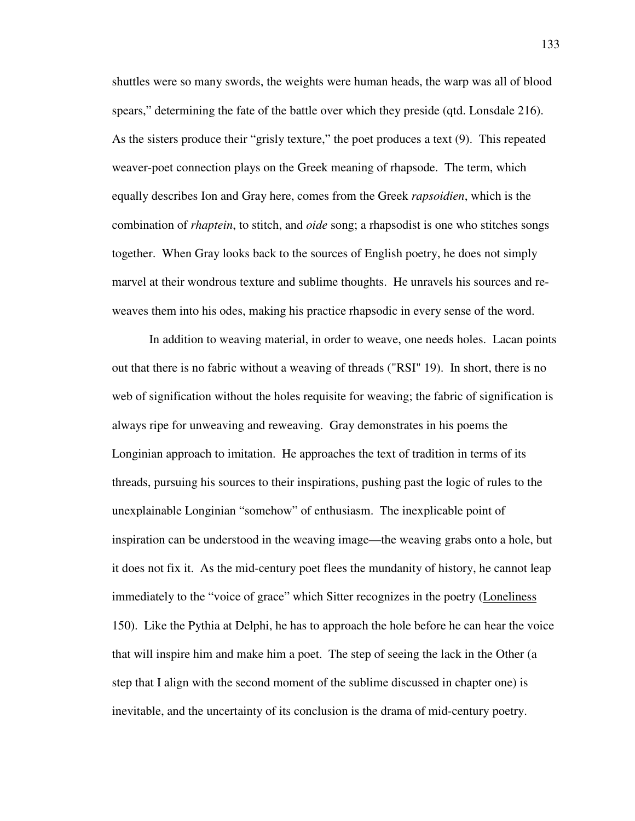shuttles were so many swords, the weights were human heads, the warp was all of blood spears," determining the fate of the battle over which they preside (qtd. Lonsdale 216). As the sisters produce their "grisly texture," the poet produces a text (9). This repeated weaver-poet connection plays on the Greek meaning of rhapsode. The term, which equally describes Ion and Gray here, comes from the Greek *rapsoidien*, which is the combination of *rhaptein*, to stitch, and *oide* song; a rhapsodist is one who stitches songs together. When Gray looks back to the sources of English poetry, he does not simply marvel at their wondrous texture and sublime thoughts. He unravels his sources and reweaves them into his odes, making his practice rhapsodic in every sense of the word.

 In addition to weaving material, in order to weave, one needs holes. Lacan points out that there is no fabric without a weaving of threads ("RSI" 19). In short, there is no web of signification without the holes requisite for weaving; the fabric of signification is always ripe for unweaving and reweaving. Gray demonstrates in his poems the Longinian approach to imitation. He approaches the text of tradition in terms of its threads, pursuing his sources to their inspirations, pushing past the logic of rules to the unexplainable Longinian "somehow" of enthusiasm. The inexplicable point of inspiration can be understood in the weaving image—the weaving grabs onto a hole, but it does not fix it. As the mid-century poet flees the mundanity of history, he cannot leap immediately to the "voice of grace" which Sitter recognizes in the poetry (Loneliness 150). Like the Pythia at Delphi, he has to approach the hole before he can hear the voice that will inspire him and make him a poet. The step of seeing the lack in the Other (a step that I align with the second moment of the sublime discussed in chapter one) is inevitable, and the uncertainty of its conclusion is the drama of mid-century poetry.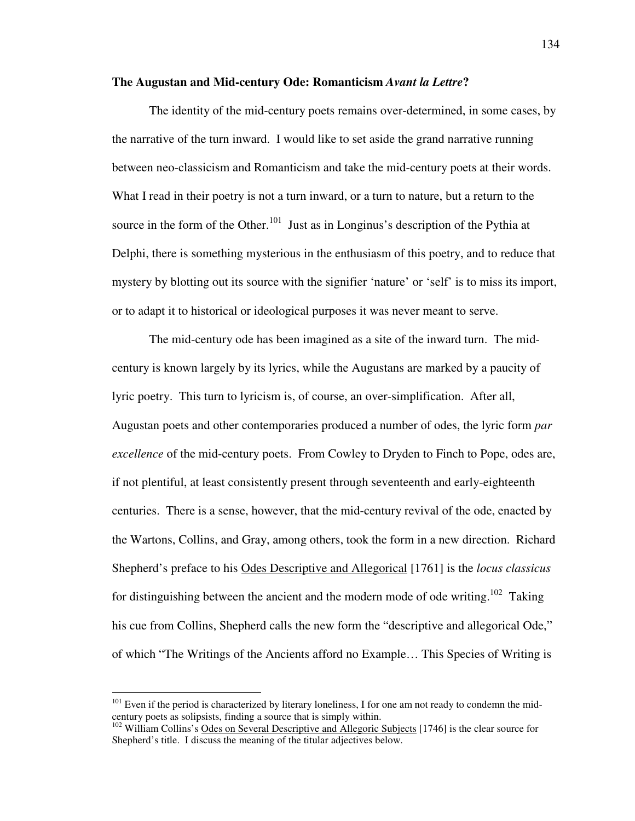## **The Augustan and Mid-century Ode: Romanticism** *Avant la Lettre***?**

 The identity of the mid-century poets remains over-determined, in some cases, by the narrative of the turn inward. I would like to set aside the grand narrative running between neo-classicism and Romanticism and take the mid-century poets at their words. What I read in their poetry is not a turn inward, or a turn to nature, but a return to the source in the form of the Other.<sup>101</sup> Just as in Longinus's description of the Pythia at Delphi, there is something mysterious in the enthusiasm of this poetry, and to reduce that mystery by blotting out its source with the signifier 'nature' or 'self' is to miss its import, or to adapt it to historical or ideological purposes it was never meant to serve.

 The mid-century ode has been imagined as a site of the inward turn. The midcentury is known largely by its lyrics, while the Augustans are marked by a paucity of lyric poetry. This turn to lyricism is, of course, an over-simplification. After all, Augustan poets and other contemporaries produced a number of odes, the lyric form *par excellence* of the mid-century poets. From Cowley to Dryden to Finch to Pope, odes are, if not plentiful, at least consistently present through seventeenth and early-eighteenth centuries. There is a sense, however, that the mid-century revival of the ode, enacted by the Wartons, Collins, and Gray, among others, took the form in a new direction. Richard Shepherd's preface to his Odes Descriptive and Allegorical [1761] is the *locus classicus* for distinguishing between the ancient and the modern mode of ode writing.<sup>102</sup> Taking his cue from Collins, Shepherd calls the new form the "descriptive and allegorical Ode," of which "The Writings of the Ancients afford no Example… This Species of Writing is

 $101$  Even if the period is characterized by literary loneliness, I for one am not ready to condemn the midcentury poets as solipsists, finding a source that is simply within.

<sup>&</sup>lt;sup>102</sup> William Collins's Odes on Several Descriptive and Allegoric Subjects [1746] is the clear source for Shepherd's title. I discuss the meaning of the titular adjectives below.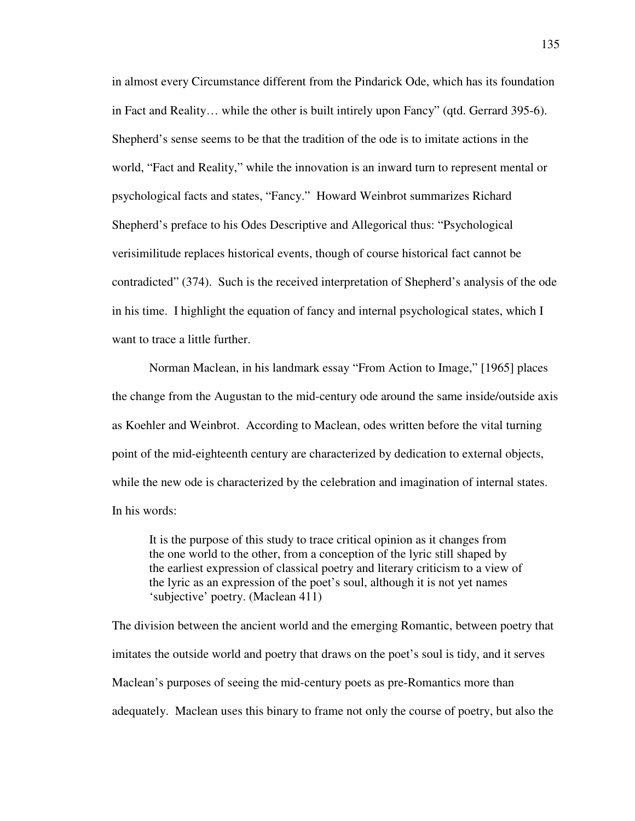in almost every Circumstance different from the Pindarick Ode, which has its foundation in Fact and Reality… while the other is built intirely upon Fancy" (qtd. Gerrard 395-6). Shepherd's sense seems to be that the tradition of the ode is to imitate actions in the world, "Fact and Reality," while the innovation is an inward turn to represent mental or psychological facts and states, "Fancy." Howard Weinbrot summarizes Richard Shepherd's preface to his Odes Descriptive and Allegorical thus: "Psychological verisimilitude replaces historical events, though of course historical fact cannot be contradicted" (374). Such is the received interpretation of Shepherd's analysis of the ode in his time. I highlight the equation of fancy and internal psychological states, which I want to trace a little further.

 Norman Maclean, in his landmark essay "From Action to Image," [1965] places the change from the Augustan to the mid-century ode around the same inside/outside axis as Koehler and Weinbrot. According to Maclean, odes written before the vital turning point of the mid-eighteenth century are characterized by dedication to external objects, while the new ode is characterized by the celebration and imagination of internal states. In his words:

 It is the purpose of this study to trace critical opinion as it changes from the one world to the other, from a conception of the lyric still shaped by the earliest expression of classical poetry and literary criticism to a view of the lyric as an expression of the poet's soul, although it is not yet names 'subjective' poetry. (Maclean 411)

The division between the ancient world and the emerging Romantic, between poetry that imitates the outside world and poetry that draws on the poet's soul is tidy, and it serves Maclean's purposes of seeing the mid-century poets as pre-Romantics more than adequately. Maclean uses this binary to frame not only the course of poetry, but also the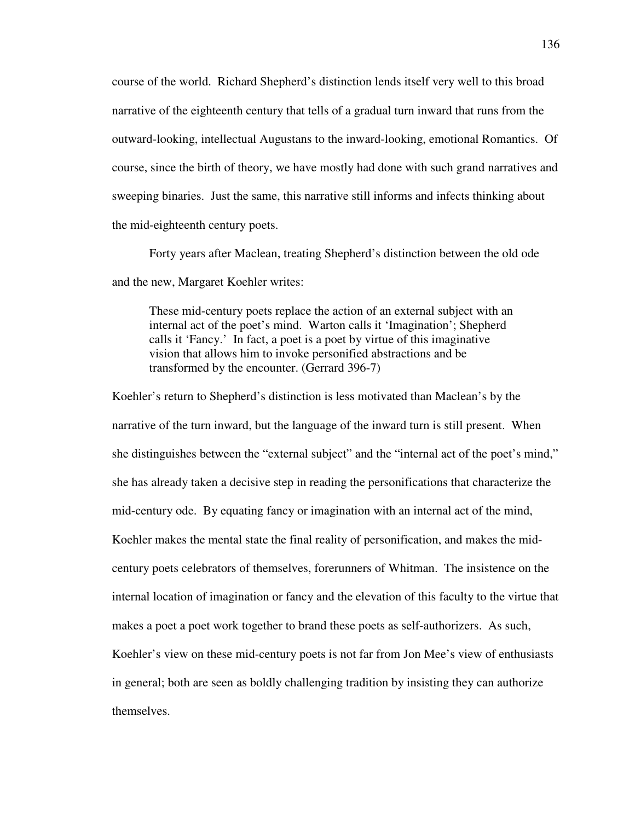course of the world. Richard Shepherd's distinction lends itself very well to this broad narrative of the eighteenth century that tells of a gradual turn inward that runs from the outward-looking, intellectual Augustans to the inward-looking, emotional Romantics. Of course, since the birth of theory, we have mostly had done with such grand narratives and sweeping binaries. Just the same, this narrative still informs and infects thinking about the mid-eighteenth century poets.

 Forty years after Maclean, treating Shepherd's distinction between the old ode and the new, Margaret Koehler writes:

 These mid-century poets replace the action of an external subject with an internal act of the poet's mind. Warton calls it 'Imagination'; Shepherd calls it 'Fancy.' In fact, a poet is a poet by virtue of this imaginative vision that allows him to invoke personified abstractions and be transformed by the encounter. (Gerrard 396-7)

Koehler's return to Shepherd's distinction is less motivated than Maclean's by the narrative of the turn inward, but the language of the inward turn is still present. When she distinguishes between the "external subject" and the "internal act of the poet's mind," she has already taken a decisive step in reading the personifications that characterize the mid-century ode. By equating fancy or imagination with an internal act of the mind, Koehler makes the mental state the final reality of personification, and makes the midcentury poets celebrators of themselves, forerunners of Whitman. The insistence on the internal location of imagination or fancy and the elevation of this faculty to the virtue that makes a poet a poet work together to brand these poets as self-authorizers. As such, Koehler's view on these mid-century poets is not far from Jon Mee's view of enthusiasts in general; both are seen as boldly challenging tradition by insisting they can authorize themselves.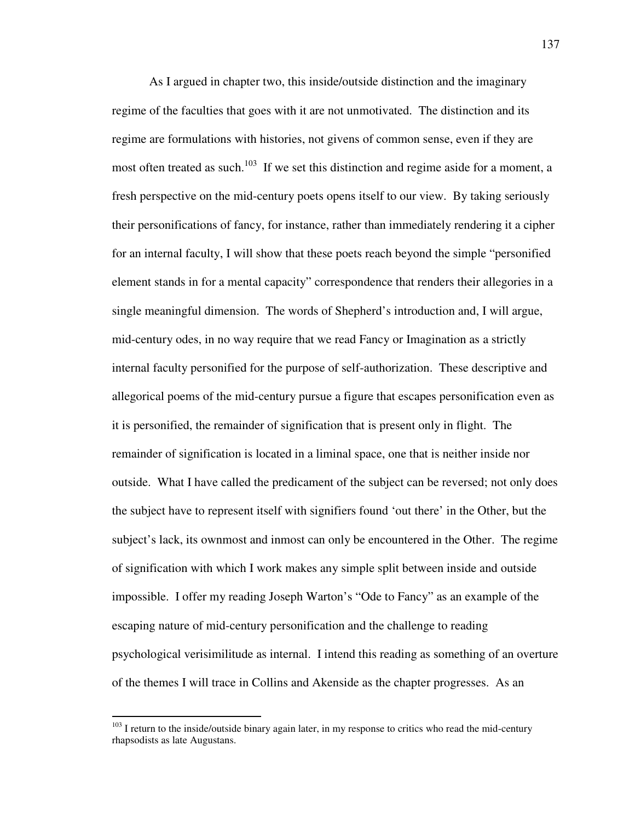As I argued in chapter two, this inside/outside distinction and the imaginary regime of the faculties that goes with it are not unmotivated. The distinction and its regime are formulations with histories, not givens of common sense, even if they are most often treated as such.<sup>103</sup> If we set this distinction and regime aside for a moment, a fresh perspective on the mid-century poets opens itself to our view. By taking seriously their personifications of fancy, for instance, rather than immediately rendering it a cipher for an internal faculty, I will show that these poets reach beyond the simple "personified element stands in for a mental capacity" correspondence that renders their allegories in a single meaningful dimension. The words of Shepherd's introduction and, I will argue, mid-century odes, in no way require that we read Fancy or Imagination as a strictly internal faculty personified for the purpose of self-authorization. These descriptive and allegorical poems of the mid-century pursue a figure that escapes personification even as it is personified, the remainder of signification that is present only in flight. The remainder of signification is located in a liminal space, one that is neither inside nor outside. What I have called the predicament of the subject can be reversed; not only does the subject have to represent itself with signifiers found 'out there' in the Other, but the subject's lack, its ownmost and inmost can only be encountered in the Other. The regime of signification with which I work makes any simple split between inside and outside impossible. I offer my reading Joseph Warton's "Ode to Fancy" as an example of the escaping nature of mid-century personification and the challenge to reading psychological verisimilitude as internal. I intend this reading as something of an overture of the themes I will trace in Collins and Akenside as the chapter progresses. As an

 $103$  I return to the inside/outside binary again later, in my response to critics who read the mid-century rhapsodists as late Augustans.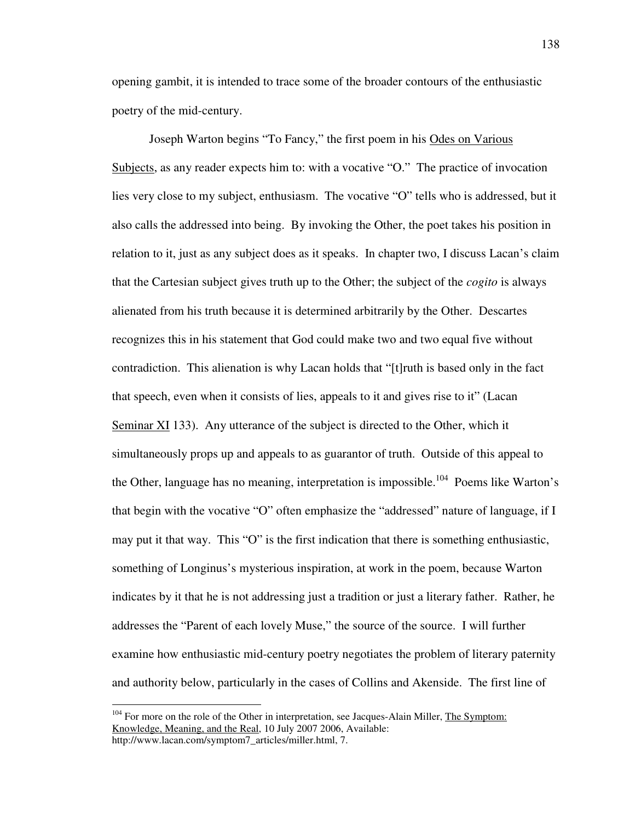opening gambit, it is intended to trace some of the broader contours of the enthusiastic poetry of the mid-century.

 Joseph Warton begins "To Fancy," the first poem in his Odes on Various Subjects, as any reader expects him to: with a vocative "O." The practice of invocation lies very close to my subject, enthusiasm. The vocative "O" tells who is addressed, but it also calls the addressed into being. By invoking the Other, the poet takes his position in relation to it, just as any subject does as it speaks. In chapter two, I discuss Lacan's claim that the Cartesian subject gives truth up to the Other; the subject of the *cogito* is always alienated from his truth because it is determined arbitrarily by the Other. Descartes recognizes this in his statement that God could make two and two equal five without contradiction. This alienation is why Lacan holds that "[t]ruth is based only in the fact that speech, even when it consists of lies, appeals to it and gives rise to it" (Lacan Seminar XI 133). Any utterance of the subject is directed to the Other, which it simultaneously props up and appeals to as guarantor of truth. Outside of this appeal to the Other, language has no meaning, interpretation is impossible.<sup>104</sup> Poems like Warton's that begin with the vocative "O" often emphasize the "addressed" nature of language, if I may put it that way. This "O" is the first indication that there is something enthusiastic, something of Longinus's mysterious inspiration, at work in the poem, because Warton indicates by it that he is not addressing just a tradition or just a literary father. Rather, he addresses the "Parent of each lovely Muse," the source of the source. I will further examine how enthusiastic mid-century poetry negotiates the problem of literary paternity and authority below, particularly in the cases of Collins and Akenside. The first line of

 $104$  For more on the role of the Other in interpretation, see Jacques-Alain Miller, The Symptom: Knowledge, Meaning, and the Real, 10 July 2007 2006, Available: http://www.lacan.com/symptom7\_articles/miller.html, 7.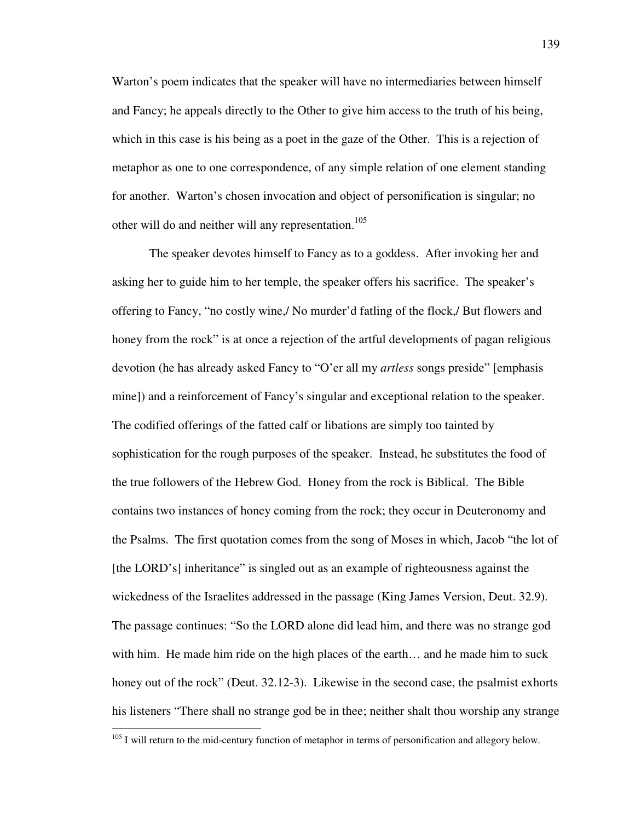Warton's poem indicates that the speaker will have no intermediaries between himself and Fancy; he appeals directly to the Other to give him access to the truth of his being, which in this case is his being as a poet in the gaze of the Other. This is a rejection of metaphor as one to one correspondence, of any simple relation of one element standing for another. Warton's chosen invocation and object of personification is singular; no other will do and neither will any representation.<sup>105</sup>

 The speaker devotes himself to Fancy as to a goddess. After invoking her and asking her to guide him to her temple, the speaker offers his sacrifice. The speaker's offering to Fancy, "no costly wine,/ No murder'd fatling of the flock,/ But flowers and honey from the rock" is at once a rejection of the artful developments of pagan religious devotion (he has already asked Fancy to "O'er all my *artless* songs preside" [emphasis mine]) and a reinforcement of Fancy's singular and exceptional relation to the speaker. The codified offerings of the fatted calf or libations are simply too tainted by sophistication for the rough purposes of the speaker. Instead, he substitutes the food of the true followers of the Hebrew God. Honey from the rock is Biblical. The Bible contains two instances of honey coming from the rock; they occur in Deuteronomy and the Psalms. The first quotation comes from the song of Moses in which, Jacob "the lot of [the LORD's] inheritance" is singled out as an example of righteousness against the wickedness of the Israelites addressed in the passage (King James Version, Deut. 32.9). The passage continues: "So the LORD alone did lead him, and there was no strange god with him. He made him ride on the high places of the earth… and he made him to suck honey out of the rock" (Deut. 32.12-3). Likewise in the second case, the psalmist exhorts his listeners "There shall no strange god be in thee; neither shalt thou worship any strange

<sup>&</sup>lt;sup>105</sup> I will return to the mid-century function of metaphor in terms of personification and allegory below.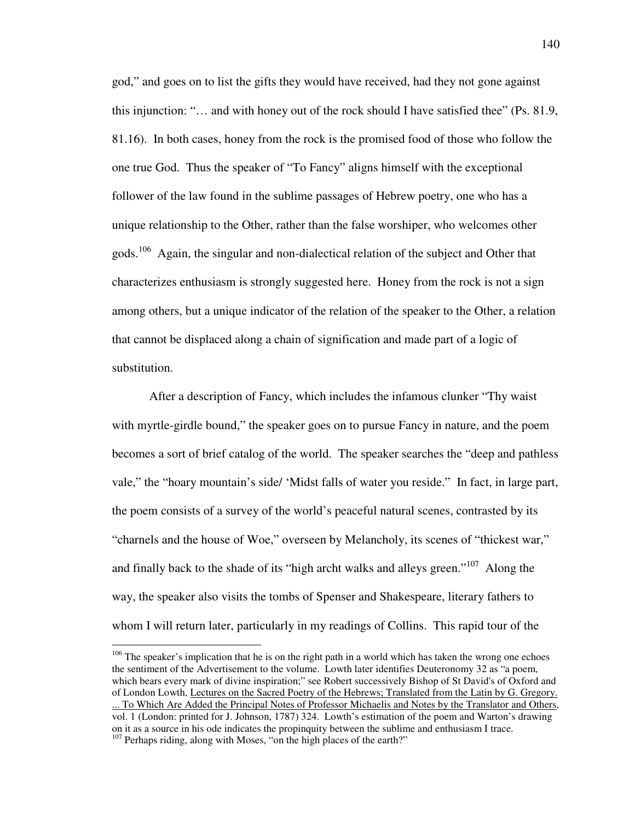god," and goes on to list the gifts they would have received, had they not gone against this injunction: "… and with honey out of the rock should I have satisfied thee" (Ps. 81.9, 81.16). In both cases, honey from the rock is the promised food of those who follow the one true God. Thus the speaker of "To Fancy" aligns himself with the exceptional follower of the law found in the sublime passages of Hebrew poetry, one who has a unique relationship to the Other, rather than the false worshiper, who welcomes other gods.<sup>106</sup> Again, the singular and non-dialectical relation of the subject and Other that characterizes enthusiasm is strongly suggested here. Honey from the rock is not a sign among others, but a unique indicator of the relation of the speaker to the Other, a relation that cannot be displaced along a chain of signification and made part of a logic of substitution.

 After a description of Fancy, which includes the infamous clunker "Thy waist with myrtle-girdle bound," the speaker goes on to pursue Fancy in nature, and the poem becomes a sort of brief catalog of the world. The speaker searches the "deep and pathless vale," the "hoary mountain's side/ 'Midst falls of water you reside." In fact, in large part, the poem consists of a survey of the world's peaceful natural scenes, contrasted by its "charnels and the house of Woe," overseen by Melancholy, its scenes of "thickest war," and finally back to the shade of its "high archt walks and alleys green."<sup>107</sup> Along the way, the speaker also visits the tombs of Spenser and Shakespeare, literary fathers to whom I will return later, particularly in my readings of Collins. This rapid tour of the

 $106$  The speaker's implication that he is on the right path in a world which has taken the wrong one echoes the sentiment of the Advertisement to the volume. Lowth later identifies Deuteronomy 32 as "a poem, which bears every mark of divine inspiration;" see Robert successively Bishop of St David's of Oxford and of London Lowth, Lectures on the Sacred Poetry of the Hebrews; Translated from the Latin by G. Gregory. ... To Which Are Added the Principal Notes of Professor Michaelis and Notes by the Translator and Others, vol. 1 (London: printed for J. Johnson, 1787) 324. Lowth's estimation of the poem and Warton's drawing on it as a source in his ode indicates the propinquity between the sublime and enthusiasm I trace.  $107$  Perhaps riding, along with Moses, "on the high places of the earth?"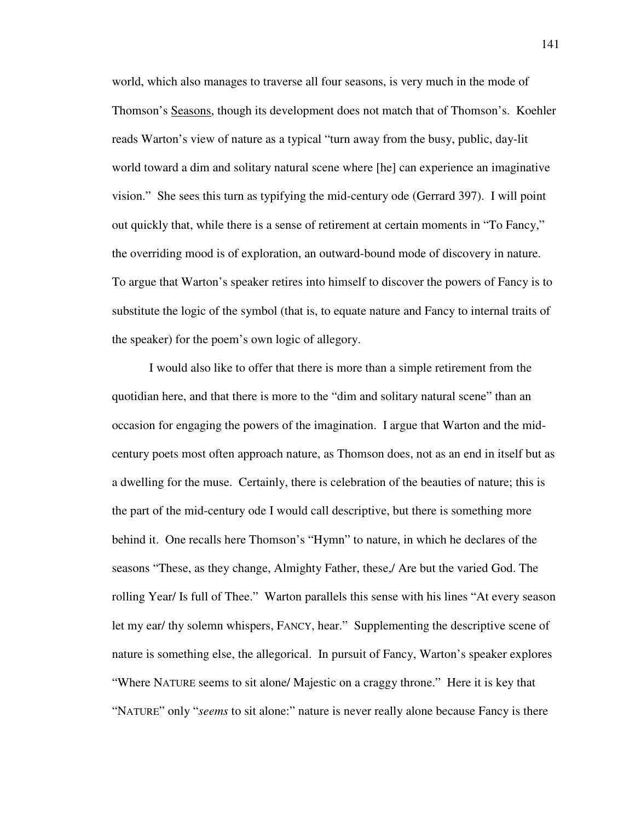world, which also manages to traverse all four seasons, is very much in the mode of Thomson's Seasons, though its development does not match that of Thomson's. Koehler reads Warton's view of nature as a typical "turn away from the busy, public, day-lit world toward a dim and solitary natural scene where [he] can experience an imaginative vision." She sees this turn as typifying the mid-century ode (Gerrard 397). I will point out quickly that, while there is a sense of retirement at certain moments in "To Fancy," the overriding mood is of exploration, an outward-bound mode of discovery in nature. To argue that Warton's speaker retires into himself to discover the powers of Fancy is to substitute the logic of the symbol (that is, to equate nature and Fancy to internal traits of the speaker) for the poem's own logic of allegory.

 I would also like to offer that there is more than a simple retirement from the quotidian here, and that there is more to the "dim and solitary natural scene" than an occasion for engaging the powers of the imagination. I argue that Warton and the midcentury poets most often approach nature, as Thomson does, not as an end in itself but as a dwelling for the muse. Certainly, there is celebration of the beauties of nature; this is the part of the mid-century ode I would call descriptive, but there is something more behind it. One recalls here Thomson's "Hymn" to nature, in which he declares of the seasons "These, as they change, Almighty Father, these,/ Are but the varied God. The rolling Year/ Is full of Thee." Warton parallels this sense with his lines "At every season let my ear/ thy solemn whispers, FANCY, hear." Supplementing the descriptive scene of nature is something else, the allegorical. In pursuit of Fancy, Warton's speaker explores "Where NATURE seems to sit alone/ Majestic on a craggy throne." Here it is key that "NATURE" only "*seems* to sit alone:" nature is never really alone because Fancy is there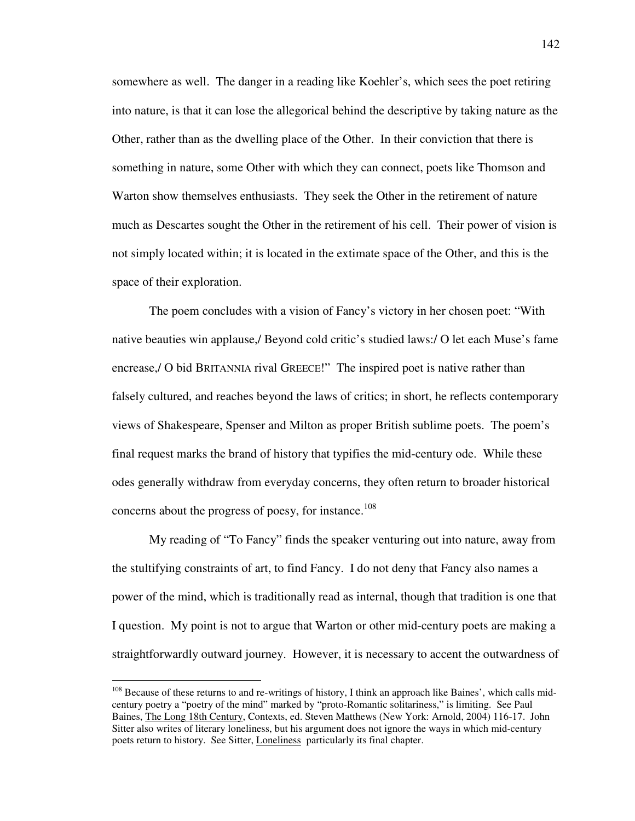somewhere as well. The danger in a reading like Koehler's, which sees the poet retiring into nature, is that it can lose the allegorical behind the descriptive by taking nature as the Other, rather than as the dwelling place of the Other. In their conviction that there is something in nature, some Other with which they can connect, poets like Thomson and Warton show themselves enthusiasts. They seek the Other in the retirement of nature much as Descartes sought the Other in the retirement of his cell. Their power of vision is not simply located within; it is located in the extimate space of the Other, and this is the space of their exploration.

 The poem concludes with a vision of Fancy's victory in her chosen poet: "With native beauties win applause,/ Beyond cold critic's studied laws:/ O let each Muse's fame encrease,/ O bid BRITANNIA rival GREECE!" The inspired poet is native rather than falsely cultured, and reaches beyond the laws of critics; in short, he reflects contemporary views of Shakespeare, Spenser and Milton as proper British sublime poets. The poem's final request marks the brand of history that typifies the mid-century ode. While these odes generally withdraw from everyday concerns, they often return to broader historical concerns about the progress of poesy, for instance.<sup>108</sup>

 My reading of "To Fancy" finds the speaker venturing out into nature, away from the stultifying constraints of art, to find Fancy. I do not deny that Fancy also names a power of the mind, which is traditionally read as internal, though that tradition is one that I question. My point is not to argue that Warton or other mid-century poets are making a straightforwardly outward journey. However, it is necessary to accent the outwardness of

<sup>&</sup>lt;sup>108</sup> Because of these returns to and re-writings of history, I think an approach like Baines', which calls midcentury poetry a "poetry of the mind" marked by "proto-Romantic solitariness," is limiting. See Paul Baines, The Long 18th Century, Contexts, ed. Steven Matthews (New York: Arnold, 2004) 116-17. John Sitter also writes of literary loneliness, but his argument does not ignore the ways in which mid-century poets return to history. See Sitter, Loneliness particularly its final chapter.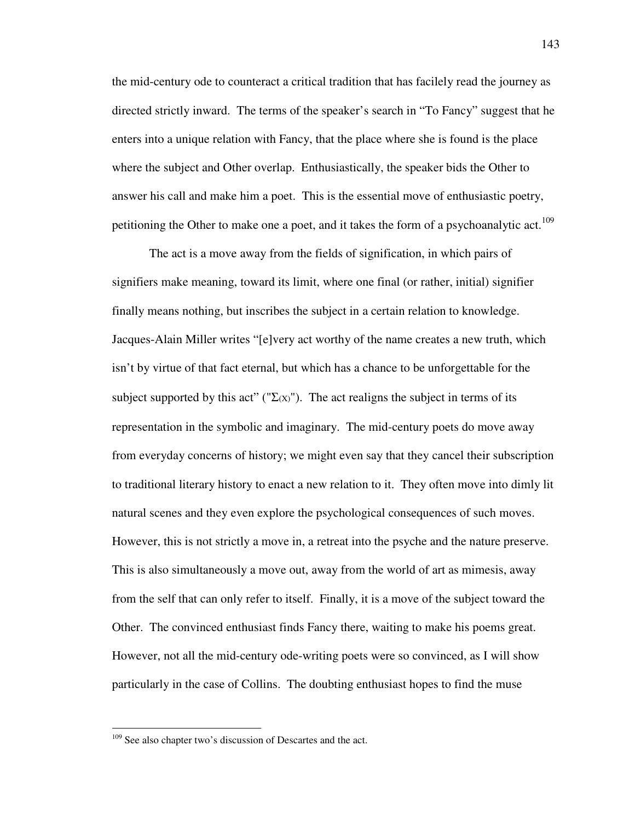the mid-century ode to counteract a critical tradition that has facilely read the journey as directed strictly inward. The terms of the speaker's search in "To Fancy" suggest that he enters into a unique relation with Fancy, that the place where she is found is the place where the subject and Other overlap. Enthusiastically, the speaker bids the Other to answer his call and make him a poet. This is the essential move of enthusiastic poetry, petitioning the Other to make one a poet, and it takes the form of a psychoanalytic act.<sup>109</sup>

 The act is a move away from the fields of signification, in which pairs of signifiers make meaning, toward its limit, where one final (or rather, initial) signifier finally means nothing, but inscribes the subject in a certain relation to knowledge. Jacques-Alain Miller writes "[e]very act worthy of the name creates a new truth, which isn't by virtue of that fact eternal, but which has a chance to be unforgettable for the subject supported by this act" (" $\Sigma(x)$ "). The act realigns the subject in terms of its representation in the symbolic and imaginary. The mid-century poets do move away from everyday concerns of history; we might even say that they cancel their subscription to traditional literary history to enact a new relation to it. They often move into dimly lit natural scenes and they even explore the psychological consequences of such moves. However, this is not strictly a move in, a retreat into the psyche and the nature preserve. This is also simultaneously a move out, away from the world of art as mimesis, away from the self that can only refer to itself. Finally, it is a move of the subject toward the Other. The convinced enthusiast finds Fancy there, waiting to make his poems great. However, not all the mid-century ode-writing poets were so convinced, as I will show particularly in the case of Collins. The doubting enthusiast hopes to find the muse

<sup>&</sup>lt;sup>109</sup> See also chapter two's discussion of Descartes and the act.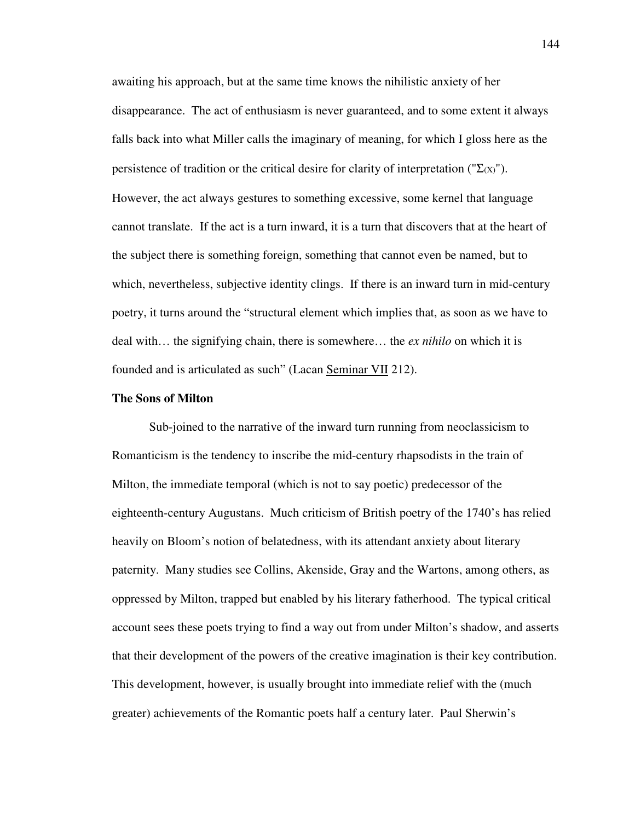awaiting his approach, but at the same time knows the nihilistic anxiety of her disappearance. The act of enthusiasm is never guaranteed, and to some extent it always falls back into what Miller calls the imaginary of meaning, for which I gloss here as the persistence of tradition or the critical desire for clarity of interpretation (" $\Sigma(x)$ "). However, the act always gestures to something excessive, some kernel that language cannot translate. If the act is a turn inward, it is a turn that discovers that at the heart of the subject there is something foreign, something that cannot even be named, but to which, nevertheless, subjective identity clings. If there is an inward turn in mid-century poetry, it turns around the "structural element which implies that, as soon as we have to deal with… the signifying chain, there is somewhere… the *ex nihilo* on which it is founded and is articulated as such" (Lacan Seminar VII 212).

## **The Sons of Milton**

Sub-joined to the narrative of the inward turn running from neoclassicism to Romanticism is the tendency to inscribe the mid-century rhapsodists in the train of Milton, the immediate temporal (which is not to say poetic) predecessor of the eighteenth-century Augustans. Much criticism of British poetry of the 1740's has relied heavily on Bloom's notion of belatedness, with its attendant anxiety about literary paternity. Many studies see Collins, Akenside, Gray and the Wartons, among others, as oppressed by Milton, trapped but enabled by his literary fatherhood. The typical critical account sees these poets trying to find a way out from under Milton's shadow, and asserts that their development of the powers of the creative imagination is their key contribution. This development, however, is usually brought into immediate relief with the (much greater) achievements of the Romantic poets half a century later. Paul Sherwin's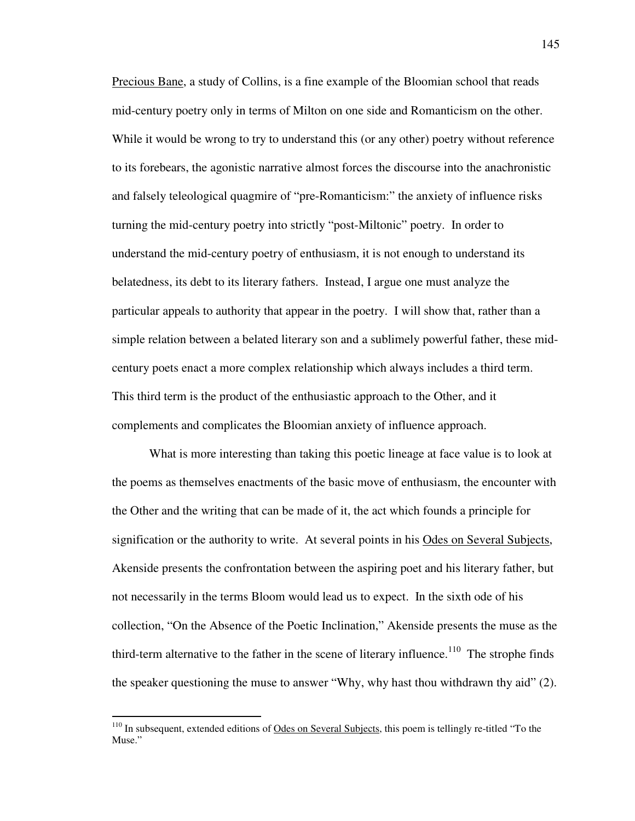Precious Bane, a study of Collins, is a fine example of the Bloomian school that reads mid-century poetry only in terms of Milton on one side and Romanticism on the other. While it would be wrong to try to understand this (or any other) poetry without reference to its forebears, the agonistic narrative almost forces the discourse into the anachronistic and falsely teleological quagmire of "pre-Romanticism:" the anxiety of influence risks turning the mid-century poetry into strictly "post-Miltonic" poetry. In order to understand the mid-century poetry of enthusiasm, it is not enough to understand its belatedness, its debt to its literary fathers. Instead, I argue one must analyze the particular appeals to authority that appear in the poetry. I will show that, rather than a simple relation between a belated literary son and a sublimely powerful father, these midcentury poets enact a more complex relationship which always includes a third term. This third term is the product of the enthusiastic approach to the Other, and it complements and complicates the Bloomian anxiety of influence approach.

What is more interesting than taking this poetic lineage at face value is to look at the poems as themselves enactments of the basic move of enthusiasm, the encounter with the Other and the writing that can be made of it, the act which founds a principle for signification or the authority to write. At several points in his Odes on Several Subjects, Akenside presents the confrontation between the aspiring poet and his literary father, but not necessarily in the terms Bloom would lead us to expect. In the sixth ode of his collection, "On the Absence of the Poetic Inclination," Akenside presents the muse as the third-term alternative to the father in the scene of literary influence.<sup>110</sup> The strophe finds the speaker questioning the muse to answer "Why, why hast thou withdrawn thy aid" (2).

 $110$  In subsequent, extended editions of Odes on Several Subjects, this poem is tellingly re-titled "To the Muse."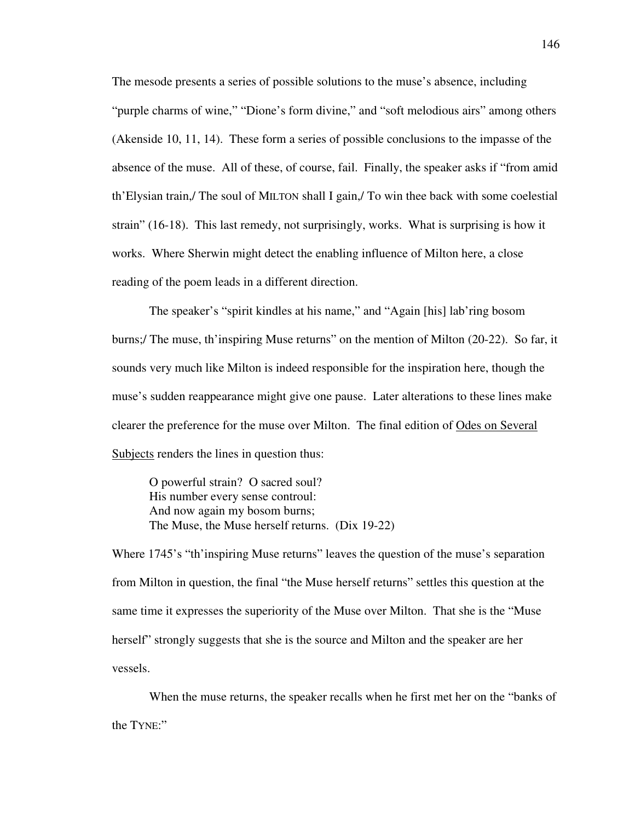The mesode presents a series of possible solutions to the muse's absence, including "purple charms of wine," "Dione's form divine," and "soft melodious airs" among others (Akenside 10, 11, 14). These form a series of possible conclusions to the impasse of the absence of the muse. All of these, of course, fail. Finally, the speaker asks if "from amid th'Elysian train,/ The soul of MILTON shall I gain,/ To win thee back with some coelestial strain" (16-18). This last remedy, not surprisingly, works. What is surprising is how it works. Where Sherwin might detect the enabling influence of Milton here, a close reading of the poem leads in a different direction.

The speaker's "spirit kindles at his name," and "Again [his] lab'ring bosom burns;/ The muse, th'inspiring Muse returns" on the mention of Milton (20-22). So far, it sounds very much like Milton is indeed responsible for the inspiration here, though the muse's sudden reappearance might give one pause. Later alterations to these lines make clearer the preference for the muse over Milton. The final edition of Odes on Several Subjects renders the lines in question thus:

O powerful strain? O sacred soul? His number every sense controul: And now again my bosom burns; The Muse, the Muse herself returns. (Dix 19-22)

Where 1745's "th'inspiring Muse returns" leaves the question of the muse's separation from Milton in question, the final "the Muse herself returns" settles this question at the same time it expresses the superiority of the Muse over Milton. That she is the "Muse herself" strongly suggests that she is the source and Milton and the speaker are her vessels.

 When the muse returns, the speaker recalls when he first met her on the "banks of the TYNE:"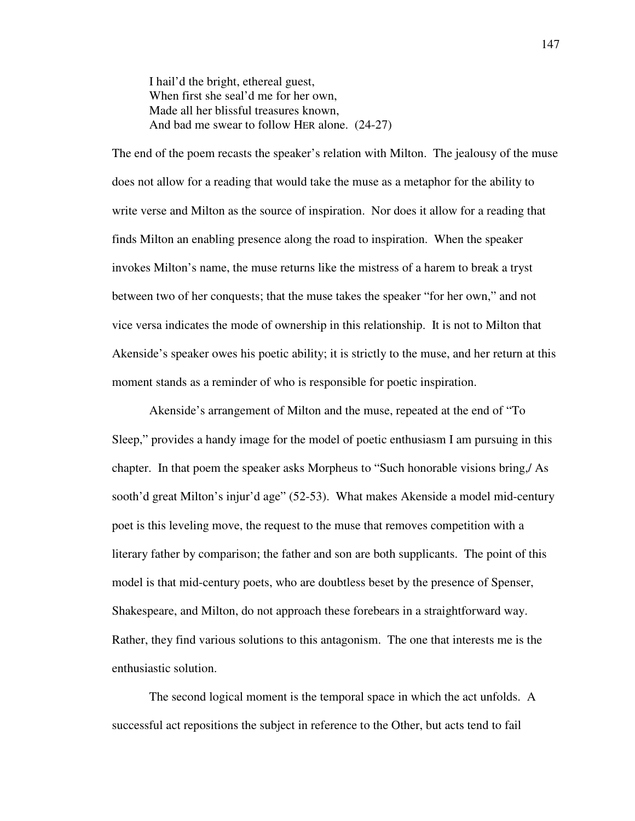I hail'd the bright, ethereal guest, When first she seal'd me for her own. Made all her blissful treasures known, And bad me swear to follow HER alone. (24-27)

The end of the poem recasts the speaker's relation with Milton. The jealousy of the muse does not allow for a reading that would take the muse as a metaphor for the ability to write verse and Milton as the source of inspiration. Nor does it allow for a reading that finds Milton an enabling presence along the road to inspiration. When the speaker invokes Milton's name, the muse returns like the mistress of a harem to break a tryst between two of her conquests; that the muse takes the speaker "for her own," and not vice versa indicates the mode of ownership in this relationship. It is not to Milton that Akenside's speaker owes his poetic ability; it is strictly to the muse, and her return at this moment stands as a reminder of who is responsible for poetic inspiration.

 Akenside's arrangement of Milton and the muse, repeated at the end of "To Sleep," provides a handy image for the model of poetic enthusiasm I am pursuing in this chapter. In that poem the speaker asks Morpheus to "Such honorable visions bring,/ As sooth'd great Milton's injur'd age" (52-53). What makes Akenside a model mid-century poet is this leveling move, the request to the muse that removes competition with a literary father by comparison; the father and son are both supplicants. The point of this model is that mid-century poets, who are doubtless beset by the presence of Spenser, Shakespeare, and Milton, do not approach these forebears in a straightforward way. Rather, they find various solutions to this antagonism. The one that interests me is the enthusiastic solution.

 The second logical moment is the temporal space in which the act unfolds. A successful act repositions the subject in reference to the Other, but acts tend to fail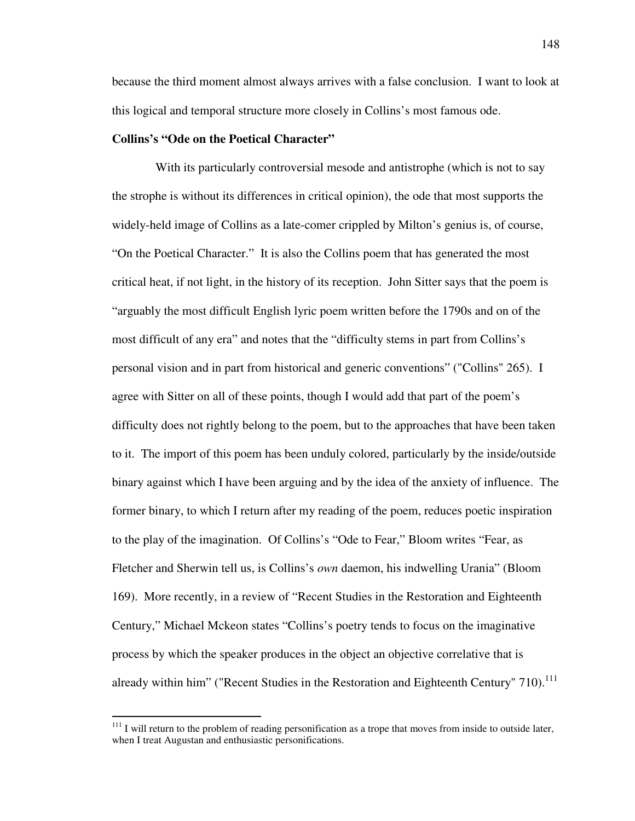because the third moment almost always arrives with a false conclusion. I want to look at this logical and temporal structure more closely in Collins's most famous ode.

# **Collins's "Ode on the Poetical Character"**

 With its particularly controversial mesode and antistrophe (which is not to say the strophe is without its differences in critical opinion), the ode that most supports the widely-held image of Collins as a late-comer crippled by Milton's genius is, of course, "On the Poetical Character." It is also the Collins poem that has generated the most critical heat, if not light, in the history of its reception. John Sitter says that the poem is "arguably the most difficult English lyric poem written before the 1790s and on of the most difficult of any era" and notes that the "difficulty stems in part from Collins's personal vision and in part from historical and generic conventions" ("Collins" 265). I agree with Sitter on all of these points, though I would add that part of the poem's difficulty does not rightly belong to the poem, but to the approaches that have been taken to it. The import of this poem has been unduly colored, particularly by the inside/outside binary against which I have been arguing and by the idea of the anxiety of influence. The former binary, to which I return after my reading of the poem, reduces poetic inspiration to the play of the imagination. Of Collins's "Ode to Fear," Bloom writes "Fear, as Fletcher and Sherwin tell us, is Collins's *own* daemon, his indwelling Urania" (Bloom 169). More recently, in a review of "Recent Studies in the Restoration and Eighteenth Century," Michael Mckeon states "Collins's poetry tends to focus on the imaginative process by which the speaker produces in the object an objective correlative that is already within him" ("Recent Studies in the Restoration and Eighteenth Century"  $710$ ).<sup>111</sup>

 $111$  I will return to the problem of reading personification as a trope that moves from inside to outside later, when I treat Augustan and enthusiastic personifications.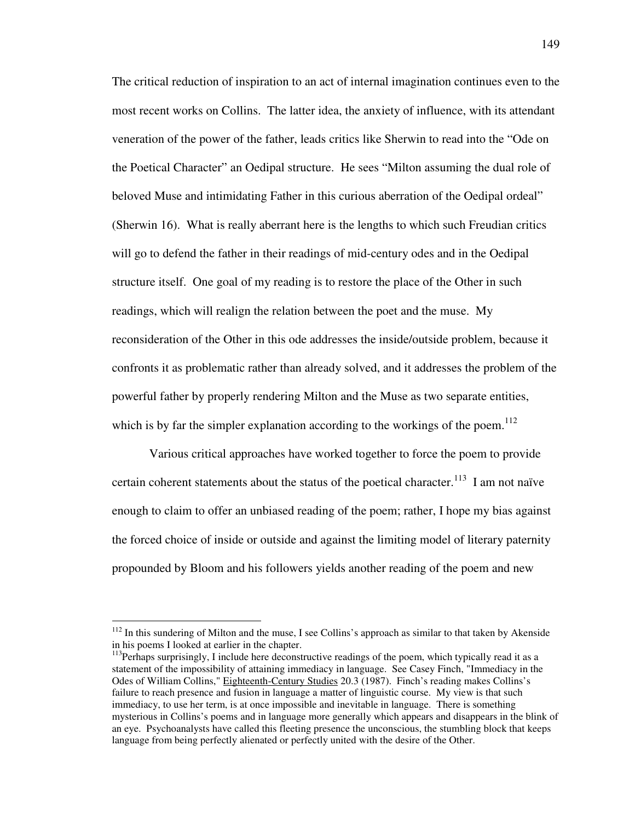The critical reduction of inspiration to an act of internal imagination continues even to the most recent works on Collins. The latter idea, the anxiety of influence, with its attendant veneration of the power of the father, leads critics like Sherwin to read into the "Ode on the Poetical Character" an Oedipal structure. He sees "Milton assuming the dual role of beloved Muse and intimidating Father in this curious aberration of the Oedipal ordeal" (Sherwin 16). What is really aberrant here is the lengths to which such Freudian critics will go to defend the father in their readings of mid-century odes and in the Oedipal structure itself. One goal of my reading is to restore the place of the Other in such readings, which will realign the relation between the poet and the muse. My reconsideration of the Other in this ode addresses the inside/outside problem, because it confronts it as problematic rather than already solved, and it addresses the problem of the powerful father by properly rendering Milton and the Muse as two separate entities, which is by far the simpler explanation according to the workings of the poem.<sup>112</sup>

Various critical approaches have worked together to force the poem to provide certain coherent statements about the status of the poetical character.<sup>113</sup> I am not naïve enough to claim to offer an unbiased reading of the poem; rather, I hope my bias against the forced choice of inside or outside and against the limiting model of literary paternity propounded by Bloom and his followers yields another reading of the poem and new

 $112$  In this sundering of Milton and the muse, I see Collins's approach as similar to that taken by Akenside in his poems I looked at earlier in the chapter.

<sup>&</sup>lt;sup>113</sup>Perhaps surprisingly, I include here deconstructive readings of the poem, which typically read it as a statement of the impossibility of attaining immediacy in language. See Casey Finch, "Immediacy in the Odes of William Collins," Eighteenth-Century Studies 20.3 (1987). Finch's reading makes Collins's failure to reach presence and fusion in language a matter of linguistic course. My view is that such immediacy, to use her term, is at once impossible and inevitable in language. There is something mysterious in Collins's poems and in language more generally which appears and disappears in the blink of an eye. Psychoanalysts have called this fleeting presence the unconscious, the stumbling block that keeps language from being perfectly alienated or perfectly united with the desire of the Other.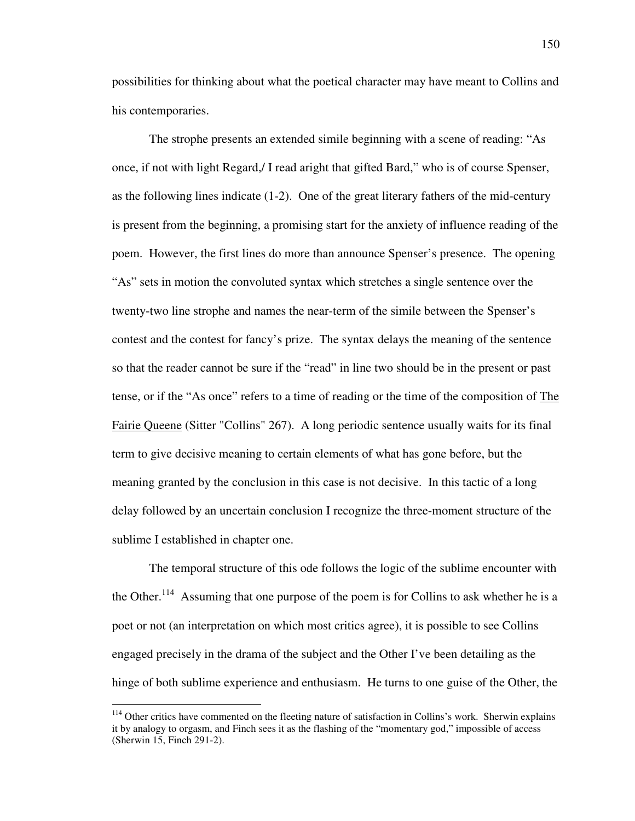possibilities for thinking about what the poetical character may have meant to Collins and his contemporaries.

The strophe presents an extended simile beginning with a scene of reading: "As once, if not with light Regard,/ I read aright that gifted Bard," who is of course Spenser, as the following lines indicate (1-2). One of the great literary fathers of the mid-century is present from the beginning, a promising start for the anxiety of influence reading of the poem. However, the first lines do more than announce Spenser's presence. The opening "As" sets in motion the convoluted syntax which stretches a single sentence over the twenty-two line strophe and names the near-term of the simile between the Spenser's contest and the contest for fancy's prize. The syntax delays the meaning of the sentence so that the reader cannot be sure if the "read" in line two should be in the present or past tense, or if the "As once" refers to a time of reading or the time of the composition of The Fairie Queene (Sitter "Collins" 267). A long periodic sentence usually waits for its final term to give decisive meaning to certain elements of what has gone before, but the meaning granted by the conclusion in this case is not decisive. In this tactic of a long delay followed by an uncertain conclusion I recognize the three-moment structure of the sublime I established in chapter one.

The temporal structure of this ode follows the logic of the sublime encounter with the Other.<sup>114</sup> Assuming that one purpose of the poem is for Collins to ask whether he is a poet or not (an interpretation on which most critics agree), it is possible to see Collins engaged precisely in the drama of the subject and the Other I've been detailing as the hinge of both sublime experience and enthusiasm. He turns to one guise of the Other, the

<sup>&</sup>lt;sup>114</sup> Other critics have commented on the fleeting nature of satisfaction in Collins's work. Sherwin explains it by analogy to orgasm, and Finch sees it as the flashing of the "momentary god," impossible of access (Sherwin 15, Finch 291-2).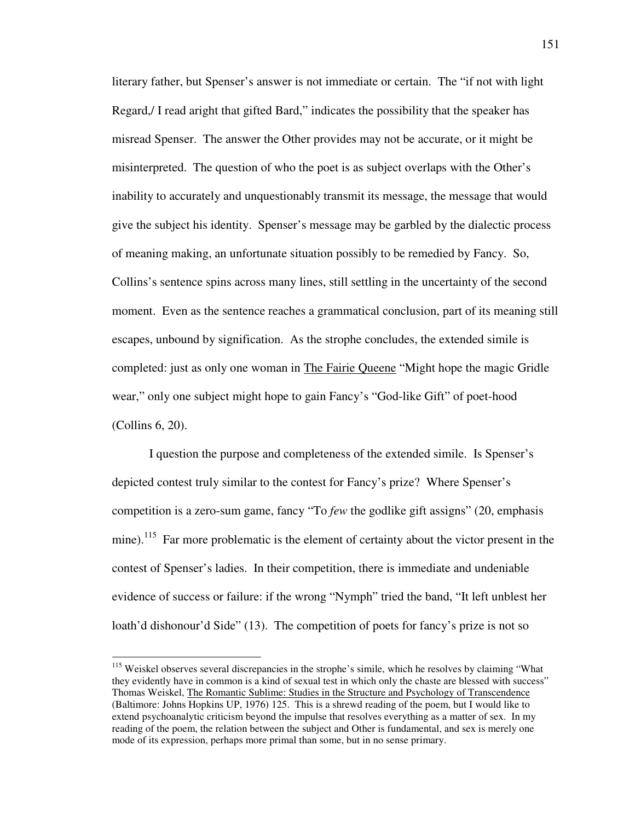literary father, but Spenser's answer is not immediate or certain. The "if not with light Regard,/ I read aright that gifted Bard," indicates the possibility that the speaker has misread Spenser. The answer the Other provides may not be accurate, or it might be misinterpreted. The question of who the poet is as subject overlaps with the Other's inability to accurately and unquestionably transmit its message, the message that would give the subject his identity. Spenser's message may be garbled by the dialectic process of meaning making, an unfortunate situation possibly to be remedied by Fancy. So, Collins's sentence spins across many lines, still settling in the uncertainty of the second moment. Even as the sentence reaches a grammatical conclusion, part of its meaning still escapes, unbound by signification. As the strophe concludes, the extended simile is completed: just as only one woman in The Fairie Queene "Might hope the magic Gridle wear," only one subject might hope to gain Fancy's "God-like Gift" of poet-hood (Collins 6, 20).

I question the purpose and completeness of the extended simile. Is Spenser's depicted contest truly similar to the contest for Fancy's prize? Where Spenser's competition is a zero-sum game, fancy "To *few* the godlike gift assigns" (20, emphasis mine).<sup>115</sup> Far more problematic is the element of certainty about the victor present in the contest of Spenser's ladies. In their competition, there is immediate and undeniable evidence of success or failure: if the wrong "Nymph" tried the band, "It left unblest her loath'd dishonour'd Side" (13). The competition of poets for fancy's prize is not so

<sup>&</sup>lt;sup>115</sup> Weiskel observes several discrepancies in the strophe's simile, which he resolves by claiming "What they evidently have in common is a kind of sexual test in which only the chaste are blessed with success" Thomas Weiskel, The Romantic Sublime: Studies in the Structure and Psychology of Transcendence (Baltimore: Johns Hopkins UP, 1976) 125. This is a shrewd reading of the poem, but I would like to extend psychoanalytic criticism beyond the impulse that resolves everything as a matter of sex. In my reading of the poem, the relation between the subject and Other is fundamental, and sex is merely one mode of its expression, perhaps more primal than some, but in no sense primary.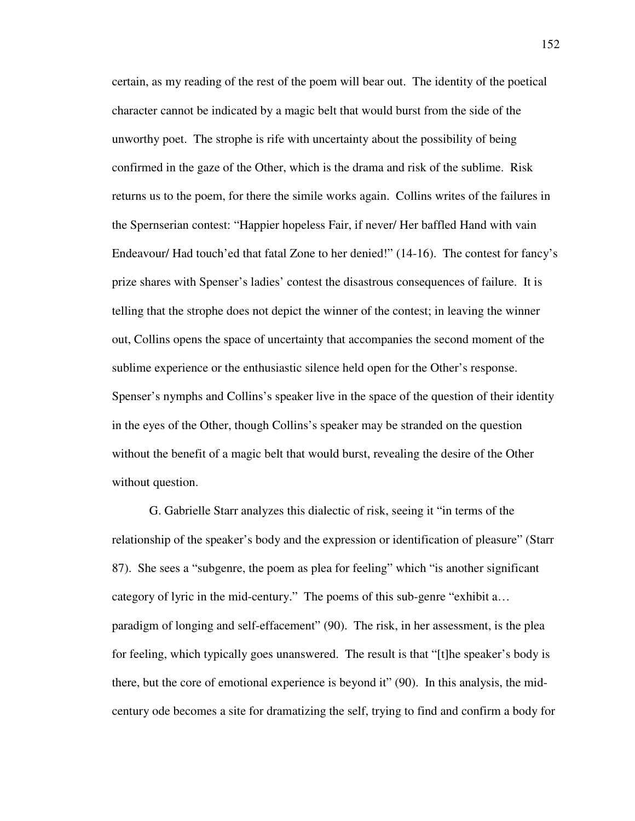certain, as my reading of the rest of the poem will bear out. The identity of the poetical character cannot be indicated by a magic belt that would burst from the side of the unworthy poet. The strophe is rife with uncertainty about the possibility of being confirmed in the gaze of the Other, which is the drama and risk of the sublime. Risk returns us to the poem, for there the simile works again. Collins writes of the failures in the Spernserian contest: "Happier hopeless Fair, if never/ Her baffled Hand with vain Endeavour/ Had touch'ed that fatal Zone to her denied!" (14-16). The contest for fancy's prize shares with Spenser's ladies' contest the disastrous consequences of failure. It is telling that the strophe does not depict the winner of the contest; in leaving the winner out, Collins opens the space of uncertainty that accompanies the second moment of the sublime experience or the enthusiastic silence held open for the Other's response. Spenser's nymphs and Collins's speaker live in the space of the question of their identity in the eyes of the Other, though Collins's speaker may be stranded on the question without the benefit of a magic belt that would burst, revealing the desire of the Other without question.

G. Gabrielle Starr analyzes this dialectic of risk, seeing it "in terms of the relationship of the speaker's body and the expression or identification of pleasure" (Starr 87). She sees a "subgenre, the poem as plea for feeling" which "is another significant category of lyric in the mid-century." The poems of this sub-genre "exhibit a… paradigm of longing and self-effacement" (90). The risk, in her assessment, is the plea for feeling, which typically goes unanswered. The result is that "[t]he speaker's body is there, but the core of emotional experience is beyond it" (90). In this analysis, the midcentury ode becomes a site for dramatizing the self, trying to find and confirm a body for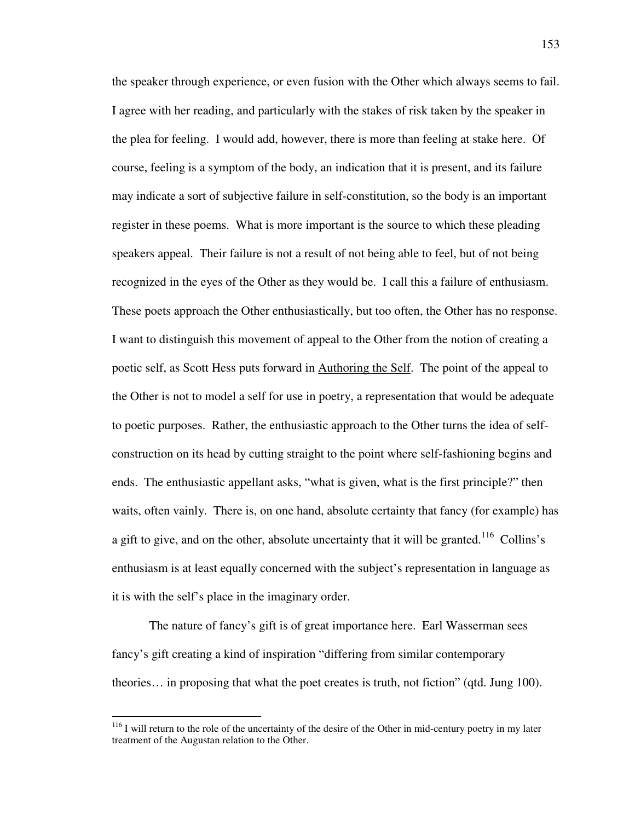the speaker through experience, or even fusion with the Other which always seems to fail. I agree with her reading, and particularly with the stakes of risk taken by the speaker in the plea for feeling. I would add, however, there is more than feeling at stake here. Of course, feeling is a symptom of the body, an indication that it is present, and its failure may indicate a sort of subjective failure in self-constitution, so the body is an important register in these poems. What is more important is the source to which these pleading speakers appeal. Their failure is not a result of not being able to feel, but of not being recognized in the eyes of the Other as they would be. I call this a failure of enthusiasm. These poets approach the Other enthusiastically, but too often, the Other has no response. I want to distinguish this movement of appeal to the Other from the notion of creating a poetic self, as Scott Hess puts forward in Authoring the Self. The point of the appeal to the Other is not to model a self for use in poetry, a representation that would be adequate to poetic purposes. Rather, the enthusiastic approach to the Other turns the idea of selfconstruction on its head by cutting straight to the point where self-fashioning begins and ends. The enthusiastic appellant asks, "what is given, what is the first principle?" then waits, often vainly. There is, on one hand, absolute certainty that fancy (for example) has a gift to give, and on the other, absolute uncertainty that it will be granted.<sup>116</sup> Collins's enthusiasm is at least equally concerned with the subject's representation in language as it is with the self's place in the imaginary order.

The nature of fancy's gift is of great importance here. Earl Wasserman sees fancy's gift creating a kind of inspiration "differing from similar contemporary theories… in proposing that what the poet creates is truth, not fiction" (qtd. Jung 100).

 $116$  I will return to the role of the uncertainty of the desire of the Other in mid-century poetry in my later treatment of the Augustan relation to the Other.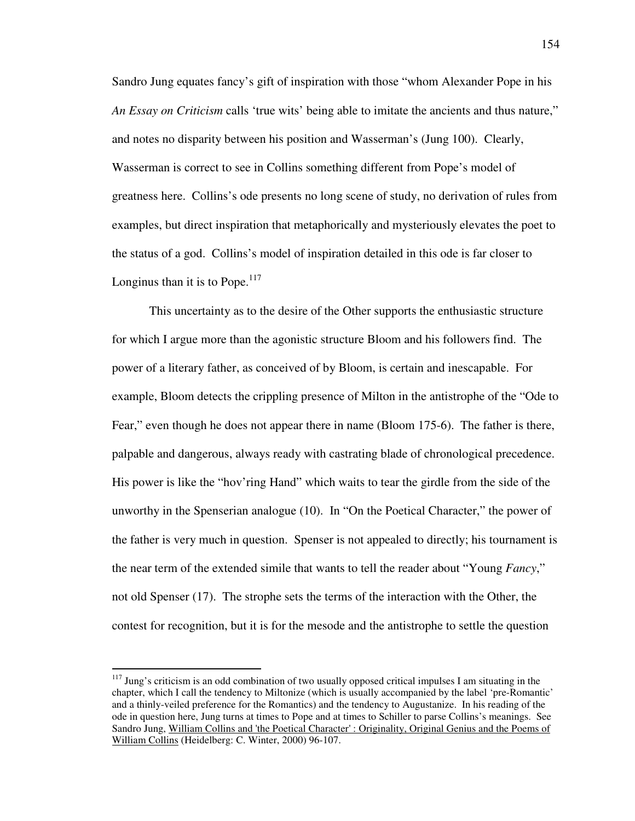Sandro Jung equates fancy's gift of inspiration with those "whom Alexander Pope in his *An Essay on Criticism* calls 'true wits' being able to imitate the ancients and thus nature," and notes no disparity between his position and Wasserman's (Jung 100). Clearly, Wasserman is correct to see in Collins something different from Pope's model of greatness here. Collins's ode presents no long scene of study, no derivation of rules from examples, but direct inspiration that metaphorically and mysteriously elevates the poet to the status of a god. Collins's model of inspiration detailed in this ode is far closer to Longinus than it is to Pope. $117$ 

This uncertainty as to the desire of the Other supports the enthusiastic structure for which I argue more than the agonistic structure Bloom and his followers find. The power of a literary father, as conceived of by Bloom, is certain and inescapable. For example, Bloom detects the crippling presence of Milton in the antistrophe of the "Ode to Fear," even though he does not appear there in name (Bloom 175-6). The father is there, palpable and dangerous, always ready with castrating blade of chronological precedence. His power is like the "hov'ring Hand" which waits to tear the girdle from the side of the unworthy in the Spenserian analogue (10). In "On the Poetical Character," the power of the father is very much in question. Spenser is not appealed to directly; his tournament is the near term of the extended simile that wants to tell the reader about "Young *Fancy*," not old Spenser (17). The strophe sets the terms of the interaction with the Other, the contest for recognition, but it is for the mesode and the antistrophe to settle the question

 $117$  Jung's criticism is an odd combination of two usually opposed critical impulses I am situating in the chapter, which I call the tendency to Miltonize (which is usually accompanied by the label 'pre-Romantic' and a thinly-veiled preference for the Romantics) and the tendency to Augustanize. In his reading of the ode in question here, Jung turns at times to Pope and at times to Schiller to parse Collins's meanings. See Sandro Jung, William Collins and 'the Poetical Character' : Originality, Original Genius and the Poems of William Collins (Heidelberg: C. Winter, 2000) 96-107.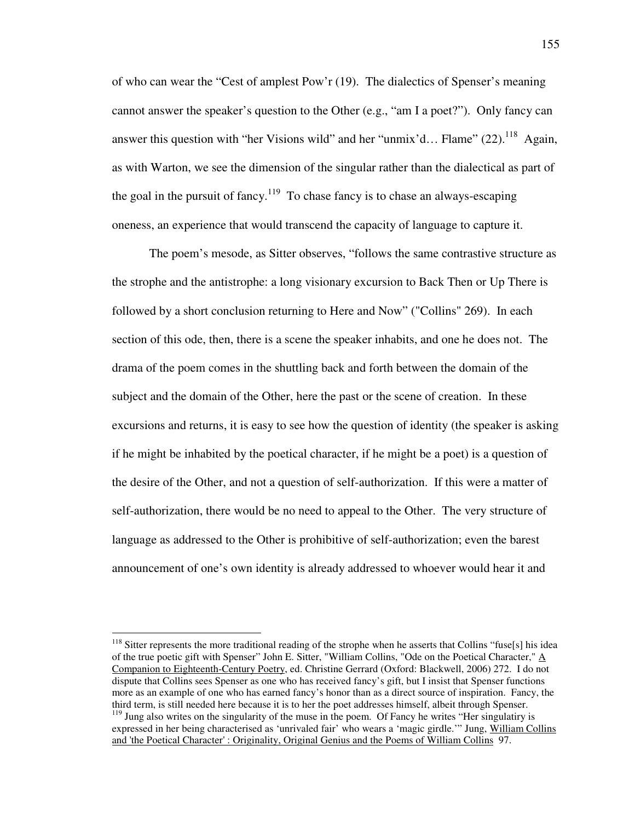of who can wear the "Cest of amplest Pow'r (19). The dialectics of Spenser's meaning cannot answer the speaker's question to the Other (e.g., "am I a poet?"). Only fancy can answer this question with "her Visions wild" and her "unmix'd... Flame"  $(22)$ .<sup>118</sup> Again, as with Warton, we see the dimension of the singular rather than the dialectical as part of the goal in the pursuit of fancy.<sup>119</sup> To chase fancy is to chase an always-escaping oneness, an experience that would transcend the capacity of language to capture it.

The poem's mesode, as Sitter observes, "follows the same contrastive structure as the strophe and the antistrophe: a long visionary excursion to Back Then or Up There is followed by a short conclusion returning to Here and Now" ("Collins" 269). In each section of this ode, then, there is a scene the speaker inhabits, and one he does not. The drama of the poem comes in the shuttling back and forth between the domain of the subject and the domain of the Other, here the past or the scene of creation. In these excursions and returns, it is easy to see how the question of identity (the speaker is asking if he might be inhabited by the poetical character, if he might be a poet) is a question of the desire of the Other, and not a question of self-authorization. If this were a matter of self-authorization, there would be no need to appeal to the Other. The very structure of language as addressed to the Other is prohibitive of self-authorization; even the barest announcement of one's own identity is already addressed to whoever would hear it and

<sup>&</sup>lt;sup>118</sup> Sitter represents the more traditional reading of the strophe when he asserts that Collins "fuse[s] his idea of the true poetic gift with Spenser" John E. Sitter, "William Collins, "Ode on the Poetical Character," A Companion to Eighteenth-Century Poetry, ed. Christine Gerrard (Oxford: Blackwell, 2006) 272. I do not dispute that Collins sees Spenser as one who has received fancy's gift, but I insist that Spenser functions more as an example of one who has earned fancy's honor than as a direct source of inspiration. Fancy, the third term, is still needed here because it is to her the poet addresses himself, albeit through Spenser.  $119$  Jung also writes on the singularity of the muse in the poem. Of Fancy he writes "Her singulatiry is

expressed in her being characterised as 'unrivaled fair' who wears a 'magic girdle.'" Jung, William Collins and 'the Poetical Character' : Originality, Original Genius and the Poems of William Collins 97.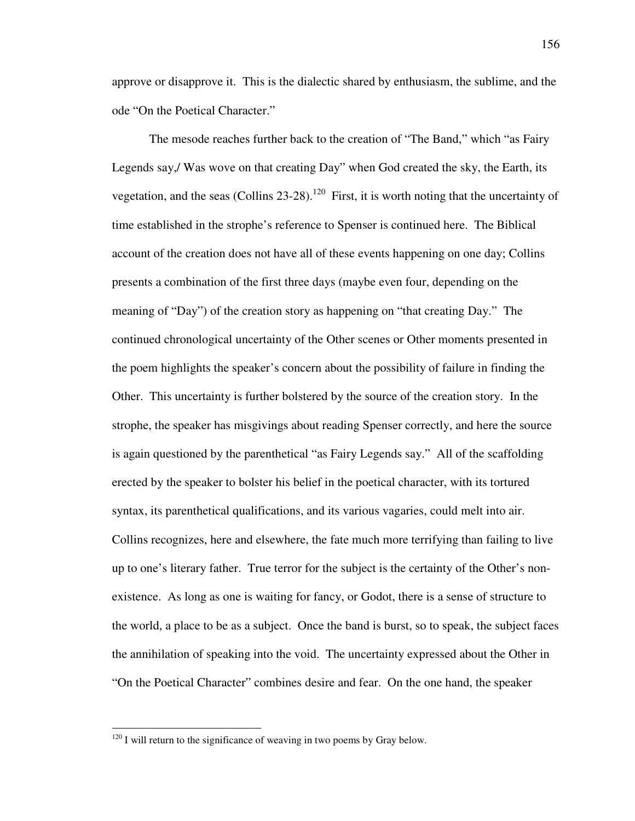approve or disapprove it. This is the dialectic shared by enthusiasm, the sublime, and the ode "On the Poetical Character."

The mesode reaches further back to the creation of "The Band," which "as Fairy Legends say,/ Was wove on that creating Day" when God created the sky, the Earth, its vegetation, and the seas (Collins  $23-28$ ).<sup>120</sup> First, it is worth noting that the uncertainty of time established in the strophe's reference to Spenser is continued here. The Biblical account of the creation does not have all of these events happening on one day; Collins presents a combination of the first three days (maybe even four, depending on the meaning of "Day") of the creation story as happening on "that creating Day." The continued chronological uncertainty of the Other scenes or Other moments presented in the poem highlights the speaker's concern about the possibility of failure in finding the Other. This uncertainty is further bolstered by the source of the creation story. In the strophe, the speaker has misgivings about reading Spenser correctly, and here the source is again questioned by the parenthetical "as Fairy Legends say." All of the scaffolding erected by the speaker to bolster his belief in the poetical character, with its tortured syntax, its parenthetical qualifications, and its various vagaries, could melt into air. Collins recognizes, here and elsewhere, the fate much more terrifying than failing to live up to one's literary father. True terror for the subject is the certainty of the Other's nonexistence. As long as one is waiting for fancy, or Godot, there is a sense of structure to the world, a place to be as a subject. Once the band is burst, so to speak, the subject faces the annihilation of speaking into the void. The uncertainty expressed about the Other in "On the Poetical Character" combines desire and fear. On the one hand, the speaker

 $120$  I will return to the significance of weaving in two poems by Gray below.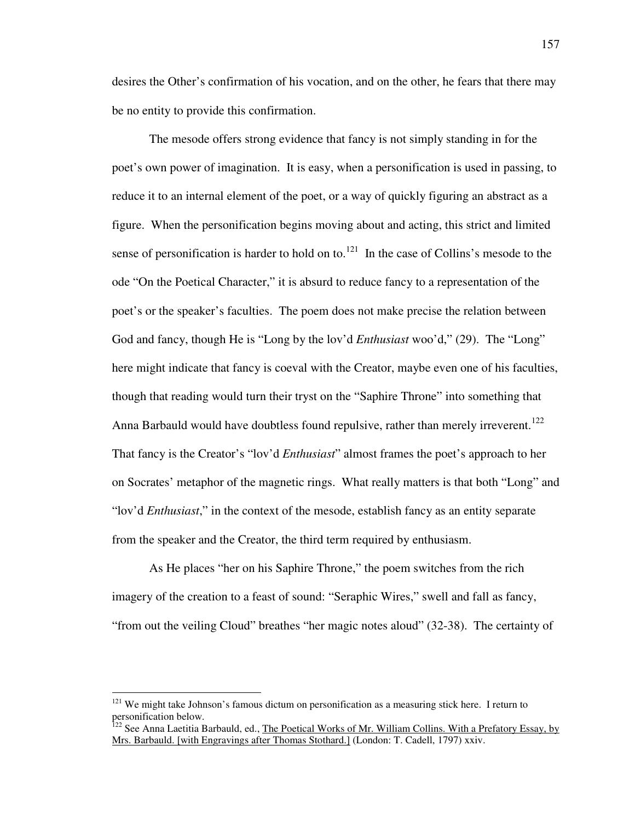desires the Other's confirmation of his vocation, and on the other, he fears that there may be no entity to provide this confirmation.

The mesode offers strong evidence that fancy is not simply standing in for the poet's own power of imagination. It is easy, when a personification is used in passing, to reduce it to an internal element of the poet, or a way of quickly figuring an abstract as a figure. When the personification begins moving about and acting, this strict and limited sense of personification is harder to hold on to.<sup>121</sup> In the case of Collins's mesode to the ode "On the Poetical Character," it is absurd to reduce fancy to a representation of the poet's or the speaker's faculties. The poem does not make precise the relation between God and fancy, though He is "Long by the lov'd *Enthusiast* woo'd," (29). The "Long" here might indicate that fancy is coeval with the Creator, maybe even one of his faculties, though that reading would turn their tryst on the "Saphire Throne" into something that Anna Barbauld would have doubtless found repulsive, rather than merely irreverent.<sup>122</sup> That fancy is the Creator's "lov'd *Enthusiast*" almost frames the poet's approach to her on Socrates' metaphor of the magnetic rings. What really matters is that both "Long" and "lov'd *Enthusiast*," in the context of the mesode, establish fancy as an entity separate from the speaker and the Creator, the third term required by enthusiasm.

As He places "her on his Saphire Throne," the poem switches from the rich imagery of the creation to a feast of sound: "Seraphic Wires," swell and fall as fancy, "from out the veiling Cloud" breathes "her magic notes aloud" (32-38). The certainty of

<sup>&</sup>lt;sup>121</sup> We might take Johnson's famous dictum on personification as a measuring stick here. I return to personification below.

<sup>&</sup>lt;sup>122</sup> See Anna Laetitia Barbauld, ed., <u>The Poetical Works of Mr. William Collins. With a Prefatory Essay, by</u> Mrs. Barbauld. [with Engravings after Thomas Stothard.] (London: T. Cadell, 1797) xxiv.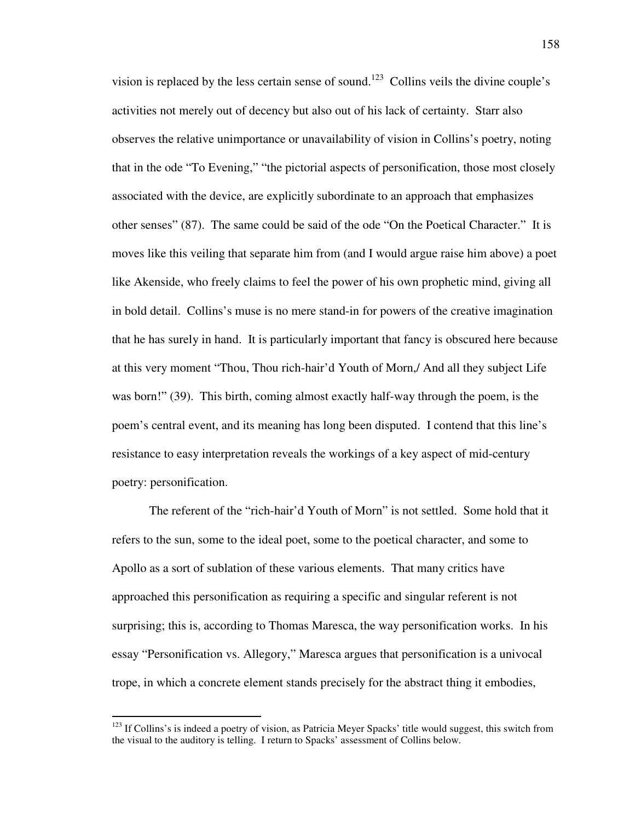vision is replaced by the less certain sense of sound.<sup>123</sup> Collins veils the divine couple's activities not merely out of decency but also out of his lack of certainty. Starr also observes the relative unimportance or unavailability of vision in Collins's poetry, noting that in the ode "To Evening," "the pictorial aspects of personification, those most closely associated with the device, are explicitly subordinate to an approach that emphasizes other senses" (87). The same could be said of the ode "On the Poetical Character." It is moves like this veiling that separate him from (and I would argue raise him above) a poet like Akenside, who freely claims to feel the power of his own prophetic mind, giving all in bold detail. Collins's muse is no mere stand-in for powers of the creative imagination that he has surely in hand. It is particularly important that fancy is obscured here because at this very moment "Thou, Thou rich-hair'd Youth of Morn,/ And all they subject Life was born!" (39). This birth, coming almost exactly half-way through the poem, is the poem's central event, and its meaning has long been disputed. I contend that this line's resistance to easy interpretation reveals the workings of a key aspect of mid-century poetry: personification.

The referent of the "rich-hair'd Youth of Morn" is not settled. Some hold that it refers to the sun, some to the ideal poet, some to the poetical character, and some to Apollo as a sort of sublation of these various elements. That many critics have approached this personification as requiring a specific and singular referent is not surprising; this is, according to Thomas Maresca, the way personification works. In his essay "Personification vs. Allegory," Maresca argues that personification is a univocal trope, in which a concrete element stands precisely for the abstract thing it embodies,

 $123$  If Collins's is indeed a poetry of vision, as Patricia Meyer Spacks' title would suggest, this switch from the visual to the auditory is telling. I return to Spacks' assessment of Collins below.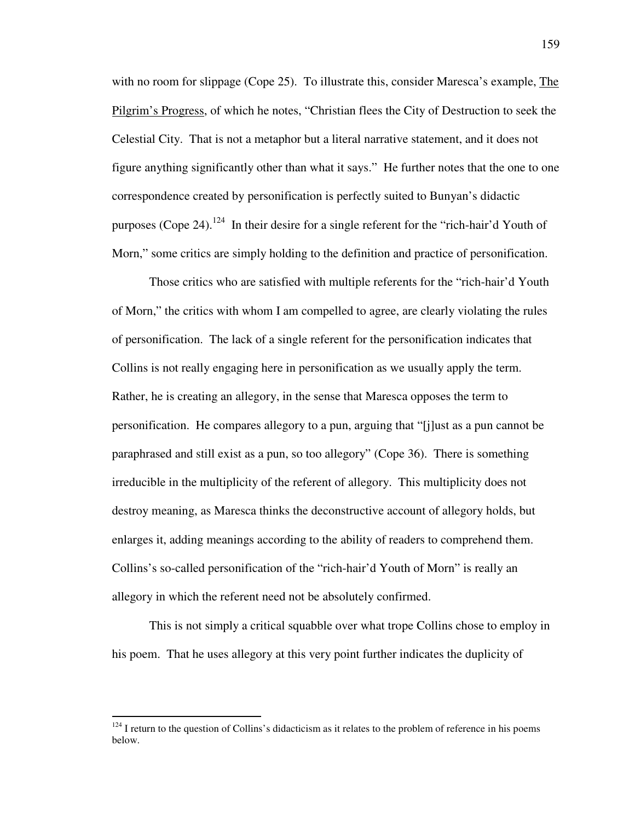with no room for slippage (Cope 25). To illustrate this, consider Maresca's example, The Pilgrim's Progress, of which he notes, "Christian flees the City of Destruction to seek the Celestial City. That is not a metaphor but a literal narrative statement, and it does not figure anything significantly other than what it says." He further notes that the one to one correspondence created by personification is perfectly suited to Bunyan's didactic purposes (Cope 24).<sup>124</sup> In their desire for a single referent for the "rich-hair'd Youth of Morn," some critics are simply holding to the definition and practice of personification.

Those critics who are satisfied with multiple referents for the "rich-hair'd Youth of Morn," the critics with whom I am compelled to agree, are clearly violating the rules of personification. The lack of a single referent for the personification indicates that Collins is not really engaging here in personification as we usually apply the term. Rather, he is creating an allegory, in the sense that Maresca opposes the term to personification. He compares allegory to a pun, arguing that "[j]ust as a pun cannot be paraphrased and still exist as a pun, so too allegory" (Cope 36). There is something irreducible in the multiplicity of the referent of allegory. This multiplicity does not destroy meaning, as Maresca thinks the deconstructive account of allegory holds, but enlarges it, adding meanings according to the ability of readers to comprehend them. Collins's so-called personification of the "rich-hair'd Youth of Morn" is really an allegory in which the referent need not be absolutely confirmed.

This is not simply a critical squabble over what trope Collins chose to employ in his poem. That he uses allegory at this very point further indicates the duplicity of

 $124$  I return to the question of Collins's didacticism as it relates to the problem of reference in his poems below.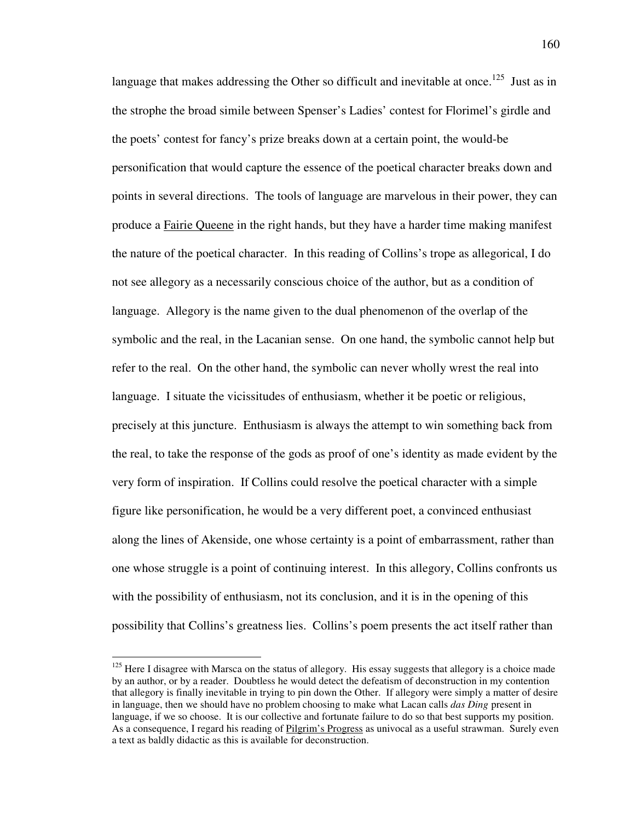language that makes addressing the Other so difficult and inevitable at once.<sup>125</sup> Just as in the strophe the broad simile between Spenser's Ladies' contest for Florimel's girdle and the poets' contest for fancy's prize breaks down at a certain point, the would-be personification that would capture the essence of the poetical character breaks down and points in several directions. The tools of language are marvelous in their power, they can produce a Fairie Queene in the right hands, but they have a harder time making manifest the nature of the poetical character. In this reading of Collins's trope as allegorical, I do not see allegory as a necessarily conscious choice of the author, but as a condition of language. Allegory is the name given to the dual phenomenon of the overlap of the symbolic and the real, in the Lacanian sense. On one hand, the symbolic cannot help but refer to the real. On the other hand, the symbolic can never wholly wrest the real into language. I situate the vicissitudes of enthusiasm, whether it be poetic or religious, precisely at this juncture. Enthusiasm is always the attempt to win something back from the real, to take the response of the gods as proof of one's identity as made evident by the very form of inspiration. If Collins could resolve the poetical character with a simple figure like personification, he would be a very different poet, a convinced enthusiast along the lines of Akenside, one whose certainty is a point of embarrassment, rather than one whose struggle is a point of continuing interest. In this allegory, Collins confronts us with the possibility of enthusiasm, not its conclusion, and it is in the opening of this possibility that Collins's greatness lies. Collins's poem presents the act itself rather than

<sup>&</sup>lt;sup>125</sup> Here I disagree with Marsca on the status of allegory. His essay suggests that allegory is a choice made by an author, or by a reader. Doubtless he would detect the defeatism of deconstruction in my contention that allegory is finally inevitable in trying to pin down the Other. If allegory were simply a matter of desire in language, then we should have no problem choosing to make what Lacan calls *das Ding* present in language, if we so choose. It is our collective and fortunate failure to do so that best supports my position. As a consequence, I regard his reading of Pilgrim's Progress as univocal as a useful strawman. Surely even a text as baldly didactic as this is available for deconstruction.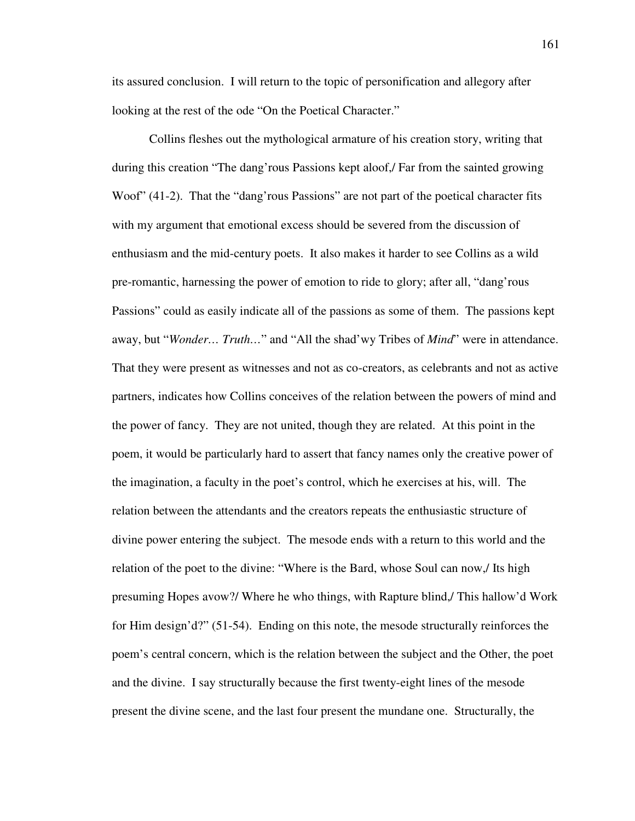its assured conclusion. I will return to the topic of personification and allegory after looking at the rest of the ode "On the Poetical Character."

Collins fleshes out the mythological armature of his creation story, writing that during this creation "The dang'rous Passions kept aloof,/ Far from the sainted growing Woof" (41-2). That the "dang' rous Passions" are not part of the poetical character fits with my argument that emotional excess should be severed from the discussion of enthusiasm and the mid-century poets. It also makes it harder to see Collins as a wild pre-romantic, harnessing the power of emotion to ride to glory; after all, "dang'rous Passions" could as easily indicate all of the passions as some of them. The passions kept away, but "*Wonder… Truth…*" and "All the shad'wy Tribes of *Mind*" were in attendance. That they were present as witnesses and not as co-creators, as celebrants and not as active partners, indicates how Collins conceives of the relation between the powers of mind and the power of fancy. They are not united, though they are related. At this point in the poem, it would be particularly hard to assert that fancy names only the creative power of the imagination, a faculty in the poet's control, which he exercises at his, will. The relation between the attendants and the creators repeats the enthusiastic structure of divine power entering the subject. The mesode ends with a return to this world and the relation of the poet to the divine: "Where is the Bard, whose Soul can now,/ Its high presuming Hopes avow?/ Where he who things, with Rapture blind,/ This hallow'd Work for Him design'd?" (51-54). Ending on this note, the mesode structurally reinforces the poem's central concern, which is the relation between the subject and the Other, the poet and the divine. I say structurally because the first twenty-eight lines of the mesode present the divine scene, and the last four present the mundane one. Structurally, the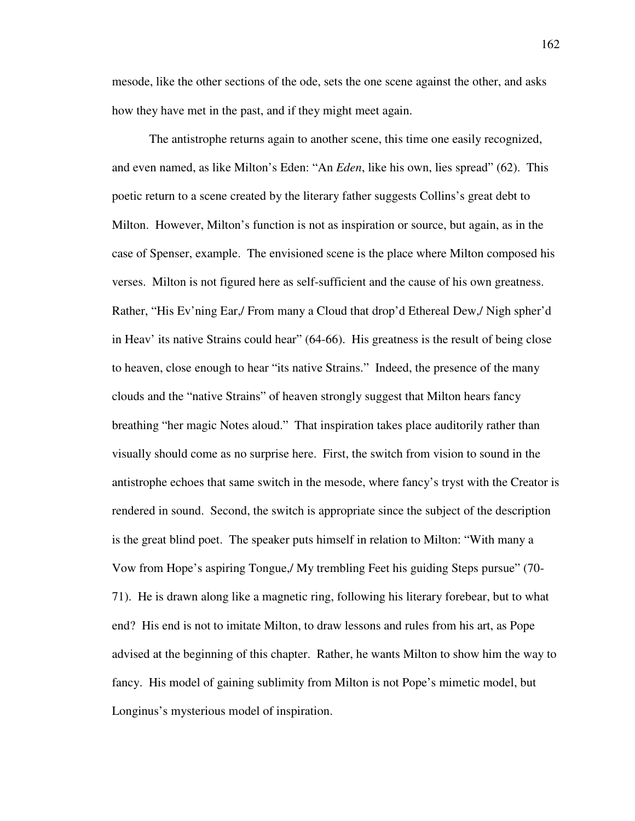mesode, like the other sections of the ode, sets the one scene against the other, and asks how they have met in the past, and if they might meet again.

The antistrophe returns again to another scene, this time one easily recognized, and even named, as like Milton's Eden: "An *Eden*, like his own, lies spread" (62). This poetic return to a scene created by the literary father suggests Collins's great debt to Milton. However, Milton's function is not as inspiration or source, but again, as in the case of Spenser, example. The envisioned scene is the place where Milton composed his verses. Milton is not figured here as self-sufficient and the cause of his own greatness. Rather, "His Ev'ning Ear,/ From many a Cloud that drop'd Ethereal Dew,/ Nigh spher'd in Heav' its native Strains could hear" (64-66). His greatness is the result of being close to heaven, close enough to hear "its native Strains." Indeed, the presence of the many clouds and the "native Strains" of heaven strongly suggest that Milton hears fancy breathing "her magic Notes aloud." That inspiration takes place auditorily rather than visually should come as no surprise here. First, the switch from vision to sound in the antistrophe echoes that same switch in the mesode, where fancy's tryst with the Creator is rendered in sound. Second, the switch is appropriate since the subject of the description is the great blind poet. The speaker puts himself in relation to Milton: "With many a Vow from Hope's aspiring Tongue,/ My trembling Feet his guiding Steps pursue" (70- 71). He is drawn along like a magnetic ring, following his literary forebear, but to what end? His end is not to imitate Milton, to draw lessons and rules from his art, as Pope advised at the beginning of this chapter. Rather, he wants Milton to show him the way to fancy. His model of gaining sublimity from Milton is not Pope's mimetic model, but Longinus's mysterious model of inspiration.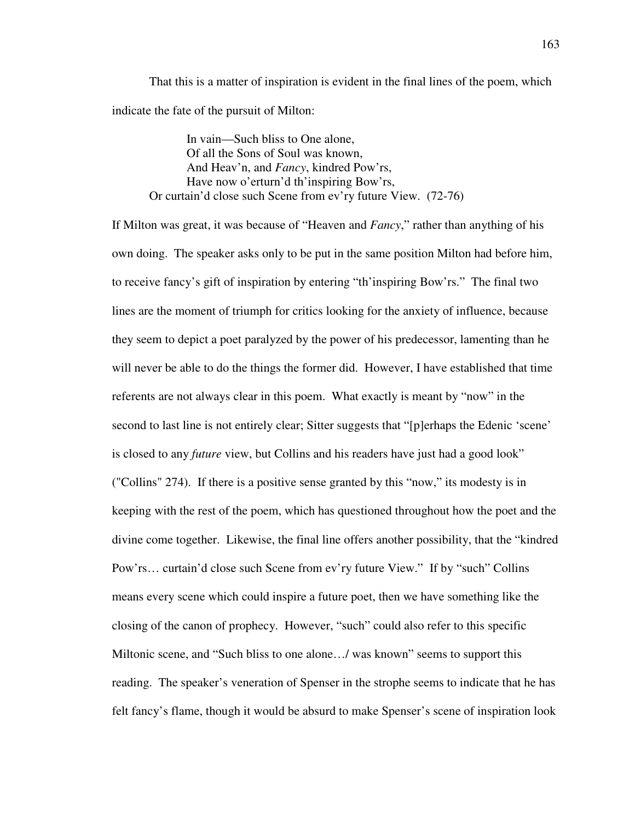That this is a matter of inspiration is evident in the final lines of the poem, which indicate the fate of the pursuit of Milton:

 In vain—Such bliss to One alone, Of all the Sons of Soul was known, And Heav'n, and *Fancy*, kindred Pow'rs, Have now o'erturn'd th'inspiring Bow'rs, Or curtain'd close such Scene from ev'ry future View. (72-76)

If Milton was great, it was because of "Heaven and *Fancy*," rather than anything of his own doing. The speaker asks only to be put in the same position Milton had before him, to receive fancy's gift of inspiration by entering "th'inspiring Bow'rs." The final two lines are the moment of triumph for critics looking for the anxiety of influence, because they seem to depict a poet paralyzed by the power of his predecessor, lamenting than he will never be able to do the things the former did. However, I have established that time referents are not always clear in this poem. What exactly is meant by "now" in the second to last line is not entirely clear; Sitter suggests that "[p]erhaps the Edenic 'scene' is closed to any *future* view, but Collins and his readers have just had a good look" ("Collins" 274). If there is a positive sense granted by this "now," its modesty is in keeping with the rest of the poem, which has questioned throughout how the poet and the divine come together. Likewise, the final line offers another possibility, that the "kindred Pow'rs… curtain'd close such Scene from ev'ry future View." If by "such" Collins means every scene which could inspire a future poet, then we have something like the closing of the canon of prophecy. However, "such" could also refer to this specific Miltonic scene, and "Such bliss to one alone…/ was known" seems to support this reading. The speaker's veneration of Spenser in the strophe seems to indicate that he has felt fancy's flame, though it would be absurd to make Spenser's scene of inspiration look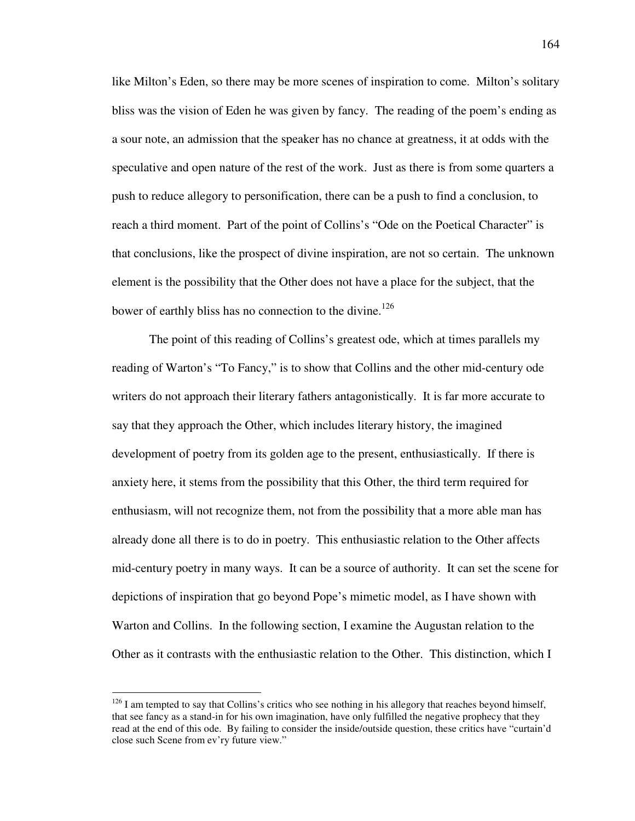like Milton's Eden, so there may be more scenes of inspiration to come. Milton's solitary bliss was the vision of Eden he was given by fancy. The reading of the poem's ending as a sour note, an admission that the speaker has no chance at greatness, it at odds with the speculative and open nature of the rest of the work. Just as there is from some quarters a push to reduce allegory to personification, there can be a push to find a conclusion, to reach a third moment. Part of the point of Collins's "Ode on the Poetical Character" is that conclusions, like the prospect of divine inspiration, are not so certain. The unknown element is the possibility that the Other does not have a place for the subject, that the bower of earthly bliss has no connection to the divine.<sup>126</sup>

 The point of this reading of Collins's greatest ode, which at times parallels my reading of Warton's "To Fancy," is to show that Collins and the other mid-century ode writers do not approach their literary fathers antagonistically. It is far more accurate to say that they approach the Other, which includes literary history, the imagined development of poetry from its golden age to the present, enthusiastically. If there is anxiety here, it stems from the possibility that this Other, the third term required for enthusiasm, will not recognize them, not from the possibility that a more able man has already done all there is to do in poetry. This enthusiastic relation to the Other affects mid-century poetry in many ways. It can be a source of authority. It can set the scene for depictions of inspiration that go beyond Pope's mimetic model, as I have shown with Warton and Collins. In the following section, I examine the Augustan relation to the Other as it contrasts with the enthusiastic relation to the Other. This distinction, which I

 $126$  I am tempted to say that Collins's critics who see nothing in his allegory that reaches beyond himself, that see fancy as a stand-in for his own imagination, have only fulfilled the negative prophecy that they read at the end of this ode. By failing to consider the inside/outside question, these critics have "curtain'd close such Scene from ev'ry future view."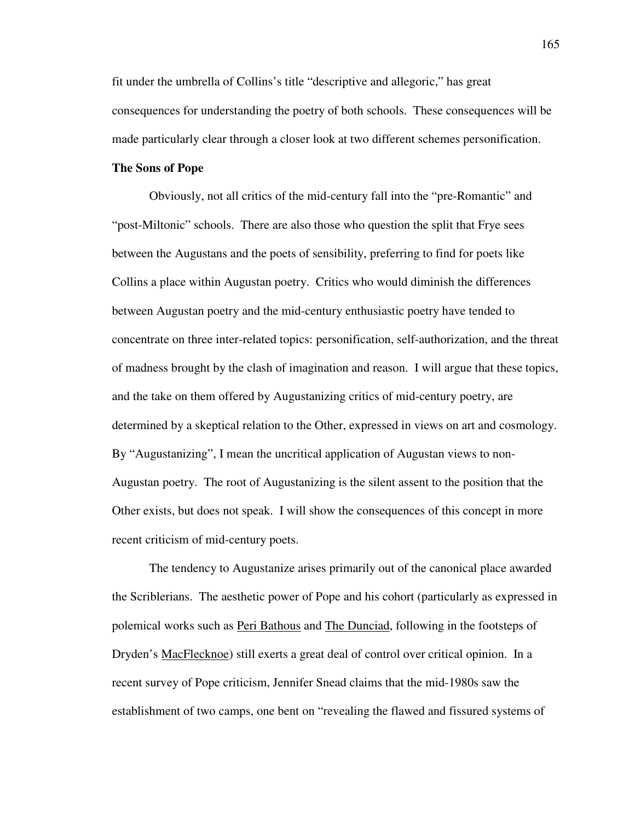fit under the umbrella of Collins's title "descriptive and allegoric," has great consequences for understanding the poetry of both schools. These consequences will be made particularly clear through a closer look at two different schemes personification.

# **The Sons of Pope**

 Obviously, not all critics of the mid-century fall into the "pre-Romantic" and "post-Miltonic" schools. There are also those who question the split that Frye sees between the Augustans and the poets of sensibility, preferring to find for poets like Collins a place within Augustan poetry. Critics who would diminish the differences between Augustan poetry and the mid-century enthusiastic poetry have tended to concentrate on three inter-related topics: personification, self-authorization, and the threat of madness brought by the clash of imagination and reason. I will argue that these topics, and the take on them offered by Augustanizing critics of mid-century poetry, are determined by a skeptical relation to the Other, expressed in views on art and cosmology. By "Augustanizing", I mean the uncritical application of Augustan views to non-Augustan poetry. The root of Augustanizing is the silent assent to the position that the Other exists, but does not speak. I will show the consequences of this concept in more recent criticism of mid-century poets.

The tendency to Augustanize arises primarily out of the canonical place awarded the Scriblerians. The aesthetic power of Pope and his cohort (particularly as expressed in polemical works such as Peri Bathous and The Dunciad, following in the footsteps of Dryden's MacFlecknoe) still exerts a great deal of control over critical opinion. In a recent survey of Pope criticism, Jennifer Snead claims that the mid-1980s saw the establishment of two camps, one bent on "revealing the flawed and fissured systems of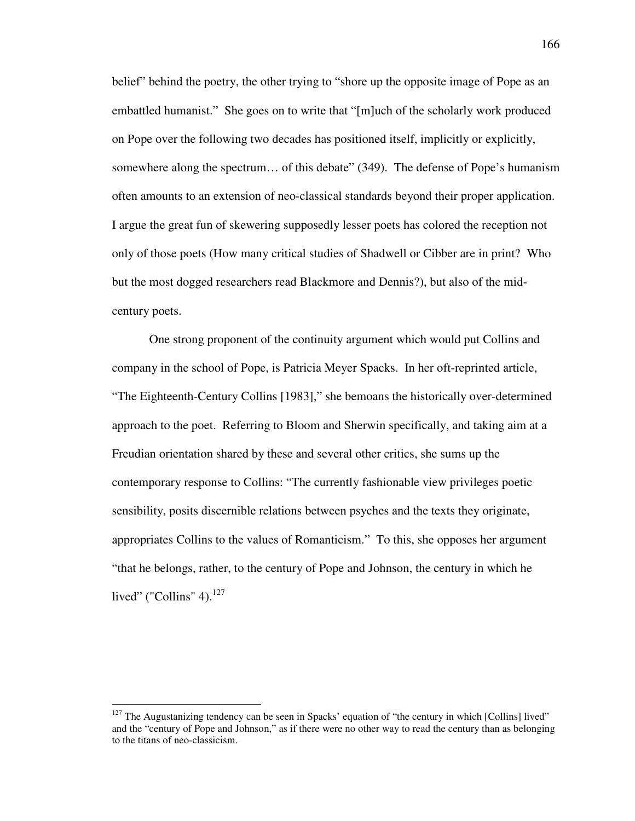belief" behind the poetry, the other trying to "shore up the opposite image of Pope as an embattled humanist." She goes on to write that "[m]uch of the scholarly work produced on Pope over the following two decades has positioned itself, implicitly or explicitly, somewhere along the spectrum… of this debate" (349). The defense of Pope's humanism often amounts to an extension of neo-classical standards beyond their proper application. I argue the great fun of skewering supposedly lesser poets has colored the reception not only of those poets (How many critical studies of Shadwell or Cibber are in print? Who but the most dogged researchers read Blackmore and Dennis?), but also of the midcentury poets.

 One strong proponent of the continuity argument which would put Collins and company in the school of Pope, is Patricia Meyer Spacks. In her oft-reprinted article, "The Eighteenth-Century Collins [1983]," she bemoans the historically over-determined approach to the poet. Referring to Bloom and Sherwin specifically, and taking aim at a Freudian orientation shared by these and several other critics, she sums up the contemporary response to Collins: "The currently fashionable view privileges poetic sensibility, posits discernible relations between psyches and the texts they originate, appropriates Collins to the values of Romanticism." To this, she opposes her argument "that he belongs, rather, to the century of Pope and Johnson, the century in which he lived" ("Collins" 4). $^{127}$ 

 $127$  The Augustanizing tendency can be seen in Spacks' equation of "the century in which [Collins] lived" and the "century of Pope and Johnson," as if there were no other way to read the century than as belonging to the titans of neo-classicism.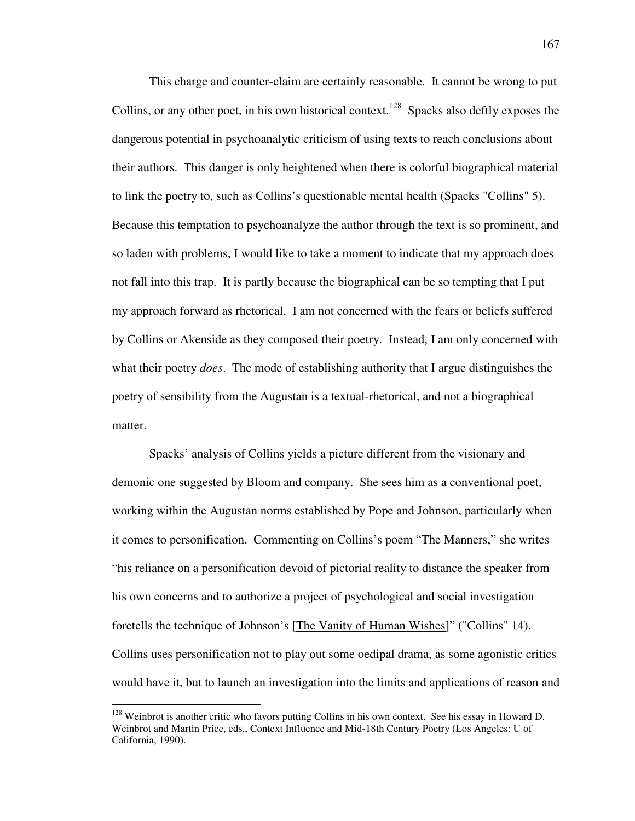This charge and counter-claim are certainly reasonable. It cannot be wrong to put Collins, or any other poet, in his own historical context.<sup>128</sup> Spacks also deftly exposes the dangerous potential in psychoanalytic criticism of using texts to reach conclusions about their authors. This danger is only heightened when there is colorful biographical material to link the poetry to, such as Collins's questionable mental health (Spacks "Collins" 5). Because this temptation to psychoanalyze the author through the text is so prominent, and so laden with problems, I would like to take a moment to indicate that my approach does not fall into this trap. It is partly because the biographical can be so tempting that I put my approach forward as rhetorical. I am not concerned with the fears or beliefs suffered by Collins or Akenside as they composed their poetry. Instead, I am only concerned with what their poetry *does*. The mode of establishing authority that I argue distinguishes the poetry of sensibility from the Augustan is a textual-rhetorical, and not a biographical matter.

 Spacks' analysis of Collins yields a picture different from the visionary and demonic one suggested by Bloom and company. She sees him as a conventional poet, working within the Augustan norms established by Pope and Johnson, particularly when it comes to personification. Commenting on Collins's poem "The Manners," she writes "his reliance on a personification devoid of pictorial reality to distance the speaker from his own concerns and to authorize a project of psychological and social investigation foretells the technique of Johnson's [The Vanity of Human Wishes]" ("Collins" 14). Collins uses personification not to play out some oedipal drama, as some agonistic critics would have it, but to launch an investigation into the limits and applications of reason and

<sup>&</sup>lt;sup>128</sup> Weinbrot is another critic who favors putting Collins in his own context. See his essay in Howard D. Weinbrot and Martin Price, eds., Context Influence and Mid-18th Century Poetry (Los Angeles: U of California, 1990).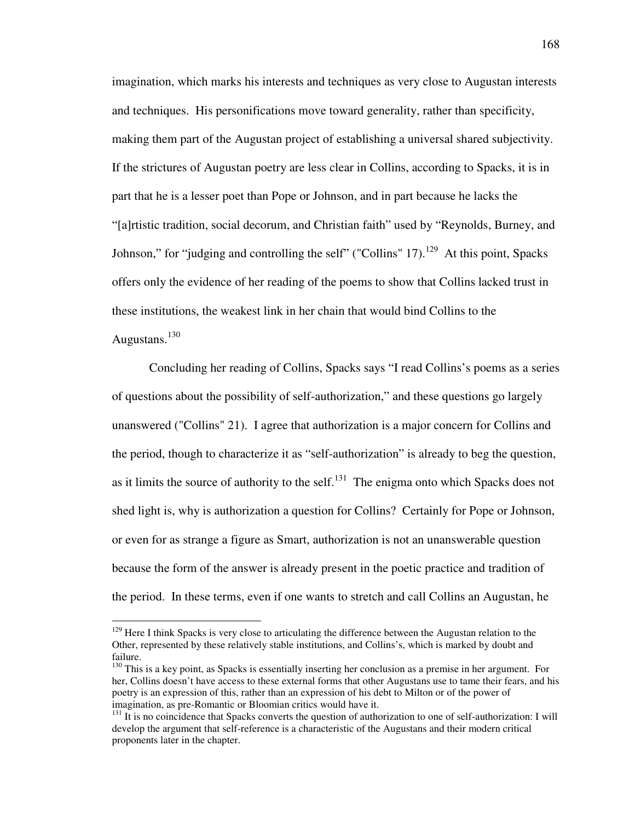imagination, which marks his interests and techniques as very close to Augustan interests and techniques. His personifications move toward generality, rather than specificity, making them part of the Augustan project of establishing a universal shared subjectivity. If the strictures of Augustan poetry are less clear in Collins, according to Spacks, it is in part that he is a lesser poet than Pope or Johnson, and in part because he lacks the "[a]rtistic tradition, social decorum, and Christian faith" used by "Reynolds, Burney, and Johnson," for "judging and controlling the self" ("Collins" 17).<sup>129</sup> At this point, Spacks offers only the evidence of her reading of the poems to show that Collins lacked trust in these institutions, the weakest link in her chain that would bind Collins to the Augustans. $130$ 

 Concluding her reading of Collins, Spacks says "I read Collins's poems as a series of questions about the possibility of self-authorization," and these questions go largely unanswered ("Collins" 21). I agree that authorization is a major concern for Collins and the period, though to characterize it as "self-authorization" is already to beg the question, as it limits the source of authority to the self.<sup>131</sup> The enigma onto which Spacks does not shed light is, why is authorization a question for Collins? Certainly for Pope or Johnson, or even for as strange a figure as Smart, authorization is not an unanswerable question because the form of the answer is already present in the poetic practice and tradition of the period. In these terms, even if one wants to stretch and call Collins an Augustan, he

 $129$  Here I think Spacks is very close to articulating the difference between the Augustan relation to the Other, represented by these relatively stable institutions, and Collins's, which is marked by doubt and failure.

<sup>&</sup>lt;sup>130</sup> This is a key point, as Spacks is essentially inserting her conclusion as a premise in her argument. For her, Collins doesn't have access to these external forms that other Augustans use to tame their fears, and his poetry is an expression of this, rather than an expression of his debt to Milton or of the power of imagination, as pre-Romantic or Bloomian critics would have it.

 $131$  It is no coincidence that Spacks converts the question of authorization to one of self-authorization: I will develop the argument that self-reference is a characteristic of the Augustans and their modern critical proponents later in the chapter.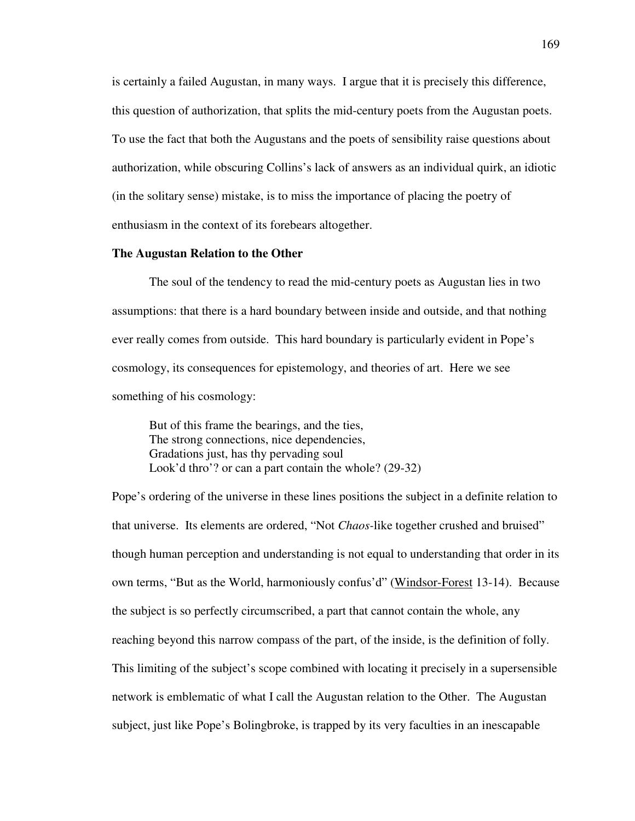is certainly a failed Augustan, in many ways. I argue that it is precisely this difference, this question of authorization, that splits the mid-century poets from the Augustan poets. To use the fact that both the Augustans and the poets of sensibility raise questions about authorization, while obscuring Collins's lack of answers as an individual quirk, an idiotic (in the solitary sense) mistake, is to miss the importance of placing the poetry of enthusiasm in the context of its forebears altogether.

#### **The Augustan Relation to the Other**

The soul of the tendency to read the mid-century poets as Augustan lies in two assumptions: that there is a hard boundary between inside and outside, and that nothing ever really comes from outside. This hard boundary is particularly evident in Pope's cosmology, its consequences for epistemology, and theories of art. Here we see something of his cosmology:

But of this frame the bearings, and the ties, The strong connections, nice dependencies, Gradations just, has thy pervading soul Look'd thro'? or can a part contain the whole? (29-32)

Pope's ordering of the universe in these lines positions the subject in a definite relation to that universe. Its elements are ordered, "Not *Chaos-*like together crushed and bruised" though human perception and understanding is not equal to understanding that order in its own terms, "But as the World, harmoniously confus'd" (Windsor-Forest 13-14). Because the subject is so perfectly circumscribed, a part that cannot contain the whole, any reaching beyond this narrow compass of the part, of the inside, is the definition of folly. This limiting of the subject's scope combined with locating it precisely in a supersensible network is emblematic of what I call the Augustan relation to the Other. The Augustan subject, just like Pope's Bolingbroke, is trapped by its very faculties in an inescapable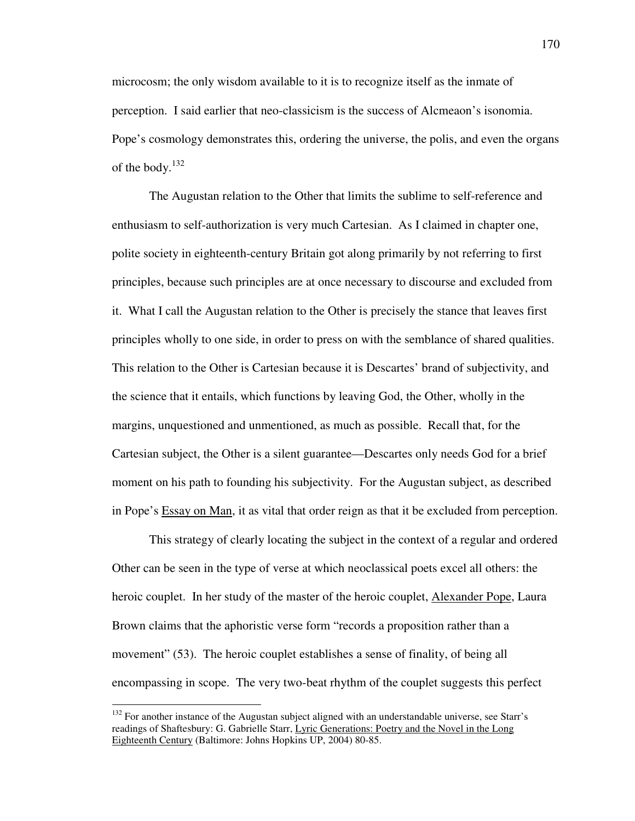microcosm; the only wisdom available to it is to recognize itself as the inmate of perception. I said earlier that neo-classicism is the success of Alcmeaon's isonomia. Pope's cosmology demonstrates this, ordering the universe, the polis, and even the organs of the body.<sup>132</sup>

The Augustan relation to the Other that limits the sublime to self-reference and enthusiasm to self-authorization is very much Cartesian. As I claimed in chapter one, polite society in eighteenth-century Britain got along primarily by not referring to first principles, because such principles are at once necessary to discourse and excluded from it. What I call the Augustan relation to the Other is precisely the stance that leaves first principles wholly to one side, in order to press on with the semblance of shared qualities. This relation to the Other is Cartesian because it is Descartes' brand of subjectivity, and the science that it entails, which functions by leaving God, the Other, wholly in the margins, unquestioned and unmentioned, as much as possible. Recall that, for the Cartesian subject, the Other is a silent guarantee—Descartes only needs God for a brief moment on his path to founding his subjectivity. For the Augustan subject, as described in Pope's Essay on Man, it as vital that order reign as that it be excluded from perception.

This strategy of clearly locating the subject in the context of a regular and ordered Other can be seen in the type of verse at which neoclassical poets excel all others: the heroic couplet. In her study of the master of the heroic couplet, Alexander Pope, Laura Brown claims that the aphoristic verse form "records a proposition rather than a movement" (53). The heroic couplet establishes a sense of finality, of being all encompassing in scope. The very two-beat rhythm of the couplet suggests this perfect

 $132$  For another instance of the Augustan subject aligned with an understandable universe, see Starr's readings of Shaftesbury: G. Gabrielle Starr, Lyric Generations: Poetry and the Novel in the Long Eighteenth Century (Baltimore: Johns Hopkins UP, 2004) 80-85.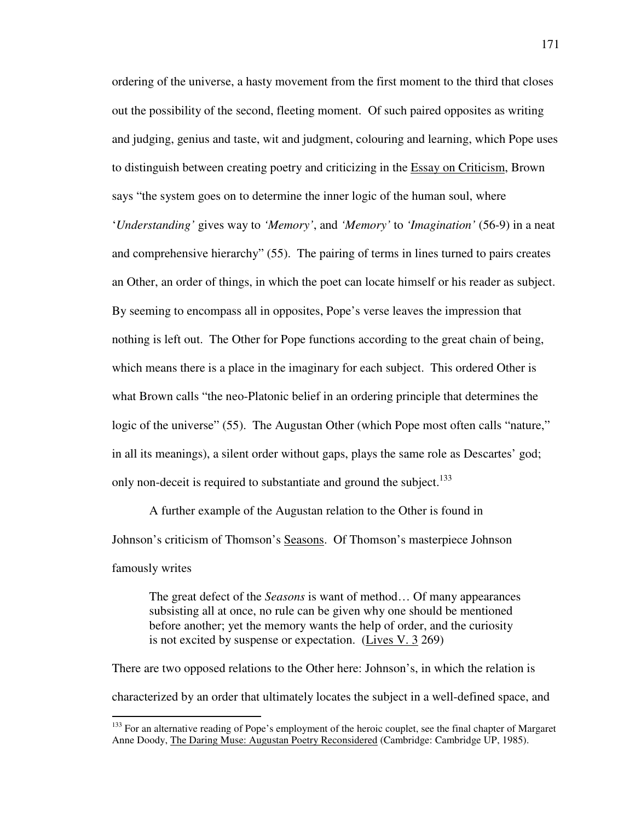ordering of the universe, a hasty movement from the first moment to the third that closes out the possibility of the second, fleeting moment. Of such paired opposites as writing and judging, genius and taste, wit and judgment, colouring and learning, which Pope uses to distinguish between creating poetry and criticizing in the Essay on Criticism, Brown says "the system goes on to determine the inner logic of the human soul, where '*Understanding'* gives way to *'Memory'*, and *'Memory'* to *'Imagination'* (56-9) in a neat and comprehensive hierarchy" (55). The pairing of terms in lines turned to pairs creates an Other, an order of things, in which the poet can locate himself or his reader as subject. By seeming to encompass all in opposites, Pope's verse leaves the impression that nothing is left out. The Other for Pope functions according to the great chain of being, which means there is a place in the imaginary for each subject. This ordered Other is what Brown calls "the neo-Platonic belief in an ordering principle that determines the logic of the universe" (55). The Augustan Other (which Pope most often calls "nature," in all its meanings), a silent order without gaps, plays the same role as Descartes' god; only non-deceit is required to substantiate and ground the subject.<sup>133</sup>

A further example of the Augustan relation to the Other is found in Johnson's criticism of Thomson's Seasons. Of Thomson's masterpiece Johnson famously writes

The great defect of the *Seasons* is want of method… Of many appearances subsisting all at once, no rule can be given why one should be mentioned before another; yet the memory wants the help of order, and the curiosity is not excited by suspense or expectation. (Lives V. 3 269)

There are two opposed relations to the Other here: Johnson's, in which the relation is characterized by an order that ultimately locates the subject in a well-defined space, and

<sup>&</sup>lt;sup>133</sup> For an alternative reading of Pope's employment of the heroic couplet, see the final chapter of Margaret Anne Doody, The Daring Muse: Augustan Poetry Reconsidered (Cambridge: Cambridge UP, 1985).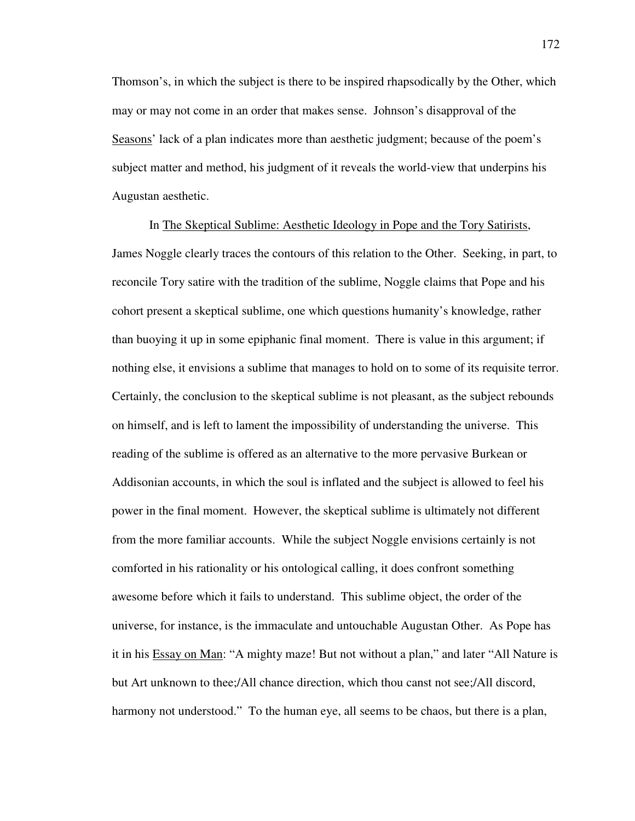Thomson's, in which the subject is there to be inspired rhapsodically by the Other, which may or may not come in an order that makes sense. Johnson's disapproval of the Seasons' lack of a plan indicates more than aesthetic judgment; because of the poem's subject matter and method, his judgment of it reveals the world-view that underpins his Augustan aesthetic.

In The Skeptical Sublime: Aesthetic Ideology in Pope and the Tory Satirists, James Noggle clearly traces the contours of this relation to the Other. Seeking, in part, to reconcile Tory satire with the tradition of the sublime, Noggle claims that Pope and his cohort present a skeptical sublime, one which questions humanity's knowledge, rather than buoying it up in some epiphanic final moment. There is value in this argument; if nothing else, it envisions a sublime that manages to hold on to some of its requisite terror. Certainly, the conclusion to the skeptical sublime is not pleasant, as the subject rebounds on himself, and is left to lament the impossibility of understanding the universe. This reading of the sublime is offered as an alternative to the more pervasive Burkean or Addisonian accounts, in which the soul is inflated and the subject is allowed to feel his power in the final moment. However, the skeptical sublime is ultimately not different from the more familiar accounts. While the subject Noggle envisions certainly is not comforted in his rationality or his ontological calling, it does confront something awesome before which it fails to understand. This sublime object, the order of the universe, for instance, is the immaculate and untouchable Augustan Other. As Pope has it in his Essay on Man: "A mighty maze! But not without a plan," and later "All Nature is but Art unknown to thee;/All chance direction, which thou canst not see;/All discord, harmony not understood." To the human eye, all seems to be chaos, but there is a plan,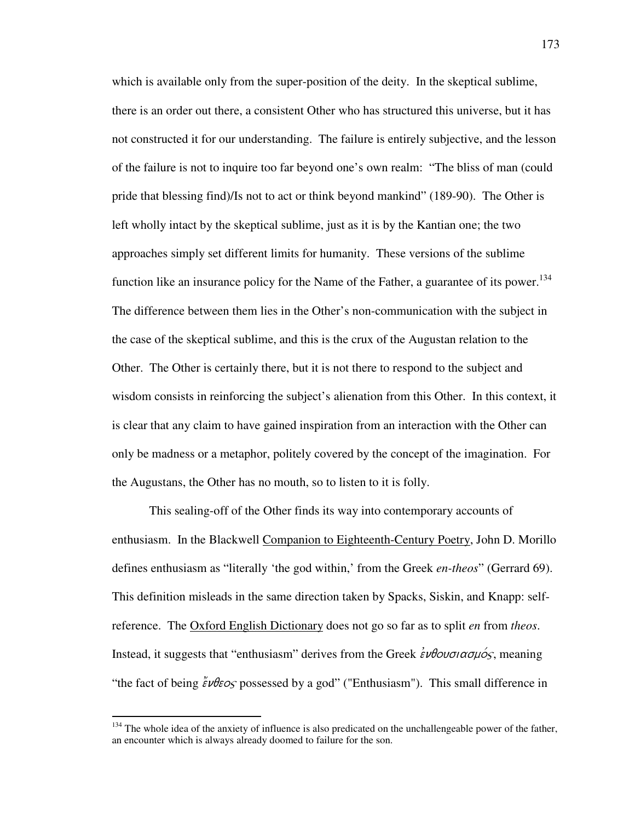which is available only from the super-position of the deity. In the skeptical sublime, there is an order out there, a consistent Other who has structured this universe, but it has not constructed it for our understanding. The failure is entirely subjective, and the lesson of the failure is not to inquire too far beyond one's own realm: "The bliss of man (could pride that blessing find)/Is not to act or think beyond mankind" (189-90). The Other is left wholly intact by the skeptical sublime, just as it is by the Kantian one; the two approaches simply set different limits for humanity. These versions of the sublime function like an insurance policy for the Name of the Father, a guarantee of its power.<sup>134</sup> The difference between them lies in the Other's non-communication with the subject in the case of the skeptical sublime, and this is the crux of the Augustan relation to the Other. The Other is certainly there, but it is not there to respond to the subject and wisdom consists in reinforcing the subject's alienation from this Other. In this context, it is clear that any claim to have gained inspiration from an interaction with the Other can only be madness or a metaphor, politely covered by the concept of the imagination. For the Augustans, the Other has no mouth, so to listen to it is folly.

This sealing-off of the Other finds its way into contemporary accounts of enthusiasm. In the Blackwell Companion to Eighteenth-Century Poetry, John D. Morillo defines enthusiasm as "literally 'the god within,' from the Greek *en-theos*" (Gerrard 69). This definition misleads in the same direction taken by Spacks, Siskin, and Knapp: selfreference. The Oxford English Dictionary does not go so far as to split *en* from *theos*. Instead, it suggests that "enthusiasm" derives from the Greek  $\epsilon \nu \theta \omega \sigma \alpha \sigma \mu \sigma \varsigma$ , meaning "the fact of being  $\zeta \nu \theta \epsilon o_s$  possessed by a god" ("Enthusiasm"). This small difference in

<sup>&</sup>lt;sup>134</sup> The whole idea of the anxiety of influence is also predicated on the unchallengeable power of the father, an encounter which is always already doomed to failure for the son.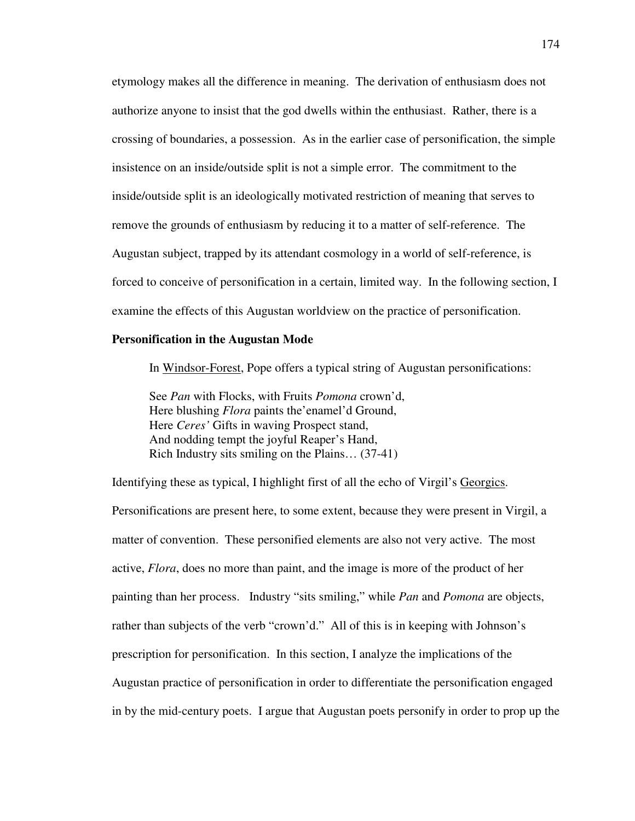etymology makes all the difference in meaning. The derivation of enthusiasm does not authorize anyone to insist that the god dwells within the enthusiast. Rather, there is a crossing of boundaries, a possession. As in the earlier case of personification, the simple insistence on an inside/outside split is not a simple error. The commitment to the inside/outside split is an ideologically motivated restriction of meaning that serves to remove the grounds of enthusiasm by reducing it to a matter of self-reference. The Augustan subject, trapped by its attendant cosmology in a world of self-reference, is forced to conceive of personification in a certain, limited way. In the following section, I examine the effects of this Augustan worldview on the practice of personification.

## **Personification in the Augustan Mode**

In Windsor-Forest, Pope offers a typical string of Augustan personifications:

 See *Pan* with Flocks, with Fruits *Pomona* crown'd, Here blushing *Flora* paints the'enamel'd Ground, Here *Ceres'* Gifts in waving Prospect stand, And nodding tempt the joyful Reaper's Hand, Rich Industry sits smiling on the Plains… (37-41)

Identifying these as typical, I highlight first of all the echo of Virgil's Georgics. Personifications are present here, to some extent, because they were present in Virgil, a matter of convention. These personified elements are also not very active. The most active, *Flora*, does no more than paint, and the image is more of the product of her painting than her process. Industry "sits smiling," while *Pan* and *Pomona* are objects, rather than subjects of the verb "crown'd." All of this is in keeping with Johnson's prescription for personification. In this section, I analyze the implications of the Augustan practice of personification in order to differentiate the personification engaged in by the mid-century poets. I argue that Augustan poets personify in order to prop up the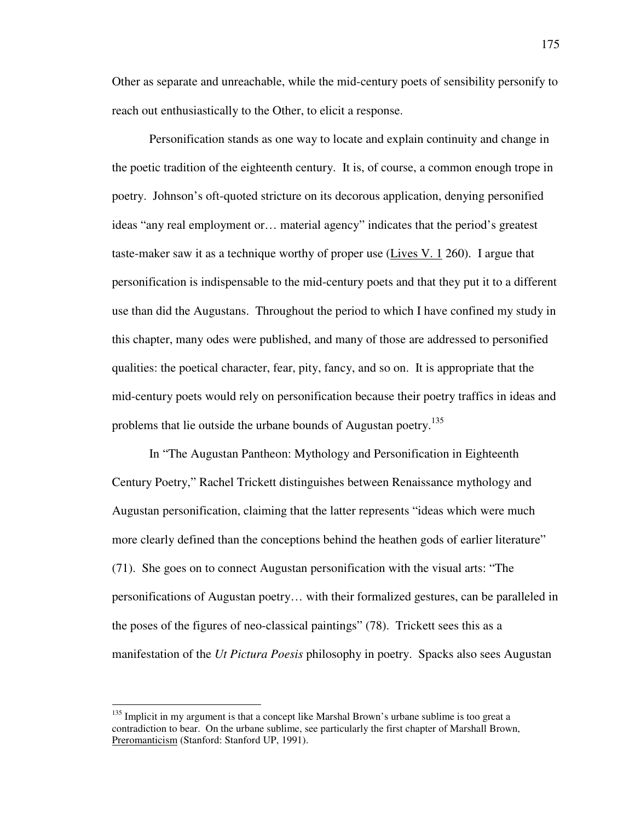Other as separate and unreachable, while the mid-century poets of sensibility personify to reach out enthusiastically to the Other, to elicit a response.

Personification stands as one way to locate and explain continuity and change in the poetic tradition of the eighteenth century. It is, of course, a common enough trope in poetry. Johnson's oft-quoted stricture on its decorous application, denying personified ideas "any real employment or… material agency" indicates that the period's greatest taste-maker saw it as a technique worthy of proper use (Lives V. 1 260). I argue that personification is indispensable to the mid-century poets and that they put it to a different use than did the Augustans. Throughout the period to which I have confined my study in this chapter, many odes were published, and many of those are addressed to personified qualities: the poetical character, fear, pity, fancy, and so on. It is appropriate that the mid-century poets would rely on personification because their poetry traffics in ideas and problems that lie outside the urbane bounds of Augustan poetry.<sup>135</sup>

In "The Augustan Pantheon: Mythology and Personification in Eighteenth Century Poetry," Rachel Trickett distinguishes between Renaissance mythology and Augustan personification, claiming that the latter represents "ideas which were much more clearly defined than the conceptions behind the heathen gods of earlier literature" (71). She goes on to connect Augustan personification with the visual arts: "The personifications of Augustan poetry… with their formalized gestures, can be paralleled in the poses of the figures of neo-classical paintings" (78). Trickett sees this as a manifestation of the *Ut Pictura Poesis* philosophy in poetry. Spacks also sees Augustan

<sup>&</sup>lt;sup>135</sup> Implicit in my argument is that a concept like Marshal Brown's urbane sublime is too great a contradiction to bear. On the urbane sublime, see particularly the first chapter of Marshall Brown, Preromanticism (Stanford: Stanford UP, 1991).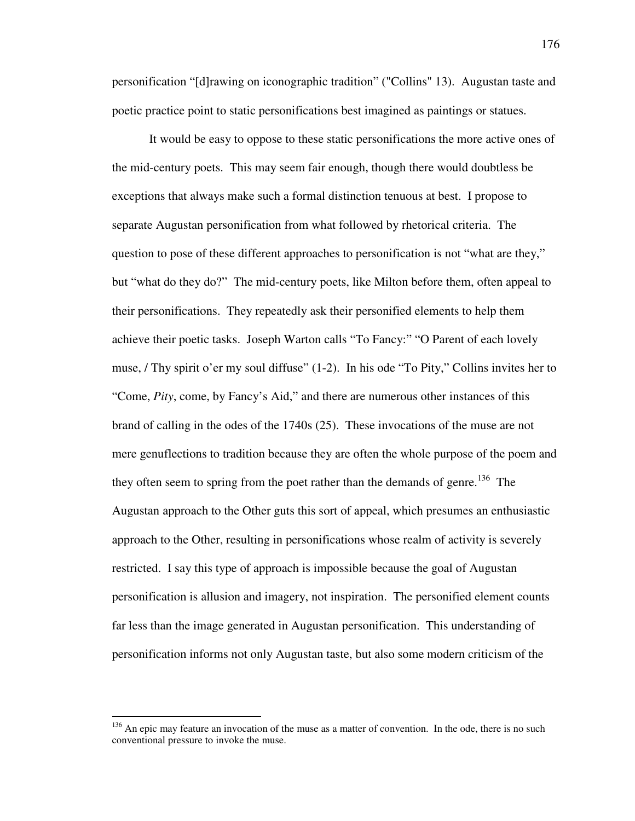personification "[d]rawing on iconographic tradition" ("Collins" 13). Augustan taste and poetic practice point to static personifications best imagined as paintings or statues.

It would be easy to oppose to these static personifications the more active ones of the mid-century poets. This may seem fair enough, though there would doubtless be exceptions that always make such a formal distinction tenuous at best. I propose to separate Augustan personification from what followed by rhetorical criteria. The question to pose of these different approaches to personification is not "what are they," but "what do they do?" The mid-century poets, like Milton before them, often appeal to their personifications. They repeatedly ask their personified elements to help them achieve their poetic tasks. Joseph Warton calls "To Fancy:" "O Parent of each lovely muse, / Thy spirit o'er my soul diffuse" (1-2). In his ode "To Pity," Collins invites her to "Come, *Pity*, come, by Fancy's Aid," and there are numerous other instances of this brand of calling in the odes of the 1740s (25). These invocations of the muse are not mere genuflections to tradition because they are often the whole purpose of the poem and they often seem to spring from the poet rather than the demands of genre.<sup>136</sup> The Augustan approach to the Other guts this sort of appeal, which presumes an enthusiastic approach to the Other, resulting in personifications whose realm of activity is severely restricted. I say this type of approach is impossible because the goal of Augustan personification is allusion and imagery, not inspiration. The personified element counts far less than the image generated in Augustan personification. This understanding of personification informs not only Augustan taste, but also some modern criticism of the

 $136$  An epic may feature an invocation of the muse as a matter of convention. In the ode, there is no such conventional pressure to invoke the muse.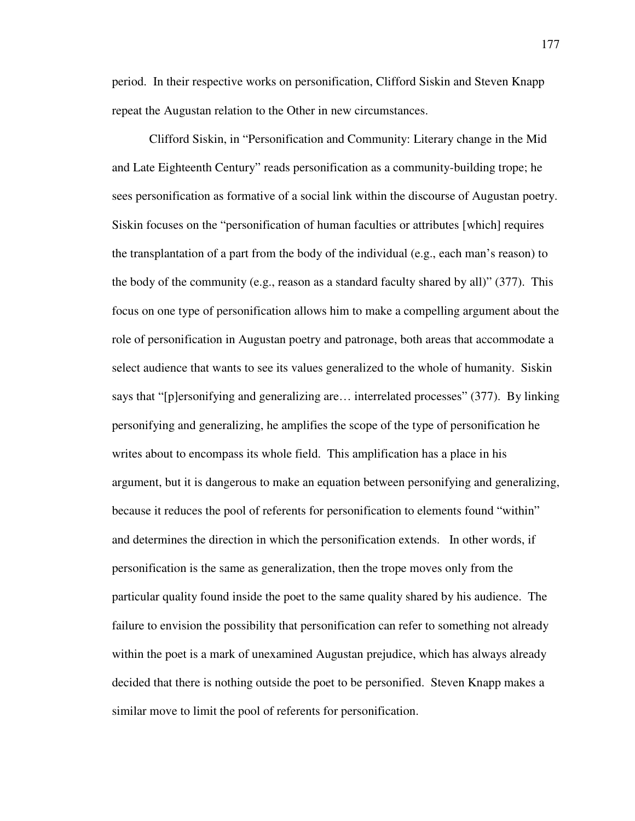period. In their respective works on personification, Clifford Siskin and Steven Knapp repeat the Augustan relation to the Other in new circumstances.

Clifford Siskin, in "Personification and Community: Literary change in the Mid and Late Eighteenth Century" reads personification as a community-building trope; he sees personification as formative of a social link within the discourse of Augustan poetry. Siskin focuses on the "personification of human faculties or attributes [which] requires the transplantation of a part from the body of the individual (e.g., each man's reason) to the body of the community (e.g., reason as a standard faculty shared by all)" (377). This focus on one type of personification allows him to make a compelling argument about the role of personification in Augustan poetry and patronage, both areas that accommodate a select audience that wants to see its values generalized to the whole of humanity. Siskin says that "[p]ersonifying and generalizing are… interrelated processes" (377). By linking personifying and generalizing, he amplifies the scope of the type of personification he writes about to encompass its whole field. This amplification has a place in his argument, but it is dangerous to make an equation between personifying and generalizing, because it reduces the pool of referents for personification to elements found "within" and determines the direction in which the personification extends. In other words, if personification is the same as generalization, then the trope moves only from the particular quality found inside the poet to the same quality shared by his audience. The failure to envision the possibility that personification can refer to something not already within the poet is a mark of unexamined Augustan prejudice, which has always already decided that there is nothing outside the poet to be personified. Steven Knapp makes a similar move to limit the pool of referents for personification.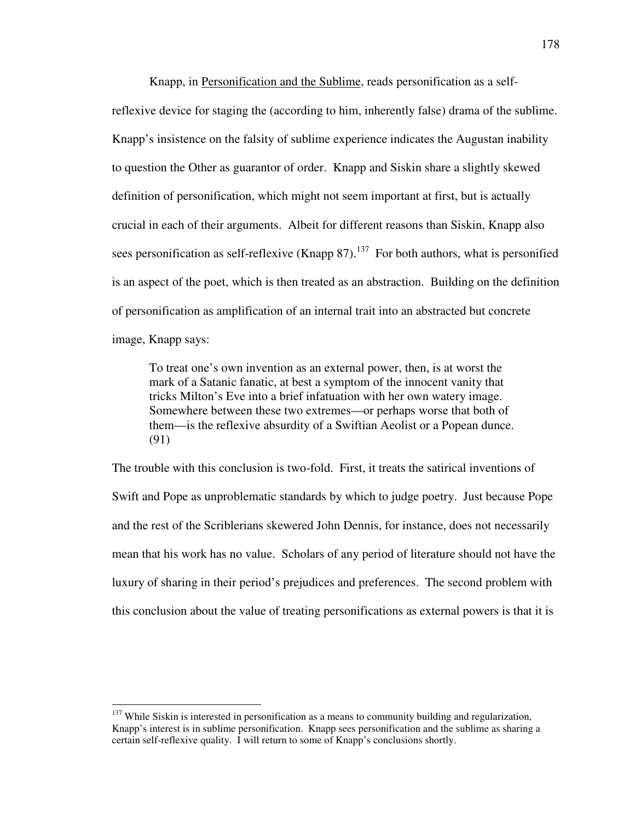Knapp, in Personification and the Sublime, reads personification as a selfreflexive device for staging the (according to him, inherently false) drama of the sublime. Knapp's insistence on the falsity of sublime experience indicates the Augustan inability to question the Other as guarantor of order. Knapp and Siskin share a slightly skewed definition of personification, which might not seem important at first, but is actually crucial in each of their arguments. Albeit for different reasons than Siskin, Knapp also sees personification as self-reflexive (Knapp 87).<sup>137</sup> For both authors, what is personified is an aspect of the poet, which is then treated as an abstraction. Building on the definition of personification as amplification of an internal trait into an abstracted but concrete image, Knapp says:

To treat one's own invention as an external power, then, is at worst the mark of a Satanic fanatic, at best a symptom of the innocent vanity that tricks Milton's Eve into a brief infatuation with her own watery image. Somewhere between these two extremes—or perhaps worse that both of them—is the reflexive absurdity of a Swiftian Aeolist or a Popean dunce. (91)

The trouble with this conclusion is two-fold. First, it treats the satirical inventions of Swift and Pope as unproblematic standards by which to judge poetry. Just because Pope and the rest of the Scriblerians skewered John Dennis, for instance, does not necessarily mean that his work has no value. Scholars of any period of literature should not have the luxury of sharing in their period's prejudices and preferences. The second problem with this conclusion about the value of treating personifications as external powers is that it is

 $137$  While Siskin is interested in personification as a means to community building and regularization, Knapp's interest is in sublime personification. Knapp sees personification and the sublime as sharing a certain self-reflexive quality. I will return to some of Knapp's conclusions shortly.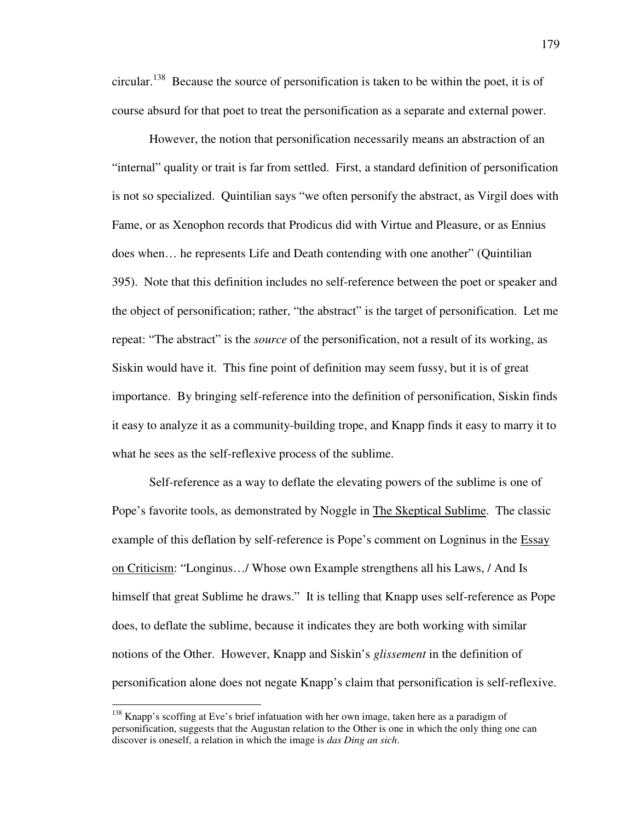circular.<sup>138</sup> Because the source of personification is taken to be within the poet, it is of course absurd for that poet to treat the personification as a separate and external power.

However, the notion that personification necessarily means an abstraction of an "internal" quality or trait is far from settled. First, a standard definition of personification is not so specialized. Quintilian says "we often personify the abstract, as Virgil does with Fame, or as Xenophon records that Prodicus did with Virtue and Pleasure, or as Ennius does when… he represents Life and Death contending with one another" (Quintilian 395). Note that this definition includes no self-reference between the poet or speaker and the object of personification; rather, "the abstract" is the target of personification. Let me repeat: "The abstract" is the *source* of the personification, not a result of its working, as Siskin would have it. This fine point of definition may seem fussy, but it is of great importance. By bringing self-reference into the definition of personification, Siskin finds it easy to analyze it as a community-building trope, and Knapp finds it easy to marry it to what he sees as the self-reflexive process of the sublime.

Self-reference as a way to deflate the elevating powers of the sublime is one of Pope's favorite tools, as demonstrated by Noggle in The Skeptical Sublime. The classic example of this deflation by self-reference is Pope's comment on Logninus in the Essay on Criticism: "Longinus…/ Whose own Example strengthens all his Laws, / And Is himself that great Sublime he draws." It is telling that Knapp uses self-reference as Pope does, to deflate the sublime, because it indicates they are both working with similar notions of the Other. However, Knapp and Siskin's *glissement* in the definition of personification alone does not negate Knapp's claim that personification is self-reflexive.

 $138$  Knapp's scoffing at Eve's brief infatuation with her own image, taken here as a paradigm of personification, suggests that the Augustan relation to the Other is one in which the only thing one can discover is oneself, a relation in which the image is *das Ding an sich*.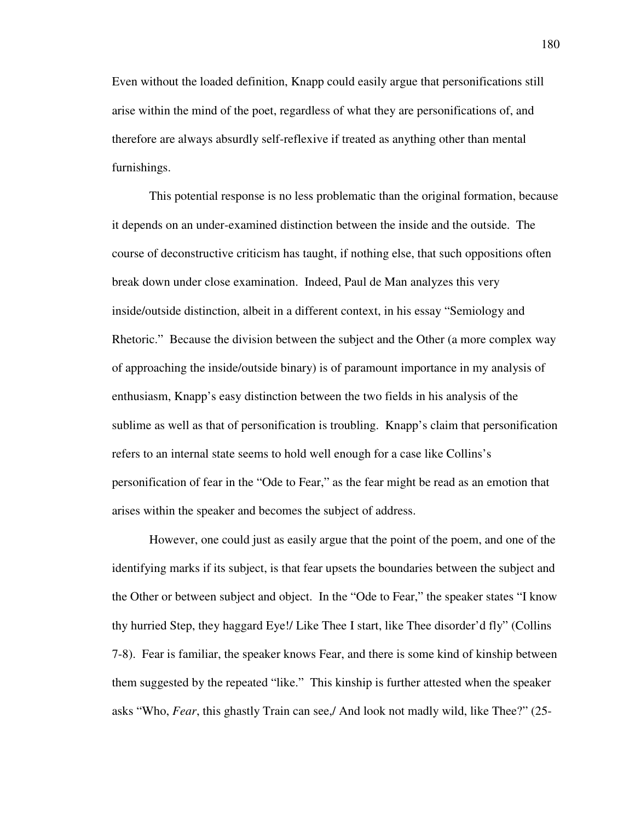Even without the loaded definition, Knapp could easily argue that personifications still arise within the mind of the poet, regardless of what they are personifications of, and therefore are always absurdly self-reflexive if treated as anything other than mental furnishings.

This potential response is no less problematic than the original formation, because it depends on an under-examined distinction between the inside and the outside. The course of deconstructive criticism has taught, if nothing else, that such oppositions often break down under close examination. Indeed, Paul de Man analyzes this very inside/outside distinction, albeit in a different context, in his essay "Semiology and Rhetoric." Because the division between the subject and the Other (a more complex way of approaching the inside/outside binary) is of paramount importance in my analysis of enthusiasm, Knapp's easy distinction between the two fields in his analysis of the sublime as well as that of personification is troubling. Knapp's claim that personification refers to an internal state seems to hold well enough for a case like Collins's personification of fear in the "Ode to Fear," as the fear might be read as an emotion that arises within the speaker and becomes the subject of address.

However, one could just as easily argue that the point of the poem, and one of the identifying marks if its subject, is that fear upsets the boundaries between the subject and the Other or between subject and object. In the "Ode to Fear," the speaker states "I know thy hurried Step, they haggard Eye!/ Like Thee I start, like Thee disorder'd fly" (Collins 7-8). Fear is familiar, the speaker knows Fear, and there is some kind of kinship between them suggested by the repeated "like." This kinship is further attested when the speaker asks "Who, *Fear*, this ghastly Train can see,/ And look not madly wild, like Thee?" (25-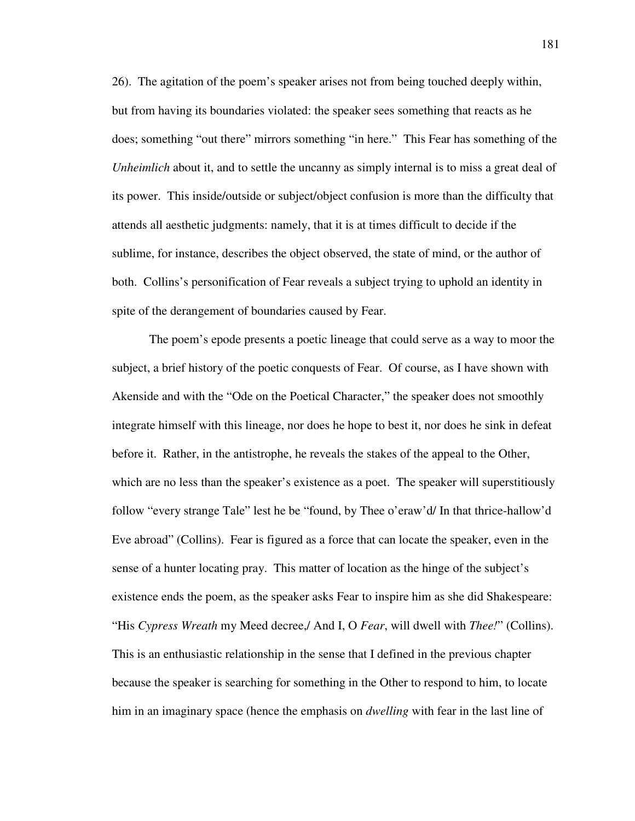26). The agitation of the poem's speaker arises not from being touched deeply within, but from having its boundaries violated: the speaker sees something that reacts as he does; something "out there" mirrors something "in here." This Fear has something of the *Unheimlich* about it, and to settle the uncanny as simply internal is to miss a great deal of its power. This inside/outside or subject/object confusion is more than the difficulty that attends all aesthetic judgments: namely, that it is at times difficult to decide if the sublime, for instance, describes the object observed, the state of mind, or the author of both. Collins's personification of Fear reveals a subject trying to uphold an identity in spite of the derangement of boundaries caused by Fear.

 The poem's epode presents a poetic lineage that could serve as a way to moor the subject, a brief history of the poetic conquests of Fear. Of course, as I have shown with Akenside and with the "Ode on the Poetical Character," the speaker does not smoothly integrate himself with this lineage, nor does he hope to best it, nor does he sink in defeat before it. Rather, in the antistrophe, he reveals the stakes of the appeal to the Other, which are no less than the speaker's existence as a poet. The speaker will superstitiously follow "every strange Tale" lest he be "found, by Thee o'eraw'd/ In that thrice-hallow'd Eve abroad" (Collins). Fear is figured as a force that can locate the speaker, even in the sense of a hunter locating pray. This matter of location as the hinge of the subject's existence ends the poem, as the speaker asks Fear to inspire him as she did Shakespeare: "His *Cypress Wreath* my Meed decree,/ And I, O *Fear*, will dwell with *Thee!*" (Collins). This is an enthusiastic relationship in the sense that I defined in the previous chapter because the speaker is searching for something in the Other to respond to him, to locate him in an imaginary space (hence the emphasis on *dwelling* with fear in the last line of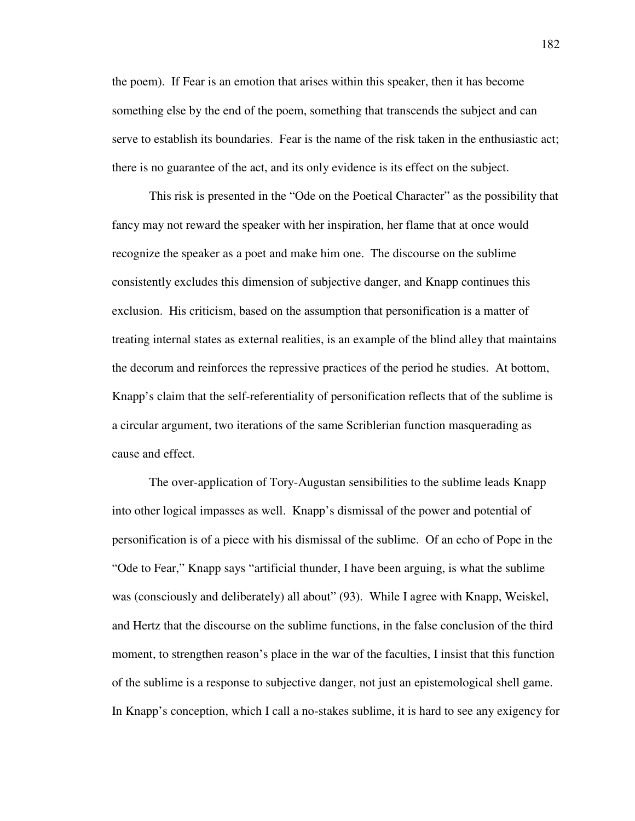the poem). If Fear is an emotion that arises within this speaker, then it has become something else by the end of the poem, something that transcends the subject and can serve to establish its boundaries. Fear is the name of the risk taken in the enthusiastic act; there is no guarantee of the act, and its only evidence is its effect on the subject.

This risk is presented in the "Ode on the Poetical Character" as the possibility that fancy may not reward the speaker with her inspiration, her flame that at once would recognize the speaker as a poet and make him one. The discourse on the sublime consistently excludes this dimension of subjective danger, and Knapp continues this exclusion. His criticism, based on the assumption that personification is a matter of treating internal states as external realities, is an example of the blind alley that maintains the decorum and reinforces the repressive practices of the period he studies. At bottom, Knapp's claim that the self-referentiality of personification reflects that of the sublime is a circular argument, two iterations of the same Scriblerian function masquerading as cause and effect.

The over-application of Tory-Augustan sensibilities to the sublime leads Knapp into other logical impasses as well. Knapp's dismissal of the power and potential of personification is of a piece with his dismissal of the sublime. Of an echo of Pope in the "Ode to Fear," Knapp says "artificial thunder, I have been arguing, is what the sublime was (consciously and deliberately) all about" (93). While I agree with Knapp, Weiskel, and Hertz that the discourse on the sublime functions, in the false conclusion of the third moment, to strengthen reason's place in the war of the faculties, I insist that this function of the sublime is a response to subjective danger, not just an epistemological shell game. In Knapp's conception, which I call a no-stakes sublime, it is hard to see any exigency for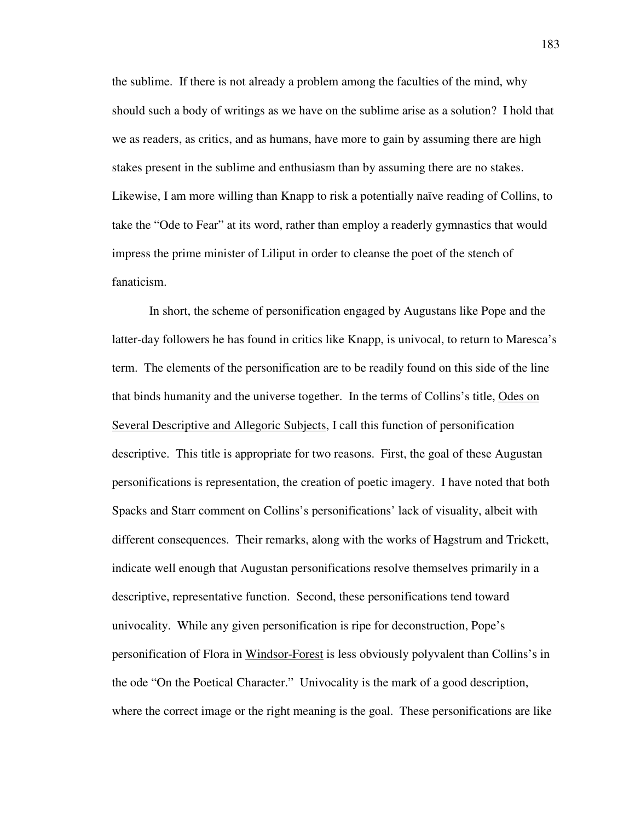the sublime. If there is not already a problem among the faculties of the mind, why should such a body of writings as we have on the sublime arise as a solution? I hold that we as readers, as critics, and as humans, have more to gain by assuming there are high stakes present in the sublime and enthusiasm than by assuming there are no stakes. Likewise, I am more willing than Knapp to risk a potentially naïve reading of Collins, to take the "Ode to Fear" at its word, rather than employ a readerly gymnastics that would impress the prime minister of Liliput in order to cleanse the poet of the stench of fanaticism.

 In short, the scheme of personification engaged by Augustans like Pope and the latter-day followers he has found in critics like Knapp, is univocal, to return to Maresca's term. The elements of the personification are to be readily found on this side of the line that binds humanity and the universe together. In the terms of Collins's title, Odes on Several Descriptive and Allegoric Subjects, I call this function of personification descriptive. This title is appropriate for two reasons. First, the goal of these Augustan personifications is representation, the creation of poetic imagery. I have noted that both Spacks and Starr comment on Collins's personifications' lack of visuality, albeit with different consequences. Their remarks, along with the works of Hagstrum and Trickett, indicate well enough that Augustan personifications resolve themselves primarily in a descriptive, representative function. Second, these personifications tend toward univocality. While any given personification is ripe for deconstruction, Pope's personification of Flora in Windsor-Forest is less obviously polyvalent than Collins's in the ode "On the Poetical Character." Univocality is the mark of a good description, where the correct image or the right meaning is the goal. These personifications are like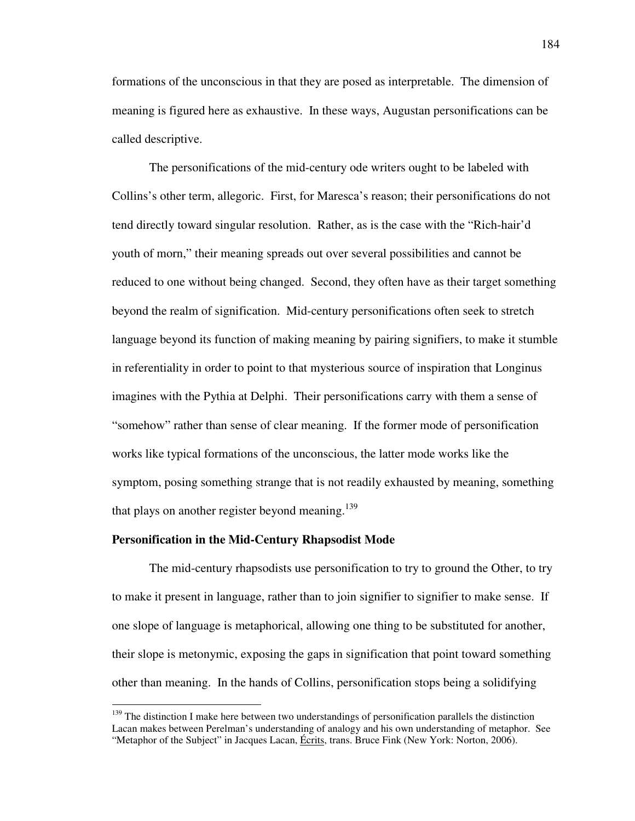formations of the unconscious in that they are posed as interpretable. The dimension of meaning is figured here as exhaustive. In these ways, Augustan personifications can be called descriptive.

 The personifications of the mid-century ode writers ought to be labeled with Collins's other term, allegoric. First, for Maresca's reason; their personifications do not tend directly toward singular resolution. Rather, as is the case with the "Rich-hair'd youth of morn," their meaning spreads out over several possibilities and cannot be reduced to one without being changed. Second, they often have as their target something beyond the realm of signification. Mid-century personifications often seek to stretch language beyond its function of making meaning by pairing signifiers, to make it stumble in referentiality in order to point to that mysterious source of inspiration that Longinus imagines with the Pythia at Delphi. Their personifications carry with them a sense of "somehow" rather than sense of clear meaning. If the former mode of personification works like typical formations of the unconscious, the latter mode works like the symptom, posing something strange that is not readily exhausted by meaning, something that plays on another register beyond meaning.<sup>139</sup>

## **Personification in the Mid-Century Rhapsodist Mode**

 $\overline{a}$ 

 The mid-century rhapsodists use personification to try to ground the Other, to try to make it present in language, rather than to join signifier to signifier to make sense. If one slope of language is metaphorical, allowing one thing to be substituted for another, their slope is metonymic, exposing the gaps in signification that point toward something other than meaning. In the hands of Collins, personification stops being a solidifying

 $139$  The distinction I make here between two understandings of personification parallels the distinction Lacan makes between Perelman's understanding of analogy and his own understanding of metaphor. See "Metaphor of the Subject" in Jacques Lacan, Écrits, trans. Bruce Fink (New York: Norton, 2006).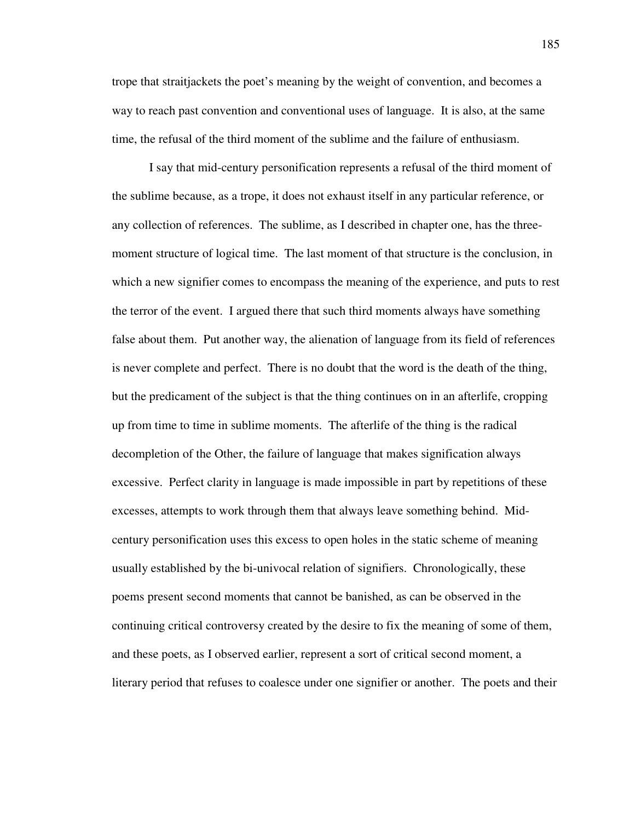trope that straitjackets the poet's meaning by the weight of convention, and becomes a way to reach past convention and conventional uses of language. It is also, at the same time, the refusal of the third moment of the sublime and the failure of enthusiasm.

 I say that mid-century personification represents a refusal of the third moment of the sublime because, as a trope, it does not exhaust itself in any particular reference, or any collection of references. The sublime, as I described in chapter one, has the threemoment structure of logical time. The last moment of that structure is the conclusion, in which a new signifier comes to encompass the meaning of the experience, and puts to rest the terror of the event. I argued there that such third moments always have something false about them. Put another way, the alienation of language from its field of references is never complete and perfect. There is no doubt that the word is the death of the thing, but the predicament of the subject is that the thing continues on in an afterlife, cropping up from time to time in sublime moments. The afterlife of the thing is the radical decompletion of the Other, the failure of language that makes signification always excessive. Perfect clarity in language is made impossible in part by repetitions of these excesses, attempts to work through them that always leave something behind. Midcentury personification uses this excess to open holes in the static scheme of meaning usually established by the bi-univocal relation of signifiers. Chronologically, these poems present second moments that cannot be banished, as can be observed in the continuing critical controversy created by the desire to fix the meaning of some of them, and these poets, as I observed earlier, represent a sort of critical second moment, a literary period that refuses to coalesce under one signifier or another. The poets and their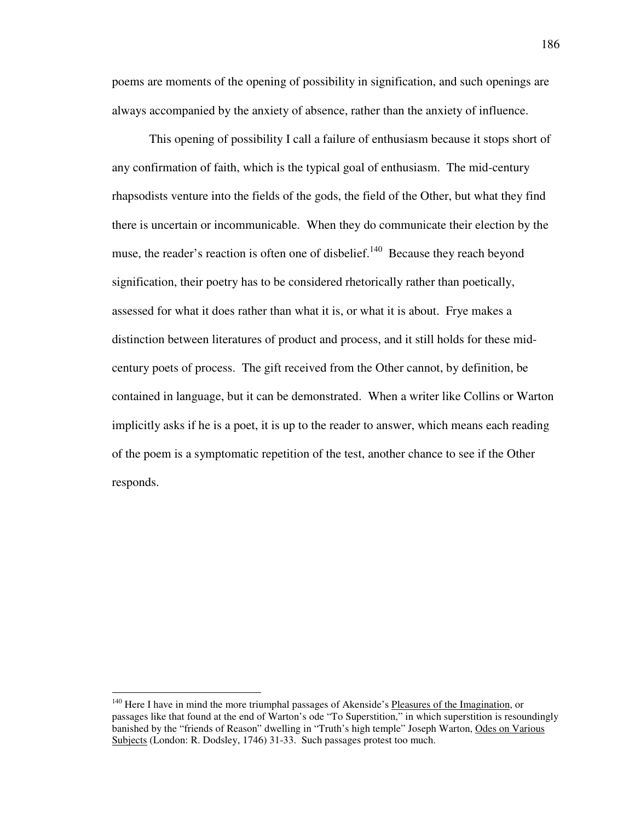poems are moments of the opening of possibility in signification, and such openings are always accompanied by the anxiety of absence, rather than the anxiety of influence.

 This opening of possibility I call a failure of enthusiasm because it stops short of any confirmation of faith, which is the typical goal of enthusiasm. The mid-century rhapsodists venture into the fields of the gods, the field of the Other, but what they find there is uncertain or incommunicable. When they do communicate their election by the muse, the reader's reaction is often one of disbelief.<sup>140</sup> Because they reach beyond signification, their poetry has to be considered rhetorically rather than poetically, assessed for what it does rather than what it is, or what it is about. Frye makes a distinction between literatures of product and process, and it still holds for these midcentury poets of process. The gift received from the Other cannot, by definition, be contained in language, but it can be demonstrated. When a writer like Collins or Warton implicitly asks if he is a poet, it is up to the reader to answer, which means each reading of the poem is a symptomatic repetition of the test, another chance to see if the Other responds.

<sup>&</sup>lt;sup>140</sup> Here I have in mind the more triumphal passages of Akenside's Pleasures of the Imagination, or passages like that found at the end of Warton's ode "To Superstition," in which superstition is resoundingly banished by the "friends of Reason" dwelling in "Truth's high temple" Joseph Warton, Odes on Various Subjects (London: R. Dodsley, 1746) 31-33. Such passages protest too much.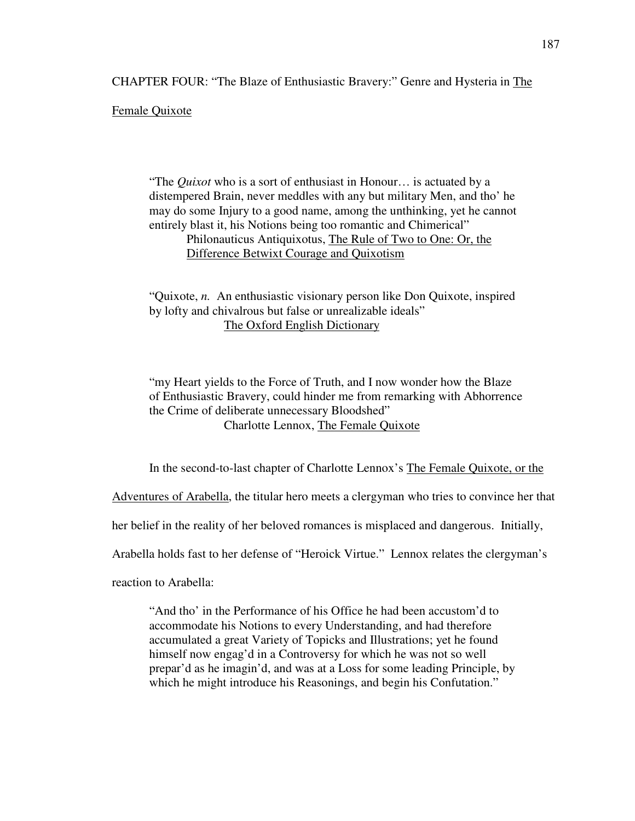CHAPTER FOUR: "The Blaze of Enthusiastic Bravery:" Genre and Hysteria in The

Female Quixote

 "The *Quixot* who is a sort of enthusiast in Honour… is actuated by a distempered Brain, never meddles with any but military Men, and tho' he may do some Injury to a good name, among the unthinking, yet he cannot entirely blast it, his Notions being too romantic and Chimerical" Philonauticus Antiquixotus, The Rule of Two to One: Or, the Difference Betwixt Courage and Quixotism

 "Quixote, *n.* An enthusiastic visionary person like Don Quixote, inspired by lofty and chivalrous but false or unrealizable ideals" The Oxford English Dictionary

 "my Heart yields to the Force of Truth, and I now wonder how the Blaze of Enthusiastic Bravery, could hinder me from remarking with Abhorrence the Crime of deliberate unnecessary Bloodshed" Charlotte Lennox, The Female Quixote

In the second-to-last chapter of Charlotte Lennox's The Female Quixote, or the

Adventures of Arabella, the titular hero meets a clergyman who tries to convince her that

her belief in the reality of her beloved romances is misplaced and dangerous. Initially,

Arabella holds fast to her defense of "Heroick Virtue." Lennox relates the clergyman's

reaction to Arabella:

"And tho' in the Performance of his Office he had been accustom'd to accommodate his Notions to every Understanding, and had therefore accumulated a great Variety of Topicks and Illustrations; yet he found himself now engag'd in a Controversy for which he was not so well prepar'd as he imagin'd, and was at a Loss for some leading Principle, by which he might introduce his Reasonings, and begin his Confutation."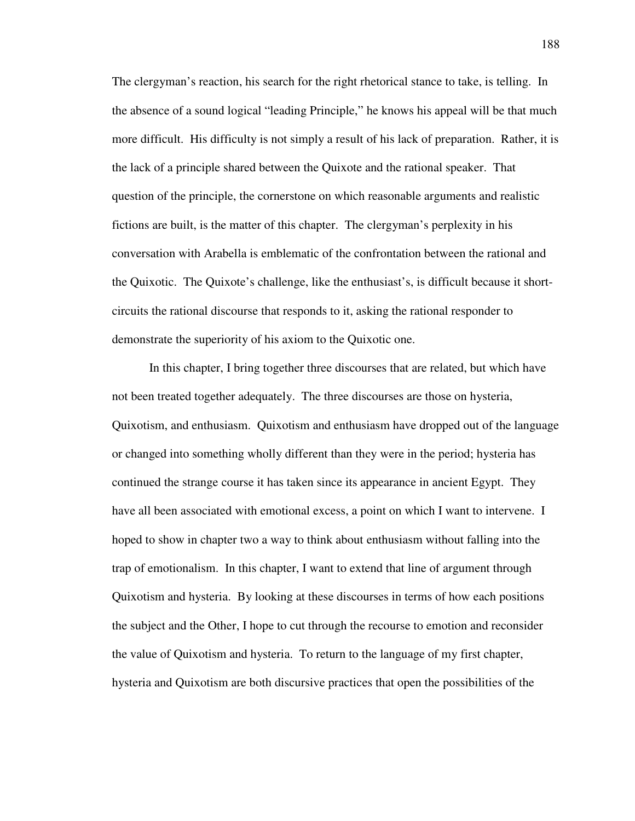The clergyman's reaction, his search for the right rhetorical stance to take, is telling. In the absence of a sound logical "leading Principle," he knows his appeal will be that much more difficult. His difficulty is not simply a result of his lack of preparation. Rather, it is the lack of a principle shared between the Quixote and the rational speaker. That question of the principle, the cornerstone on which reasonable arguments and realistic fictions are built, is the matter of this chapter. The clergyman's perplexity in his conversation with Arabella is emblematic of the confrontation between the rational and the Quixotic. The Quixote's challenge, like the enthusiast's, is difficult because it shortcircuits the rational discourse that responds to it, asking the rational responder to demonstrate the superiority of his axiom to the Quixotic one.

 In this chapter, I bring together three discourses that are related, but which have not been treated together adequately. The three discourses are those on hysteria, Quixotism, and enthusiasm. Quixotism and enthusiasm have dropped out of the language or changed into something wholly different than they were in the period; hysteria has continued the strange course it has taken since its appearance in ancient Egypt. They have all been associated with emotional excess, a point on which I want to intervene. I hoped to show in chapter two a way to think about enthusiasm without falling into the trap of emotionalism. In this chapter, I want to extend that line of argument through Quixotism and hysteria. By looking at these discourses in terms of how each positions the subject and the Other, I hope to cut through the recourse to emotion and reconsider the value of Quixotism and hysteria. To return to the language of my first chapter, hysteria and Quixotism are both discursive practices that open the possibilities of the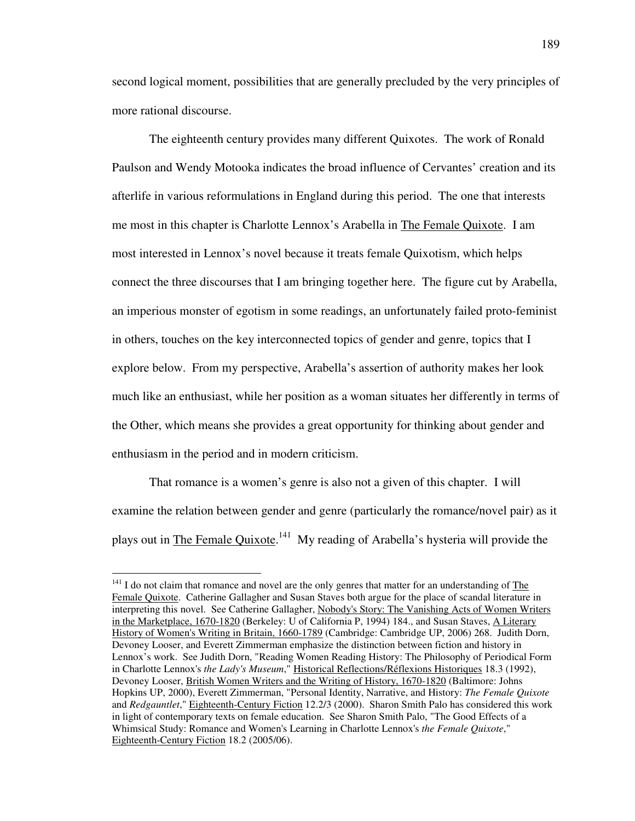second logical moment, possibilities that are generally precluded by the very principles of more rational discourse.

 The eighteenth century provides many different Quixotes. The work of Ronald Paulson and Wendy Motooka indicates the broad influence of Cervantes' creation and its afterlife in various reformulations in England during this period. The one that interests me most in this chapter is Charlotte Lennox's Arabella in The Female Quixote. I am most interested in Lennox's novel because it treats female Quixotism, which helps connect the three discourses that I am bringing together here. The figure cut by Arabella, an imperious monster of egotism in some readings, an unfortunately failed proto-feminist in others, touches on the key interconnected topics of gender and genre, topics that I explore below. From my perspective, Arabella's assertion of authority makes her look much like an enthusiast, while her position as a woman situates her differently in terms of the Other, which means she provides a great opportunity for thinking about gender and enthusiasm in the period and in modern criticism.

 That romance is a women's genre is also not a given of this chapter. I will examine the relation between gender and genre (particularly the romance/novel pair) as it plays out in **The Female Quixote**.<sup>141</sup> My reading of Arabella's hysteria will provide the

 $141$  I do not claim that romance and novel are the only genres that matter for an understanding of The Female Quixote. Catherine Gallagher and Susan Staves both argue for the place of scandal literature in interpreting this novel. See Catherine Gallagher, Nobody's Story: The Vanishing Acts of Women Writers in the Marketplace, 1670-1820 (Berkeley: U of California P, 1994) 184., and Susan Staves, A Literary History of Women's Writing in Britain, 1660-1789 (Cambridge: Cambridge UP, 2006) 268. Judith Dorn, Devoney Looser, and Everett Zimmerman emphasize the distinction between fiction and history in Lennox's work. See Judith Dorn, "Reading Women Reading History: The Philosophy of Periodical Form in Charlotte Lennox's *the Lady's Museum*," Historical Reflections/Réflexions Historiques 18.3 (1992), Devoney Looser, British Women Writers and the Writing of History, 1670-1820 (Baltimore: Johns Hopkins UP, 2000), Everett Zimmerman, "Personal Identity, Narrative, and History: *The Female Quixote* and *Redgauntlet*," Eighteenth-Century Fiction 12.2/3 (2000). Sharon Smith Palo has considered this work in light of contemporary texts on female education. See Sharon Smith Palo, "The Good Effects of a Whimsical Study: Romance and Women's Learning in Charlotte Lennox's *the Female Quixote*," Eighteenth-Century Fiction 18.2 (2005/06).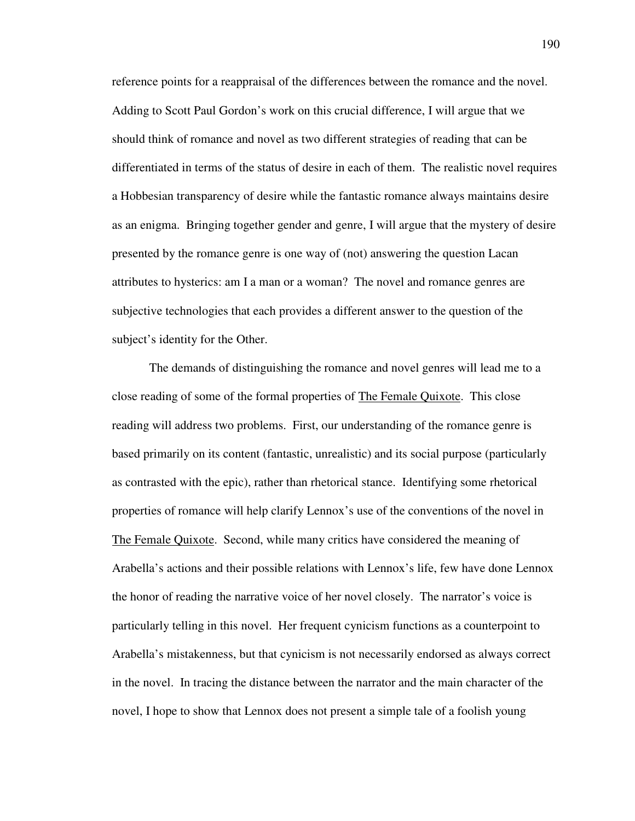reference points for a reappraisal of the differences between the romance and the novel. Adding to Scott Paul Gordon's work on this crucial difference, I will argue that we should think of romance and novel as two different strategies of reading that can be differentiated in terms of the status of desire in each of them. The realistic novel requires a Hobbesian transparency of desire while the fantastic romance always maintains desire as an enigma. Bringing together gender and genre, I will argue that the mystery of desire presented by the romance genre is one way of (not) answering the question Lacan attributes to hysterics: am I a man or a woman? The novel and romance genres are subjective technologies that each provides a different answer to the question of the subject's identity for the Other.

 The demands of distinguishing the romance and novel genres will lead me to a close reading of some of the formal properties of The Female Quixote. This close reading will address two problems. First, our understanding of the romance genre is based primarily on its content (fantastic, unrealistic) and its social purpose (particularly as contrasted with the epic), rather than rhetorical stance. Identifying some rhetorical properties of romance will help clarify Lennox's use of the conventions of the novel in The Female Quixote. Second, while many critics have considered the meaning of Arabella's actions and their possible relations with Lennox's life, few have done Lennox the honor of reading the narrative voice of her novel closely. The narrator's voice is particularly telling in this novel. Her frequent cynicism functions as a counterpoint to Arabella's mistakenness, but that cynicism is not necessarily endorsed as always correct in the novel. In tracing the distance between the narrator and the main character of the novel, I hope to show that Lennox does not present a simple tale of a foolish young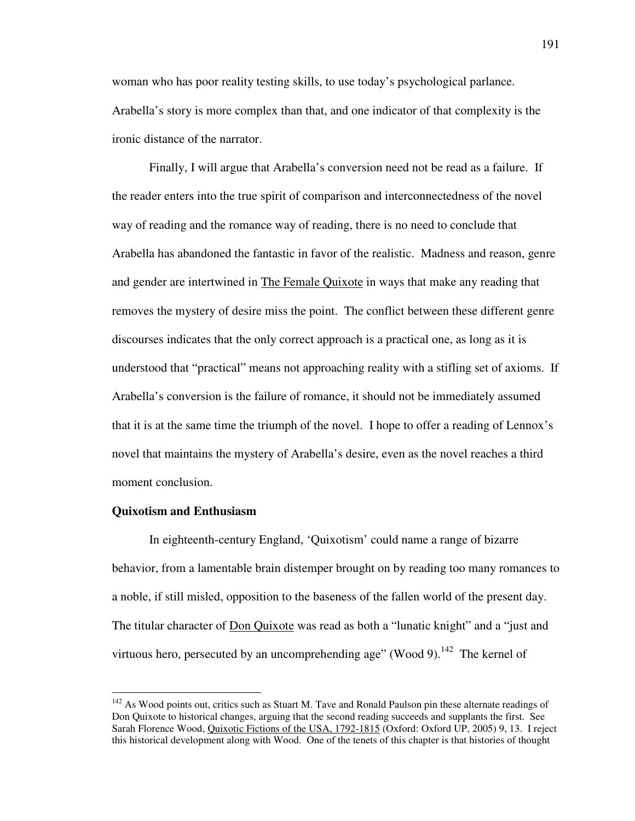woman who has poor reality testing skills, to use today's psychological parlance. Arabella's story is more complex than that, and one indicator of that complexity is the ironic distance of the narrator.

 Finally, I will argue that Arabella's conversion need not be read as a failure. If the reader enters into the true spirit of comparison and interconnectedness of the novel way of reading and the romance way of reading, there is no need to conclude that Arabella has abandoned the fantastic in favor of the realistic. Madness and reason, genre and gender are intertwined in The Female Quixote in ways that make any reading that removes the mystery of desire miss the point. The conflict between these different genre discourses indicates that the only correct approach is a practical one, as long as it is understood that "practical" means not approaching reality with a stifling set of axioms. If Arabella's conversion is the failure of romance, it should not be immediately assumed that it is at the same time the triumph of the novel. I hope to offer a reading of Lennox's novel that maintains the mystery of Arabella's desire, even as the novel reaches a third moment conclusion.

## **Quixotism and Enthusiasm**

 $\overline{a}$ 

 In eighteenth-century England, 'Quixotism' could name a range of bizarre behavior, from a lamentable brain distemper brought on by reading too many romances to a noble, if still misled, opposition to the baseness of the fallen world of the present day. The titular character of Don Quixote was read as both a "lunatic knight" and a "just and virtuous hero, persecuted by an uncomprehending age" (Wood 9).<sup>142</sup> The kernel of

 $142$  As Wood points out, critics such as Stuart M. Tave and Ronald Paulson pin these alternate readings of Don Quixote to historical changes, arguing that the second reading succeeds and supplants the first. See Sarah Florence Wood, Quixotic Fictions of the USA, 1792-1815 (Oxford: Oxford UP, 2005) 9, 13. I reject this historical development along with Wood. One of the tenets of this chapter is that histories of thought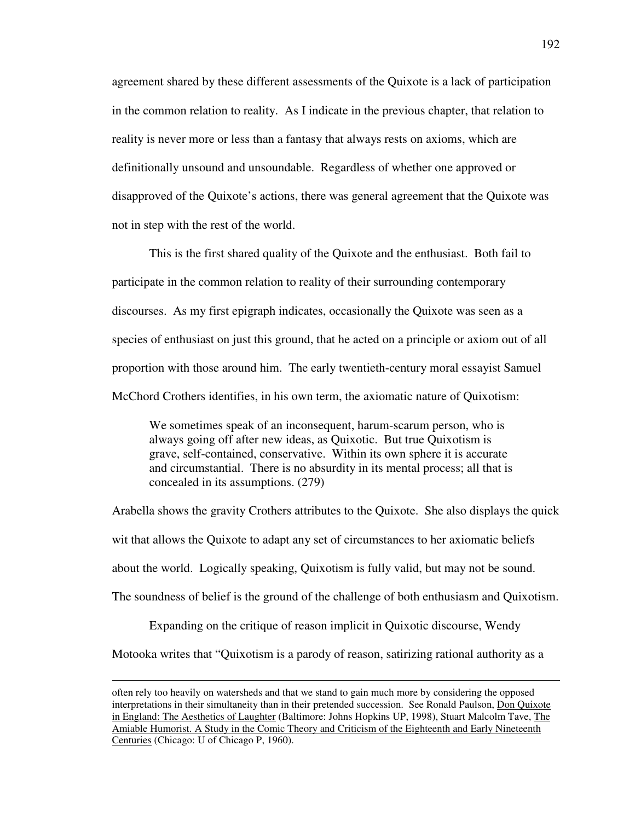agreement shared by these different assessments of the Quixote is a lack of participation in the common relation to reality. As I indicate in the previous chapter, that relation to reality is never more or less than a fantasy that always rests on axioms, which are definitionally unsound and unsoundable. Regardless of whether one approved or disapproved of the Quixote's actions, there was general agreement that the Quixote was not in step with the rest of the world.

 This is the first shared quality of the Quixote and the enthusiast. Both fail to participate in the common relation to reality of their surrounding contemporary discourses. As my first epigraph indicates, occasionally the Quixote was seen as a species of enthusiast on just this ground, that he acted on a principle or axiom out of all proportion with those around him. The early twentieth-century moral essayist Samuel McChord Crothers identifies, in his own term, the axiomatic nature of Quixotism:

We sometimes speak of an inconsequent, harum-scarum person, who is always going off after new ideas, as Quixotic. But true Quixotism is grave, self-contained, conservative. Within its own sphere it is accurate and circumstantial. There is no absurdity in its mental process; all that is concealed in its assumptions. (279)

Arabella shows the gravity Crothers attributes to the Quixote. She also displays the quick wit that allows the Quixote to adapt any set of circumstances to her axiomatic beliefs about the world. Logically speaking, Quixotism is fully valid, but may not be sound. The soundness of belief is the ground of the challenge of both enthusiasm and Quixotism.

 Expanding on the critique of reason implicit in Quixotic discourse, Wendy Motooka writes that "Quixotism is a parody of reason, satirizing rational authority as a

often rely too heavily on watersheds and that we stand to gain much more by considering the opposed interpretations in their simultaneity than in their pretended succession. See Ronald Paulson, Don Quixote in England: The Aesthetics of Laughter (Baltimore: Johns Hopkins UP, 1998), Stuart Malcolm Tave, The Amiable Humorist. A Study in the Comic Theory and Criticism of the Eighteenth and Early Nineteenth Centuries (Chicago: U of Chicago P, 1960).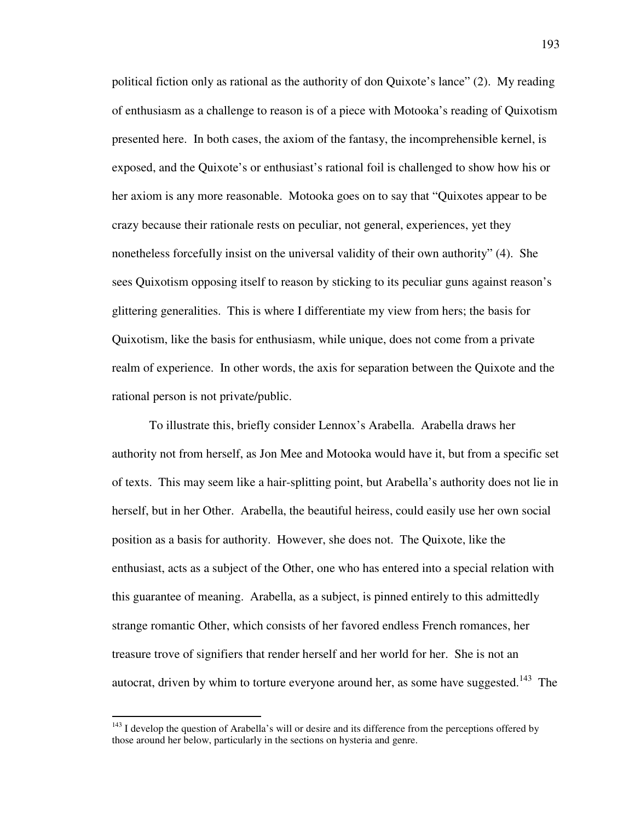political fiction only as rational as the authority of don Quixote's lance" (2). My reading of enthusiasm as a challenge to reason is of a piece with Motooka's reading of Quixotism presented here. In both cases, the axiom of the fantasy, the incomprehensible kernel, is exposed, and the Quixote's or enthusiast's rational foil is challenged to show how his or her axiom is any more reasonable. Motooka goes on to say that "Quixotes appear to be crazy because their rationale rests on peculiar, not general, experiences, yet they nonetheless forcefully insist on the universal validity of their own authority" (4). She sees Quixotism opposing itself to reason by sticking to its peculiar guns against reason's glittering generalities. This is where I differentiate my view from hers; the basis for Quixotism, like the basis for enthusiasm, while unique, does not come from a private realm of experience. In other words, the axis for separation between the Quixote and the rational person is not private/public.

 To illustrate this, briefly consider Lennox's Arabella. Arabella draws her authority not from herself, as Jon Mee and Motooka would have it, but from a specific set of texts. This may seem like a hair-splitting point, but Arabella's authority does not lie in herself, but in her Other. Arabella, the beautiful heiress, could easily use her own social position as a basis for authority. However, she does not. The Quixote, like the enthusiast, acts as a subject of the Other, one who has entered into a special relation with this guarantee of meaning. Arabella, as a subject, is pinned entirely to this admittedly strange romantic Other, which consists of her favored endless French romances, her treasure trove of signifiers that render herself and her world for her. She is not an autocrat, driven by whim to torture everyone around her, as some have suggested.<sup>143</sup> The

 $143$  I develop the question of Arabella's will or desire and its difference from the perceptions offered by those around her below, particularly in the sections on hysteria and genre.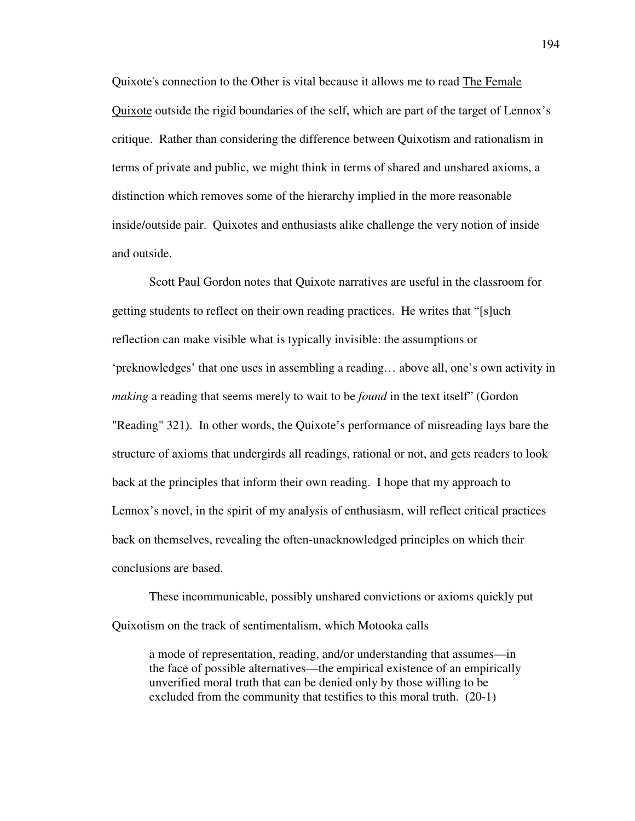Quixote's connection to the Other is vital because it allows me to read The Female Quixote outside the rigid boundaries of the self, which are part of the target of Lennox's critique. Rather than considering the difference between Quixotism and rationalism in terms of private and public, we might think in terms of shared and unshared axioms, a distinction which removes some of the hierarchy implied in the more reasonable inside/outside pair. Quixotes and enthusiasts alike challenge the very notion of inside and outside.

 Scott Paul Gordon notes that Quixote narratives are useful in the classroom for getting students to reflect on their own reading practices. He writes that "[s]uch reflection can make visible what is typically invisible: the assumptions or 'preknowledges' that one uses in assembling a reading… above all, one's own activity in *making* a reading that seems merely to wait to be *found* in the text itself" (Gordon "Reading" 321). In other words, the Quixote's performance of misreading lays bare the structure of axioms that undergirds all readings, rational or not, and gets readers to look back at the principles that inform their own reading. I hope that my approach to Lennox's novel, in the spirit of my analysis of enthusiasm, will reflect critical practices back on themselves, revealing the often-unacknowledged principles on which their conclusions are based.

 These incommunicable, possibly unshared convictions or axioms quickly put Quixotism on the track of sentimentalism, which Motooka calls

 a mode of representation, reading, and/or understanding that assumes—in the face of possible alternatives—the empirical existence of an empirically unverified moral truth that can be denied only by those willing to be excluded from the community that testifies to this moral truth. (20-1)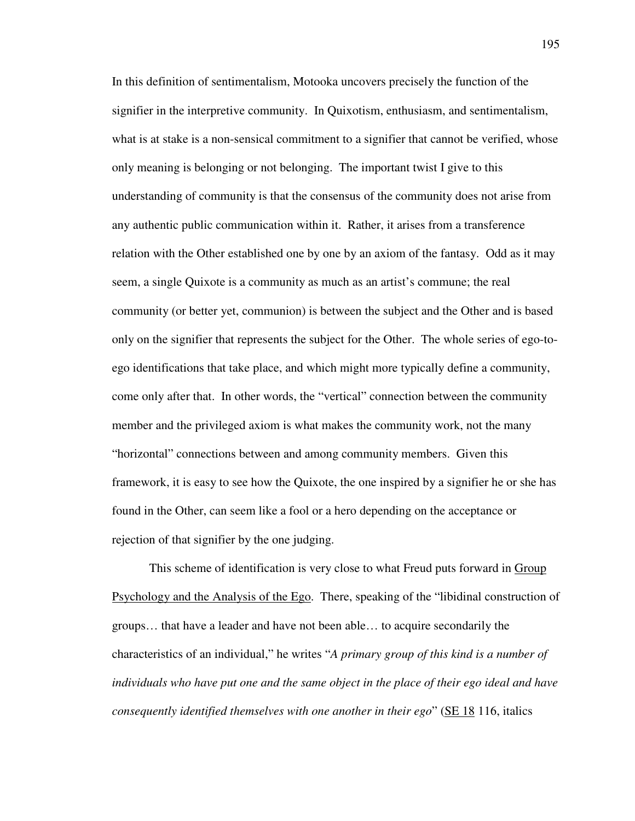In this definition of sentimentalism, Motooka uncovers precisely the function of the signifier in the interpretive community. In Quixotism, enthusiasm, and sentimentalism, what is at stake is a non-sensical commitment to a signifier that cannot be verified, whose only meaning is belonging or not belonging. The important twist I give to this understanding of community is that the consensus of the community does not arise from any authentic public communication within it. Rather, it arises from a transference relation with the Other established one by one by an axiom of the fantasy. Odd as it may seem, a single Quixote is a community as much as an artist's commune; the real community (or better yet, communion) is between the subject and the Other and is based only on the signifier that represents the subject for the Other. The whole series of ego-toego identifications that take place, and which might more typically define a community, come only after that. In other words, the "vertical" connection between the community member and the privileged axiom is what makes the community work, not the many "horizontal" connections between and among community members. Given this framework, it is easy to see how the Quixote, the one inspired by a signifier he or she has found in the Other, can seem like a fool or a hero depending on the acceptance or rejection of that signifier by the one judging.

This scheme of identification is very close to what Freud puts forward in Group Psychology and the Analysis of the Ego. There, speaking of the "libidinal construction of groups… that have a leader and have not been able… to acquire secondarily the characteristics of an individual," he writes "*A primary group of this kind is a number of individuals who have put one and the same object in the place of their ego ideal and have consequently identified themselves with one another in their ego*" (SE 18 116, italics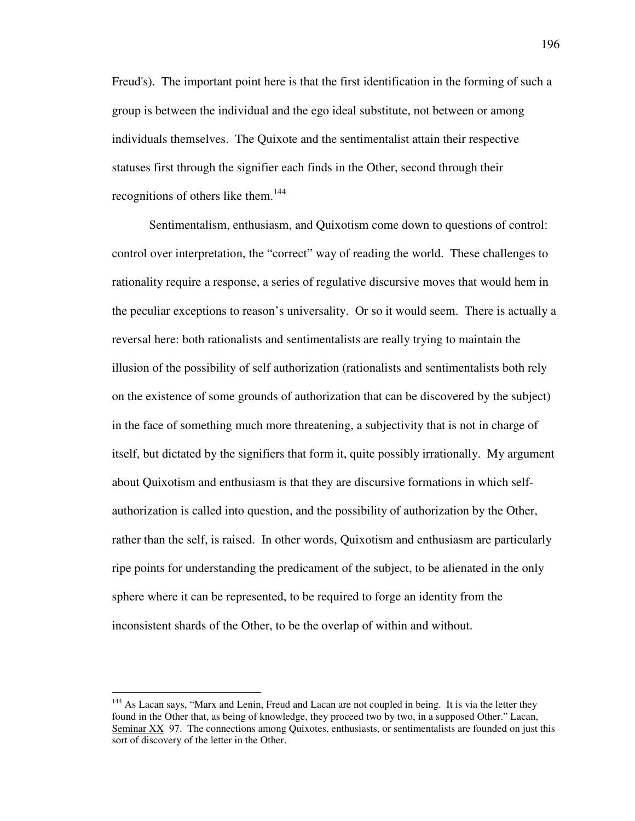Freud's). The important point here is that the first identification in the forming of such a group is between the individual and the ego ideal substitute, not between or among individuals themselves. The Quixote and the sentimentalist attain their respective statuses first through the signifier each finds in the Other, second through their recognitions of others like them.<sup>144</sup>

 Sentimentalism, enthusiasm, and Quixotism come down to questions of control: control over interpretation, the "correct" way of reading the world. These challenges to rationality require a response, a series of regulative discursive moves that would hem in the peculiar exceptions to reason's universality. Or so it would seem. There is actually a reversal here: both rationalists and sentimentalists are really trying to maintain the illusion of the possibility of self authorization (rationalists and sentimentalists both rely on the existence of some grounds of authorization that can be discovered by the subject) in the face of something much more threatening, a subjectivity that is not in charge of itself, but dictated by the signifiers that form it, quite possibly irrationally. My argument about Quixotism and enthusiasm is that they are discursive formations in which selfauthorization is called into question, and the possibility of authorization by the Other, rather than the self, is raised. In other words, Quixotism and enthusiasm are particularly ripe points for understanding the predicament of the subject, to be alienated in the only sphere where it can be represented, to be required to forge an identity from the inconsistent shards of the Other, to be the overlap of within and without.

<sup>&</sup>lt;sup>144</sup> As Lacan says, "Marx and Lenin, Freud and Lacan are not coupled in being. It is via the letter they found in the Other that, as being of knowledge, they proceed two by two, in a supposed Other." Lacan, Seminar XX 97. The connections among Quixotes, enthusiasts, or sentimentalists are founded on just this sort of discovery of the letter in the Other.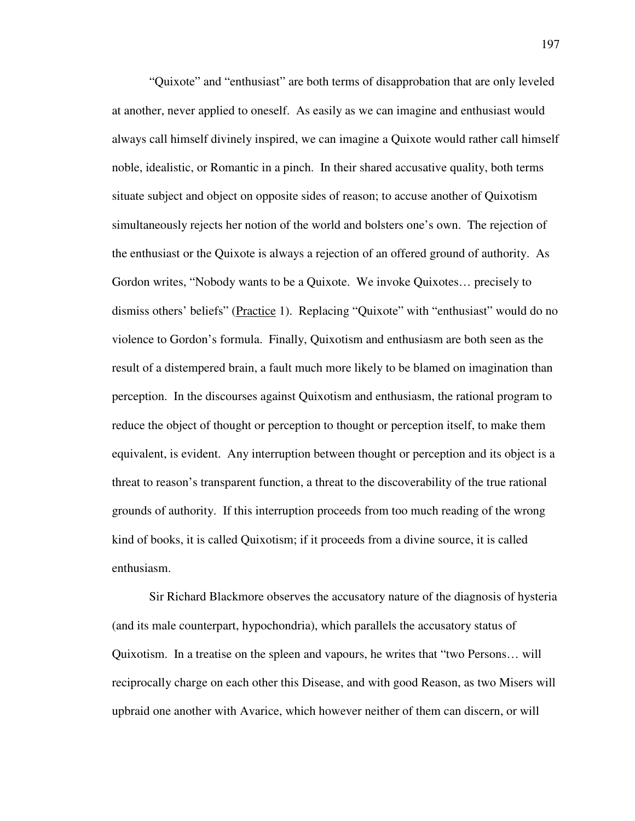"Quixote" and "enthusiast" are both terms of disapprobation that are only leveled at another, never applied to oneself. As easily as we can imagine and enthusiast would always call himself divinely inspired, we can imagine a Quixote would rather call himself noble, idealistic, or Romantic in a pinch. In their shared accusative quality, both terms situate subject and object on opposite sides of reason; to accuse another of Quixotism simultaneously rejects her notion of the world and bolsters one's own. The rejection of the enthusiast or the Quixote is always a rejection of an offered ground of authority. As Gordon writes, "Nobody wants to be a Quixote. We invoke Quixotes… precisely to dismiss others' beliefs" (Practice 1). Replacing "Quixote" with "enthusiast" would do no violence to Gordon's formula. Finally, Quixotism and enthusiasm are both seen as the result of a distempered brain, a fault much more likely to be blamed on imagination than perception. In the discourses against Quixotism and enthusiasm, the rational program to reduce the object of thought or perception to thought or perception itself, to make them equivalent, is evident. Any interruption between thought or perception and its object is a threat to reason's transparent function, a threat to the discoverability of the true rational grounds of authority. If this interruption proceeds from too much reading of the wrong kind of books, it is called Quixotism; if it proceeds from a divine source, it is called enthusiasm.

 Sir Richard Blackmore observes the accusatory nature of the diagnosis of hysteria (and its male counterpart, hypochondria), which parallels the accusatory status of Quixotism. In a treatise on the spleen and vapours, he writes that "two Persons… will reciprocally charge on each other this Disease, and with good Reason, as two Misers will upbraid one another with Avarice, which however neither of them can discern, or will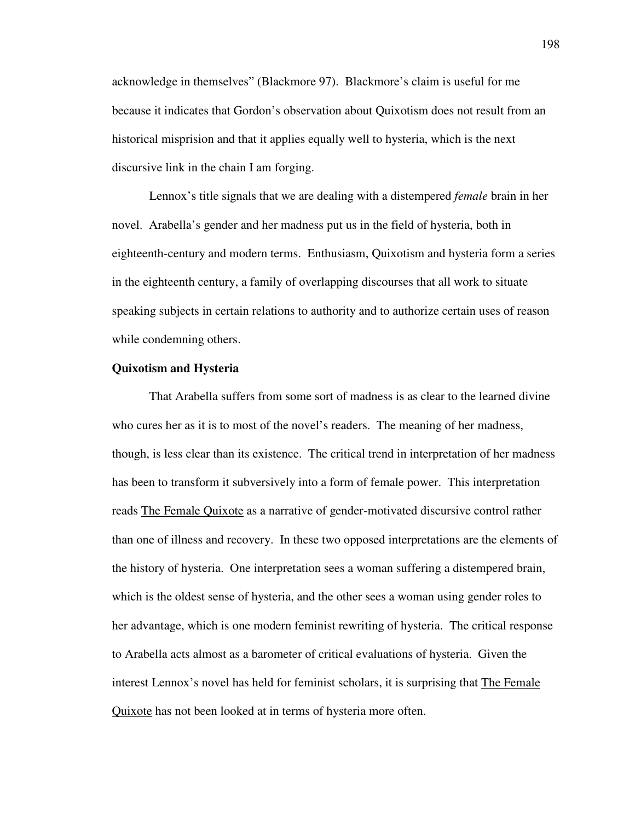acknowledge in themselves" (Blackmore 97). Blackmore's claim is useful for me because it indicates that Gordon's observation about Quixotism does not result from an historical misprision and that it applies equally well to hysteria, which is the next discursive link in the chain I am forging.

 Lennox's title signals that we are dealing with a distempered *female* brain in her novel. Arabella's gender and her madness put us in the field of hysteria, both in eighteenth-century and modern terms. Enthusiasm, Quixotism and hysteria form a series in the eighteenth century, a family of overlapping discourses that all work to situate speaking subjects in certain relations to authority and to authorize certain uses of reason while condemning others.

## **Quixotism and Hysteria**

 That Arabella suffers from some sort of madness is as clear to the learned divine who cures her as it is to most of the novel's readers. The meaning of her madness, though, is less clear than its existence. The critical trend in interpretation of her madness has been to transform it subversively into a form of female power. This interpretation reads The Female Quixote as a narrative of gender-motivated discursive control rather than one of illness and recovery. In these two opposed interpretations are the elements of the history of hysteria. One interpretation sees a woman suffering a distempered brain, which is the oldest sense of hysteria, and the other sees a woman using gender roles to her advantage, which is one modern feminist rewriting of hysteria. The critical response to Arabella acts almost as a barometer of critical evaluations of hysteria. Given the interest Lennox's novel has held for feminist scholars, it is surprising that The Female Quixote has not been looked at in terms of hysteria more often.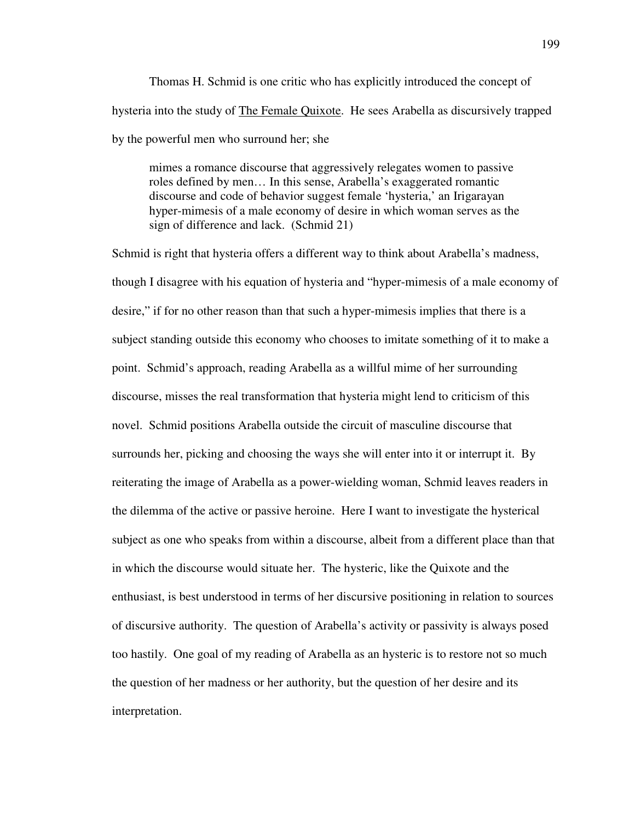Thomas H. Schmid is one critic who has explicitly introduced the concept of hysteria into the study of The Female Quixote. He sees Arabella as discursively trapped by the powerful men who surround her; she

 mimes a romance discourse that aggressively relegates women to passive roles defined by men… In this sense, Arabella's exaggerated romantic discourse and code of behavior suggest female 'hysteria,' an Irigarayan hyper-mimesis of a male economy of desire in which woman serves as the sign of difference and lack. (Schmid 21)

Schmid is right that hysteria offers a different way to think about Arabella's madness, though I disagree with his equation of hysteria and "hyper-mimesis of a male economy of desire," if for no other reason than that such a hyper-mimesis implies that there is a subject standing outside this economy who chooses to imitate something of it to make a point. Schmid's approach, reading Arabella as a willful mime of her surrounding discourse, misses the real transformation that hysteria might lend to criticism of this novel. Schmid positions Arabella outside the circuit of masculine discourse that surrounds her, picking and choosing the ways she will enter into it or interrupt it. By reiterating the image of Arabella as a power-wielding woman, Schmid leaves readers in the dilemma of the active or passive heroine. Here I want to investigate the hysterical subject as one who speaks from within a discourse, albeit from a different place than that in which the discourse would situate her. The hysteric, like the Quixote and the enthusiast, is best understood in terms of her discursive positioning in relation to sources of discursive authority. The question of Arabella's activity or passivity is always posed too hastily. One goal of my reading of Arabella as an hysteric is to restore not so much the question of her madness or her authority, but the question of her desire and its interpretation.

199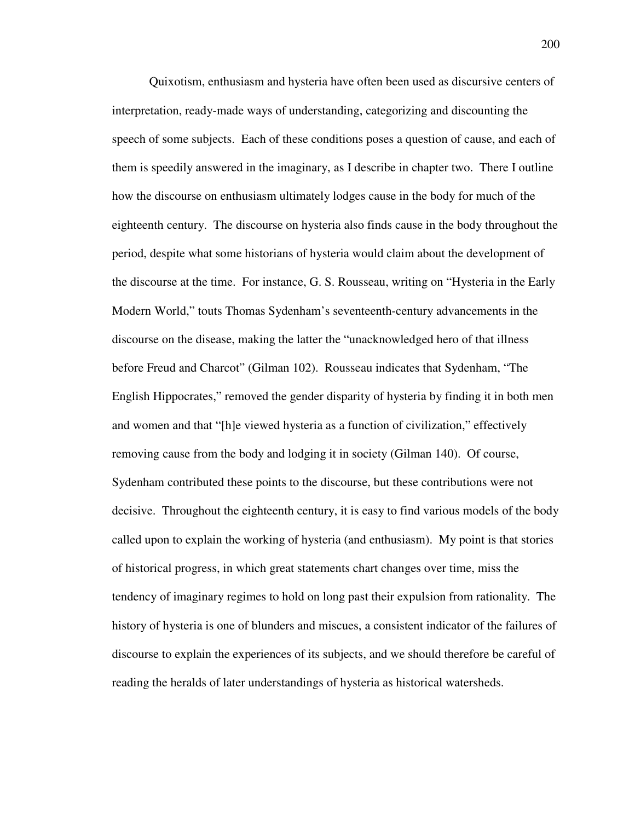Quixotism, enthusiasm and hysteria have often been used as discursive centers of interpretation, ready-made ways of understanding, categorizing and discounting the speech of some subjects. Each of these conditions poses a question of cause, and each of them is speedily answered in the imaginary, as I describe in chapter two. There I outline how the discourse on enthusiasm ultimately lodges cause in the body for much of the eighteenth century. The discourse on hysteria also finds cause in the body throughout the period, despite what some historians of hysteria would claim about the development of the discourse at the time. For instance, G. S. Rousseau, writing on "Hysteria in the Early Modern World," touts Thomas Sydenham's seventeenth-century advancements in the discourse on the disease, making the latter the "unacknowledged hero of that illness before Freud and Charcot" (Gilman 102). Rousseau indicates that Sydenham, "The English Hippocrates," removed the gender disparity of hysteria by finding it in both men and women and that "[h]e viewed hysteria as a function of civilization," effectively removing cause from the body and lodging it in society (Gilman 140). Of course, Sydenham contributed these points to the discourse, but these contributions were not decisive. Throughout the eighteenth century, it is easy to find various models of the body called upon to explain the working of hysteria (and enthusiasm). My point is that stories of historical progress, in which great statements chart changes over time, miss the tendency of imaginary regimes to hold on long past their expulsion from rationality. The history of hysteria is one of blunders and miscues, a consistent indicator of the failures of discourse to explain the experiences of its subjects, and we should therefore be careful of reading the heralds of later understandings of hysteria as historical watersheds.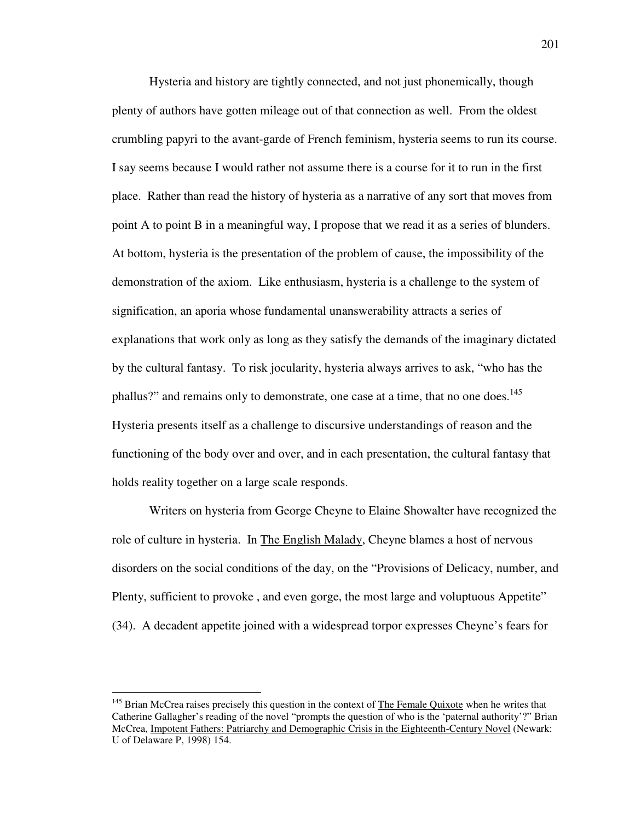Hysteria and history are tightly connected, and not just phonemically, though plenty of authors have gotten mileage out of that connection as well. From the oldest crumbling papyri to the avant-garde of French feminism, hysteria seems to run its course. I say seems because I would rather not assume there is a course for it to run in the first place. Rather than read the history of hysteria as a narrative of any sort that moves from point A to point B in a meaningful way, I propose that we read it as a series of blunders. At bottom, hysteria is the presentation of the problem of cause, the impossibility of the demonstration of the axiom. Like enthusiasm, hysteria is a challenge to the system of signification, an aporia whose fundamental unanswerability attracts a series of explanations that work only as long as they satisfy the demands of the imaginary dictated by the cultural fantasy. To risk jocularity, hysteria always arrives to ask, "who has the phallus?" and remains only to demonstrate, one case at a time, that no one does.<sup>145</sup> Hysteria presents itself as a challenge to discursive understandings of reason and the functioning of the body over and over, and in each presentation, the cultural fantasy that holds reality together on a large scale responds.

 Writers on hysteria from George Cheyne to Elaine Showalter have recognized the role of culture in hysteria. In The English Malady, Cheyne blames a host of nervous disorders on the social conditions of the day, on the "Provisions of Delicacy, number, and Plenty, sufficient to provoke, and even gorge, the most large and voluptuous Appetite" (34). A decadent appetite joined with a widespread torpor expresses Cheyne's fears for

 $145$  Brian McCrea raises precisely this question in the context of The Female Quixote when he writes that Catherine Gallagher's reading of the novel "prompts the question of who is the 'paternal authority'?" Brian McCrea, Impotent Fathers: Patriarchy and Demographic Crisis in the Eighteenth-Century Novel (Newark: U of Delaware P, 1998) 154.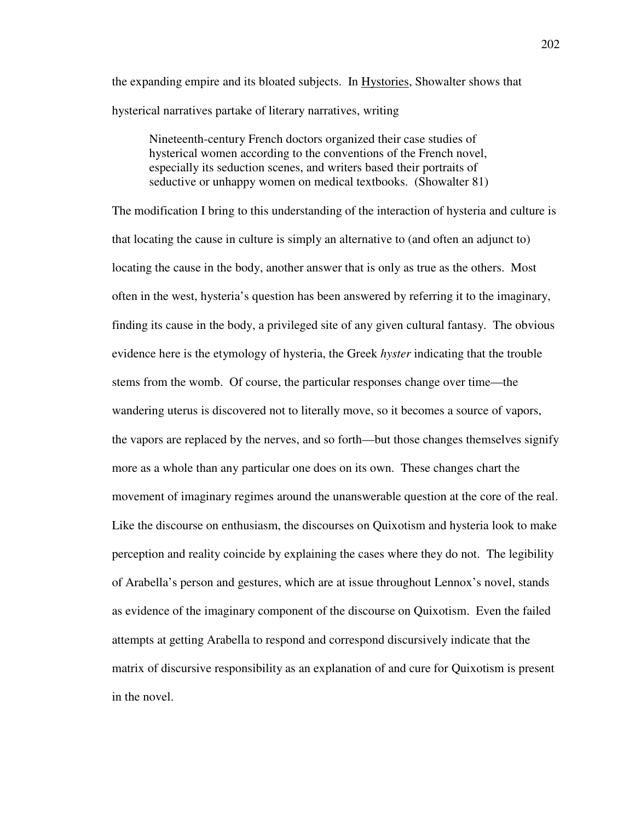the expanding empire and its bloated subjects. In Hystories, Showalter shows that hysterical narratives partake of literary narratives, writing

Nineteenth-century French doctors organized their case studies of hysterical women according to the conventions of the French novel, especially its seduction scenes, and writers based their portraits of seductive or unhappy women on medical textbooks. (Showalter 81)

The modification I bring to this understanding of the interaction of hysteria and culture is that locating the cause in culture is simply an alternative to (and often an adjunct to) locating the cause in the body, another answer that is only as true as the others. Most often in the west, hysteria's question has been answered by referring it to the imaginary, finding its cause in the body, a privileged site of any given cultural fantasy. The obvious evidence here is the etymology of hysteria, the Greek *hyster* indicating that the trouble stems from the womb. Of course, the particular responses change over time—the wandering uterus is discovered not to literally move, so it becomes a source of vapors, the vapors are replaced by the nerves, and so forth—but those changes themselves signify more as a whole than any particular one does on its own. These changes chart the movement of imaginary regimes around the unanswerable question at the core of the real. Like the discourse on enthusiasm, the discourses on Quixotism and hysteria look to make perception and reality coincide by explaining the cases where they do not. The legibility of Arabella's person and gestures, which are at issue throughout Lennox's novel, stands as evidence of the imaginary component of the discourse on Quixotism. Even the failed attempts at getting Arabella to respond and correspond discursively indicate that the matrix of discursive responsibility as an explanation of and cure for Quixotism is present in the novel.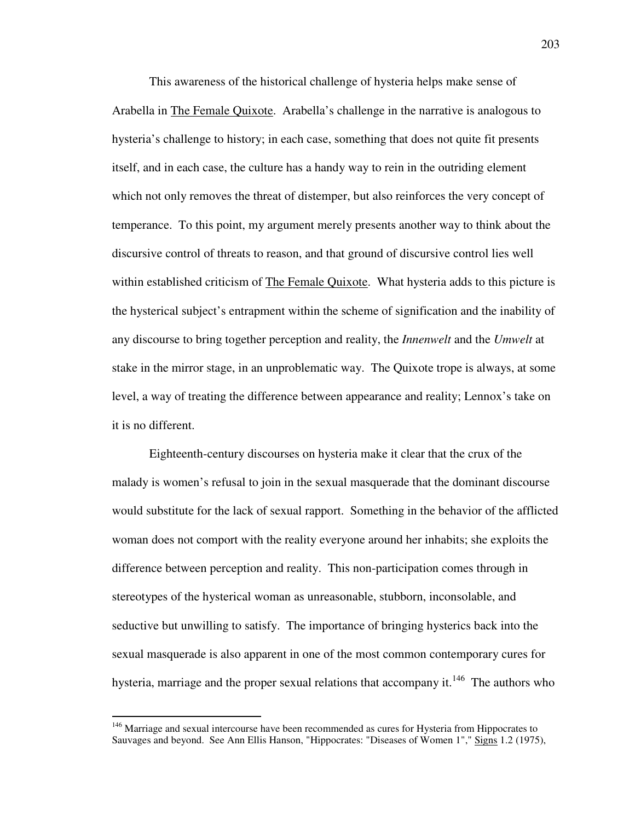This awareness of the historical challenge of hysteria helps make sense of Arabella in The Female Quixote. Arabella's challenge in the narrative is analogous to hysteria's challenge to history; in each case, something that does not quite fit presents itself, and in each case, the culture has a handy way to rein in the outriding element which not only removes the threat of distemper, but also reinforces the very concept of temperance. To this point, my argument merely presents another way to think about the discursive control of threats to reason, and that ground of discursive control lies well within established criticism of The Female Quixote. What hysteria adds to this picture is the hysterical subject's entrapment within the scheme of signification and the inability of any discourse to bring together perception and reality, the *Innenwelt* and the *Umwelt* at stake in the mirror stage, in an unproblematic way. The Quixote trope is always, at some level, a way of treating the difference between appearance and reality; Lennox's take on it is no different.

 Eighteenth-century discourses on hysteria make it clear that the crux of the malady is women's refusal to join in the sexual masquerade that the dominant discourse would substitute for the lack of sexual rapport. Something in the behavior of the afflicted woman does not comport with the reality everyone around her inhabits; she exploits the difference between perception and reality. This non-participation comes through in stereotypes of the hysterical woman as unreasonable, stubborn, inconsolable, and seductive but unwilling to satisfy. The importance of bringing hysterics back into the sexual masquerade is also apparent in one of the most common contemporary cures for hysteria, marriage and the proper sexual relations that accompany it.<sup>146</sup> The authors who

<sup>&</sup>lt;sup>146</sup> Marriage and sexual intercourse have been recommended as cures for Hysteria from Hippocrates to Sauvages and beyond. See Ann Ellis Hanson, "Hippocrates: "Diseases of Women 1"," Signs 1.2 (1975),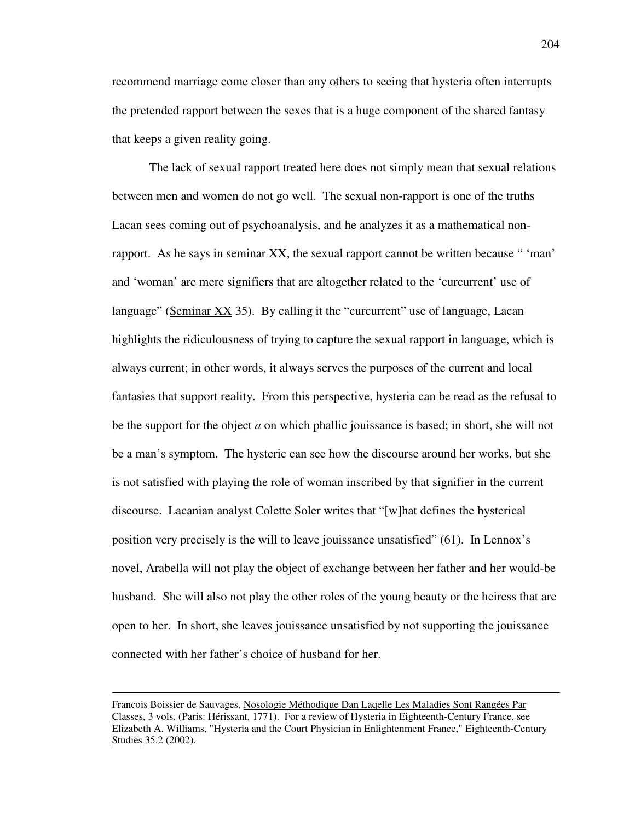recommend marriage come closer than any others to seeing that hysteria often interrupts the pretended rapport between the sexes that is a huge component of the shared fantasy that keeps a given reality going.

 The lack of sexual rapport treated here does not simply mean that sexual relations between men and women do not go well. The sexual non-rapport is one of the truths Lacan sees coming out of psychoanalysis, and he analyzes it as a mathematical nonrapport. As he says in seminar XX, the sexual rapport cannot be written because " 'man' and 'woman' are mere signifiers that are altogether related to the 'curcurrent' use of language" (Seminar XX 35). By calling it the "curcurrent" use of language, Lacan highlights the ridiculousness of trying to capture the sexual rapport in language, which is always current; in other words, it always serves the purposes of the current and local fantasies that support reality. From this perspective, hysteria can be read as the refusal to be the support for the object *a* on which phallic jouissance is based; in short, she will not be a man's symptom. The hysteric can see how the discourse around her works, but she is not satisfied with playing the role of woman inscribed by that signifier in the current discourse. Lacanian analyst Colette Soler writes that "[w]hat defines the hysterical position very precisely is the will to leave jouissance unsatisfied" (61). In Lennox's novel, Arabella will not play the object of exchange between her father and her would-be husband. She will also not play the other roles of the young beauty or the heiress that are open to her. In short, she leaves jouissance unsatisfied by not supporting the jouissance connected with her father's choice of husband for her.

Francois Boissier de Sauvages, Nosologie Méthodique Dan Laqelle Les Maladies Sont Rangées Par Classes, 3 vols. (Paris: Hérissant, 1771). For a review of Hysteria in Eighteenth-Century France, see Elizabeth A. Williams, "Hysteria and the Court Physician in Enlightenment France," Eighteenth-Century Studies 35.2 (2002).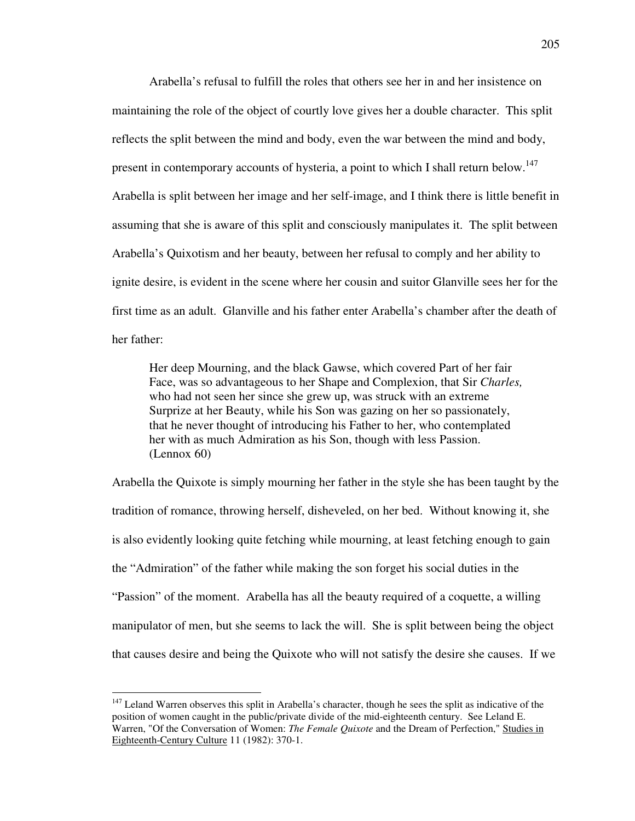Arabella's refusal to fulfill the roles that others see her in and her insistence on maintaining the role of the object of courtly love gives her a double character. This split reflects the split between the mind and body, even the war between the mind and body, present in contemporary accounts of hysteria, a point to which I shall return below.<sup>147</sup> Arabella is split between her image and her self-image, and I think there is little benefit in assuming that she is aware of this split and consciously manipulates it. The split between Arabella's Quixotism and her beauty, between her refusal to comply and her ability to ignite desire, is evident in the scene where her cousin and suitor Glanville sees her for the first time as an adult. Glanville and his father enter Arabella's chamber after the death of her father:

 Her deep Mourning, and the black Gawse, which covered Part of her fair Face, was so advantageous to her Shape and Complexion, that Sir *Charles,* who had not seen her since she grew up, was struck with an extreme Surprize at her Beauty, while his Son was gazing on her so passionately, that he never thought of introducing his Father to her, who contemplated her with as much Admiration as his Son, though with less Passion. (Lennox 60)

Arabella the Quixote is simply mourning her father in the style she has been taught by the tradition of romance, throwing herself, disheveled, on her bed. Without knowing it, she is also evidently looking quite fetching while mourning, at least fetching enough to gain the "Admiration" of the father while making the son forget his social duties in the "Passion" of the moment. Arabella has all the beauty required of a coquette, a willing manipulator of men, but she seems to lack the will. She is split between being the object that causes desire and being the Quixote who will not satisfy the desire she causes. If we

 $147$  Leland Warren observes this split in Arabella's character, though he sees the split as indicative of the position of women caught in the public/private divide of the mid-eighteenth century. See Leland E. Warren, "Of the Conversation of Women: *The Female Quixote* and the Dream of Perfection," Studies in Eighteenth-Century Culture 11 (1982): 370-1.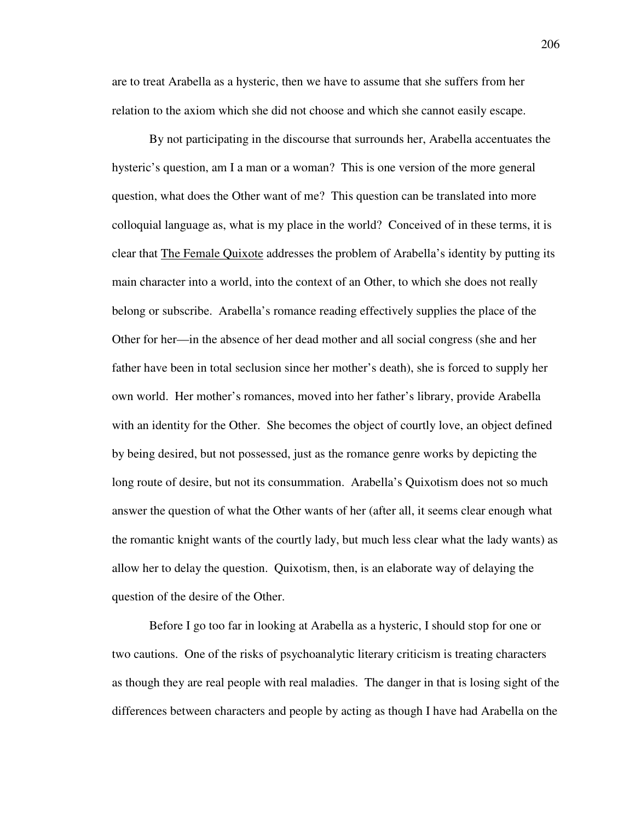are to treat Arabella as a hysteric, then we have to assume that she suffers from her relation to the axiom which she did not choose and which she cannot easily escape.

 By not participating in the discourse that surrounds her, Arabella accentuates the hysteric's question, am I a man or a woman? This is one version of the more general question, what does the Other want of me? This question can be translated into more colloquial language as, what is my place in the world? Conceived of in these terms, it is clear that The Female Quixote addresses the problem of Arabella's identity by putting its main character into a world, into the context of an Other, to which she does not really belong or subscribe. Arabella's romance reading effectively supplies the place of the Other for her—in the absence of her dead mother and all social congress (she and her father have been in total seclusion since her mother's death), she is forced to supply her own world. Her mother's romances, moved into her father's library, provide Arabella with an identity for the Other. She becomes the object of courtly love, an object defined by being desired, but not possessed, just as the romance genre works by depicting the long route of desire, but not its consummation. Arabella's Quixotism does not so much answer the question of what the Other wants of her (after all, it seems clear enough what the romantic knight wants of the courtly lady, but much less clear what the lady wants) as allow her to delay the question. Quixotism, then, is an elaborate way of delaying the question of the desire of the Other.

 Before I go too far in looking at Arabella as a hysteric, I should stop for one or two cautions. One of the risks of psychoanalytic literary criticism is treating characters as though they are real people with real maladies. The danger in that is losing sight of the differences between characters and people by acting as though I have had Arabella on the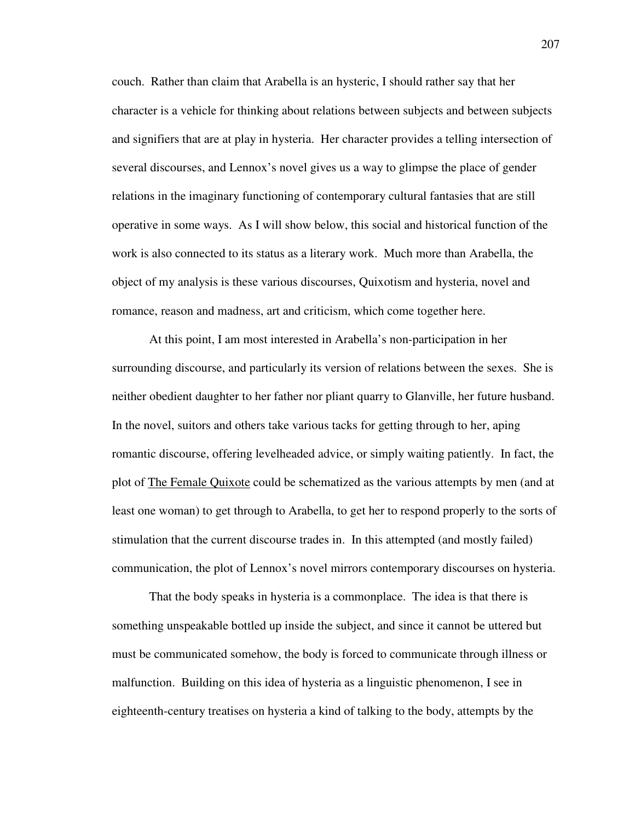couch. Rather than claim that Arabella is an hysteric, I should rather say that her character is a vehicle for thinking about relations between subjects and between subjects and signifiers that are at play in hysteria. Her character provides a telling intersection of several discourses, and Lennox's novel gives us a way to glimpse the place of gender relations in the imaginary functioning of contemporary cultural fantasies that are still operative in some ways. As I will show below, this social and historical function of the work is also connected to its status as a literary work. Much more than Arabella, the object of my analysis is these various discourses, Quixotism and hysteria, novel and romance, reason and madness, art and criticism, which come together here.

 At this point, I am most interested in Arabella's non-participation in her surrounding discourse, and particularly its version of relations between the sexes. She is neither obedient daughter to her father nor pliant quarry to Glanville, her future husband. In the novel, suitors and others take various tacks for getting through to her, aping romantic discourse, offering levelheaded advice, or simply waiting patiently. In fact, the plot of The Female Quixote could be schematized as the various attempts by men (and at least one woman) to get through to Arabella, to get her to respond properly to the sorts of stimulation that the current discourse trades in. In this attempted (and mostly failed) communication, the plot of Lennox's novel mirrors contemporary discourses on hysteria.

 That the body speaks in hysteria is a commonplace. The idea is that there is something unspeakable bottled up inside the subject, and since it cannot be uttered but must be communicated somehow, the body is forced to communicate through illness or malfunction. Building on this idea of hysteria as a linguistic phenomenon, I see in eighteenth-century treatises on hysteria a kind of talking to the body, attempts by the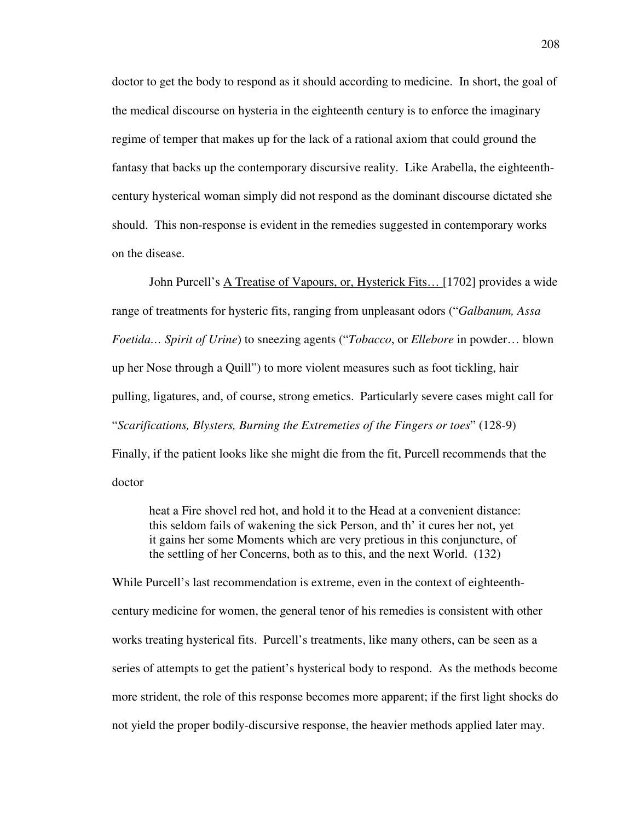doctor to get the body to respond as it should according to medicine. In short, the goal of the medical discourse on hysteria in the eighteenth century is to enforce the imaginary regime of temper that makes up for the lack of a rational axiom that could ground the fantasy that backs up the contemporary discursive reality. Like Arabella, the eighteenthcentury hysterical woman simply did not respond as the dominant discourse dictated she should. This non-response is evident in the remedies suggested in contemporary works on the disease.

 John Purcell's A Treatise of Vapours, or, Hysterick Fits… [1702] provides a wide range of treatments for hysteric fits, ranging from unpleasant odors ("*Galbanum, Assa Foetida… Spirit of Urine*) to sneezing agents ("*Tobacco*, or *Ellebore* in powder… blown up her Nose through a Quill") to more violent measures such as foot tickling, hair pulling, ligatures, and, of course, strong emetics. Particularly severe cases might call for "*Scarifications, Blysters, Burning the Extremeties of the Fingers or toes*" (128-9) Finally, if the patient looks like she might die from the fit, Purcell recommends that the doctor

heat a Fire shovel red hot, and hold it to the Head at a convenient distance: this seldom fails of wakening the sick Person, and th' it cures her not, yet it gains her some Moments which are very pretious in this conjuncture, of the settling of her Concerns, both as to this, and the next World. (132)

While Purcell's last recommendation is extreme, even in the context of eighteenthcentury medicine for women, the general tenor of his remedies is consistent with other works treating hysterical fits. Purcell's treatments, like many others, can be seen as a series of attempts to get the patient's hysterical body to respond. As the methods become more strident, the role of this response becomes more apparent; if the first light shocks do not yield the proper bodily-discursive response, the heavier methods applied later may.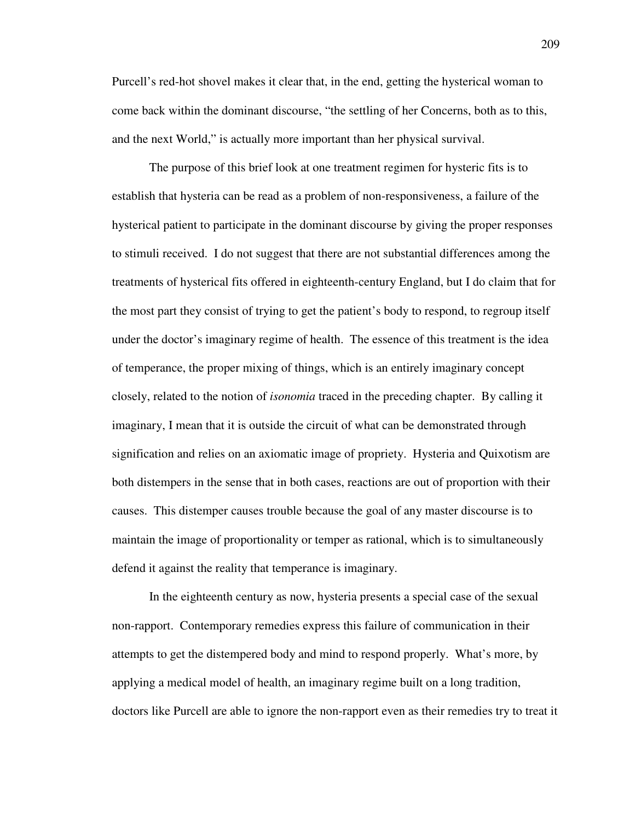Purcell's red-hot shovel makes it clear that, in the end, getting the hysterical woman to come back within the dominant discourse, "the settling of her Concerns, both as to this, and the next World," is actually more important than her physical survival.

 The purpose of this brief look at one treatment regimen for hysteric fits is to establish that hysteria can be read as a problem of non-responsiveness, a failure of the hysterical patient to participate in the dominant discourse by giving the proper responses to stimuli received. I do not suggest that there are not substantial differences among the treatments of hysterical fits offered in eighteenth-century England, but I do claim that for the most part they consist of trying to get the patient's body to respond, to regroup itself under the doctor's imaginary regime of health. The essence of this treatment is the idea of temperance, the proper mixing of things, which is an entirely imaginary concept closely, related to the notion of *isonomia* traced in the preceding chapter. By calling it imaginary, I mean that it is outside the circuit of what can be demonstrated through signification and relies on an axiomatic image of propriety. Hysteria and Quixotism are both distempers in the sense that in both cases, reactions are out of proportion with their causes. This distemper causes trouble because the goal of any master discourse is to maintain the image of proportionality or temper as rational, which is to simultaneously defend it against the reality that temperance is imaginary.

 In the eighteenth century as now, hysteria presents a special case of the sexual non-rapport. Contemporary remedies express this failure of communication in their attempts to get the distempered body and mind to respond properly. What's more, by applying a medical model of health, an imaginary regime built on a long tradition, doctors like Purcell are able to ignore the non-rapport even as their remedies try to treat it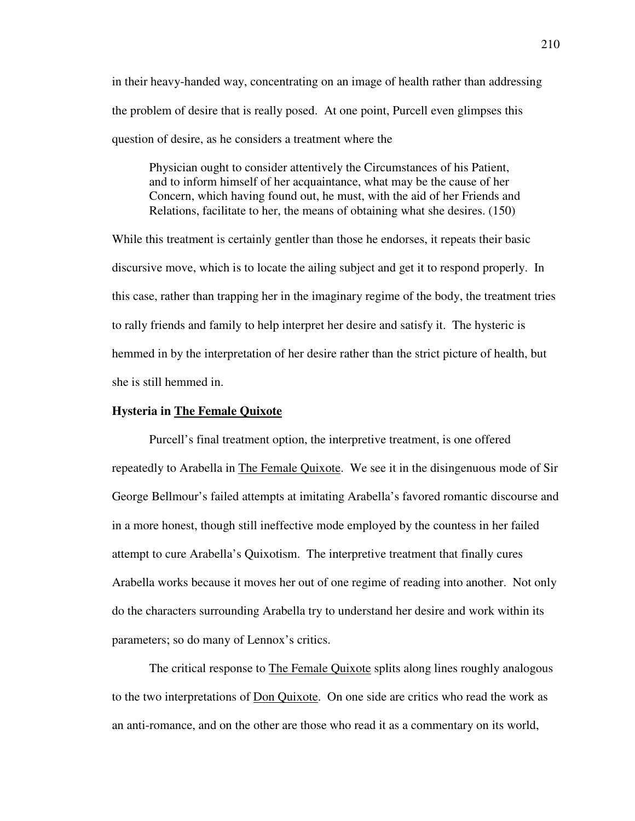in their heavy-handed way, concentrating on an image of health rather than addressing the problem of desire that is really posed. At one point, Purcell even glimpses this question of desire, as he considers a treatment where the

 Physician ought to consider attentively the Circumstances of his Patient, and to inform himself of her acquaintance, what may be the cause of her Concern, which having found out, he must, with the aid of her Friends and Relations, facilitate to her, the means of obtaining what she desires. (150)

While this treatment is certainly gentler than those he endorses, it repeats their basic discursive move, which is to locate the ailing subject and get it to respond properly. In this case, rather than trapping her in the imaginary regime of the body, the treatment tries to rally friends and family to help interpret her desire and satisfy it. The hysteric is hemmed in by the interpretation of her desire rather than the strict picture of health, but she is still hemmed in.

## **Hysteria in The Female Quixote**

 Purcell's final treatment option, the interpretive treatment, is one offered repeatedly to Arabella in The Female Quixote. We see it in the disingenuous mode of Sir George Bellmour's failed attempts at imitating Arabella's favored romantic discourse and in a more honest, though still ineffective mode employed by the countess in her failed attempt to cure Arabella's Quixotism. The interpretive treatment that finally cures Arabella works because it moves her out of one regime of reading into another. Not only do the characters surrounding Arabella try to understand her desire and work within its parameters; so do many of Lennox's critics.

The critical response to The Female Quixote splits along lines roughly analogous to the two interpretations of Don Quixote. On one side are critics who read the work as an anti-romance, and on the other are those who read it as a commentary on its world,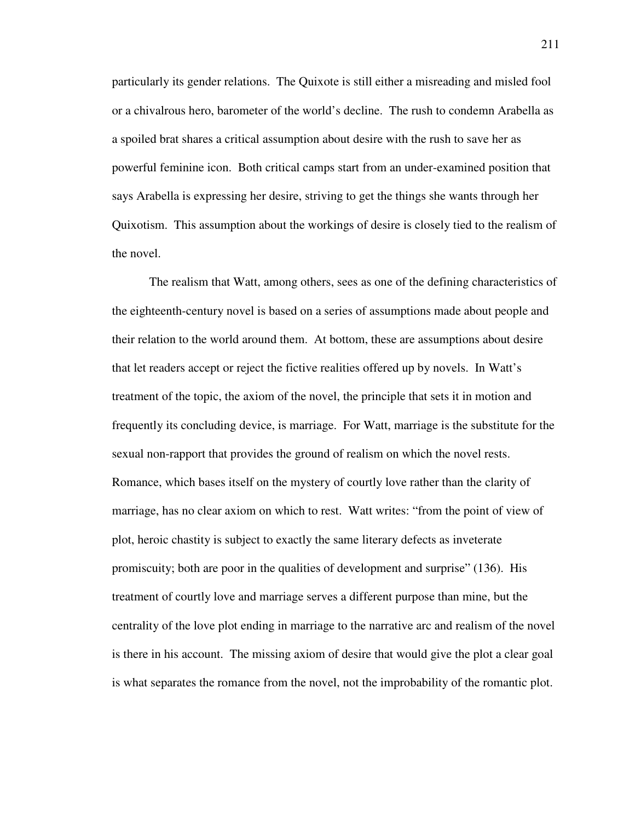particularly its gender relations. The Quixote is still either a misreading and misled fool or a chivalrous hero, barometer of the world's decline. The rush to condemn Arabella as a spoiled brat shares a critical assumption about desire with the rush to save her as powerful feminine icon. Both critical camps start from an under-examined position that says Arabella is expressing her desire, striving to get the things she wants through her Quixotism. This assumption about the workings of desire is closely tied to the realism of the novel.

 The realism that Watt, among others, sees as one of the defining characteristics of the eighteenth-century novel is based on a series of assumptions made about people and their relation to the world around them. At bottom, these are assumptions about desire that let readers accept or reject the fictive realities offered up by novels. In Watt's treatment of the topic, the axiom of the novel, the principle that sets it in motion and frequently its concluding device, is marriage. For Watt, marriage is the substitute for the sexual non-rapport that provides the ground of realism on which the novel rests. Romance, which bases itself on the mystery of courtly love rather than the clarity of marriage, has no clear axiom on which to rest. Watt writes: "from the point of view of plot, heroic chastity is subject to exactly the same literary defects as inveterate promiscuity; both are poor in the qualities of development and surprise" (136). His treatment of courtly love and marriage serves a different purpose than mine, but the centrality of the love plot ending in marriage to the narrative arc and realism of the novel is there in his account. The missing axiom of desire that would give the plot a clear goal is what separates the romance from the novel, not the improbability of the romantic plot.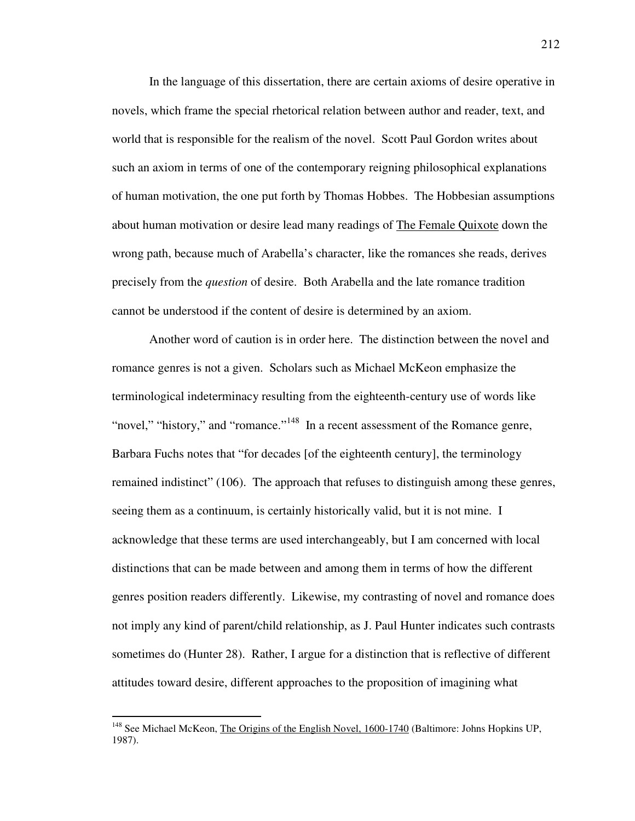In the language of this dissertation, there are certain axioms of desire operative in novels, which frame the special rhetorical relation between author and reader, text, and world that is responsible for the realism of the novel. Scott Paul Gordon writes about such an axiom in terms of one of the contemporary reigning philosophical explanations of human motivation, the one put forth by Thomas Hobbes. The Hobbesian assumptions about human motivation or desire lead many readings of The Female Quixote down the wrong path, because much of Arabella's character, like the romances she reads, derives precisely from the *question* of desire. Both Arabella and the late romance tradition cannot be understood if the content of desire is determined by an axiom.

 Another word of caution is in order here. The distinction between the novel and romance genres is not a given. Scholars such as Michael McKeon emphasize the terminological indeterminacy resulting from the eighteenth-century use of words like "novel," "history," and "romance."<sup>148</sup> In a recent assessment of the Romance genre, Barbara Fuchs notes that "for decades [of the eighteenth century], the terminology remained indistinct" (106). The approach that refuses to distinguish among these genres, seeing them as a continuum, is certainly historically valid, but it is not mine. I acknowledge that these terms are used interchangeably, but I am concerned with local distinctions that can be made between and among them in terms of how the different genres position readers differently. Likewise, my contrasting of novel and romance does not imply any kind of parent/child relationship, as J. Paul Hunter indicates such contrasts sometimes do (Hunter 28). Rather, I argue for a distinction that is reflective of different attitudes toward desire, different approaches to the proposition of imagining what

<sup>&</sup>lt;sup>148</sup> See Michael McKeon, The Origins of the English Novel, 1600-1740 (Baltimore: Johns Hopkins UP, 1987).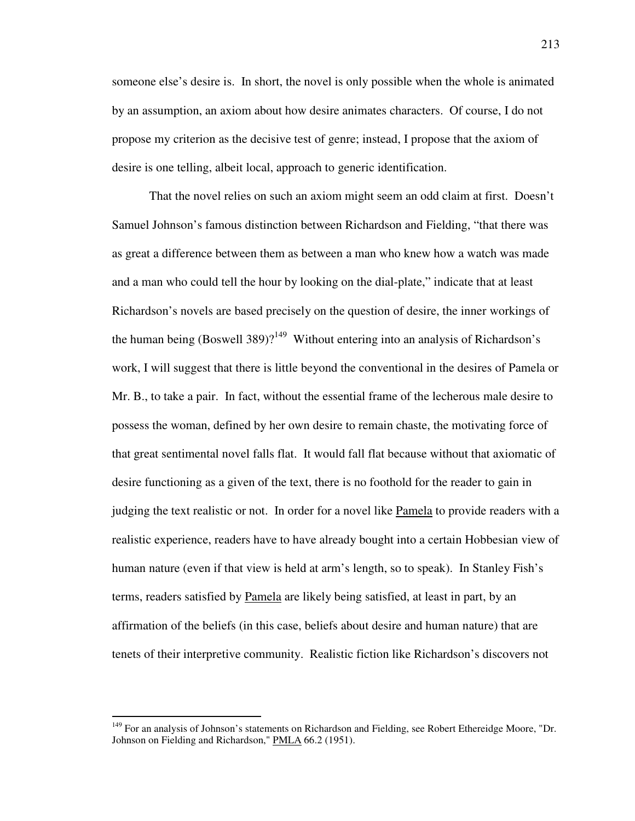someone else's desire is. In short, the novel is only possible when the whole is animated by an assumption, an axiom about how desire animates characters. Of course, I do not propose my criterion as the decisive test of genre; instead, I propose that the axiom of desire is one telling, albeit local, approach to generic identification.

 That the novel relies on such an axiom might seem an odd claim at first. Doesn't Samuel Johnson's famous distinction between Richardson and Fielding, "that there was as great a difference between them as between a man who knew how a watch was made and a man who could tell the hour by looking on the dial-plate," indicate that at least Richardson's novels are based precisely on the question of desire, the inner workings of the human being (Boswell 389)?<sup>149</sup> Without entering into an analysis of Richardson's work, I will suggest that there is little beyond the conventional in the desires of Pamela or Mr. B., to take a pair. In fact, without the essential frame of the lecherous male desire to possess the woman, defined by her own desire to remain chaste, the motivating force of that great sentimental novel falls flat. It would fall flat because without that axiomatic of desire functioning as a given of the text, there is no foothold for the reader to gain in judging the text realistic or not. In order for a novel like Pamela to provide readers with a realistic experience, readers have to have already bought into a certain Hobbesian view of human nature (even if that view is held at arm's length, so to speak). In Stanley Fish's terms, readers satisfied by Pamela are likely being satisfied, at least in part, by an affirmation of the beliefs (in this case, beliefs about desire and human nature) that are tenets of their interpretive community. Realistic fiction like Richardson's discovers not

<sup>&</sup>lt;sup>149</sup> For an analysis of Johnson's statements on Richardson and Fielding, see Robert Ethereidge Moore, "Dr. Johnson on Fielding and Richardson," PMLA 66.2 (1951).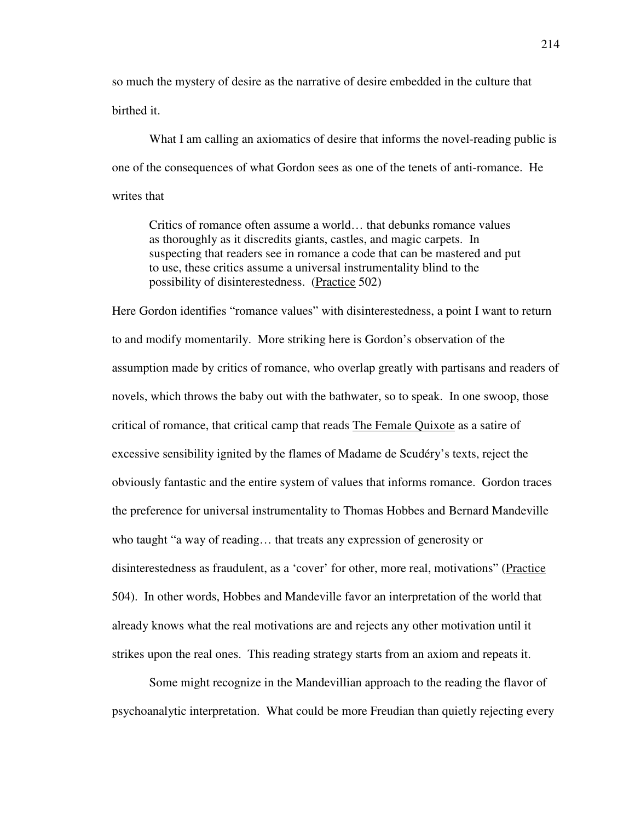so much the mystery of desire as the narrative of desire embedded in the culture that birthed it.

 What I am calling an axiomatics of desire that informs the novel-reading public is one of the consequences of what Gordon sees as one of the tenets of anti-romance. He writes that

 Critics of romance often assume a world… that debunks romance values as thoroughly as it discredits giants, castles, and magic carpets. In suspecting that readers see in romance a code that can be mastered and put to use, these critics assume a universal instrumentality blind to the possibility of disinterestedness. (Practice 502)

Here Gordon identifies "romance values" with disinterestedness, a point I want to return to and modify momentarily. More striking here is Gordon's observation of the assumption made by critics of romance, who overlap greatly with partisans and readers of novels, which throws the baby out with the bathwater, so to speak. In one swoop, those critical of romance, that critical camp that reads The Female Quixote as a satire of excessive sensibility ignited by the flames of Madame de Scudéry's texts, reject the obviously fantastic and the entire system of values that informs romance. Gordon traces the preference for universal instrumentality to Thomas Hobbes and Bernard Mandeville who taught "a way of reading… that treats any expression of generosity or disinterestedness as fraudulent, as a 'cover' for other, more real, motivations" (Practice 504). In other words, Hobbes and Mandeville favor an interpretation of the world that already knows what the real motivations are and rejects any other motivation until it strikes upon the real ones. This reading strategy starts from an axiom and repeats it.

 Some might recognize in the Mandevillian approach to the reading the flavor of psychoanalytic interpretation. What could be more Freudian than quietly rejecting every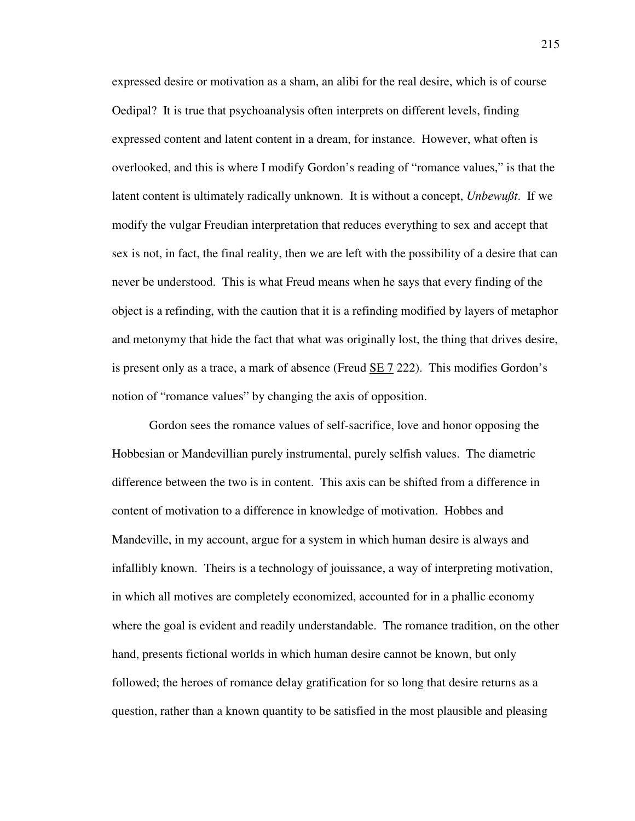expressed desire or motivation as a sham, an alibi for the real desire, which is of course Oedipal? It is true that psychoanalysis often interprets on different levels, finding expressed content and latent content in a dream, for instance. However, what often is overlooked, and this is where I modify Gordon's reading of "romance values," is that the latent content is ultimately radically unknown. It is without a concept, *Unbewußt*. If we modify the vulgar Freudian interpretation that reduces everything to sex and accept that sex is not, in fact, the final reality, then we are left with the possibility of a desire that can never be understood. This is what Freud means when he says that every finding of the object is a refinding, with the caution that it is a refinding modified by layers of metaphor and metonymy that hide the fact that what was originally lost, the thing that drives desire, is present only as a trace, a mark of absence (Freud SE 7 222). This modifies Gordon's notion of "romance values" by changing the axis of opposition.

 Gordon sees the romance values of self-sacrifice, love and honor opposing the Hobbesian or Mandevillian purely instrumental, purely selfish values. The diametric difference between the two is in content. This axis can be shifted from a difference in content of motivation to a difference in knowledge of motivation. Hobbes and Mandeville, in my account, argue for a system in which human desire is always and infallibly known. Theirs is a technology of jouissance, a way of interpreting motivation, in which all motives are completely economized, accounted for in a phallic economy where the goal is evident and readily understandable. The romance tradition, on the other hand, presents fictional worlds in which human desire cannot be known, but only followed; the heroes of romance delay gratification for so long that desire returns as a question, rather than a known quantity to be satisfied in the most plausible and pleasing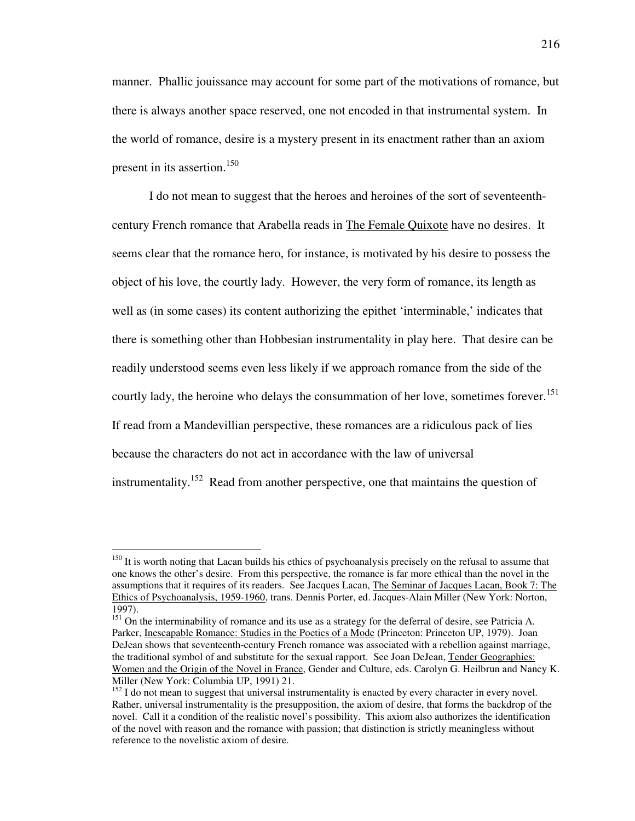manner. Phallic jouissance may account for some part of the motivations of romance, but there is always another space reserved, one not encoded in that instrumental system. In the world of romance, desire is a mystery present in its enactment rather than an axiom present in its assertion.<sup>150</sup>

 I do not mean to suggest that the heroes and heroines of the sort of seventeenthcentury French romance that Arabella reads in The Female Quixote have no desires. It seems clear that the romance hero, for instance, is motivated by his desire to possess the object of his love, the courtly lady. However, the very form of romance, its length as well as (in some cases) its content authorizing the epithet 'interminable,' indicates that there is something other than Hobbesian instrumentality in play here. That desire can be readily understood seems even less likely if we approach romance from the side of the courtly lady, the heroine who delays the consummation of her love, sometimes forever. 151 If read from a Mandevillian perspective, these romances are a ridiculous pack of lies because the characters do not act in accordance with the law of universal instrumentality.<sup>152</sup> Read from another perspective, one that maintains the question of

<sup>&</sup>lt;sup>150</sup> It is worth noting that Lacan builds his ethics of psychoanalysis precisely on the refusal to assume that one knows the other's desire. From this perspective, the romance is far more ethical than the novel in the assumptions that it requires of its readers. See Jacques Lacan, The Seminar of Jacques Lacan, Book 7: The Ethics of Psychoanalysis, 1959-1960, trans. Dennis Porter, ed. Jacques-Alain Miller (New York: Norton, 1997).

<sup>&</sup>lt;sup>151</sup> On the interminability of romance and its use as a strategy for the deferral of desire, see Patricia A. Parker, Inescapable Romance: Studies in the Poetics of a Mode (Princeton: Princeton UP, 1979). Joan DeJean shows that seventeenth-century French romance was associated with a rebellion against marriage, the traditional symbol of and substitute for the sexual rapport. See Joan DeJean, Tender Geographies: Women and the Origin of the Novel in France, Gender and Culture, eds. Carolyn G. Heilbrun and Nancy K. Miller (New York: Columbia UP, 1991) 21.

 $152$  I do not mean to suggest that universal instrumentality is enacted by every character in every novel. Rather, universal instrumentality is the presupposition, the axiom of desire, that forms the backdrop of the novel. Call it a condition of the realistic novel's possibility. This axiom also authorizes the identification of the novel with reason and the romance with passion; that distinction is strictly meaningless without reference to the novelistic axiom of desire.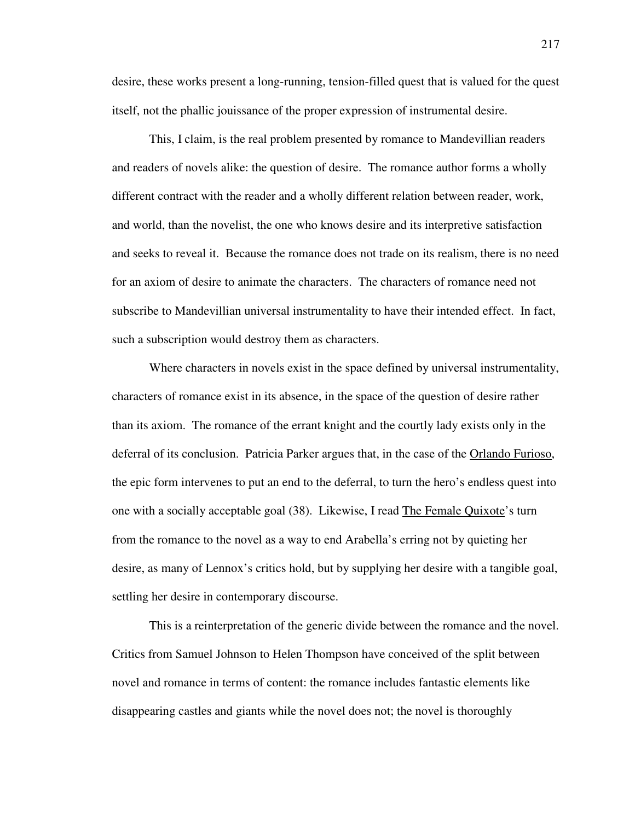desire, these works present a long-running, tension-filled quest that is valued for the quest itself, not the phallic jouissance of the proper expression of instrumental desire.

 This, I claim, is the real problem presented by romance to Mandevillian readers and readers of novels alike: the question of desire. The romance author forms a wholly different contract with the reader and a wholly different relation between reader, work, and world, than the novelist, the one who knows desire and its interpretive satisfaction and seeks to reveal it. Because the romance does not trade on its realism, there is no need for an axiom of desire to animate the characters. The characters of romance need not subscribe to Mandevillian universal instrumentality to have their intended effect. In fact, such a subscription would destroy them as characters.

 Where characters in novels exist in the space defined by universal instrumentality, characters of romance exist in its absence, in the space of the question of desire rather than its axiom. The romance of the errant knight and the courtly lady exists only in the deferral of its conclusion. Patricia Parker argues that, in the case of the Orlando Furioso, the epic form intervenes to put an end to the deferral, to turn the hero's endless quest into one with a socially acceptable goal (38). Likewise, I read The Female Quixote's turn from the romance to the novel as a way to end Arabella's erring not by quieting her desire, as many of Lennox's critics hold, but by supplying her desire with a tangible goal, settling her desire in contemporary discourse.

 This is a reinterpretation of the generic divide between the romance and the novel. Critics from Samuel Johnson to Helen Thompson have conceived of the split between novel and romance in terms of content: the romance includes fantastic elements like disappearing castles and giants while the novel does not; the novel is thoroughly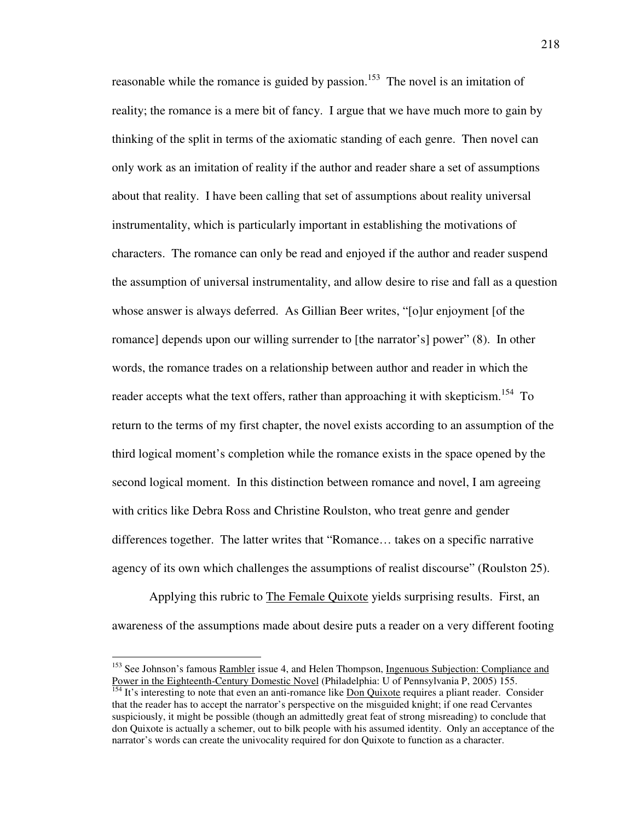reasonable while the romance is guided by passion.<sup>153</sup> The novel is an imitation of reality; the romance is a mere bit of fancy. I argue that we have much more to gain by thinking of the split in terms of the axiomatic standing of each genre. Then novel can only work as an imitation of reality if the author and reader share a set of assumptions about that reality. I have been calling that set of assumptions about reality universal instrumentality, which is particularly important in establishing the motivations of characters. The romance can only be read and enjoyed if the author and reader suspend the assumption of universal instrumentality, and allow desire to rise and fall as a question whose answer is always deferred. As Gillian Beer writes, "[o]ur enjoyment [of the romance] depends upon our willing surrender to [the narrator's] power" (8). In other words, the romance trades on a relationship between author and reader in which the reader accepts what the text offers, rather than approaching it with skepticism.<sup>154</sup> To return to the terms of my first chapter, the novel exists according to an assumption of the third logical moment's completion while the romance exists in the space opened by the second logical moment. In this distinction between romance and novel, I am agreeing with critics like Debra Ross and Christine Roulston, who treat genre and gender differences together. The latter writes that "Romance… takes on a specific narrative agency of its own which challenges the assumptions of realist discourse" (Roulston 25).

 Applying this rubric to The Female Quixote yields surprising results. First, an awareness of the assumptions made about desire puts a reader on a very different footing

<sup>&</sup>lt;sup>153</sup> See Johnson's famous Rambler issue 4, and Helen Thompson, Ingenuous Subjection: Compliance and Power in the Eighteenth-Century Domestic Novel (Philadelphia: U of Pennsylvania P, 2005) 155.

 $154$  It's interesting to note that even an anti-romance like  $\overline{Don}$  Quixote requires a pliant reader. Consider that the reader has to accept the narrator's perspective on the misguided knight; if one read Cervantes suspiciously, it might be possible (though an admittedly great feat of strong misreading) to conclude that don Quixote is actually a schemer, out to bilk people with his assumed identity. Only an acceptance of the narrator's words can create the univocality required for don Quixote to function as a character.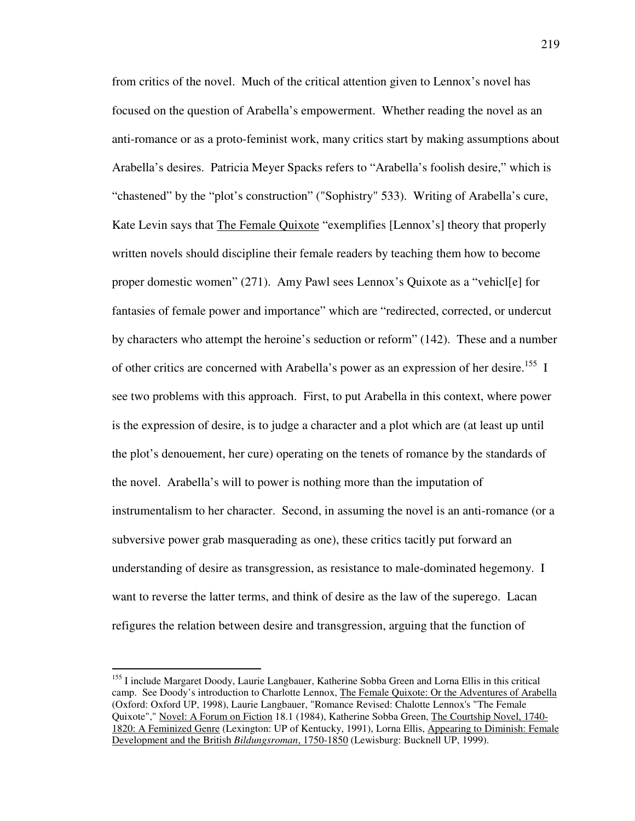from critics of the novel. Much of the critical attention given to Lennox's novel has focused on the question of Arabella's empowerment. Whether reading the novel as an anti-romance or as a proto-feminist work, many critics start by making assumptions about Arabella's desires. Patricia Meyer Spacks refers to "Arabella's foolish desire," which is "chastened" by the "plot's construction" ("Sophistry" 533). Writing of Arabella's cure, Kate Levin says that The Female Quixote "exemplifies [Lennox's] theory that properly written novels should discipline their female readers by teaching them how to become proper domestic women" (271). Amy Pawl sees Lennox's Quixote as a "vehicl[e] for fantasies of female power and importance" which are "redirected, corrected, or undercut by characters who attempt the heroine's seduction or reform" (142). These and a number of other critics are concerned with Arabella's power as an expression of her desire.<sup>155</sup> I see two problems with this approach. First, to put Arabella in this context, where power is the expression of desire, is to judge a character and a plot which are (at least up until the plot's denouement, her cure) operating on the tenets of romance by the standards of the novel. Arabella's will to power is nothing more than the imputation of instrumentalism to her character. Second, in assuming the novel is an anti-romance (or a subversive power grab masquerading as one), these critics tacitly put forward an understanding of desire as transgression, as resistance to male-dominated hegemony. I want to reverse the latter terms, and think of desire as the law of the superego. Lacan refigures the relation between desire and transgression, arguing that the function of

<sup>&</sup>lt;sup>155</sup> I include Margaret Doody, Laurie Langbauer, Katherine Sobba Green and Lorna Ellis in this critical camp. See Doody's introduction to Charlotte Lennox, The Female Quixote: Or the Adventures of Arabella (Oxford: Oxford UP, 1998), Laurie Langbauer, "Romance Revised: Chalotte Lennox's "The Female Quixote"," Novel: A Forum on Fiction 18.1 (1984), Katherine Sobba Green, The Courtship Novel, 1740- 1820: A Feminized Genre (Lexington: UP of Kentucky, 1991), Lorna Ellis, Appearing to Diminish: Female Development and the British *Bildungsroman*, 1750-1850 (Lewisburg: Bucknell UP, 1999).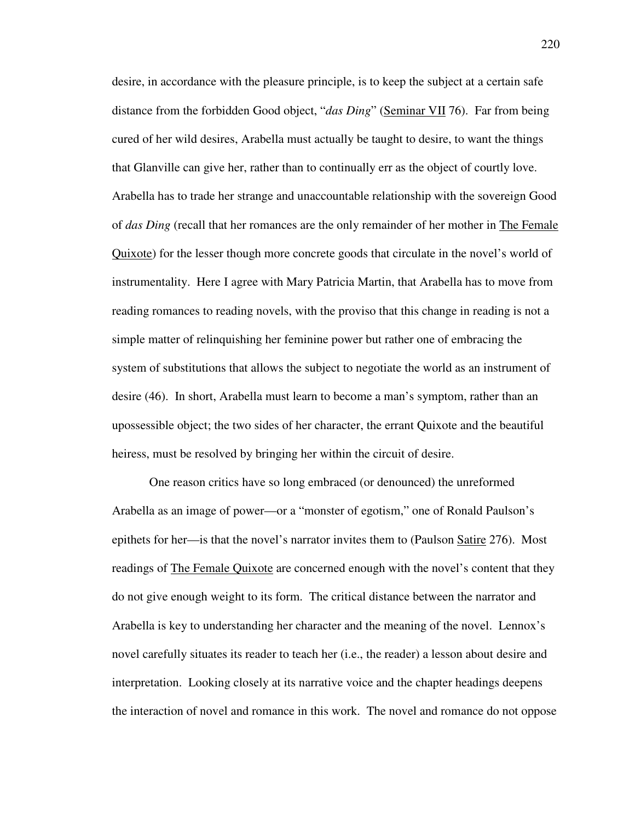desire, in accordance with the pleasure principle, is to keep the subject at a certain safe distance from the forbidden Good object, "*das Ding*" (Seminar VII 76). Far from being cured of her wild desires, Arabella must actually be taught to desire, to want the things that Glanville can give her, rather than to continually err as the object of courtly love. Arabella has to trade her strange and unaccountable relationship with the sovereign Good of *das Ding* (recall that her romances are the only remainder of her mother in The Female Quixote) for the lesser though more concrete goods that circulate in the novel's world of instrumentality. Here I agree with Mary Patricia Martin, that Arabella has to move from reading romances to reading novels, with the proviso that this change in reading is not a simple matter of relinquishing her feminine power but rather one of embracing the system of substitutions that allows the subject to negotiate the world as an instrument of desire (46). In short, Arabella must learn to become a man's symptom, rather than an upossessible object; the two sides of her character, the errant Quixote and the beautiful heiress, must be resolved by bringing her within the circuit of desire.

 One reason critics have so long embraced (or denounced) the unreformed Arabella as an image of power—or a "monster of egotism," one of Ronald Paulson's epithets for her—is that the novel's narrator invites them to (Paulson Satire 276). Most readings of The Female Quixote are concerned enough with the novel's content that they do not give enough weight to its form. The critical distance between the narrator and Arabella is key to understanding her character and the meaning of the novel. Lennox's novel carefully situates its reader to teach her (i.e., the reader) a lesson about desire and interpretation. Looking closely at its narrative voice and the chapter headings deepens the interaction of novel and romance in this work. The novel and romance do not oppose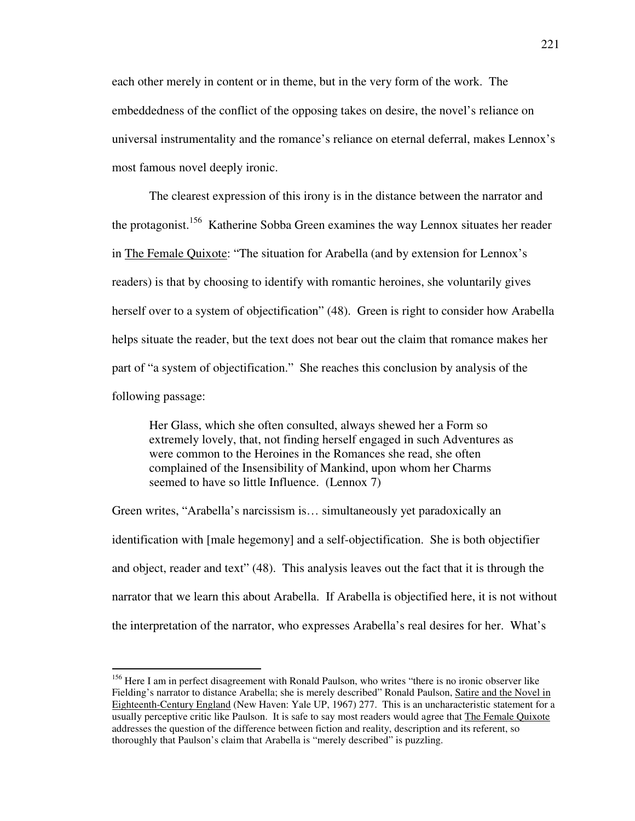each other merely in content or in theme, but in the very form of the work. The embeddedness of the conflict of the opposing takes on desire, the novel's reliance on universal instrumentality and the romance's reliance on eternal deferral, makes Lennox's most famous novel deeply ironic.

 The clearest expression of this irony is in the distance between the narrator and the protagonist.<sup>156</sup> Katherine Sobba Green examines the way Lennox situates her reader in The Female Quixote: "The situation for Arabella (and by extension for Lennox's readers) is that by choosing to identify with romantic heroines, she voluntarily gives herself over to a system of objectification" (48). Green is right to consider how Arabella helps situate the reader, but the text does not bear out the claim that romance makes her part of "a system of objectification." She reaches this conclusion by analysis of the following passage:

 Her Glass, which she often consulted, always shewed her a Form so extremely lovely, that, not finding herself engaged in such Adventures as were common to the Heroines in the Romances she read, she often complained of the Insensibility of Mankind, upon whom her Charms seemed to have so little Influence. (Lennox 7)

Green writes, "Arabella's narcissism is… simultaneously yet paradoxically an identification with [male hegemony] and a self-objectification. She is both objectifier and object, reader and text" (48). This analysis leaves out the fact that it is through the narrator that we learn this about Arabella. If Arabella is objectified here, it is not without the interpretation of the narrator, who expresses Arabella's real desires for her. What's

<sup>&</sup>lt;sup>156</sup> Here I am in perfect disagreement with Ronald Paulson, who writes "there is no ironic observer like Fielding's narrator to distance Arabella; she is merely described" Ronald Paulson, Satire and the Novel in Eighteenth-Century England (New Haven: Yale UP, 1967) 277. This is an uncharacteristic statement for a usually perceptive critic like Paulson. It is safe to say most readers would agree that The Female Quixote addresses the question of the difference between fiction and reality, description and its referent, so thoroughly that Paulson's claim that Arabella is "merely described" is puzzling.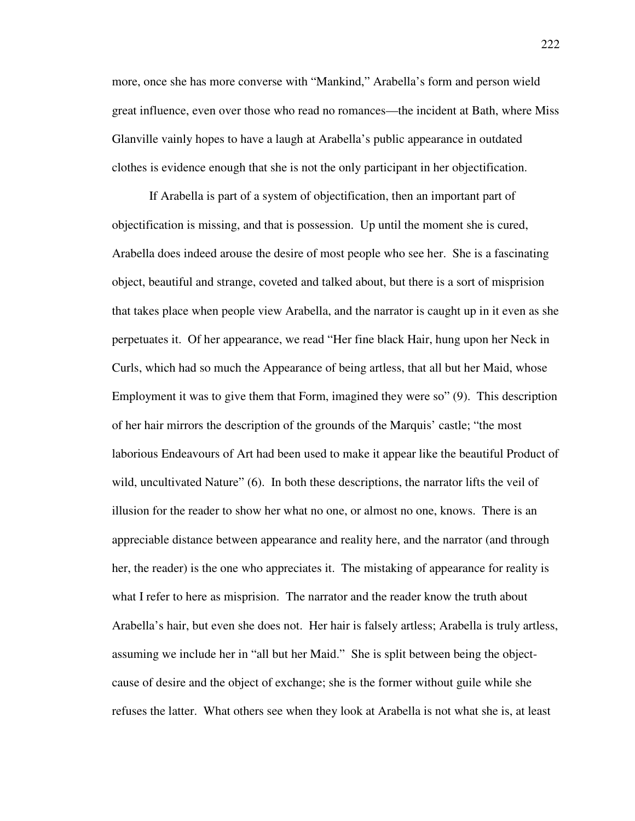more, once she has more converse with "Mankind," Arabella's form and person wield great influence, even over those who read no romances—the incident at Bath, where Miss Glanville vainly hopes to have a laugh at Arabella's public appearance in outdated clothes is evidence enough that she is not the only participant in her objectification.

 If Arabella is part of a system of objectification, then an important part of objectification is missing, and that is possession. Up until the moment she is cured, Arabella does indeed arouse the desire of most people who see her. She is a fascinating object, beautiful and strange, coveted and talked about, but there is a sort of misprision that takes place when people view Arabella, and the narrator is caught up in it even as she perpetuates it. Of her appearance, we read "Her fine black Hair, hung upon her Neck in Curls, which had so much the Appearance of being artless, that all but her Maid, whose Employment it was to give them that Form, imagined they were so" (9). This description of her hair mirrors the description of the grounds of the Marquis' castle; "the most laborious Endeavours of Art had been used to make it appear like the beautiful Product of wild, uncultivated Nature" (6). In both these descriptions, the narrator lifts the veil of illusion for the reader to show her what no one, or almost no one, knows. There is an appreciable distance between appearance and reality here, and the narrator (and through her, the reader) is the one who appreciates it. The mistaking of appearance for reality is what I refer to here as misprision. The narrator and the reader know the truth about Arabella's hair, but even she does not. Her hair is falsely artless; Arabella is truly artless, assuming we include her in "all but her Maid." She is split between being the objectcause of desire and the object of exchange; she is the former without guile while she refuses the latter. What others see when they look at Arabella is not what she is, at least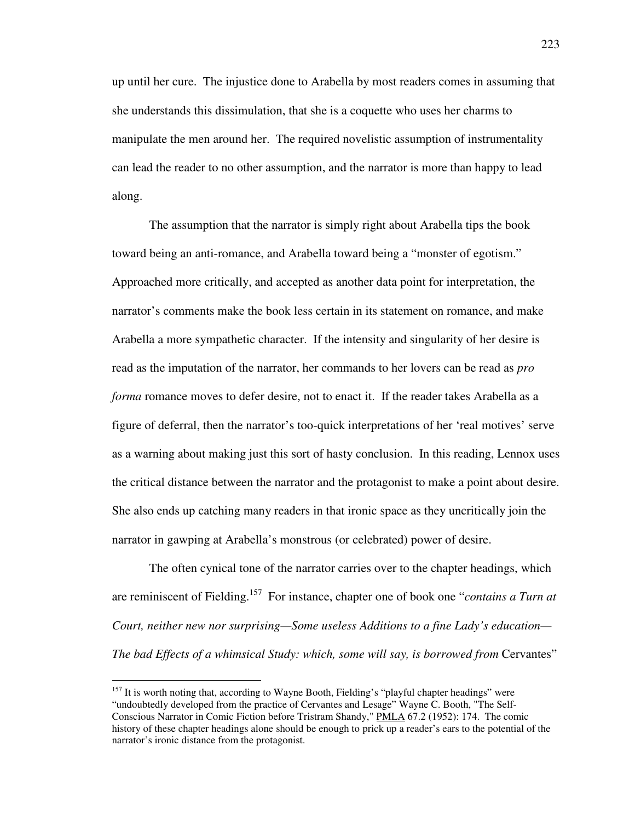up until her cure. The injustice done to Arabella by most readers comes in assuming that she understands this dissimulation, that she is a coquette who uses her charms to manipulate the men around her. The required novelistic assumption of instrumentality can lead the reader to no other assumption, and the narrator is more than happy to lead along.

 The assumption that the narrator is simply right about Arabella tips the book toward being an anti-romance, and Arabella toward being a "monster of egotism." Approached more critically, and accepted as another data point for interpretation, the narrator's comments make the book less certain in its statement on romance, and make Arabella a more sympathetic character. If the intensity and singularity of her desire is read as the imputation of the narrator, her commands to her lovers can be read as *pro forma* romance moves to defer desire, not to enact it. If the reader takes Arabella as a figure of deferral, then the narrator's too-quick interpretations of her 'real motives' serve as a warning about making just this sort of hasty conclusion. In this reading, Lennox uses the critical distance between the narrator and the protagonist to make a point about desire. She also ends up catching many readers in that ironic space as they uncritically join the narrator in gawping at Arabella's monstrous (or celebrated) power of desire.

 The often cynical tone of the narrator carries over to the chapter headings, which are reminiscent of Fielding.<sup>157</sup> For instance, chapter one of book one "*contains a Turn at Court, neither new nor surprising—Some useless Additions to a fine Lady's education— The bad Effects of a whimsical Study: which, some will say, is borrowed from Cervantes*"

<sup>&</sup>lt;sup>157</sup> It is worth noting that, according to Wayne Booth, Fielding's "playful chapter headings" were "undoubtedly developed from the practice of Cervantes and Lesage" Wayne C. Booth, "The Self-Conscious Narrator in Comic Fiction before Tristram Shandy," PMLA 67.2 (1952): 174. The comic history of these chapter headings alone should be enough to prick up a reader's ears to the potential of the narrator's ironic distance from the protagonist.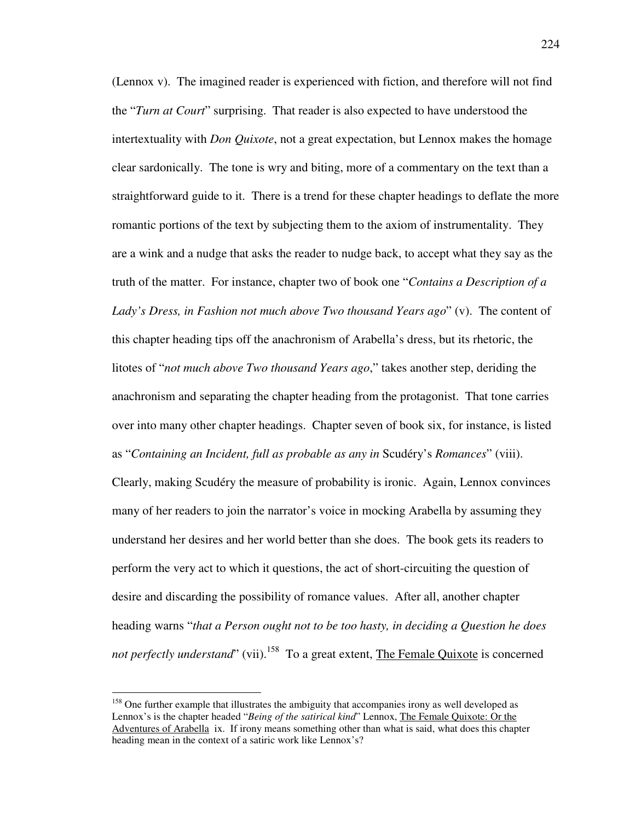(Lennox v). The imagined reader is experienced with fiction, and therefore will not find the "*Turn at Court*" surprising. That reader is also expected to have understood the intertextuality with *Don Quixote*, not a great expectation, but Lennox makes the homage clear sardonically. The tone is wry and biting, more of a commentary on the text than a straightforward guide to it. There is a trend for these chapter headings to deflate the more romantic portions of the text by subjecting them to the axiom of instrumentality. They are a wink and a nudge that asks the reader to nudge back, to accept what they say as the truth of the matter. For instance, chapter two of book one "*Contains a Description of a Lady's Dress, in Fashion not much above Two thousand Years ago*" (v). The content of this chapter heading tips off the anachronism of Arabella's dress, but its rhetoric, the litotes of "*not much above Two thousand Years ago*," takes another step, deriding the anachronism and separating the chapter heading from the protagonist. That tone carries over into many other chapter headings. Chapter seven of book six, for instance, is listed as "*Containing an Incident, full as probable as any in* Scudéry's *Romances*" (viii).

Clearly, making Scudéry the measure of probability is ironic. Again, Lennox convinces many of her readers to join the narrator's voice in mocking Arabella by assuming they understand her desires and her world better than she does. The book gets its readers to perform the very act to which it questions, the act of short-circuiting the question of desire and discarding the possibility of romance values. After all, another chapter heading warns "*that a Person ought not to be too hasty, in deciding a Question he does not perfectly understand*" (vii).<sup>158</sup> To a great extent, The Female Quixote is concerned

<sup>&</sup>lt;sup>158</sup> One further example that illustrates the ambiguity that accompanies irony as well developed as Lennox's is the chapter headed "*Being of the satirical kind*" Lennox, The Female Quixote: Or the Adventures of Arabella ix. If irony means something other than what is said, what does this chapter heading mean in the context of a satiric work like Lennox's?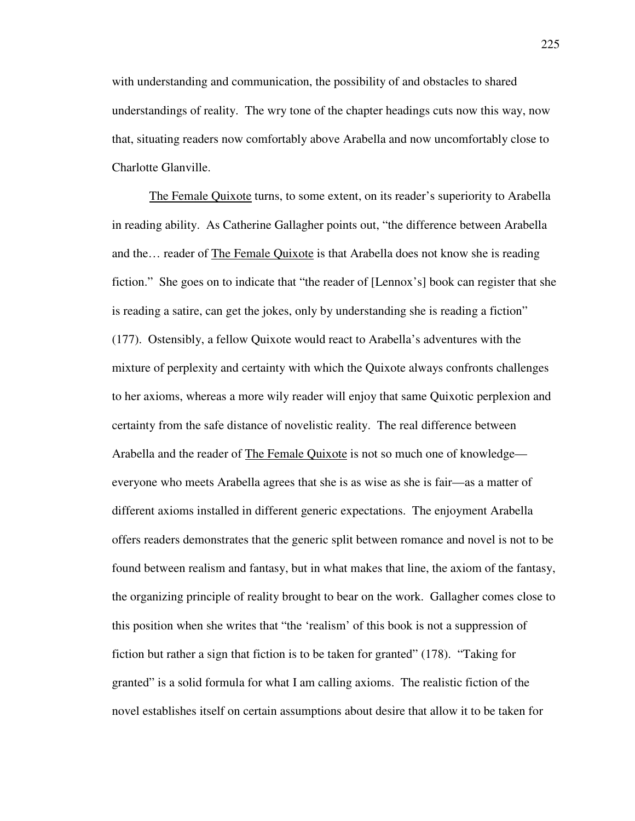with understanding and communication, the possibility of and obstacles to shared understandings of reality. The wry tone of the chapter headings cuts now this way, now that, situating readers now comfortably above Arabella and now uncomfortably close to Charlotte Glanville.

 The Female Quixote turns, to some extent, on its reader's superiority to Arabella in reading ability. As Catherine Gallagher points out, "the difference between Arabella and the… reader of The Female Quixote is that Arabella does not know she is reading fiction." She goes on to indicate that "the reader of [Lennox's] book can register that she is reading a satire, can get the jokes, only by understanding she is reading a fiction" (177). Ostensibly, a fellow Quixote would react to Arabella's adventures with the mixture of perplexity and certainty with which the Quixote always confronts challenges to her axioms, whereas a more wily reader will enjoy that same Quixotic perplexion and certainty from the safe distance of novelistic reality. The real difference between Arabella and the reader of The Female Quixote is not so much one of knowledge everyone who meets Arabella agrees that she is as wise as she is fair—as a matter of different axioms installed in different generic expectations. The enjoyment Arabella offers readers demonstrates that the generic split between romance and novel is not to be found between realism and fantasy, but in what makes that line, the axiom of the fantasy, the organizing principle of reality brought to bear on the work. Gallagher comes close to this position when she writes that "the 'realism' of this book is not a suppression of fiction but rather a sign that fiction is to be taken for granted" (178). "Taking for granted" is a solid formula for what I am calling axioms. The realistic fiction of the novel establishes itself on certain assumptions about desire that allow it to be taken for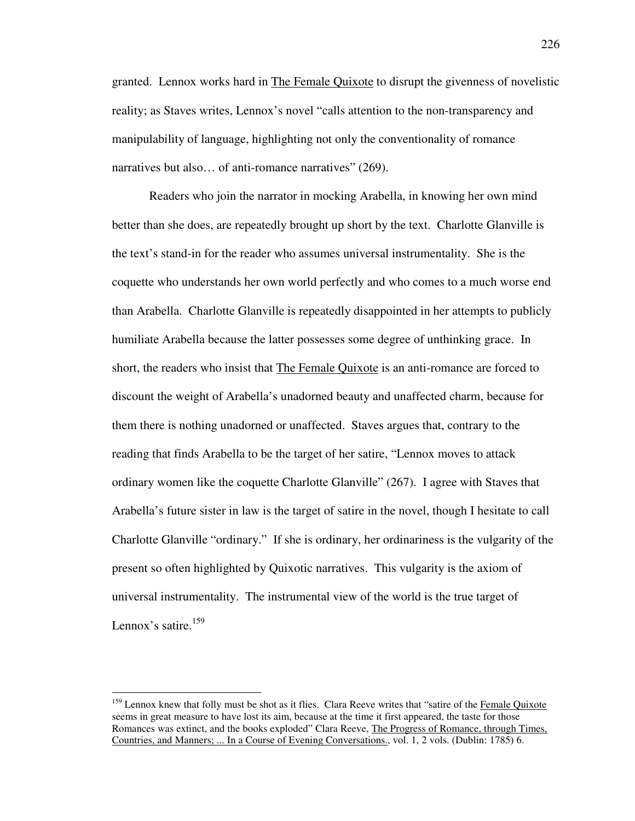granted. Lennox works hard in The Female Quixote to disrupt the givenness of novelistic reality; as Staves writes, Lennox's novel "calls attention to the non-transparency and manipulability of language, highlighting not only the conventionality of romance narratives but also... of anti-romance narratives" (269).

 Readers who join the narrator in mocking Arabella, in knowing her own mind better than she does, are repeatedly brought up short by the text. Charlotte Glanville is the text's stand-in for the reader who assumes universal instrumentality. She is the coquette who understands her own world perfectly and who comes to a much worse end than Arabella. Charlotte Glanville is repeatedly disappointed in her attempts to publicly humiliate Arabella because the latter possesses some degree of unthinking grace. In short, the readers who insist that The Female Quixote is an anti-romance are forced to discount the weight of Arabella's unadorned beauty and unaffected charm, because for them there is nothing unadorned or unaffected. Staves argues that, contrary to the reading that finds Arabella to be the target of her satire, "Lennox moves to attack ordinary women like the coquette Charlotte Glanville" (267). I agree with Staves that Arabella's future sister in law is the target of satire in the novel, though I hesitate to call Charlotte Glanville "ordinary." If she is ordinary, her ordinariness is the vulgarity of the present so often highlighted by Quixotic narratives. This vulgarity is the axiom of universal instrumentality. The instrumental view of the world is the true target of Lennox's satire.<sup>159</sup>

<sup>&</sup>lt;sup>159</sup> Lennox knew that folly must be shot as it flies. Clara Reeve writes that "satire of the Female Quixote" seems in great measure to have lost its aim, because at the time it first appeared, the taste for those Romances was extinct, and the books exploded" Clara Reeve, The Progress of Romance, through Times, Countries, and Manners; ... In a Course of Evening Conversations., vol. 1, 2 vols. (Dublin: 1785) 6.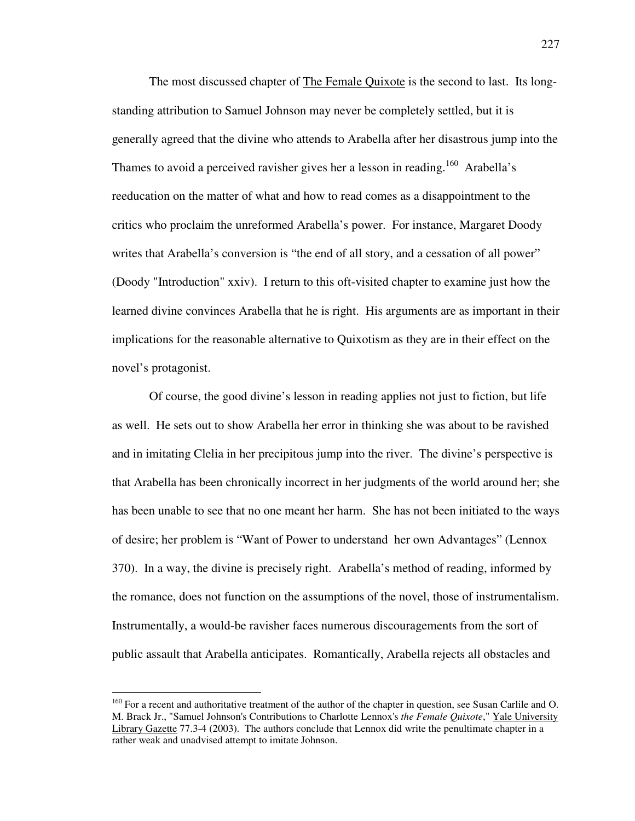The most discussed chapter of The Female Quixote is the second to last. Its longstanding attribution to Samuel Johnson may never be completely settled, but it is generally agreed that the divine who attends to Arabella after her disastrous jump into the Thames to avoid a perceived ravisher gives her a lesson in reading.<sup>160</sup> Arabella's reeducation on the matter of what and how to read comes as a disappointment to the critics who proclaim the unreformed Arabella's power. For instance, Margaret Doody writes that Arabella's conversion is "the end of all story, and a cessation of all power" (Doody "Introduction" xxiv). I return to this oft-visited chapter to examine just how the learned divine convinces Arabella that he is right. His arguments are as important in their implications for the reasonable alternative to Quixotism as they are in their effect on the novel's protagonist.

 Of course, the good divine's lesson in reading applies not just to fiction, but life as well. He sets out to show Arabella her error in thinking she was about to be ravished and in imitating Clelia in her precipitous jump into the river. The divine's perspective is that Arabella has been chronically incorrect in her judgments of the world around her; she has been unable to see that no one meant her harm. She has not been initiated to the ways of desire; her problem is "Want of Power to understand her own Advantages" (Lennox 370). In a way, the divine is precisely right. Arabella's method of reading, informed by the romance, does not function on the assumptions of the novel, those of instrumentalism. Instrumentally, a would-be ravisher faces numerous discouragements from the sort of public assault that Arabella anticipates. Romantically, Arabella rejects all obstacles and

<sup>&</sup>lt;sup>160</sup> For a recent and authoritative treatment of the author of the chapter in question, see Susan Carlile and O. M. Brack Jr., "Samuel Johnson's Contributions to Charlotte Lennox's *the Female Quixote*," Yale University Library Gazette 77.3-4 (2003). The authors conclude that Lennox did write the penultimate chapter in a rather weak and unadvised attempt to imitate Johnson.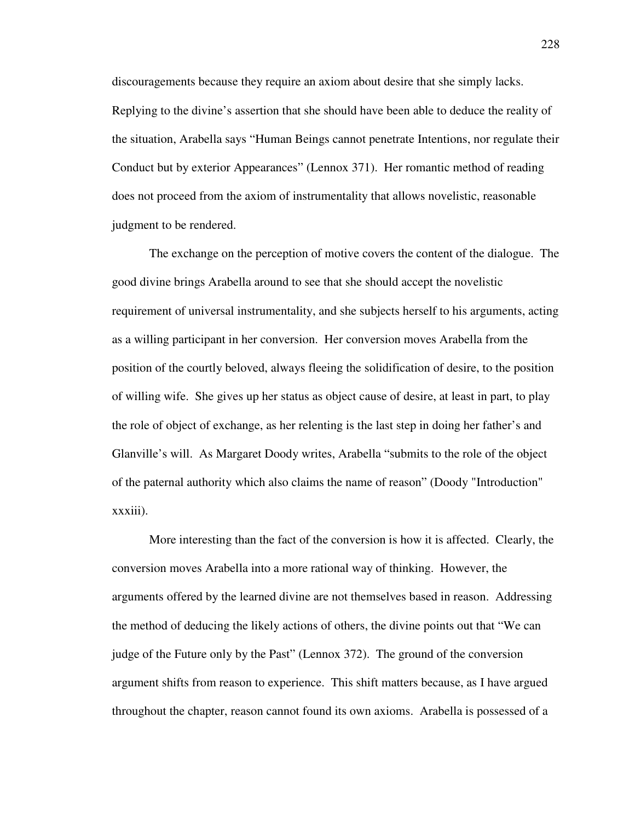discouragements because they require an axiom about desire that she simply lacks. Replying to the divine's assertion that she should have been able to deduce the reality of the situation, Arabella says "Human Beings cannot penetrate Intentions, nor regulate their Conduct but by exterior Appearances" (Lennox 371). Her romantic method of reading does not proceed from the axiom of instrumentality that allows novelistic, reasonable judgment to be rendered.

 The exchange on the perception of motive covers the content of the dialogue. The good divine brings Arabella around to see that she should accept the novelistic requirement of universal instrumentality, and she subjects herself to his arguments, acting as a willing participant in her conversion. Her conversion moves Arabella from the position of the courtly beloved, always fleeing the solidification of desire, to the position of willing wife. She gives up her status as object cause of desire, at least in part, to play the role of object of exchange, as her relenting is the last step in doing her father's and Glanville's will. As Margaret Doody writes, Arabella "submits to the role of the object of the paternal authority which also claims the name of reason" (Doody "Introduction" xxxiii).

 More interesting than the fact of the conversion is how it is affected. Clearly, the conversion moves Arabella into a more rational way of thinking. However, the arguments offered by the learned divine are not themselves based in reason. Addressing the method of deducing the likely actions of others, the divine points out that "We can judge of the Future only by the Past" (Lennox 372). The ground of the conversion argument shifts from reason to experience. This shift matters because, as I have argued throughout the chapter, reason cannot found its own axioms. Arabella is possessed of a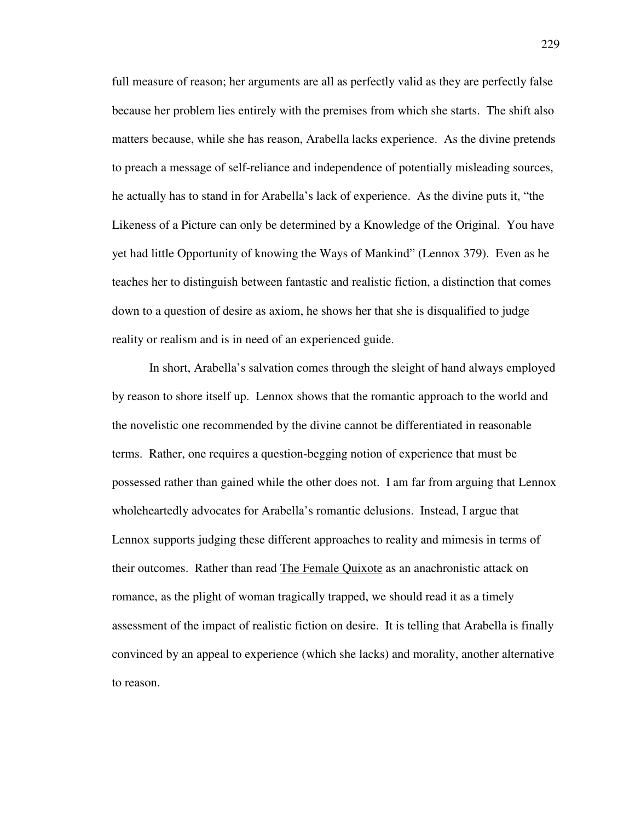full measure of reason; her arguments are all as perfectly valid as they are perfectly false because her problem lies entirely with the premises from which she starts. The shift also matters because, while she has reason, Arabella lacks experience. As the divine pretends to preach a message of self-reliance and independence of potentially misleading sources, he actually has to stand in for Arabella's lack of experience. As the divine puts it, "the Likeness of a Picture can only be determined by a Knowledge of the Original. You have yet had little Opportunity of knowing the Ways of Mankind" (Lennox 379). Even as he teaches her to distinguish between fantastic and realistic fiction, a distinction that comes down to a question of desire as axiom, he shows her that she is disqualified to judge reality or realism and is in need of an experienced guide.

 In short, Arabella's salvation comes through the sleight of hand always employed by reason to shore itself up. Lennox shows that the romantic approach to the world and the novelistic one recommended by the divine cannot be differentiated in reasonable terms. Rather, one requires a question-begging notion of experience that must be possessed rather than gained while the other does not. I am far from arguing that Lennox wholeheartedly advocates for Arabella's romantic delusions. Instead, I argue that Lennox supports judging these different approaches to reality and mimesis in terms of their outcomes. Rather than read The Female Quixote as an anachronistic attack on romance, as the plight of woman tragically trapped, we should read it as a timely assessment of the impact of realistic fiction on desire. It is telling that Arabella is finally convinced by an appeal to experience (which she lacks) and morality, another alternative to reason.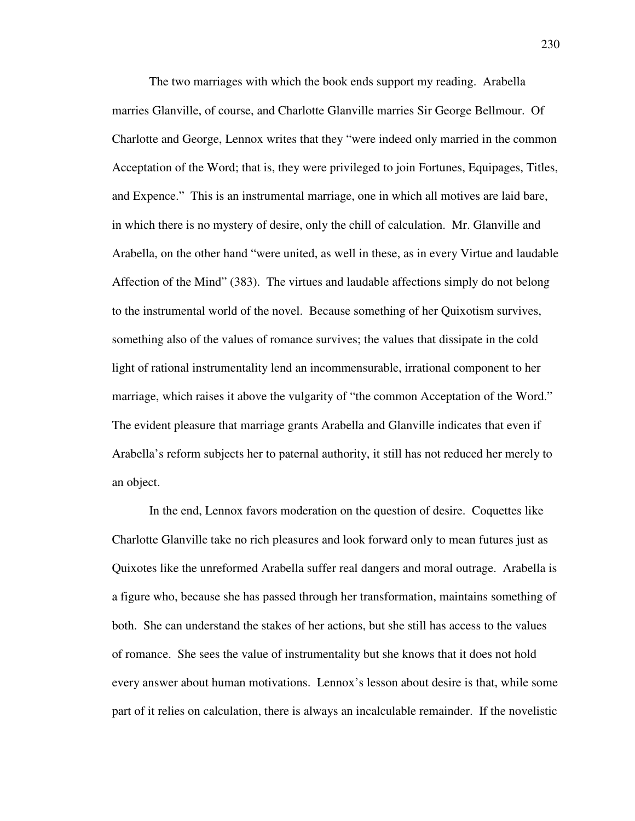The two marriages with which the book ends support my reading. Arabella marries Glanville, of course, and Charlotte Glanville marries Sir George Bellmour. Of Charlotte and George, Lennox writes that they "were indeed only married in the common Acceptation of the Word; that is, they were privileged to join Fortunes, Equipages, Titles, and Expence." This is an instrumental marriage, one in which all motives are laid bare, in which there is no mystery of desire, only the chill of calculation. Mr. Glanville and Arabella, on the other hand "were united, as well in these, as in every Virtue and laudable Affection of the Mind" (383). The virtues and laudable affections simply do not belong to the instrumental world of the novel. Because something of her Quixotism survives, something also of the values of romance survives; the values that dissipate in the cold light of rational instrumentality lend an incommensurable, irrational component to her marriage, which raises it above the vulgarity of "the common Acceptation of the Word." The evident pleasure that marriage grants Arabella and Glanville indicates that even if Arabella's reform subjects her to paternal authority, it still has not reduced her merely to an object.

 In the end, Lennox favors moderation on the question of desire. Coquettes like Charlotte Glanville take no rich pleasures and look forward only to mean futures just as Quixotes like the unreformed Arabella suffer real dangers and moral outrage. Arabella is a figure who, because she has passed through her transformation, maintains something of both. She can understand the stakes of her actions, but she still has access to the values of romance. She sees the value of instrumentality but she knows that it does not hold every answer about human motivations. Lennox's lesson about desire is that, while some part of it relies on calculation, there is always an incalculable remainder. If the novelistic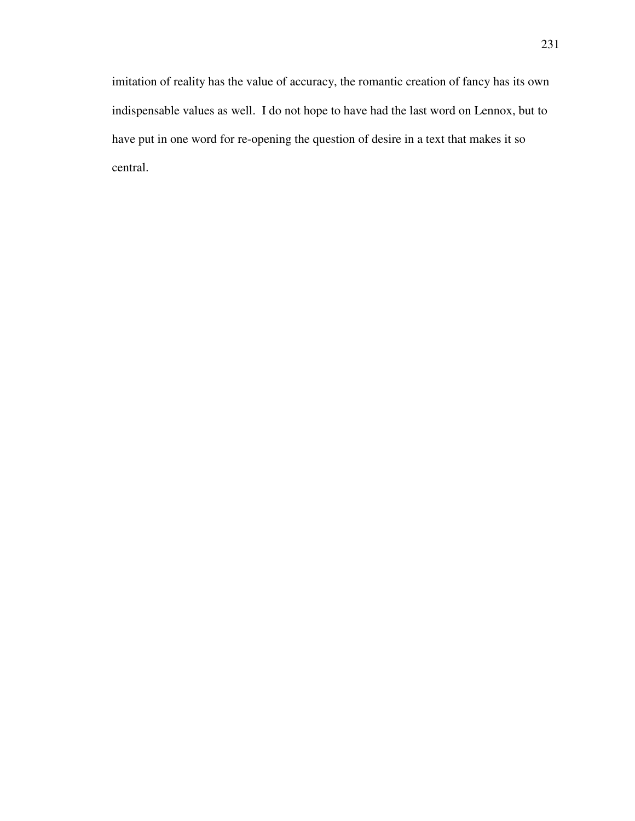imitation of reality has the value of accuracy, the romantic creation of fancy has its own indispensable values as well. I do not hope to have had the last word on Lennox, but to have put in one word for re-opening the question of desire in a text that makes it so central.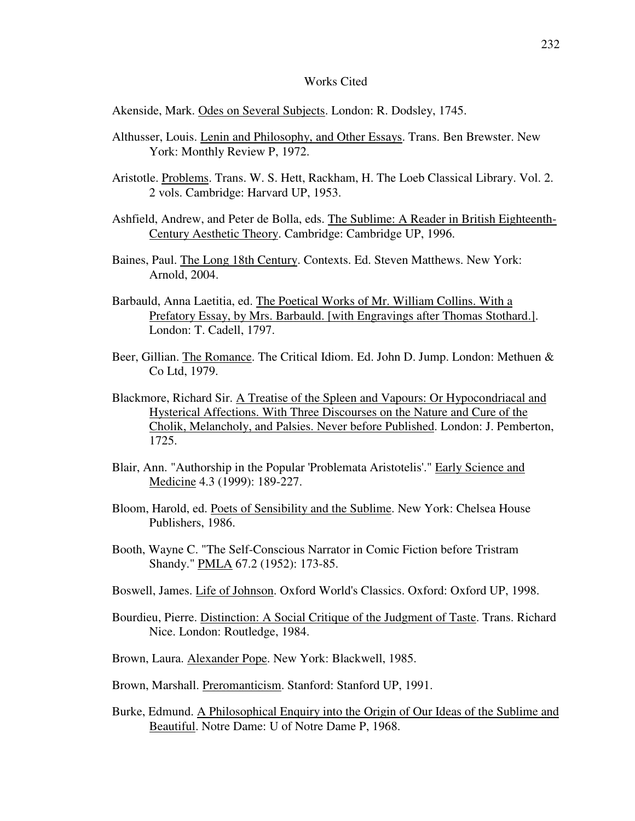## Works Cited

Akenside, Mark. Odes on Several Subjects. London: R. Dodsley, 1745.

- Althusser, Louis. Lenin and Philosophy, and Other Essays. Trans. Ben Brewster. New York: Monthly Review P, 1972.
- Aristotle. Problems. Trans. W. S. Hett, Rackham, H. The Loeb Classical Library. Vol. 2. 2 vols. Cambridge: Harvard UP, 1953.
- Ashfield, Andrew, and Peter de Bolla, eds. The Sublime: A Reader in British Eighteenth-Century Aesthetic Theory. Cambridge: Cambridge UP, 1996.
- Baines, Paul. The Long 18th Century. Contexts. Ed. Steven Matthews. New York: Arnold, 2004.
- Barbauld, Anna Laetitia, ed. The Poetical Works of Mr. William Collins. With a Prefatory Essay, by Mrs. Barbauld. [with Engravings after Thomas Stothard.]. London: T. Cadell, 1797.
- Beer, Gillian. The Romance. The Critical Idiom. Ed. John D. Jump. London: Methuen & Co Ltd, 1979.
- Blackmore, Richard Sir. A Treatise of the Spleen and Vapours: Or Hypocondriacal and Hysterical Affections. With Three Discourses on the Nature and Cure of the Cholik, Melancholy, and Palsies. Never before Published. London: J. Pemberton, 1725.
- Blair, Ann. "Authorship in the Popular 'Problemata Aristotelis'." Early Science and Medicine 4.3 (1999): 189-227.
- Bloom, Harold, ed. Poets of Sensibility and the Sublime. New York: Chelsea House Publishers, 1986.
- Booth, Wayne C. "The Self-Conscious Narrator in Comic Fiction before Tristram Shandy." PMLA 67.2 (1952): 173-85.
- Boswell, James. Life of Johnson. Oxford World's Classics. Oxford: Oxford UP, 1998.
- Bourdieu, Pierre. Distinction: A Social Critique of the Judgment of Taste. Trans. Richard Nice. London: Routledge, 1984.
- Brown, Laura. Alexander Pope. New York: Blackwell, 1985.
- Brown, Marshall. Preromanticism. Stanford: Stanford UP, 1991.
- Burke, Edmund. A Philosophical Enquiry into the Origin of Our Ideas of the Sublime and Beautiful. Notre Dame: U of Notre Dame P, 1968.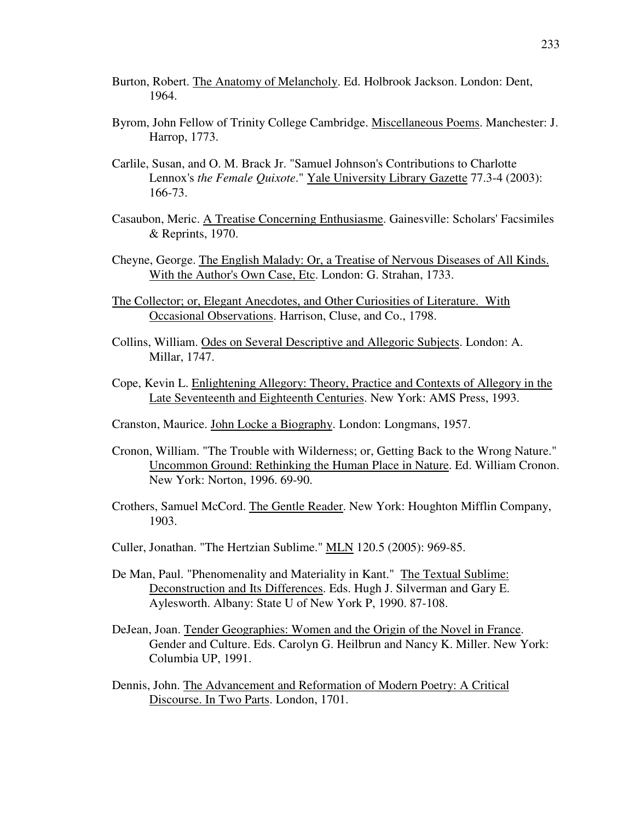- Burton, Robert. The Anatomy of Melancholy. Ed. Holbrook Jackson. London: Dent, 1964.
- Byrom, John Fellow of Trinity College Cambridge. Miscellaneous Poems. Manchester: J. Harrop, 1773.
- Carlile, Susan, and O. M. Brack Jr. "Samuel Johnson's Contributions to Charlotte Lennox's *the Female Quixote*." Yale University Library Gazette 77.3-4 (2003): 166-73.
- Casaubon, Meric. A Treatise Concerning Enthusiasme. Gainesville: Scholars' Facsimiles & Reprints, 1970.
- Cheyne, George. The English Malady: Or, a Treatise of Nervous Diseases of All Kinds. With the Author's Own Case, Etc. London: G. Strahan, 1733.
- The Collector; or, Elegant Anecdotes, and Other Curiosities of Literature. With Occasional Observations. Harrison, Cluse, and Co., 1798.
- Collins, William. Odes on Several Descriptive and Allegoric Subjects. London: A. Millar, 1747.
- Cope, Kevin L. Enlightening Allegory: Theory, Practice and Contexts of Allegory in the Late Seventeenth and Eighteenth Centuries. New York: AMS Press, 1993.
- Cranston, Maurice. John Locke a Biography. London: Longmans, 1957.
- Cronon, William. "The Trouble with Wilderness; or, Getting Back to the Wrong Nature." Uncommon Ground: Rethinking the Human Place in Nature. Ed. William Cronon. New York: Norton, 1996. 69-90.
- Crothers, Samuel McCord. The Gentle Reader. New York: Houghton Mifflin Company, 1903.
- Culler, Jonathan. "The Hertzian Sublime." MLN 120.5 (2005): 969-85.
- De Man, Paul. "Phenomenality and Materiality in Kant." The Textual Sublime: Deconstruction and Its Differences. Eds. Hugh J. Silverman and Gary E. Aylesworth. Albany: State U of New York P, 1990. 87-108.
- DeJean, Joan. Tender Geographies: Women and the Origin of the Novel in France. Gender and Culture. Eds. Carolyn G. Heilbrun and Nancy K. Miller. New York: Columbia UP, 1991.
- Dennis, John. The Advancement and Reformation of Modern Poetry: A Critical Discourse. In Two Parts. London, 1701.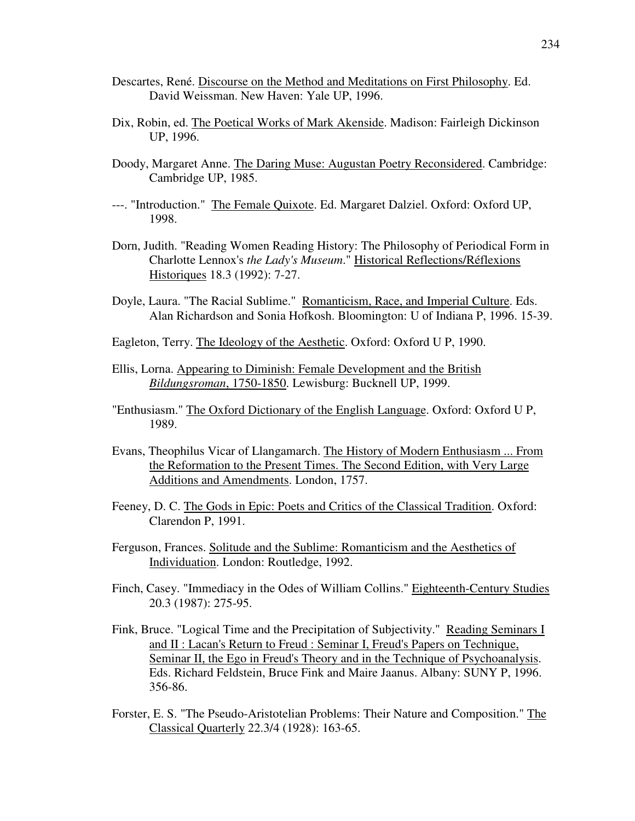- Descartes, René. Discourse on the Method and Meditations on First Philosophy. Ed. David Weissman. New Haven: Yale UP, 1996.
- Dix, Robin, ed. The Poetical Works of Mark Akenside. Madison: Fairleigh Dickinson UP, 1996.
- Doody, Margaret Anne. The Daring Muse: Augustan Poetry Reconsidered. Cambridge: Cambridge UP, 1985.
- ---. "Introduction." The Female Quixote. Ed. Margaret Dalziel. Oxford: Oxford UP, 1998.
- Dorn, Judith. "Reading Women Reading History: The Philosophy of Periodical Form in Charlotte Lennox's *the Lady's Museum*." Historical Reflections/Réflexions Historiques 18.3 (1992): 7-27.
- Doyle, Laura. "The Racial Sublime." Romanticism, Race, and Imperial Culture. Eds. Alan Richardson and Sonia Hofkosh. Bloomington: U of Indiana P, 1996. 15-39.
- Eagleton, Terry. The Ideology of the Aesthetic. Oxford: Oxford U P, 1990.
- Ellis, Lorna. Appearing to Diminish: Female Development and the British *Bildungsroman*, 1750-1850. Lewisburg: Bucknell UP, 1999.
- "Enthusiasm." The Oxford Dictionary of the English Language. Oxford: Oxford U P, 1989.
- Evans, Theophilus Vicar of Llangamarch. The History of Modern Enthusiasm ... From the Reformation to the Present Times. The Second Edition, with Very Large Additions and Amendments. London, 1757.
- Feeney, D. C. The Gods in Epic: Poets and Critics of the Classical Tradition. Oxford: Clarendon P, 1991.
- Ferguson, Frances. Solitude and the Sublime: Romanticism and the Aesthetics of Individuation. London: Routledge, 1992.
- Finch, Casey. "Immediacy in the Odes of William Collins." Eighteenth-Century Studies 20.3 (1987): 275-95.
- Fink, Bruce. "Logical Time and the Precipitation of Subjectivity." Reading Seminars I and II : Lacan's Return to Freud : Seminar I, Freud's Papers on Technique, Seminar II, the Ego in Freud's Theory and in the Technique of Psychoanalysis. Eds. Richard Feldstein, Bruce Fink and Maire Jaanus. Albany: SUNY P, 1996. 356-86.
- Forster, E. S. "The Pseudo-Aristotelian Problems: Their Nature and Composition." The Classical Quarterly 22.3/4 (1928): 163-65.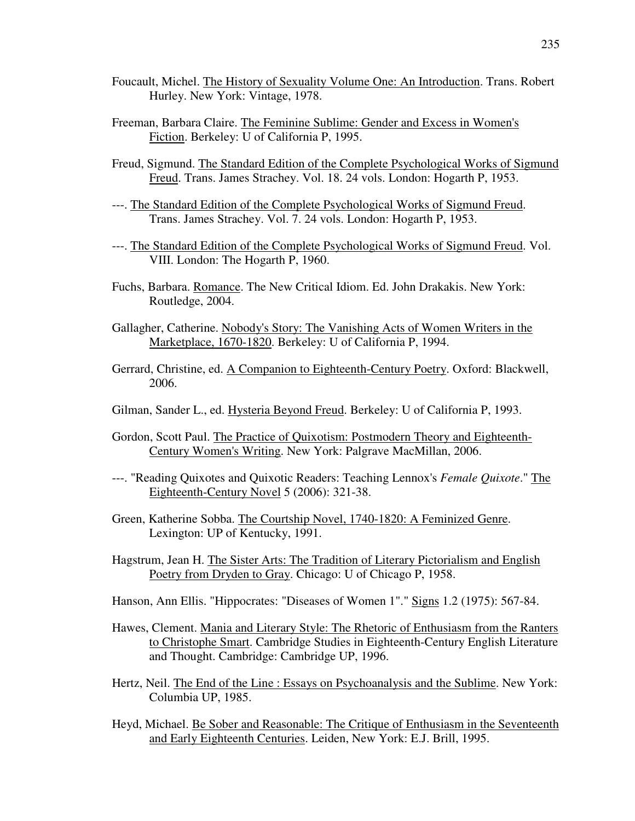- Foucault, Michel. The History of Sexuality Volume One: An Introduction. Trans. Robert Hurley. New York: Vintage, 1978.
- Freeman, Barbara Claire. The Feminine Sublime: Gender and Excess in Women's Fiction. Berkeley: U of California P, 1995.
- Freud, Sigmund. The Standard Edition of the Complete Psychological Works of Sigmund Freud. Trans. James Strachey. Vol. 18. 24 vols. London: Hogarth P, 1953.
- ---. The Standard Edition of the Complete Psychological Works of Sigmund Freud. Trans. James Strachey. Vol. 7. 24 vols. London: Hogarth P, 1953.
- ---. The Standard Edition of the Complete Psychological Works of Sigmund Freud. Vol. VIII. London: The Hogarth P, 1960.
- Fuchs, Barbara. Romance. The New Critical Idiom. Ed. John Drakakis. New York: Routledge, 2004.
- Gallagher, Catherine. Nobody's Story: The Vanishing Acts of Women Writers in the Marketplace, 1670-1820. Berkeley: U of California P, 1994.
- Gerrard, Christine, ed. A Companion to Eighteenth-Century Poetry. Oxford: Blackwell, 2006.
- Gilman, Sander L., ed. Hysteria Beyond Freud. Berkeley: U of California P, 1993.
- Gordon, Scott Paul. The Practice of Quixotism: Postmodern Theory and Eighteenth-Century Women's Writing. New York: Palgrave MacMillan, 2006.
- ---. "Reading Quixotes and Quixotic Readers: Teaching Lennox's *Female Quixote*." The Eighteenth-Century Novel 5 (2006): 321-38.
- Green, Katherine Sobba. The Courtship Novel, 1740-1820: A Feminized Genre. Lexington: UP of Kentucky, 1991.
- Hagstrum, Jean H. The Sister Arts: The Tradition of Literary Pictorialism and English Poetry from Dryden to Gray. Chicago: U of Chicago P, 1958.
- Hanson, Ann Ellis. "Hippocrates: "Diseases of Women 1"." Signs 1.2 (1975): 567-84.
- Hawes, Clement. Mania and Literary Style: The Rhetoric of Enthusiasm from the Ranters to Christophe Smart. Cambridge Studies in Eighteenth-Century English Literature and Thought. Cambridge: Cambridge UP, 1996.
- Hertz, Neil. The End of the Line : Essays on Psychoanalysis and the Sublime. New York: Columbia UP, 1985.
- Heyd, Michael. Be Sober and Reasonable: The Critique of Enthusiasm in the Seventeenth and Early Eighteenth Centuries. Leiden, New York: E.J. Brill, 1995.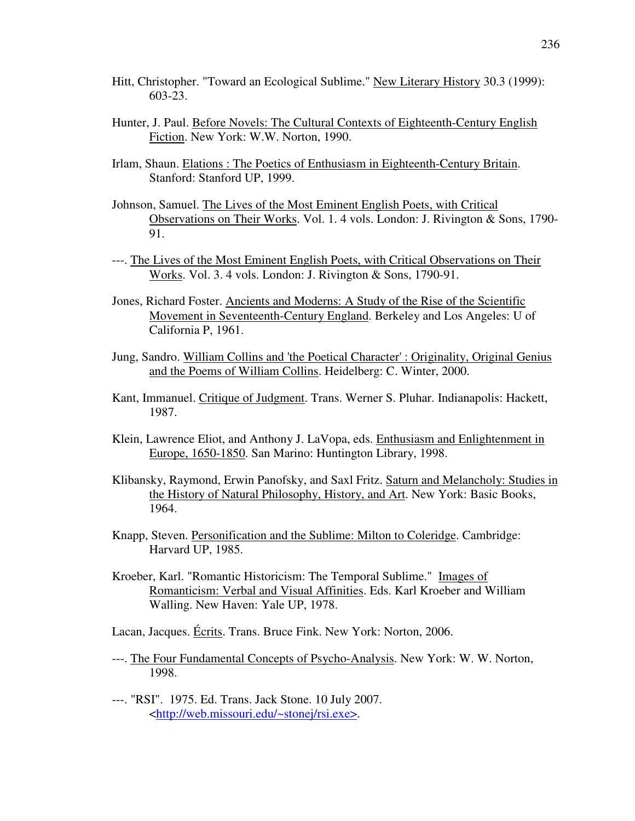- Hitt, Christopher. "Toward an Ecological Sublime." New Literary History 30.3 (1999): 603-23.
- Hunter, J. Paul. Before Novels: The Cultural Contexts of Eighteenth-Century English Fiction. New York: W.W. Norton, 1990.
- Irlam, Shaun. Elations : The Poetics of Enthusiasm in Eighteenth-Century Britain. Stanford: Stanford UP, 1999.
- Johnson, Samuel. The Lives of the Most Eminent English Poets, with Critical Observations on Their Works. Vol. 1. 4 vols. London: J. Rivington & Sons, 1790- 91.
- ---. The Lives of the Most Eminent English Poets, with Critical Observations on Their Works. Vol. 3. 4 vols. London: J. Rivington & Sons, 1790-91.
- Jones, Richard Foster. Ancients and Moderns: A Study of the Rise of the Scientific Movement in Seventeenth-Century England. Berkeley and Los Angeles: U of California P, 1961.
- Jung, Sandro. William Collins and 'the Poetical Character' : Originality, Original Genius and the Poems of William Collins. Heidelberg: C. Winter, 2000.
- Kant, Immanuel. Critique of Judgment. Trans. Werner S. Pluhar. Indianapolis: Hackett, 1987.
- Klein, Lawrence Eliot, and Anthony J. LaVopa, eds. Enthusiasm and Enlightenment in Europe, 1650-1850. San Marino: Huntington Library, 1998.
- Klibansky, Raymond, Erwin Panofsky, and Saxl Fritz. Saturn and Melancholy: Studies in the History of Natural Philosophy, History, and Art. New York: Basic Books, 1964.
- Knapp, Steven. Personification and the Sublime: Milton to Coleridge. Cambridge: Harvard UP, 1985.
- Kroeber, Karl. "Romantic Historicism: The Temporal Sublime." Images of Romanticism: Verbal and Visual Affinities. Eds. Karl Kroeber and William Walling. New Haven: Yale UP, 1978.

Lacan, Jacques. Écrits. Trans. Bruce Fink. New York: Norton, 2006.

- ---. The Four Fundamental Concepts of Psycho-Analysis. New York: W. W. Norton, 1998.
- ---. "RSI". 1975. Ed. Trans. Jack Stone. 10 July 2007. <http://web.missouri.edu/~stonej/rsi.exe>.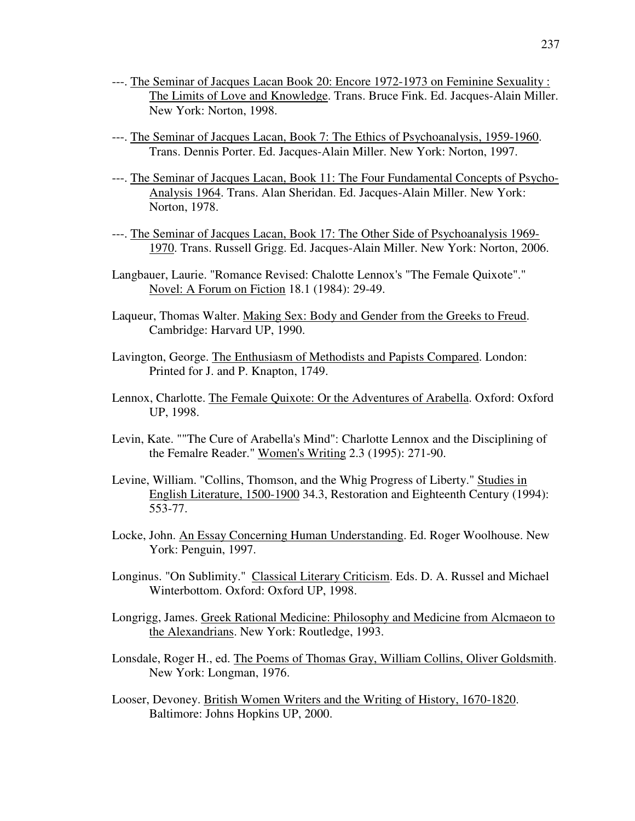- ---. The Seminar of Jacques Lacan Book 20: Encore 1972-1973 on Feminine Sexuality : The Limits of Love and Knowledge. Trans. Bruce Fink. Ed. Jacques-Alain Miller. New York: Norton, 1998.
- ---. The Seminar of Jacques Lacan, Book 7: The Ethics of Psychoanalysis, 1959-1960. Trans. Dennis Porter. Ed. Jacques-Alain Miller. New York: Norton, 1997.
- ---. The Seminar of Jacques Lacan, Book 11: The Four Fundamental Concepts of Psycho-Analysis 1964. Trans. Alan Sheridan. Ed. Jacques-Alain Miller. New York: Norton, 1978.
- ---. The Seminar of Jacques Lacan, Book 17: The Other Side of Psychoanalysis 1969- 1970. Trans. Russell Grigg. Ed. Jacques-Alain Miller. New York: Norton, 2006.
- Langbauer, Laurie. "Romance Revised: Chalotte Lennox's "The Female Quixote"." Novel: A Forum on Fiction 18.1 (1984): 29-49.
- Laqueur, Thomas Walter. Making Sex: Body and Gender from the Greeks to Freud. Cambridge: Harvard UP, 1990.
- Lavington, George. The Enthusiasm of Methodists and Papists Compared. London: Printed for J. and P. Knapton, 1749.
- Lennox, Charlotte. The Female Quixote: Or the Adventures of Arabella. Oxford: Oxford UP, 1998.
- Levin, Kate. ""The Cure of Arabella's Mind": Charlotte Lennox and the Disciplining of the Femalre Reader." Women's Writing 2.3 (1995): 271-90.
- Levine, William. "Collins, Thomson, and the Whig Progress of Liberty." Studies in English Literature, 1500-1900 34.3, Restoration and Eighteenth Century (1994): 553-77.
- Locke, John. An Essay Concerning Human Understanding. Ed. Roger Woolhouse. New York: Penguin, 1997.
- Longinus. "On Sublimity." Classical Literary Criticism. Eds. D. A. Russel and Michael Winterbottom. Oxford: Oxford UP, 1998.
- Longrigg, James. Greek Rational Medicine: Philosophy and Medicine from Alcmaeon to the Alexandrians. New York: Routledge, 1993.
- Lonsdale, Roger H., ed. The Poems of Thomas Gray, William Collins, Oliver Goldsmith. New York: Longman, 1976.
- Looser, Devoney. British Women Writers and the Writing of History, 1670-1820. Baltimore: Johns Hopkins UP, 2000.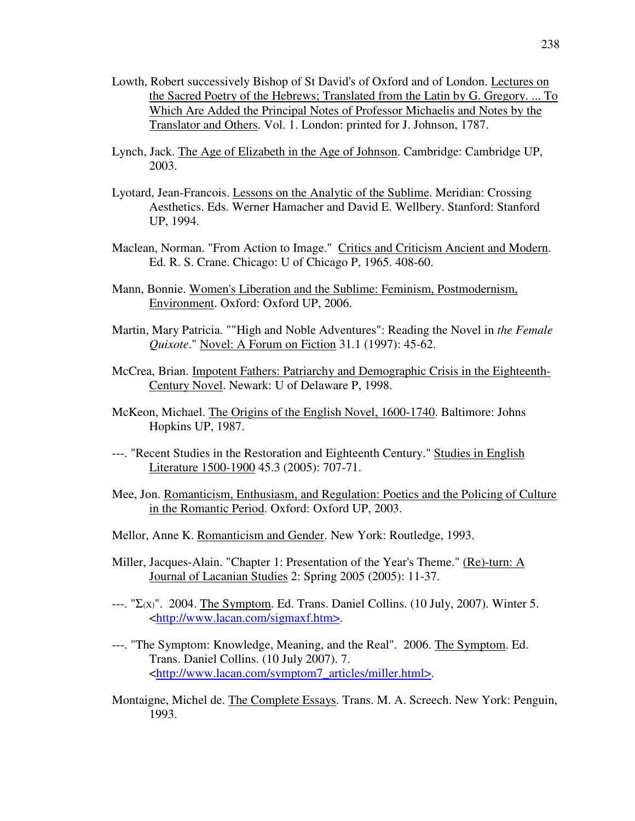- Lowth, Robert successively Bishop of St David's of Oxford and of London. Lectures on the Sacred Poetry of the Hebrews; Translated from the Latin by G. Gregory. ... To Which Are Added the Principal Notes of Professor Michaelis and Notes by the Translator and Others. Vol. 1. London: printed for J. Johnson, 1787.
- Lynch, Jack. The Age of Elizabeth in the Age of Johnson. Cambridge: Cambridge UP, 2003.
- Lyotard, Jean-Francois. Lessons on the Analytic of the Sublime. Meridian: Crossing Aesthetics. Eds. Werner Hamacher and David E. Wellbery. Stanford: Stanford UP, 1994.
- Maclean, Norman. "From Action to Image." Critics and Criticism Ancient and Modern. Ed. R. S. Crane. Chicago: U of Chicago P, 1965. 408-60.
- Mann, Bonnie. Women's Liberation and the Sublime: Feminism, Postmodernism, Environment. Oxford: Oxford UP, 2006.
- Martin, Mary Patricia. ""High and Noble Adventures": Reading the Novel in *the Female Quixote*." Novel: A Forum on Fiction 31.1 (1997): 45-62.
- McCrea, Brian. Impotent Fathers: Patriarchy and Demographic Crisis in the Eighteenth-Century Novel. Newark: U of Delaware P, 1998.
- McKeon, Michael. The Origins of the English Novel, 1600-1740. Baltimore: Johns Hopkins UP, 1987.
- ---. "Recent Studies in the Restoration and Eighteenth Century." Studies in English Literature 1500-1900 45.3 (2005): 707-71.
- Mee, Jon. Romanticism, Enthusiasm, and Regulation: Poetics and the Policing of Culture in the Romantic Period. Oxford: Oxford UP, 2003.
- Mellor, Anne K. Romanticism and Gender. New York: Routledge, 1993.
- Miller, Jacques-Alain. "Chapter 1: Presentation of the Year's Theme." (Re)-turn: A Journal of Lacanian Studies 2: Spring 2005 (2005): 11-37.
- $---$ . "Σ(x)". 2004. The Symptom. Ed. Trans. Daniel Collins. (10 July, 2007). Winter 5. <http://www.lacan.com/sigmaxf.htm>.
- ---. "The Symptom: Knowledge, Meaning, and the Real". 2006. The Symptom. Ed. Trans. Daniel Collins. (10 July 2007). 7. <http://www.lacan.com/symptom7\_articles/miller.html>.
- Montaigne, Michel de. The Complete Essays. Trans. M. A. Screech. New York: Penguin, 1993.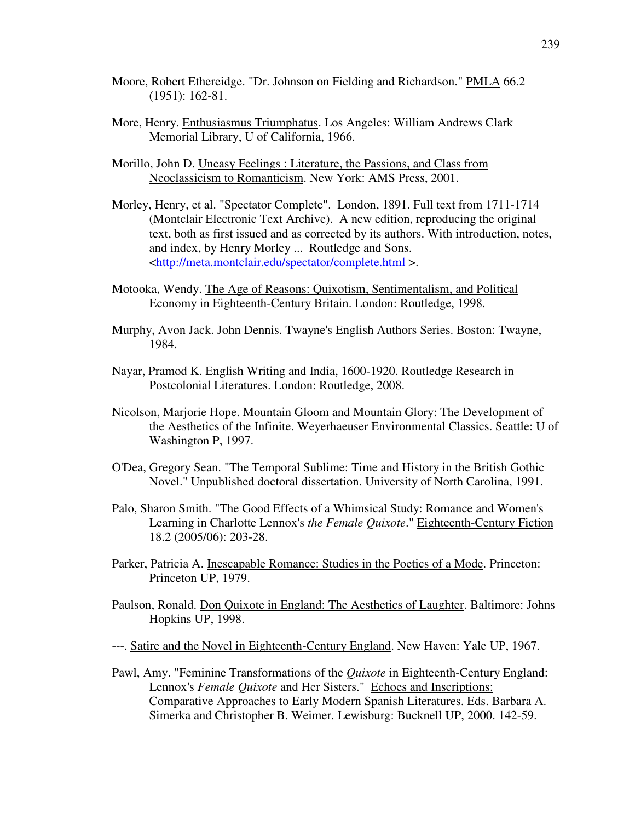- Moore, Robert Ethereidge. "Dr. Johnson on Fielding and Richardson." PMLA 66.2 (1951): 162-81.
- More, Henry. Enthusiasmus Triumphatus. Los Angeles: William Andrews Clark Memorial Library, U of California, 1966.
- Morillo, John D. Uneasy Feelings : Literature, the Passions, and Class from Neoclassicism to Romanticism. New York: AMS Press, 2001.
- Morley, Henry, et al. "Spectator Complete". London, 1891. Full text from 1711-1714 (Montclair Electronic Text Archive). A new edition, reproducing the original text, both as first issued and as corrected by its authors. With introduction, notes, and index, by Henry Morley ... Routledge and Sons. <http://meta.montclair.edu/spectator/complete.html >.
- Motooka, Wendy. The Age of Reasons: Quixotism, Sentimentalism, and Political Economy in Eighteenth-Century Britain. London: Routledge, 1998.
- Murphy, Avon Jack. John Dennis. Twayne's English Authors Series. Boston: Twayne, 1984.
- Nayar, Pramod K. English Writing and India, 1600-1920. Routledge Research in Postcolonial Literatures. London: Routledge, 2008.
- Nicolson, Marjorie Hope. Mountain Gloom and Mountain Glory: The Development of the Aesthetics of the Infinite. Weyerhaeuser Environmental Classics. Seattle: U of Washington P, 1997.
- O'Dea, Gregory Sean. "The Temporal Sublime: Time and History in the British Gothic Novel." Unpublished doctoral dissertation. University of North Carolina, 1991.
- Palo, Sharon Smith. "The Good Effects of a Whimsical Study: Romance and Women's Learning in Charlotte Lennox's *the Female Quixote*." Eighteenth-Century Fiction 18.2 (2005/06): 203-28.
- Parker, Patricia A. Inescapable Romance: Studies in the Poetics of a Mode. Princeton: Princeton UP, 1979.
- Paulson, Ronald. Don Quixote in England: The Aesthetics of Laughter. Baltimore: Johns Hopkins UP, 1998.
- ---. Satire and the Novel in Eighteenth-Century England. New Haven: Yale UP, 1967.
- Pawl, Amy. "Feminine Transformations of the *Quixote* in Eighteenth-Century England: Lennox's *Female Quixote* and Her Sisters." Echoes and Inscriptions: Comparative Approaches to Early Modern Spanish Literatures. Eds. Barbara A. Simerka and Christopher B. Weimer. Lewisburg: Bucknell UP, 2000. 142-59.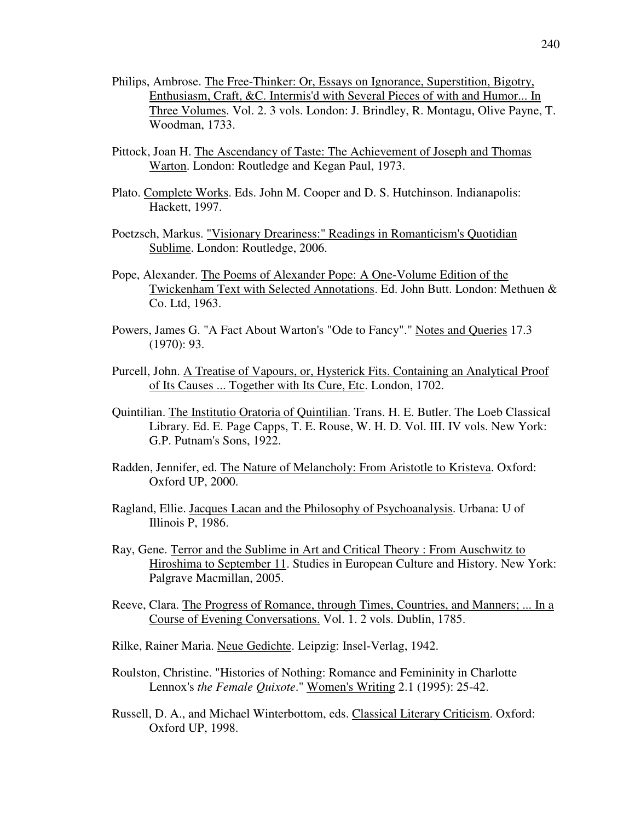- Philips, Ambrose. The Free-Thinker: Or, Essays on Ignorance, Superstition, Bigotry, Enthusiasm, Craft, &C. Intermis'd with Several Pieces of with and Humor... In Three Volumes. Vol. 2. 3 vols. London: J. Brindley, R. Montagu, Olive Payne, T. Woodman, 1733.
- Pittock, Joan H. The Ascendancy of Taste: The Achievement of Joseph and Thomas Warton. London: Routledge and Kegan Paul, 1973.
- Plato. Complete Works. Eds. John M. Cooper and D. S. Hutchinson. Indianapolis: Hackett, 1997.
- Poetzsch, Markus. "Visionary Dreariness:" Readings in Romanticism's Quotidian Sublime. London: Routledge, 2006.
- Pope, Alexander. The Poems of Alexander Pope: A One-Volume Edition of the Twickenham Text with Selected Annotations. Ed. John Butt. London: Methuen & Co. Ltd, 1963.
- Powers, James G. "A Fact About Warton's "Ode to Fancy"." Notes and Queries 17.3 (1970): 93.
- Purcell, John. A Treatise of Vapours, or, Hysterick Fits. Containing an Analytical Proof of Its Causes ... Together with Its Cure, Etc. London, 1702.
- Quintilian. The Institutio Oratoria of Quintilian. Trans. H. E. Butler. The Loeb Classical Library. Ed. E. Page Capps, T. E. Rouse, W. H. D. Vol. III. IV vols. New York: G.P. Putnam's Sons, 1922.
- Radden, Jennifer, ed. The Nature of Melancholy: From Aristotle to Kristeva. Oxford: Oxford UP, 2000.
- Ragland, Ellie. Jacques Lacan and the Philosophy of Psychoanalysis. Urbana: U of Illinois P, 1986.
- Ray, Gene. Terror and the Sublime in Art and Critical Theory : From Auschwitz to Hiroshima to September 11. Studies in European Culture and History. New York: Palgrave Macmillan, 2005.
- Reeve, Clara. The Progress of Romance, through Times, Countries, and Manners; ... In a Course of Evening Conversations. Vol. 1. 2 vols. Dublin, 1785.
- Rilke, Rainer Maria. Neue Gedichte. Leipzig: Insel-Verlag, 1942.
- Roulston, Christine. "Histories of Nothing: Romance and Femininity in Charlotte Lennox's *the Female Quixote*." Women's Writing 2.1 (1995): 25-42.
- Russell, D. A., and Michael Winterbottom, eds. Classical Literary Criticism. Oxford: Oxford UP, 1998.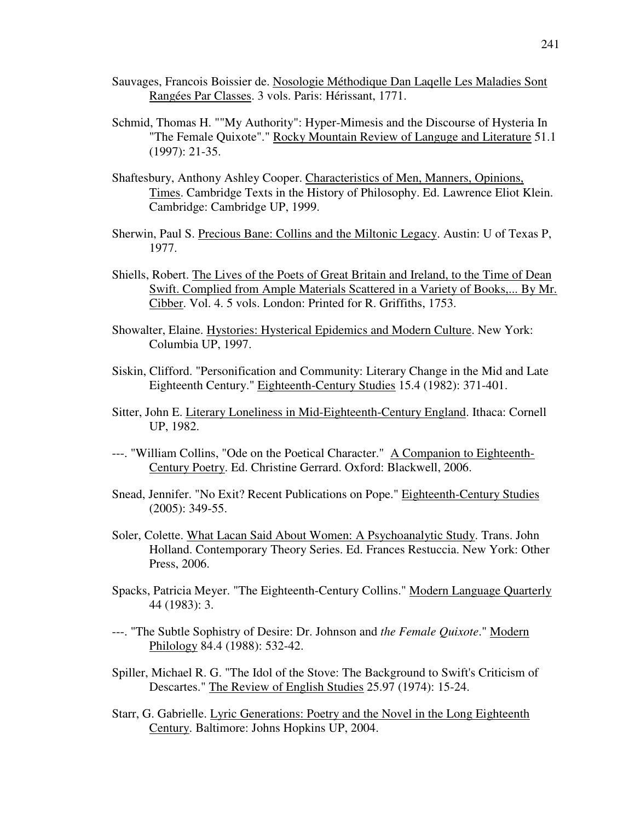- Sauvages, Francois Boissier de. Nosologie Méthodique Dan Laqelle Les Maladies Sont Rangées Par Classes. 3 vols. Paris: Hérissant, 1771.
- Schmid, Thomas H. ""My Authority": Hyper-Mimesis and the Discourse of Hysteria In "The Female Quixote"." Rocky Mountain Review of Languge and Literature 51.1 (1997): 21-35.
- Shaftesbury, Anthony Ashley Cooper. Characteristics of Men, Manners, Opinions, Times. Cambridge Texts in the History of Philosophy. Ed. Lawrence Eliot Klein. Cambridge: Cambridge UP, 1999.
- Sherwin, Paul S. Precious Bane: Collins and the Miltonic Legacy. Austin: U of Texas P, 1977.
- Shiells, Robert. The Lives of the Poets of Great Britain and Ireland, to the Time of Dean Swift. Complied from Ample Materials Scattered in a Variety of Books,... By Mr. Cibber. Vol. 4. 5 vols. London: Printed for R. Griffiths, 1753.
- Showalter, Elaine. Hystories: Hysterical Epidemics and Modern Culture. New York: Columbia UP, 1997.
- Siskin, Clifford. "Personification and Community: Literary Change in the Mid and Late Eighteenth Century." Eighteenth-Century Studies 15.4 (1982): 371-401.
- Sitter, John E. Literary Loneliness in Mid-Eighteenth-Century England. Ithaca: Cornell UP, 1982.
- ---. "William Collins, "Ode on the Poetical Character." A Companion to Eighteenth-Century Poetry. Ed. Christine Gerrard. Oxford: Blackwell, 2006.
- Snead, Jennifer. "No Exit? Recent Publications on Pope." Eighteenth-Century Studies (2005): 349-55.
- Soler, Colette. What Lacan Said About Women: A Psychoanalytic Study. Trans. John Holland. Contemporary Theory Series. Ed. Frances Restuccia. New York: Other Press, 2006.
- Spacks, Patricia Meyer. "The Eighteenth-Century Collins." Modern Language Quarterly 44 (1983): 3.
- ---. "The Subtle Sophistry of Desire: Dr. Johnson and *the Female Quixote*." Modern Philology 84.4 (1988): 532-42.
- Spiller, Michael R. G. "The Idol of the Stove: The Background to Swift's Criticism of Descartes." The Review of English Studies 25.97 (1974): 15-24.
- Starr, G. Gabrielle. Lyric Generations: Poetry and the Novel in the Long Eighteenth Century. Baltimore: Johns Hopkins UP, 2004.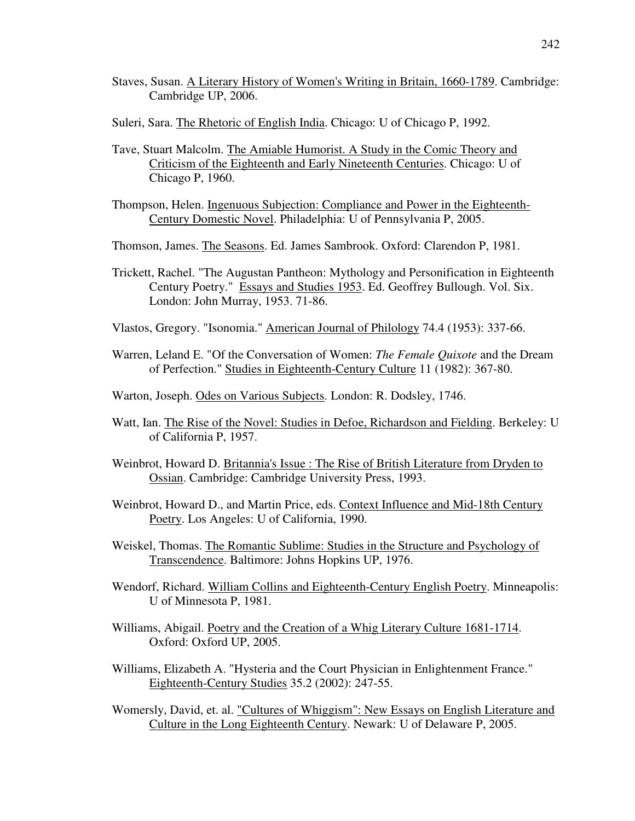- Staves, Susan. A Literary History of Women's Writing in Britain, 1660-1789. Cambridge: Cambridge UP, 2006.
- Suleri, Sara. The Rhetoric of English India. Chicago: U of Chicago P, 1992.
- Tave, Stuart Malcolm. The Amiable Humorist. A Study in the Comic Theory and Criticism of the Eighteenth and Early Nineteenth Centuries. Chicago: U of Chicago P, 1960.
- Thompson, Helen. Ingenuous Subjection: Compliance and Power in the Eighteenth-Century Domestic Novel. Philadelphia: U of Pennsylvania P, 2005.
- Thomson, James. The Seasons. Ed. James Sambrook. Oxford: Clarendon P, 1981.
- Trickett, Rachel. "The Augustan Pantheon: Mythology and Personification in Eighteenth Century Poetry." Essays and Studies 1953. Ed. Geoffrey Bullough. Vol. Six. London: John Murray, 1953. 71-86.
- Vlastos, Gregory. "Isonomia." American Journal of Philology 74.4 (1953): 337-66.
- Warren, Leland E. "Of the Conversation of Women: *The Female Quixote* and the Dream of Perfection." Studies in Eighteenth-Century Culture 11 (1982): 367-80.
- Warton, Joseph. Odes on Various Subjects. London: R. Dodsley, 1746.
- Watt, Ian. The Rise of the Novel: Studies in Defoe, Richardson and Fielding. Berkeley: U of California P, 1957.
- Weinbrot, Howard D. Britannia's Issue : The Rise of British Literature from Dryden to Ossian. Cambridge: Cambridge University Press, 1993.
- Weinbrot, Howard D., and Martin Price, eds. Context Influence and Mid-18th Century Poetry. Los Angeles: U of California, 1990.
- Weiskel, Thomas. The Romantic Sublime: Studies in the Structure and Psychology of Transcendence. Baltimore: Johns Hopkins UP, 1976.
- Wendorf, Richard. William Collins and Eighteenth-Century English Poetry. Minneapolis: U of Minnesota P, 1981.
- Williams, Abigail. Poetry and the Creation of a Whig Literary Culture 1681-1714. Oxford: Oxford UP, 2005.
- Williams, Elizabeth A. "Hysteria and the Court Physician in Enlightenment France." Eighteenth-Century Studies 35.2 (2002): 247-55.
- Womersly, David, et. al. "Cultures of Whiggism": New Essays on English Literature and Culture in the Long Eighteenth Century. Newark: U of Delaware P, 2005.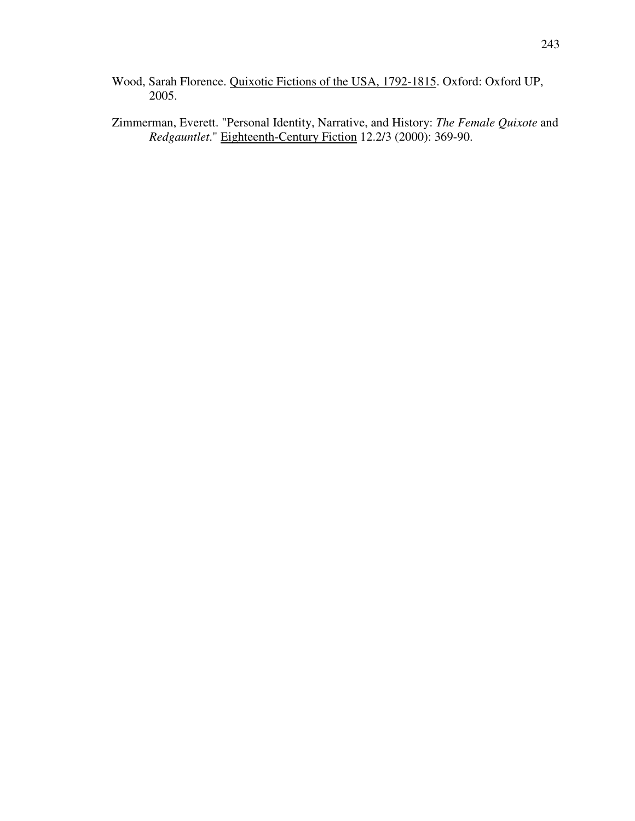- Wood, Sarah Florence. Quixotic Fictions of the USA, 1792-1815. Oxford: Oxford UP, 2005.
- Zimmerman, Everett. "Personal Identity, Narrative, and History: *The Female Quixote* and *Redgauntlet*." Eighteenth-Century Fiction 12.2/3 (2000): 369-90.